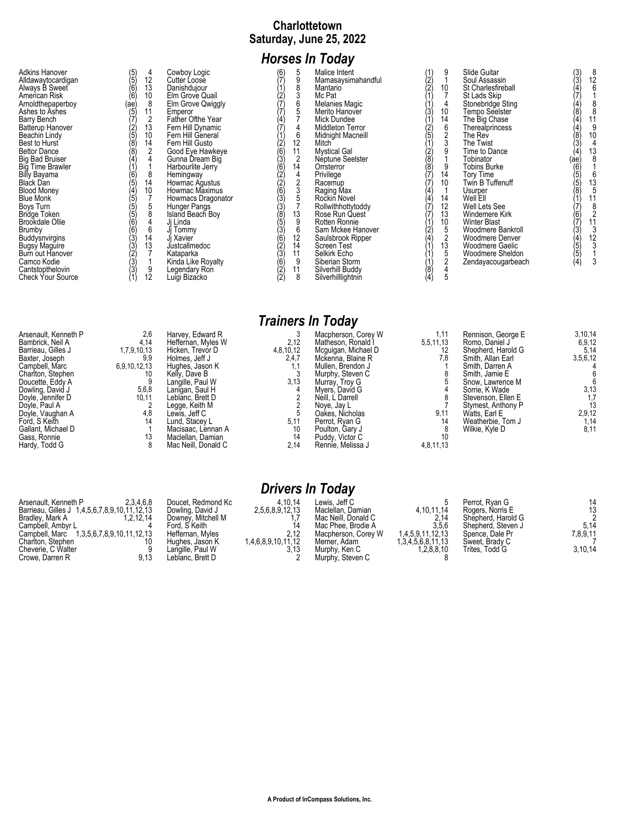#### **Charlottetown Saturday, June 25, 2022**

# *Horses In Today*

# *Trainers In Today*

| Arsenault, Kenneth P<br>Bambrick, Neil A<br>Barrieau. Gilles J<br>Baxter, Joseph<br>Campbell, Marc<br>Charlton, Stephen<br>Doucette, Eddy A<br>Dowling, David J<br>Doyle, Jennifer D<br>Doyle, Paul A<br>Doyle, Vaughan A<br>Ford, S Keith | 2,6<br>4,14<br>1,7,9,10,13<br>9.9<br>6,9,10,12,13<br>10<br>5,6,8<br>10,11<br>4,8<br>14 | Harvey, Edward R<br>Heffernan, Myles W<br>Hicken, Trevor D<br>Holmes, Jeff J<br>Hughes, Jason K<br>Kelly, Dave B<br>Langille, Paul W<br>Lanigan, Saul H<br>Leblānc. Brett D<br>Legge, Keith M<br>Lewis. Jeff C<br>Lund. Stacev L | 2,12<br>4,8,10,12<br>2,4,7<br>3,13<br>5,11 | Macpherson, Corey W<br>Matheson, Ronald I<br>Mcquigan, Michael D<br>Mckenna, Blaine R<br>Mullen, Brendon J<br>Murphy, Steven C<br>Murray, Troy G<br>Myers, David G<br>Neill. L Darrell<br>Nove, Jav L<br>Oakes. Nicholas<br>Perrot. Rvan G | 1,11<br>5,5,11,13<br>7.8<br>9,11<br>14 | Rennison, George E<br>Romo, Daniel J<br>Shepherd, Harold G<br>Smith, Allan Earl<br>Smith, Darren A<br>Smith, Jamie E<br>Snow. Lawrence M<br>Sorrie. K Wade<br>Stevenson, Ellen E<br>Stymest, Anthony P<br>Watts, Earl E<br>Weatherbie, Tom J | 3,10,14<br>6,9,12<br>5,14<br>3,5,6,12<br>3,13<br>1,7<br>13 |
|--------------------------------------------------------------------------------------------------------------------------------------------------------------------------------------------------------------------------------------------|----------------------------------------------------------------------------------------|----------------------------------------------------------------------------------------------------------------------------------------------------------------------------------------------------------------------------------|--------------------------------------------|--------------------------------------------------------------------------------------------------------------------------------------------------------------------------------------------------------------------------------------------|----------------------------------------|----------------------------------------------------------------------------------------------------------------------------------------------------------------------------------------------------------------------------------------------|------------------------------------------------------------|
| Gallant, Michael D                                                                                                                                                                                                                         |                                                                                        | Macisaac, Lennan A                                                                                                                                                                                                               | 10                                         | Poulton, Gary J                                                                                                                                                                                                                            |                                        | Wilkie, Kyle D                                                                                                                                                                                                                               | 2,9,12<br>1,14<br>8,11                                     |
| Gass, Ronnie<br>Hardy, Todd G                                                                                                                                                                                                              |                                                                                        | Maclellan, Damian<br>Mac Neill, Donald C                                                                                                                                                                                         | 14<br>2,14                                 | Puddy, Victor C<br>Rennie, Melissa J                                                                                                                                                                                                       | 4,8,11,13                              |                                                                                                                                                                                                                                              |                                                            |

| Arsenault, Kenneth P                         | 2.3.4.6.8 | Doucet. Redmond Kc | 4.10.14            | Lewis. Jeff C       |                   | Perrot, Rvan G     | 14       |
|----------------------------------------------|-----------|--------------------|--------------------|---------------------|-------------------|--------------------|----------|
| Barrieau, Gilles J 1,4,5,6,7,8,9,10,11,12,13 |           | Dowling, David J   | 2.5.6.8.9.12.13    | Maclellan, Damian   | 4,10,11,14        | Rogers, Norris E   | 13       |
| Bradlev, Mark A                              | 1,2,12,14 | Downey, Mitchell M |                    | Mac Neill, Donald C | 2,14              | Shepherd, Harold G |          |
| Campbell, Ambyr L                            |           | Ford, S Keith      |                    | Mac Phee. Brodie A  | 3,5,6             | Shepherd, Steven J | 5,14     |
| Campbell, Marc 1,3,5,6,7,8,9,10,11,12,13     |           | Heffernan, Myles   | 2.12               | Macpherson, Corey W | 1.4.5.9.11.12.13  | Spence, Dale Pr    | 7,8,9,11 |
| Charlton, Stephen                            |           | Hughes, Jason K    | 1.4.6.8.9.10.11.12 | Merner. Adam        | 1.3.4.5.6.8.11.13 | Sweet, Brady C     |          |
| Cheverie, C Walter                           |           | Langille. Paul W   |                    | Murphy, Ken C       | 1.2.8.8.10        | Trites. Todd G     | 3,10,14  |
| Crowe, Darren R                              | 9.13      | Leblanc. Brett D   |                    | Murphy, Steven C    |                   |                    |          |
|                                              |           |                    |                    |                     |                   |                    |          |

*Drivers In Today*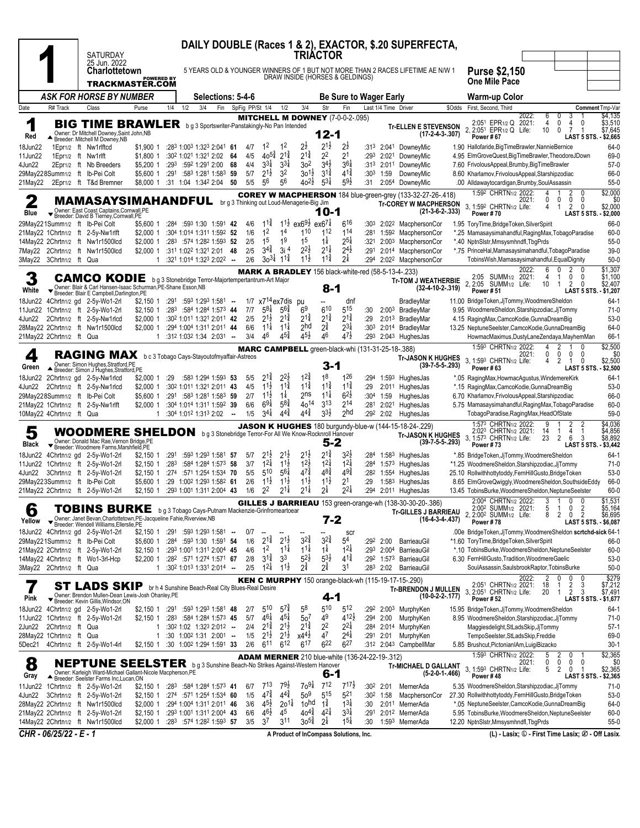|                                                     |                     | <b>SATURDAY</b><br>25 Jun. 2022                                                                                                                                                               |                         |              |     |                                                                                     |    |                 |                                          |                                          | <b>TRIACTOR</b>                                       |                                      |                                       |                          |                      | DAILY DOUBLE (Races 1 & 2), EXACTOR, \$.20 SUPERFECTA,                                                                 |        |                                                                                                                                                                                                                                                    |
|-----------------------------------------------------|---------------------|-----------------------------------------------------------------------------------------------------------------------------------------------------------------------------------------------|-------------------------|--------------|-----|-------------------------------------------------------------------------------------|----|-----------------|------------------------------------------|------------------------------------------|-------------------------------------------------------|--------------------------------------|---------------------------------------|--------------------------|----------------------|------------------------------------------------------------------------------------------------------------------------|--------|----------------------------------------------------------------------------------------------------------------------------------------------------------------------------------------------------------------------------------------------------|
|                                                     |                     | <b>Charlottetown</b><br><b>TRACKMASTER.COM</b>                                                                                                                                                | <b>POWERED BY</b>       |              |     |                                                                                     |    |                 |                                          |                                          | DRAW INSIDE (HORSES & GELDINGS)                       |                                      |                                       |                          |                      | 5 YEARS OLD & YOUNGER WINNERS OF 1 BUT NOT MORE THAN 2 RACES LIFETIME AE N/W 1                                         |        | <b>Purse \$2,150</b><br><b>One Mile Pace</b>                                                                                                                                                                                                       |
|                                                     |                     | <b>ASK FOR HORSE BY NUMBER</b>                                                                                                                                                                |                         |              |     | Selections: 5-4-6                                                                   |    |                 |                                          |                                          |                                                       |                                      | <b>Be Sure to Wager Early</b>         |                          |                      |                                                                                                                        |        | Warm-up Color                                                                                                                                                                                                                                      |
| Date                                                | R# Track            | Class                                                                                                                                                                                         | Purse                   | 1/4          | 1/2 | 3/4<br>Fin                                                                          |    | SpFig PP/St 1/4 |                                          | 1/2                                      | 3/4                                                   | Str                                  | Fin                                   |                          | Last 1/4 Time Driver |                                                                                                                        | \$Odds | First, Second, Third<br>Comment Tmp-Var                                                                                                                                                                                                            |
| 1<br>Red                                            |                     | <b>BIG TIME BRAWLER</b> bg 3 Sportswriter-Panstakingly-No Pan Intended<br>Owner: Dr Mitchell Downey, Saint John, NB<br>▲ Breeder: Mitchell M Downey, NB                                       |                         |              |     |                                                                                     |    |                 |                                          |                                          | <b>MITCHELL M DOWNEY (7-0-0-2-.095)</b>               | 12-1                                 |                                       |                          |                      | <b>Tr-ELLEN E STEVENSON</b><br>$(17-2-4-3-.307)$                                                                       |        | \$4,135<br>2022:<br>6<br>0<br>3<br>2:051 EPR1/2 Q<br>2021:<br>$\overline{4}$<br>4<br>\$3,510<br>0<br>0<br>2, 2:051 EPR1/2 Q Life:<br>10<br>$\overline{7}$<br>\$7,645<br>0<br>Power #67<br>LAST 5 STS. - \$2,665                                    |
| 18Jun22                                             |                     | 1Epr1/2 ft Nw1rlftcd                                                                                                                                                                          | \$1,900 1               |              |     | :283 1:003 1:323 2:041 61                                                           |    | 4/7             | $1^2$                                    | $1^2$                                    | 2ż                                                    | $2^{1\frac{1}{2}}$                   | 2ż                                    | :313                     |                      | 2:041 DowneyMic                                                                                                        |        | 64-0<br>1.90 Hallofaride, Big Time Brawler, Nannie Bernice                                                                                                                                                                                         |
| 11Jun22<br>4Jun22                                   | 1 Epr1/2 ft Nw1rlft | 2Epr1/2 ft Nb Breeders                                                                                                                                                                        | \$1,800 1<br>\$5,200 1  |              |     | :302 1:021 1:321 2:02<br>$:29^3$ $:59^2$ 1:29 <sup>1</sup> 2:00 68                  | 64 | 4/5<br>4/4      | $40^{5\frac{3}{4}}$<br>$3^{31}$          | $2^{1\frac{3}{4}}$<br>$3^{3}$            | $2^{1\frac{3}{4}}$<br>302                             | 22<br>$34\frac{1}{2}$                | 21<br>$36\frac{1}{4}$                 | :293                     |                      | 2:021 DownevMic<br>:313 2:011 DowneyMic                                                                                |        | 69-0<br>4.95 ElmGroveQuest, BigTimeBrawler, TheodoreJDown<br>7.60 FrivolousAppeal, Brumby, BigTimeBrawler<br>$57-0$                                                                                                                                |
| 29May228Summ1/2 ft Ib-Pei Colt                      |                     |                                                                                                                                                                                               | \$5,600 1               | :291         |     | :583 1:281 1:583 59                                                                 |    | 5/7             | $2^{1\frac{1}{2}}$                       | 3 <sup>2</sup>                           | 3o <sup>1</sup> ż                                     | $3^{12}$                             | $4^{1\frac{3}{4}}$                    | :303                     | 1:59                 | DowneyMic                                                                                                              |        | 66-0<br>8.60 Kharlamov, Frivolous Appeal, Starshipzodiac                                                                                                                                                                                           |
| 21Mav22                                             |                     | 2Epr1/2 ft T&d Bremner                                                                                                                                                                        | \$8,000 1               |              |     | :31 1:04 1:342 2:04 50                                                              |    | 5/5             | 56                                       | 56                                       | $40^{21}$                                             | $5^{3\frac{1}{4}}$                   | $5^{9}\frac{1}{2}$                    | :31                      |                      | 2:054 DowneyMic                                                                                                        |        | $55-0$<br>.00 Alldawaytocardigan, Brumby, SoulAssassin<br>\$2,000<br>1:592 CHRTN1/2 2022:<br>2                                                                                                                                                     |
| Blue                                                |                     | <b>MAMASAYSIMAHANDFUL</b> brg 3 Thinking out Loud-Menagerie-Big Jim<br>▼ Owner: East Coast Captains, Cornwall, PE<br>▼ Breeder: David B Tierney, Cornwall, PE                                 |                         |              |     |                                                                                     |    |                 |                                          |                                          |                                                       | 10-1                                 |                                       |                          |                      | <b>COREY W MACPHERSON</b> 184 blue-green-grey (133-32-27-26-.418)<br><b>Tr-COREY W MACPHERSON</b><br>$(21-3-6-2-.333)$ |        | \$0<br>0<br>0<br>2021:<br>0<br>0<br>3, 1:592 CHRTN1/2 Life:<br>\$2,000<br>2<br>$\mathbf{0}$<br>4<br>-1<br>Power #70<br>LAST 5 STS. - \$2,000                                                                                                       |
| 29May221Summ1/2 ft Ib-Pei Colt                      |                     |                                                                                                                                                                                               | \$5,600 1               | :284         |     | :593 1:30 1:591 42                                                                  |    | 4/6             | $11\frac{3}{4}$                          | $11\frac{1}{2}$                          | $ex69\frac{1}{2}$                                     | $ex67\frac{1}{4}$                    | 616                                   | :303                     |                      | 2:022 MacphersonCor                                                                                                    |        | 66-0<br>1.95 ToryTime, Bridge Token, Silver Spirit                                                                                                                                                                                                 |
|                                                     |                     | 21May22 1Chrtn1/2 ft 2-5y-Nw1rlft                                                                                                                                                             | $$2,000$ 1              |              |     | :304 1:014 1:311 1:592 52                                                           |    | 1/6             | 1 <sup>2</sup>                           | 1 <sup>4</sup>                           | 110                                                   | 112                                  | 114                                   | :281                     |                      | 1:592 MacphersonCor                                                                                                    |        | *.25 Mamasaysimahandful, RagingMax, TobagoParadise<br>$60 - 0$                                                                                                                                                                                     |
|                                                     |                     | 14May22 2Chrtn1/2 ft Nw1r1500lcd<br>7May22 2Chrtn1/2 ft Nw1r1500lcd                                                                                                                           | $$2,000$ 1<br>\$2,000 1 |              |     | :283 :574 1:282 1:593 52<br>:311 1:022 1:321 2:01 48                                |    | 2/5<br>2/5      | 1 <sup>5</sup><br>$3^{4}\frac{3}{4}$     | 1 <sup>9</sup><br>3i <sup>4</sup>        | 15<br>$2^{21}$                                        | $1\frac{1}{4}$<br>$2^{1\frac{1}{4}}$ | $2^{5\frac{1}{4}}$<br>$2^{4}$         | :321<br>:291             |                      | 2:003 MacphersonCor<br>2:014 MacphersonCor                                                                             |        | *.40 NptnSlstr, Mmsysmhndfl, TbgPrds<br>$55-0$<br>$39-0$<br>*.75 PrinceHal, Mamasaysimahandful, TobagoParadise                                                                                                                                     |
| 3May22 3Chrtn1/2 ft Qua                             |                     |                                                                                                                                                                                               | 1                       |              |     | :321 1:014 1:323 2:022 --                                                           |    | 2/6             | $30^{31}$                                | $1^{1\frac{3}{4}}$                       | $11\frac{1}{2}$                                       | $11\frac{3}{4}$                      | 2‡                                    | :294                     |                      | 2:02 <sup>2</sup> MacphersonCor                                                                                        |        | $50-0$<br>TobinsWish, Mamasaysimahandful, EqualDignity                                                                                                                                                                                             |
|                                                     |                     |                                                                                                                                                                                               |                         |              |     |                                                                                     |    |                 |                                          |                                          |                                                       |                                      |                                       |                          |                      | <b>MARK A BRADLEY</b> 156 black-white-red (58-5-13-4-.233)                                                             |        | \$1,307<br>2022:<br>6<br>0<br>2<br>0<br>SUMM <sub>1/2</sub> 2021:<br>0<br>0<br>\$1,100<br>4<br>1                                                                                                                                                   |
| White                                               |                     | <b>CAMCO KODIE</b> b g 3 Stonebridge Terror-Majortempertantrum-Art Major<br>Owner: Blair & Carl Hansen-Isaac Schurman, PE-Shane Esson, NB<br>Breeder: Blair E Campbell, Darlington, PE        |                         |              |     |                                                                                     |    |                 |                                          |                                          |                                                       | 8-1                                  |                                       |                          |                      | <b>Tr-TOM J WEATHERBIE</b><br>$(32-4-10-2-.319)$                                                                       |        | 2:05<br>2, 2:05<br>SUMM <sub>1/2</sub> Life:<br>10<br>$\overline{2}$<br>\$2,407<br>$\mathbf{1}$<br>0<br>Power #51<br>LAST 5 STS. - \$1,207                                                                                                         |
| 18Jun22                                             |                     | 4Chrtn1/2 gd 2-5y-Wo1-2rl<br>11Jun22 1Chrtn1/2 ft 2-5y-Wo1-2rl                                                                                                                                | \$2,150 1<br>$$2,150$ 1 | :291         |     | $:593$ 1:293 1:581 $\ldots$<br>:283 :584 1:284 1:573 44                             |    | 7/7             | $5^{8\frac{1}{4}}$                       | 1/7 x7 <sup>14</sup> ex7dis<br>$5^{6}$   | pu<br>6 <sup>9</sup>                                  | 610                                  | dnf<br>515                            |                          |                      | BradleyMar<br>2:003 BradlevMar                                                                                         |        | 11.00 BridgeToken, JjTommy, WoodmereSheldon<br>$64-1$<br>9.95 WoodmereSheldon, Starshipzodiac, JjTommy<br>$71-0$                                                                                                                                   |
| 4Jun22                                              |                     | 2Chrtn1/2 ft 2-5y-Nw1rlcd                                                                                                                                                                     | $$2,000$ 1              |              |     | :302 1:011 1:321 2:011 42                                                           |    | 2/5             | $2^{1\frac{1}{2}}$                       | $2^{1\frac{3}{4}}$                       | $2^{1\frac{3}{4}}$                                    | $2^{1\frac{3}{4}}$                   | $2^{1\frac{3}{4}}$                    | :30<br>:29               |                      | 2:013 BradleyMar                                                                                                       |        | $53-0$<br>4.15 RagingMax, CamcoKodie, GunnaDreamBig                                                                                                                                                                                                |
|                                                     |                     | 28May22 2Chrtn1/2 ft Nw1r1500lcd                                                                                                                                                              | $$2,000$ 1              |              |     | :294 1:004 1:311 2:011 44                                                           |    | 6/6             | $11\frac{1}{4}$                          | $11\frac{1}{4}$                          | 2 <sub>hd</sub>                                       | $2^{\frac{3}{4}}$                    | $2^{3\frac{1}{4}}$                    | :303                     |                      | 2:014 BradlevMar                                                                                                       |        | 64-0<br>13.25 NeptuneSeelster,CamcoKodie,GunnaDreamBig                                                                                                                                                                                             |
| 21May22 2Chrtn1/2 ft Qua                            |                     |                                                                                                                                                                                               | $\mathbf{1}$            |              |     | :312 1:032 1:34 2:031 --                                                            |    | 3/4             | 46                                       | $4^{5\frac{3}{4}}$                       | $4^{5}\frac{1}{2}$                                    | 46                                   | $4^{7\frac{1}{2}}$                    |                          |                      | :293 2:043 HughesJas                                                                                                   |        | 66-1<br>HowmacMaximus, DustyLaneZendaya, MayhemMan<br>\$2,500                                                                                                                                                                                      |
| 4<br>Green                                          |                     | RAGING MAX<br>Owner: Simon Hughes, Stratford, PE<br>Breeder: Simon J Hughes, Stratford, PE                                                                                                    |                         |              |     | b c 3 Tobago Cays-Stayoutofmyaffair-Astreos                                         |    |                 |                                          |                                          | MARC CAMPBELL green-black-whi (131-31-25-18-.388)     | 3-1                                  |                                       |                          |                      | <b>Tr-JASON K HUGHES</b><br>$(39 - 7 - 5 - 5 - 293)$                                                                   |        | 1:593 CHRTN1/2 2022:<br>4<br>0<br>\$0<br>2021:<br>0<br>$\mathbf{0}$<br>0<br>3, 1:593 CHRTN1/2 Life:<br>\$2,500<br>2<br>0<br>4<br>$\mathbf{1}$<br>Power #63<br>LAST 5 STS.<br>\$2,500                                                               |
|                                                     |                     | 18Jun22 2Chrtn1/2 gd 2-5y-Nw1rlcd                                                                                                                                                             | \$2,000 1               | :29          |     | :583 1:294 1:593 53                                                                 |    | 5/5             | $2^{1\frac{3}{4}}$                       | $2^{2}\frac{1}{2}$                       | $12\frac{3}{4}$                                       | 18                                   | 126                                   | :294                     |                      | 1:593 HughesJas                                                                                                        |        | $64-1$<br>*.05 RagingMax,HowmacAgustus,WindemereKirk                                                                                                                                                                                               |
|                                                     |                     | 4Jun22 2Chrtn1/2 ft 2-5y-Nw1rlcd                                                                                                                                                              | \$2,000 1               |              |     | :302 1:011 1:321 2:011 43                                                           |    | 4/5             | $1^{1\frac{1}{2}}$                       | $11\frac{3}{4}$                          | $1^{1\frac{3}{4}}$                                    | $1^{1\frac{3}{4}}$                   | $1^{1\frac{3}{4}}$                    | :29                      |                      | 2:01 <sup>1</sup> HughesJas                                                                                            |        | *.15 RagingMax,CamcoKodie,GunnaDreamBig<br>$53-0$                                                                                                                                                                                                  |
| 29May228Summ1/2 ft Ib-Pei Colt                      |                     | 21May22 1Chrtn1/2 ft 2-5y-Nw1rlft                                                                                                                                                             | \$5,600 1<br>$$2,000$ 1 |              |     | :291 :583 1:281 1:583 59<br>:304 1:014 1:311 1:592 39                               |    | 2/7<br>6/6      | $1^{1\frac{1}{2}}$<br>$69\frac{1}{4}$    | $1\frac{1}{4}$<br>$5^{8}$                | 2ns<br>$40^{14}$                                      | $11\frac{1}{4}$<br>3 <sup>13</sup>   | $6^{2}\frac{1}{2}$<br>214             | :30 <sup>4</sup><br>:281 | 1:59                 | HughesJas<br>2:021 HughesJas                                                                                           |        | 6.70 Kharlamov, Frivolous Appeal, Starshipzodiac<br>66-0<br>$60 - 0$<br>5.75 Mamasaysimahandful, RagingMax, TobagoParadise                                                                                                                         |
| 10May22 4Chrtn1/2 ft Qua                            |                     |                                                                                                                                                                                               |                         |              |     | $:30^4$ 1:01 <sup>2</sup> 1:31 <sup>3</sup> 2:02 -                                  |    | 1/5             | $3^{4}$                                  | $4^{4}$                                  | $4^{44}$                                              | $3^{3}\frac{1}{2}$                   | 2 <sup>hd</sup>                       | :292                     |                      | 2:02 HughesJas                                                                                                         |        | $59-0$<br>TobagoParadise, RagingMax, HeadOfState                                                                                                                                                                                                   |
| 5                                                   |                     | WOODMERE SHELDON bg3 Stonebridge Terror-For All We Know-Rocknroll Hanover                                                                                                                     |                         |              |     |                                                                                     |    |                 |                                          |                                          |                                                       |                                      |                                       |                          |                      | <b>JASON K HUGHES</b> 180 burgundy-blue-w (144-15-18-24-.229)<br><b>Tr-JASON K HUGHES</b><br>$(39-7-5-5-293)$          |        | \$4,036<br>1:573 CHRTN1/2 2022:<br>9<br>2<br>2<br>\$4,856<br>2:023 CHRTN1/2 2021:<br>14<br>4<br>-1<br>-1<br>\$8,892<br>3. 1:573 CHRTN1/2 Life:<br>23<br>-3<br>2<br>6                                                                               |
| Black                                               |                     | Vernon Bridge, PE Vernon Bridge, PE<br>Vernon Bridge, PE Breeder: Woodmere Farms, Marshfield, PE                                                                                              |                         |              |     |                                                                                     |    |                 | $2^{1\frac{1}{2}}$                       | $2^{1\frac{1}{2}}$                       | $2^{1}\frac{1}{2}$                                    | 5-2<br>$2^{1\frac{3}{4}}$            | $3^{2}\frac{1}{2}$                    |                          |                      | 1:58 <sup>3</sup> HughesJas                                                                                            |        | Power #73<br>LAST 5 STS. - \$3,442                                                                                                                                                                                                                 |
| 18Jun22                                             |                     | 4Chrtn1/2 gd 2-5y-Wo1-2rl<br>11Jun22 1Chrtn1/2 ft 2-5y-Wo1-2rl                                                                                                                                | $$2,150$ 1<br>\$2,150 1 | :291<br>:283 |     | :593 1:293 1:581 57<br>:584 1:284 1:573 58                                          |    | 5/7<br>3/7      | $1^{2\frac{1}{4}}$                       | $11\frac{1}{2}$                          | $1^{2}\frac{1}{2}$                                    | $1^{21}$                             | $1^{2\frac{1}{4}}$                    | :284<br>:284             |                      | 1:573 HughesJas                                                                                                        |        | *.85 BridgeToken,JjTommy,WoodmereSheldon<br>$64-1$<br>*1.25 WoodmereSheldon, Starshipzodiac, JjTommy<br>$71-0$                                                                                                                                     |
|                                                     |                     | 4Jun22 3Chrtn1/2 ft 2-5y-Wo1-2rl                                                                                                                                                              | $$2,150$ 1              |              |     | :274 :571 1:254 1:534 70                                                            |    | 5/5             | 510                                      | $56\frac{1}{4}$                          | $47\frac{3}{4}$                                       | $48\frac{3}{4}$                      | $49\frac{3}{4}$                       | :282                     |                      | 1:554 HughesJas                                                                                                        |        | $53-0$<br>25.10 Rollwithhottytoddy, FernHillGusto, BridgeToken                                                                                                                                                                                     |
| 29May223Summ1/2 ft Ib-Pei Colt                      |                     | 21May22 2Chrtn1/2 ft 2-5y-Wo1-2rl                                                                                                                                                             | \$5,600 1<br>$$2,150$ 1 |              |     | :29 1:002 1:293 1:582 61<br>:293 1:001 1:311 2:004 43                               |    | 2/6<br>1/6      | $11\frac{1}{2}$<br>2 <sup>2</sup>        | $11\frac{1}{2}$<br>$2^{1\frac{1}{4}}$    | $11\frac{1}{2}$<br>$2^{1\frac{1}{4}}$                 | $11\frac{1}{2}$<br>$2\frac{1}{4}$    | 2 <sup>1</sup><br>$2^{2\frac{1}{4}}$  | :29<br>:294              |                      | 1:583 HughesJas<br>$2:011$ HughesJas                                                                                   |        | 8.65 ElmGroveQwiggly, WoodmereSheldon, SouthsideEddy<br>66-0<br>$60 - 0$<br>13.45 TobinsBurke, WoodmereSheldon, NeptuneSeelster                                                                                                                    |
|                                                     |                     |                                                                                                                                                                                               |                         |              |     |                                                                                     |    |                 |                                          |                                          |                                                       |                                      |                                       |                          |                      | GILLES J BARRIEAU 153 green-orange-wh (138-30-30-20-.386)                                                              |        | \$1,531<br>2:004 CHRTN1/2 2022: 3 1 0<br>$\mathbf{0}$                                                                                                                                                                                              |
| 6<br>Yellow                                         |                     | <b>TOBINS BURKE</b> bg 3 Tobago Cays-Putnam Mackenzie-Grinfromeartoear<br>Owner: Janet Bevan, Charlottetown, PE-Jacqueline Fahie, Riverview, NB<br>▼ Breeder: Wendell Williams, Ellerslie, PE |                         |              |     |                                                                                     |    |                 |                                          |                                          |                                                       | 7-2                                  |                                       |                          |                      | <b>Tr-GILLES J BARRIEAU</b><br>$(16-4-3-4-437)$                                                                        |        | 5<br>0<br>$\overline{2}$<br>\$5,164<br>2:00 <sup>2</sup> SUMM <sub>1/2</sub> 2021:<br>$\overline{1}$<br>$\overline{2}$<br>2, 2:00 <sup>2</sup> SUMM <sub>1/2</sub> Life:<br>8<br>2<br>$\mathbf 0$<br>\$6,695<br>Power #78<br>LAST 5 STS. - \$6,087 |
| 29May221Summ1/2 ft Ib-Pei Colt                      |                     | 18Jun22 4Chrtn1/2 gd 2-5y-Wo1-2rl                                                                                                                                                             | \$2,150 1               | :291         |     | :593 1:293 1:581 -<br>\$5,600 1 :284 :593 1:30 1:591 54                             |    | 0/7<br>1/6      | --<br>$2^{1\frac{3}{4}}$                 | $2^{1\frac{1}{2}}$                       | $3^{2^{3}}_{4}$                                       | $3^{2^{3}}_{4}$                      | scr<br>54                             |                          | :292 2:00            | BarrieauGil                                                                                                            |        | .00e BridgeToken,JjTommy,WoodmereSheldon scrtchd-sick 64-1<br>*1.60 ToryTime, Bridge Token, Silver Spirit<br>66-0                                                                                                                                  |
|                                                     |                     | 21May22 2Chrtn1/2 ft 2-5y-Wo1-2rl                                                                                                                                                             | $$2.150$ 1              |              |     | :293 1:001 1:311 2:004 45                                                           |    | 4/6             | 1 <sup>2</sup>                           | $1^{11}$                                 | $1^{11}$                                              | $1\frac{1}{4}$                       | $1^{21}$                              | :293                     |                      | 2:004 BarrieauGil                                                                                                      |        | *.10 TobinsBurke, WoodmereSheldon, NeptuneSeelster<br>60-0                                                                                                                                                                                         |
|                                                     |                     | 14May22 4Chrtn1/2 ft Wo1-3rl-Hcp                                                                                                                                                              | \$2,200 1               |              |     | :282 :571 1:274 1:571 67                                                            |    | 2/8             | $3^{1\frac{3}{4}}$                       | 3 <sup>3</sup>                           | $5^{21}$                                              | $5^{31}$                             | $4^{1\frac{3}{4}}$                    |                          |                      | :292 1:573 BarrieauGil                                                                                                 |        | $53-0$<br>6.30 FernHillGusto, Tradition, WoodmereGaelic                                                                                                                                                                                            |
| 3May22 2Chrtn1/2 ft Qua                             |                     |                                                                                                                                                                                               | $\mathbf{1}$            |              |     | :30 <sup>2</sup> 1:01 <sup>3</sup> 1:33 <sup>1</sup> 2:01 <sup>4</sup> -            |    | 2/5             | $1^{21}$                                 | $11\frac{1}{2}$                          | $2^{\frac{3}{4}}$                                     | $2^{\frac{3}{4}}$                    | 3 <sup>1</sup>                        |                          | :283 2:02            | BarrieauGil                                                                                                            |        | $50 - 0$<br>SoulAssassin, SaulsbrookRaptor, TobinsBurke<br>\$279                                                                                                                                                                                   |
| Pink                                                |                     | ST LADS SKIP br h 4 Sunshine Beach-Real City Blues-Real Desire<br>Owner: Brendon Mullen-Dean Lewis-Josh Ohanley, PE                                                                           |                         |              |     |                                                                                     |    |                 |                                          |                                          |                                                       | 4-1                                  |                                       |                          |                      | <b>KEN C MURPHY</b> 150 orange-black-wh (115-19-17-15-.290)<br><b>Tr-BRENDON J MULLEN</b><br>$(10-0-2-2-177)$          |        | 2022:<br>0<br>2<br>0<br>0<br>2:051 CHRTN1/2 2021:<br>2<br>\$7,212<br>18<br>3<br>-1<br>20<br>$\overline{2}$<br>3, 2:051 CHRTN1/2 Life:<br>3<br>\$7,491<br>$\mathbf{1}$<br><b>Power #52</b><br>LAST 5 STS. - \$1,677                                 |
|                                                     |                     | ▼ Breeder: Kevin Gillis, Windsor, ON<br>18Jun22 4Chrtn1/2 gd 2-5y-Wo1-2rl                                                                                                                     | $$2,150$ 1 :291         |              |     | :593 1:293 1:581 48                                                                 |    | 2/7             | 510                                      | $5^{7\frac{3}{4}}$                       | $5^8$                                                 | $5^{10}$                             | 512                                   |                          |                      | :292 2:003 MurphyKen                                                                                                   |        | 15.95 BridgeToken, JjTommy, WoodmereSheldon<br>64-1                                                                                                                                                                                                |
|                                                     |                     | 11Jun22 1Chrtn1/2 ft 2-5y-Wo1-2rl                                                                                                                                                             | $$2,150$ 1              |              |     | :283 :584 1:284 1:573 45                                                            |    | 5/7             | $4^{6}\frac{1}{4}$                       | $4^{51}$                                 | 50 <sup>7</sup>                                       | 49                                   | $4^{12}\frac{1}{2}$                   |                          | :294 2:00            | MurphyKen                                                                                                              |        | 8.95 WoodmereSheldon, Starshipzodiac, JjTommy<br>$71-0$                                                                                                                                                                                            |
| 2Jun22 2Chrtn1/2 ft Qua<br>28May22 1Chrtn1/2 ft Qua |                     |                                                                                                                                                                                               | 1<br>$\mathbf{1}$       |              |     | :302 1:02 1:323 2:012 --<br>:30 1:002 1:31 2:001 --                                 |    | 2/4<br>1/5      | $2^{1\frac{3}{4}}$<br>$2^{1\frac{1}{2}}$ | $2^{1\frac{1}{2}}$<br>$2^{1\frac{1}{2}}$ | $2^{1\frac{3}{4}}$<br>$x4^{4}\frac{1}{2}$             | 22<br>47                             | $2^{2}$<br>$2^{4\frac{1}{4}}$         | :291                     | 2:01                 | :284 2:014 MurphyKen<br>MurphyKen                                                                                      |        | $57-1$<br>Maggiesdelight, StLadsSkip, JjTommy<br>TempoSeelster, StLadsSkip, Freddie<br>69-0                                                                                                                                                        |
|                                                     |                     | 5Dec21 4Chrtn1/2 ft 2-5y-Wo1-4rl                                                                                                                                                              | \$2,150 1               |              |     | :30 1:00 <sup>2</sup> 1:29 <sup>4</sup> 1:59 <sup>1</sup> 33                        |    | 2/6             | $6^{11}$                                 | 612                                      | $6^{17}$                                              | $6^{22}$                             | $6^{27}$                              |                          |                      | :312 2:043 CampbellMar                                                                                                 |        | 5.85 Brushcut, PictonianIAm, LuigiBizacko<br>$30-1$                                                                                                                                                                                                |
| 8<br>Gray                                           |                     | <b>NEPTUNE SEELSTER</b> bg3 Sunshine Beach-No Strikes Against-Western Hanover<br>Owner: Karleigh Ward-Michael Gallant-Nicole Macpherson, PE<br>▲ Breeder: Seelster Farms Inc, Lucan, ON       |                         |              |     |                                                                                     |    |                 |                                          |                                          | <b>ADAM MERNER</b> 210 blue-white (136-24-22-19-.312) | $6-1$                                |                                       |                          |                      | <b>Tr-MICHAEL D GALLANT</b><br>$(5-2-0-1-.466)$                                                                        |        | \$2,365<br>1:593 CHRTN1/2 2022:<br>5<br>2<br>0<br>0<br>0<br>0<br>0<br>\$0<br>2021:<br>3, 1:593 CHRTN1/2 Life:<br>\$2,365<br>5<br>2<br>$\mathbf{0}$<br>$\overline{1}$                                                                               |
|                                                     |                     | 11Jun22 1Chrtn1/2 ft 2-5y-Wo1-2rl                                                                                                                                                             |                         |              |     | \$2,150 1 :283 :584 1:284 1:573 41                                                  |    | 6/7             | $7^{13}$                                 | $79\frac{1}{2}$                          | $70^{91}$                                             | $7^{12}$                             | $7^{17}\frac{1}{2}$                   |                          |                      | :302 2:01 MernerAda                                                                                                    |        | Power #48<br>LAST 5 STS. - \$2,365<br>$71-0$<br>5.35 WoodmereSheldon, Starshipzodiac, JjTommy                                                                                                                                                      |
|                                                     |                     | 4Jun22 3Chrtn1/2 ft 2-5y-Wo1-2rl                                                                                                                                                              | \$2,150 1               |              |     | $:274$ $:571$ 1:254 1:534 60                                                        |    | 1/5             | $47\frac{3}{4}$                          | $4^{4}\frac{3}{4}$                       | $50^9$                                                | 515                                  | 521                                   | :302                     | 1:58                 | MacphersonCor                                                                                                          |        | 27.30 Rollwithhottytoddy, FernHillGusto, BridgeToken<br>53-0                                                                                                                                                                                       |
|                                                     |                     | 28May22 2Chrtn1/2 ft Nw1r1500lcd                                                                                                                                                              | \$2,000 1               |              |     | :294 1:004 1:311 2:011 46                                                           |    | 3/6             | $4^{5\frac{1}{2}}$                       | $20^{11}$                                | 1 <sub>o</sub> hd                                     | $1\frac{3}{4}$                       | $1^{3\frac{1}{4}}$                    | :30                      |                      | 2:011 MernerAda                                                                                                        |        | *.05 NeptuneSeelster,CamcoKodie,GunnaDreamBig<br>64-0                                                                                                                                                                                              |
|                                                     |                     | 21May22 2Chrtn1/2 ft 2-5y-Wo1-2rl<br>14May22 2Chrtn1/2 ft Nw1r1500lcd                                                                                                                         | \$2,150 1<br>\$2,000 1  |              |     | :293 1:001 1:311 2:004 43<br>$:28^3$ $:57^4$ 1:28 <sup>2</sup> 1:59 <sup>3</sup> 57 |    | 6/6<br>3/5      | $4^{6}\frac{1}{2}$<br>37                 | 45<br>311                                | $40^{4^{\frac{3}{4}}}$<br>$30^{5\frac{3}{4}}$         | $4^{21}$<br>$2\frac{1}{4}$           | $3^{3}\frac{1}{4}$<br>$15\frac{1}{4}$ | :291<br>:30              |                      | 2:012 MernerAda<br>1:593 MernerAda                                                                                     |        | 5.95 TobinsBurke, WoodmereSheldon, NeptuneSeelster<br>60-0<br>$55-0$<br>12.20 NptnSlstr, Mmsysmhndfl, TbgPrds                                                                                                                                      |
| CHR - 06/25/22 - E - 1                              |                     |                                                                                                                                                                                               |                         |              |     |                                                                                     |    |                 |                                          |                                          | A Product of InCompass Solutions, Inc.                |                                      |                                       |                          |                      |                                                                                                                        |        | (L) - Lasix; $\mathbb O$ - First Time Lasix; $\mathfrak D$ - Off Lasix.                                                                                                                                                                            |
|                                                     |                     |                                                                                                                                                                                               |                         |              |     |                                                                                     |    |                 |                                          |                                          |                                                       |                                      |                                       |                          |                      |                                                                                                                        |        |                                                                                                                                                                                                                                                    |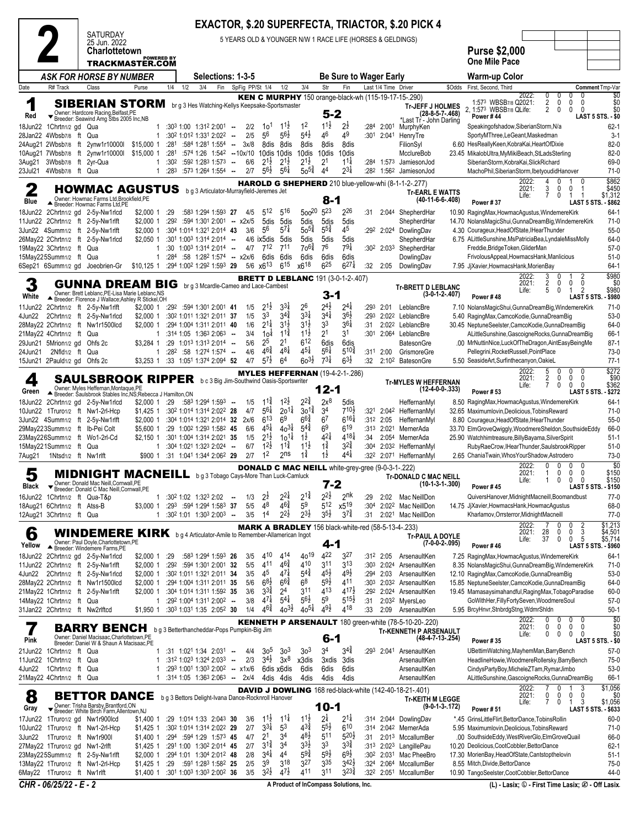|                                                          |                                 | <b>SATURDAY</b>                                                                                             |                                      |                          |     |                                                                                                                |        |                 |                                          |                                       |                                          |                             |                                                          |                          |                                 | <b>EXACTOR, \$.20 SUPERFECTA, TRIACTOR, \$.20 PICK 4</b>                               |                   |                                                                                                              |                                                   |                                     |                                             |                                                  |
|----------------------------------------------------------|---------------------------------|-------------------------------------------------------------------------------------------------------------|--------------------------------------|--------------------------|-----|----------------------------------------------------------------------------------------------------------------|--------|-----------------|------------------------------------------|---------------------------------------|------------------------------------------|-----------------------------|----------------------------------------------------------|--------------------------|---------------------------------|----------------------------------------------------------------------------------------|-------------------|--------------------------------------------------------------------------------------------------------------|---------------------------------------------------|-------------------------------------|---------------------------------------------|--------------------------------------------------|
|                                                          |                                 | 25 Jun. 2022<br><b>Charlottetown</b>                                                                        |                                      |                          |     |                                                                                                                |        |                 |                                          |                                       |                                          |                             |                                                          |                          |                                 | 5 YEARS OLD & YOUNGER N/W 1 RACE LIFE (HORSES & GELDINGS)                              |                   | <b>Purse \$2,000</b>                                                                                         |                                                   |                                     |                                             |                                                  |
|                                                          |                                 | <b>TRACKMASTER.COM</b>                                                                                      | <b>POWERED BY</b>                    |                          |     |                                                                                                                |        |                 |                                          |                                       |                                          |                             |                                                          |                          |                                 |                                                                                        |                   | <b>One Mile Pace</b>                                                                                         |                                                   |                                     |                                             |                                                  |
| Date                                                     | R# Track                        | <b>ASK FOR HORSE BY NUMBER</b><br>Class                                                                     | Purse                                | 1/4                      | 1/2 | Selections: 1-3-5<br>3/4<br>Fin                                                                                |        | SpFig PP/St 1/4 |                                          | 1/2                                   | 3/4                                      | Str                         | <b>Be Sure to Wager Early</b><br>Fin                     |                          | Last 1/4 Time Driver            |                                                                                        | \$Odds            | <b>Warm-up Color</b><br>First, Second, Third                                                                 |                                                   |                                     |                                             | Comment Tmp-Var                                  |
| $\blacktriangleleft$                                     |                                 | <b>SIBERIAN STORM</b>                                                                                       |                                      |                          |     |                                                                                                                |        |                 |                                          |                                       |                                          |                             |                                                          |                          |                                 | KEN C MURPHY 150 orange-black-wh (115-19-17-15-.290)                                   |                   | 1:573 WBSB7/8 Q2021:                                                                                         | 2022:                                             | 0<br>0<br>2<br>0                    | 0<br>0<br>$\mathbf{0}$                      | \$0<br>\$0                                       |
| Red                                                      |                                 | Vermer: Hardcore Racing, Belfast, PE<br>Sereder: Seawind Amg Stbs 2005 Inc, NB                              |                                      |                          |     | br g 3 Hes Watching-Kellys Keepsake-Sportsmaster                                                               |        |                 |                                          |                                       |                                          | $5 - 2$                     |                                                          |                          |                                 | <b>Tr-JEFF J HOLMES</b><br>*Last Tr - John Darling                                     | $(28-8-5-7-.468)$ | 2. 1:573 WBSB7/8 QLife:<br>Power #44                                                                         |                                                   | 2<br>$\mathbf 0$                    | $\mathbf{0}$<br>$\mathbf{0}$                | \$0<br><b>LAST 5 STS. - \$0</b>                  |
| 18Jun22 1Chrtn1/2 gd Qua<br>28Jan22 4Wbsb7/8 ft Qua      |                                 |                                                                                                             | 1<br>1                               |                          |     | $:30^3$ 1:00 1:31 <sup>2</sup> 2:00 <sup>1</sup> -<br>:302 1:012 1:331 2:022                                   | $\sim$ | 2/2<br>2/5      | 10 <sup>1</sup><br>56                    | $11\frac{1}{2}$<br>$56\frac{1}{2}$    | 1 <sup>2</sup><br>$5^{4}$                | $11\frac{1}{2}$<br>46       | 2ż<br>49                                                 | :284                     | 2:00 <sup>1</sup><br>:301 2:041 | MurphyKen<br>HenryTre                                                                  |                   | Speakingofshadow, Siberian Storm, N/a<br>SportyMThree,LeGeant,Maskedman                                      |                                                   |                                     |                                             | $62 - 1$<br>$3-1$                                |
| 24Aug21 2Wbsb7/8 ft                                      |                                 | 2ynw1r10000l                                                                                                | \$15,000 1                           | :281                     |     | $:584$ 1:28 <sup>1</sup> 1:554 $\ldots$                                                                        |        | 3x/8            | 8dis                                     | 8dis                                  | 8dis                                     | 8dis                        | 8dis                                                     |                          |                                 | FilionSyl                                                                              |                   | 6.60 HesReallyKeen, KobraKai, HeartOfDixie                                                                   |                                                   |                                     |                                             | $82-0$                                           |
| 10Aug21 7Wbsb7/8<br>3Aug21                               |                                 | ft 2ynw1r10000l<br>3Wbsb7/8 ft 2yr-Qua                                                                      | \$15,000 1<br>1                      | :281<br>:30 <sup>2</sup> |     | :574 1:26 1:542 --10x/10<br>$:592$ 1:283 1:573 $-$                                                             |        | 6/6             | $2^{1\frac{1}{2}}$                       | 10dis 10dis<br>$2^{1\frac{1}{2}}$     | 10dis<br>$2^{1\frac{1}{2}}$              | 10dis<br>2 <sup>1</sup>     | 10dis<br>$11\frac{1}{4}$                                 | :284                     |                                 | McclureBob<br>1:573 JamiesonJod                                                        |                   | 23.45 MikalobUltra, MyMikiBeach, StLads Sterling<br>SiberianStorm, KobraKai, SlickRichard                    |                                                   |                                     |                                             | $82-0$<br>69-0                                   |
| 23Jul21                                                  | 4Wbsb7/8 ft Qua                 |                                                                                                             | $\mathbf{1}$                         | :283                     |     | $:57^3$ 1:26 <sup>4</sup> 1:55 <sup>4</sup> -                                                                  |        | 2/7             | $56\frac{1}{2}$                          | $56\frac{1}{4}$                       | $50^{5\frac{3}{4}}$                      | 44                          | $2^{3\frac{1}{4}}$                                       |                          |                                 | :28 <sup>2</sup> 1:56 <sup>2</sup> JamiesonJod                                         |                   | MachoPhil, Siberian Storm, Ibetyoudid Hanover                                                                | 2022:                                             | 0<br>4                              |                                             | $71-0$                                           |
| 2                                                        |                                 | <b>HOWMAC AGUSTUS</b><br>Owner: Howmac Farms Ltd, Brookfield.PE                                             |                                      |                          |     | b g 3 Articulator-Murrayfield-Jeremes Jet                                                                      |        |                 |                                          |                                       |                                          |                             |                                                          |                          |                                 | HAROLD G SHEPHERD 210 blue-yellow-whi (8-1-1-2-.277)<br><b>Tr-EARL E WATTS</b>         |                   |                                                                                                              | 2021:<br>Life:                                    | 3<br>0<br>7<br>0                    | 0<br>-1                                     | \$862<br>\$450<br>\$1,312                        |
| Blue                                                     |                                 | Breeder: Howmac Farms Ltd, PE<br>18Jun22 2Chrtn1/2 gd 2-5y-Nw1rlcd                                          | \$2,000 1                            | :29                      |     | :583 1:294 1:593 27                                                                                            |        | 4/5             | $5^{12}$                                 | 516                                   | $500^{20}$                               | 8-1<br>$5^{23}$             | 226                                                      | :31                      |                                 | $(40-11-6-6-.408)$<br>2:044 ShepherdHar                                                |                   | Power #37<br>10.90 RagingMax, HowmacAgustus, WindemereKirk                                                   |                                                   |                                     |                                             | LAST 5 STS. - \$862<br>$64-1$                    |
|                                                          |                                 | 11Jun22 2Chrtn1/2 ft 2-5y-Nw1rlft                                                                           | \$2,000 1                            | :292                     |     | $:594$ 1:30 <sup>1</sup> 2:00 <sup>1</sup> - x2x/5                                                             |        |                 | 5dis                                     | 5dis                                  | 5dis                                     | 5dis                        | 5dis                                                     |                          |                                 | ShepherdHar                                                                            |                   | 14.70 NolansMagicShui, GunnaDreamBig, WindemereKirk                                                          |                                                   |                                     |                                             | $71-0$                                           |
|                                                          |                                 | 3Jun22 4Summ1/2 ft 2-5y-Nw1rlft<br>26May22 2Chrtn1/2 ft 2-5y-Nw1rlcd                                        | \$2,000 1<br>$$2,050$ 1              |                          |     | :304 1:014 1:321 2:014 43<br>$:30^1$ 1:00 <sup>3</sup> 1:31 <sup>4</sup> 2:01 <sup>4</sup> --                  |        | 3/6             | 56                                       | $57\frac{1}{4}$<br>4/6 ix5dis 5dis    | $50^{5}$<br>5dis                         | $5^{5}_{4}$<br>5dis         | 45<br>5dis                                               |                          | :292 2:024                      | DowlingDav<br>ShepherdHar                                                              |                   | 4.30 Courageux, HeadOfState, IHearThunder<br>6.75 ALittleSunshine, MsPatriciaBea, LyndaleMissMolly           |                                                   |                                     |                                             | $55-0$<br>64-0                                   |
| 19Mav22 3Chrtn1/2 ft<br>15May225Summ1/2 ft Qua           |                                 | Qua                                                                                                         | 1<br>1                               | :30<br>:284              |     | $1:00^3$ 1:314 2:014 $\cdots$<br>:58 1:282 1:574 - x2x/6                                                       |        | 4/7             | 712<br>6dis                              | 711                                   | $70^{6}$                                 | 76<br>6dis                  | $79\frac{1}{4}$<br>6dis                                  |                          | $:30^2$ 2:033                   | ShepherdHar<br>DowlingDav                                                              |                   | Freddie, Bridge Token, GliderMan                                                                             |                                                   |                                     |                                             | $57-0$<br>$51-0$                                 |
|                                                          |                                 | 6Sep21 6Summ1/2 gd Joeobrien-Gr                                                                             | \$10,125 1 :294 1:002 1:292 1:593 29 |                          |     |                                                                                                                |        |                 | $5/6 \times 6^{13}$                      | 6dis<br>$6^{15}$                      | 6dis<br>x618                             | $6^{25}$                    | $6^{27}$                                                 | :32                      | 2:05                            | DowlingDav                                                                             |                   | FrivolousAppeal, HowmacsHank, Manlicious<br>7.95 JjXavier, Howmacs Hank, Morien Bay                          |                                                   |                                     |                                             | $64-1$                                           |
| 3                                                        |                                 | <b>GUNNA DREAM BIG</b>                                                                                      |                                      |                          |     |                                                                                                                |        |                 |                                          |                                       |                                          |                             | <b>BRETT D LEBLANC 191 (3-0-1-2-.407)</b>                |                          |                                 |                                                                                        |                   |                                                                                                              | 2022:<br>2021:                                    | 3<br>0<br>2<br>0                    | 2<br>0<br>0                                 | \$980<br>\$0                                     |
| White                                                    |                                 | Owner: Brett Leblanc.PE-Lisa Marie Leblanc.NS<br>Breeder: Florence J Wallace;Ashley R Stickel,OH            |                                      |                          |     | br g 3 Mcardle-Cameo and Lace-Cambest                                                                          |        |                 |                                          |                                       |                                          | $3 - 1$                     |                                                          |                          |                                 | <b>Tr-BRETT D LEBLANC</b>                                                              | $(3-0-1-2-0.407)$ | Power #48                                                                                                    | Life:                                             | 5<br>0                              | 2<br>-1                                     | \$980<br><b>LAST 5 STS</b><br>- \$980            |
|                                                          |                                 | 11Jun22 2Chrtn1/2 ft 2-5y-Nw1rlft                                                                           | \$2,000 1                            |                          |     | $:29^2$ :594 1:301 2:001 41                                                                                    |        | 1/5             | $2^{1\frac{1}{2}}$                       | $3^{3}$                               | 26                                       | $2^{4\frac{1}{2}}$          | $2^{4}$                                                  | :293                     | 2:01                            | LeblancBre                                                                             |                   | 7.10 NolansMagicShui, GunnaDreamBig, WindemereKirk                                                           |                                                   |                                     |                                             | $71-0$                                           |
| 4Jun22                                                   |                                 | 2Chrtn1/2 ft 2-5y-Nw1rlcd<br>28May22 2Chrtn1/2 ft Nw1r1500lcd                                               | \$2,000 1<br>$$2,000$ 1              |                          |     | :302 1:011 1:321 2:011 37<br>:294 1:004 1:311 2:011 40                                                         |        | 1/5<br>1/6      | 33<br>$2^{1\frac{1}{4}}$                 | $3^{4}$<br>$3^{1}\frac{1}{2}$         | $3^{3}\frac{1}{4}$<br>$3^{1\frac{1}{2}}$ | $3^{4}$<br>33               | $36\frac{1}{2}$<br>$36\frac{1}{4}$                       | :293<br>:31              |                                 | 2:022 LeblancBre<br>2:02 <sup>2</sup> LeblancBre                                       |                   | 5.40 RagingMax, CamcoKodie, GunnaDreamBig<br>30.45 NeptuneSeelster,CamcoKodie,GunnaDreamBig                  |                                                   |                                     |                                             | $53-0$<br>64-0                                   |
| 21May22 4Chrtn1/2 ft Qua                                 |                                 |                                                                                                             | 1                                    |                          |     | :314 1:05 1:363 2:063                                                                                          | $\sim$ | 3/4             | 1o‡                                      | $1^{1\frac{3}{4}}$                    | $11\frac{1}{2}$<br>$6^{12}$              | 2 <sup>1</sup>              | 31                                                       |                          |                                 | :301 2:064 LeblancBre                                                                  |                   | ALittleSunshine, GascoigneRocks, GunnaDreamBig                                                               |                                                   |                                     |                                             | 66-1                                             |
| 29Jun21 5Mrion1/2 gd Ohfs 2c<br>24Jun21                  | $2Nfld1/2$ ft                   | Qua                                                                                                         | \$3.284 1                            |                          |     | $: 29$ 1:013 1:313 2:014 -<br>1 :282 :58 1:274 1:574 --                                                        |        | 5/6<br>4/6      | 25<br>$46\frac{3}{4}$                    | 21<br>$48\frac{1}{8}$                 | $45\frac{1}{4}$                          | 6dis<br>$56\frac{1}{4}$     | 6dis<br>$5^{10\frac{3}{4}}$                              |                          | $:311$ 2:00                     | BatesonGre<br>GrismoreGre                                                              |                   | .00 MrNuttinNice,LuckOfTheDragon,AintEasyBeingMe<br>Pellegrini, Rocket Russell, Point Place                  |                                                   |                                     |                                             | $87-1$<br>$73-0$                                 |
| 15Jun21 2Pauld1/2 gd Ohfs 2c                             |                                 |                                                                                                             |                                      |                          |     | \$3,253 1 :33 1:051 1:374 2:094 52                                                                             |        | 4/7             | $5^{7}$                                  | 6 <sup>4</sup>                        | $60^{31}$                                | $7^{31}$                    | $63\frac{1}{2}$                                          | :32                      |                                 | 2:10 <sup>2</sup> BatesonGre                                                           |                   | 5.50 SeasideArt, Surfinthecanyon, OakieL                                                                     |                                                   |                                     |                                             | $77-1$                                           |
| 4                                                        |                                 | <b>SAULSBROOK RIPPER</b> bc3 Big Jim-Southwind Oasis-Sportswriter                                           |                                      |                          |     |                                                                                                                |        |                 |                                          |                                       |                                          |                             | <b>MYLES HEFFERNAN</b> (19-4-2-1-.286)                   |                          |                                 | <b>Tr-MYLES W HEFFERNAN</b>                                                            |                   |                                                                                                              | 2022:<br>2021:<br>Life:                           | 5<br>0<br>2<br>0<br>7<br>0          | 0<br>$\mathbf{0}$<br>0<br>0<br>$\mathbf{0}$ | \$272<br>\$90<br>\$362                           |
| Green                                                    |                                 | Owner: Myles Heffernan, Montaque, PE<br>Breeder: Saulsbrook Stables Inc, NS; Rebecca J Hamilton, ON         |                                      |                          |     |                                                                                                                |        |                 |                                          |                                       |                                          | 12-1                        |                                                          |                          |                                 |                                                                                        | $(12-4-0-0-.333)$ | <b>Power #53</b>                                                                                             |                                                   |                                     |                                             | - \$272<br><b>LAST 5 STS</b>                     |
|                                                          |                                 | 18Jun22 2Chrtn1/2 gd 2-5y-Nw1rlcd<br>10Jun22 1Truro1/2 ft Nw1-2rl-Hcp                                       | \$2,000 1 :29<br>\$1,425 1           |                          |     | :583 1:294 1:593<br>:302 1:014 1:314 2:022 28                                                                  | $\sim$ | 1/5<br>4/7      | $1^{1\frac{3}{4}}$<br>$56\frac{1}{4}$    | $1^{2}\frac{1}{2}$<br>$20^{11}$       | $2^{2^{3}_{4}}$<br>$30^{12}$             | $2x^8$<br>34                | 5dis<br>710불                                             | :321                     |                                 | HeffernanMyl<br>2:042 HeffernanMyl                                                     |                   | 8.50 RagingMax, HowmacAgustus, WindemereKirk<br>32.65 Maximumlovin, Deolicious, Tobins Reward                |                                                   |                                     |                                             | $64-1$<br>$71-0$                                 |
|                                                          |                                 | 3Jun22 4Summ1/2 ft 2-5y-Nw1rlft                                                                             | \$2,000 1                            |                          |     | :304 1:014 1:321 2:014 32 2x/6                                                                                 |        |                 | $6^{13}$                                 | 6 <sup>9</sup>                        | $6^{6\frac{3}{4}}$                       | 6 <sup>7</sup>              | $6^{16\frac{1}{4}}$                                      |                          | $:31^2$ 2:05                    | HeffernanMyl                                                                           |                   | 8.80 Courageux, HeadOfState, IHearThunder                                                                    |                                                   |                                     |                                             | $55-0$                                           |
|                                                          |                                 | 29May223Summ1/2 ft Ib-Pei Colt<br>23May226Summ1/2 ft Wo1-2rl-Cd                                             | \$5.600 1<br>\$2,150 1               |                          |     | :29 1:002 1:293 1:582 45<br>:301 1:004 1:314 2:021 35                                                          |        | 6/6<br>1/5      | $4^{5\frac{1}{4}}$<br>$2^{1\frac{1}{2}}$ | $40^{31}$<br>$10^{11}$                | $5^{4^{3}_{4}}$<br>$1\frac{1}{2}$        | 6 <sup>9</sup><br>$4^{21}$  | $6^{19}$<br>$4^{18}$                                     | :34                      | 2:054                           | :313 2:021 MernerAda<br>MernerAda                                                      |                   | 33.70 ElmGroveQwiggly, WoodmereSheldon, SouthsideEddy<br>25.90 Watchhimtreasure, Billy Bayama, Silver Spirit |                                                   |                                     |                                             | 66-0<br>$51-1$                                   |
| 15May221Summ1/2 ft Qua                                   | 1Ntsd <sub>1/2</sub> ft Nw1rlft |                                                                                                             |                                      |                          |     | 1 :304 1:021 1:323 2:024<br>\$900 1 :31 1:041 1:344 2:062 29                                                   | $\sim$ | 6/7<br>2/7      | $12\frac{1}{2}$<br>1 <sup>2</sup>        | $11\frac{3}{4}$<br>2 <sup>ns</sup>    | $11\frac{1}{2}$<br>$1\frac{3}{4}$        | $1\frac{3}{4}$<br>1ż        | $3^{24}$<br>$4^{4}$                                      | :30 <sup>4</sup><br>:322 |                                 | 2:03 <sup>2</sup> HeffernanMyl<br>2:071 HeffernanMyl                                   |                   | RubyRaeCrow, IHearThunder, SaulsbrookRipper<br>2.65 ChaniaTwain, WhosYourShadow, Astrodero                   |                                                   |                                     |                                             | $51-0$<br>$73-0$                                 |
| 7Aug21                                                   |                                 |                                                                                                             |                                      |                          |     |                                                                                                                |        |                 |                                          |                                       |                                          |                             | <b>DONALD C MAC NEILL</b> white-grey-gree (9-0-3-1-.222) |                          |                                 |                                                                                        |                   |                                                                                                              | 2022:                                             | 0<br>0                              | $\mathbf{0}$                                | \$0                                              |
| 5<br>Black                                               |                                 | <b>MIDNIGHT MACNEILL</b> bg 3 Tobago Cays-More Than Luck-Camluck<br>Owner: Donald Mac Neill, Cornwall, PE   |                                      |                          |     |                                                                                                                |        |                 |                                          |                                       |                                          | 7-2                         |                                                          |                          |                                 | <b>Tr-DONALD C MAC NEILL</b>                                                           | $(10-1-3-1-.300)$ |                                                                                                              | 2021:<br>Life:                                    | $\mathbf{0}$<br>$\overline{1}$<br>1 | $\mathbf 0$<br>0<br>$\Omega$<br>0 0         | \$150<br>\$150                                   |
| 16Jun22 1Chrtn1/2 ft Qua-T&p                             |                                 | Breeder: Donald C Mac Neill, Cornwall, PE                                                                   |                                      |                          |     | 1 :30 <sup>2</sup> 1:02 1:32 <sup>3</sup> 2:02                                                                 | $\sim$ | 1/3             | 2ż                                       | $2^{2\frac{1}{4}}$                    | $2^{1\frac{3}{4}}$                       | $2^{2\frac{1}{2}}$          | 2 <sup>nk</sup>                                          | :29                      | 2:02                            | Mac NeillDon                                                                           |                   | Power #45<br>QuiversHanover, MidnightMacneill, Boomandbust                                                   |                                                   |                                     |                                             | <b>LAST 5 STS. - \$150</b><br>$77-0$             |
| 18Aug21 6Chrtn1/2 ft Atss-B<br>12Aug21 3Chrtn1/2 ft Qua  |                                 |                                                                                                             |                                      |                          |     | \$3,000 1 :293 :594 1:294 1:583 37<br>$1:30^2$ 1:01 1:30 <sup>3</sup> 2:00 <sup>3</sup> -                      |        | 5/5<br>3/5      | 48<br>1 <sup>4</sup>                     | $46\frac{3}{4}$<br>$2^{2}\frac{1}{2}$ | 59<br>$2^{3\frac{1}{2}}$                 | 512<br>$3^{5\frac{1}{2}}$   | x519<br>$3^{7\frac{3}{4}}$                               | :304<br>:31              |                                 | 2:022 Mac NeillDon<br>2:021 Mac NeillDon                                               |                   | 14.75 JjXavier, Howmacs Hank, HowmacAgustus<br>Kharlamov, Orrsterror, MidnightMacneill                       |                                                   |                                     |                                             | 68-0<br>$77-0$                                   |
|                                                          |                                 |                                                                                                             |                                      |                          |     |                                                                                                                |        |                 |                                          |                                       |                                          |                             |                                                          |                          |                                 | <b>MARK A BRADLEY</b> 156 black-white-red (58-5-13-4-.233)                             |                   |                                                                                                              | 2022:                                             | 0<br>7                              | 2<br>0<br>0                                 | \$1,213                                          |
| 6<br>Yellow                                              |                                 | WINDEMERE KIRK bg 4 Articulator-Amile to Remember-Allamerican Ingot<br>Owner: Paul Doyle, Charlottetown, PE |                                      |                          |     |                                                                                                                |        |                 |                                          |                                       |                                          | $4 - 1$                     |                                                          |                          |                                 | Tr-PAUL A DOYLE                                                                        | $(7-0-0-2-0.095)$ | Power #46                                                                                                    | 2021:<br>Life:                                    | 0<br>28<br>0<br>37                  | 3<br>5<br>0                                 | \$4,501<br>\$5,714<br><b>LAST 5 STS. - \$960</b> |
|                                                          |                                 | Breeder: Windemere Farms, PE<br>18Jun22 2Chrtn1/2 gd 2-5y-Nw1rlcd                                           | $$2.0001$ :29                        |                          |     | :583 1:294 1:593 26                                                                                            |        | 3/5             | 410                                      | 414                                   | 4019                                     | 422                         | 3 <sup>27</sup>                                          |                          | :312 2:05                       | ArsenaultKen                                                                           |                   | 7.25 RagingMax, HowmacAgustus, WindemereKirk                                                                 |                                                   |                                     |                                             | $64-1$                                           |
|                                                          |                                 | 11Jun22 2Chrtn1/2 ft 2-5y-Nw1rlft<br>4Jun22 2Chrtn1/2 ft 2-5y-Nw1rlcd                                       | \$2,000 1                            |                          |     | \$2,000 1 :292 :594 1:301 2:001 32<br>:302 1:011 1:321 2:011 34                                                |        | 5/5<br>3/5      | 411<br>45                                | $46\frac{3}{4}$<br>$47\frac{1}{4}$    | 410<br>$5^{4}$                           | $3^{11}$<br>$45\frac{1}{2}$ | 3 <sup>13</sup><br>$49\frac{1}{2}$                       | :303<br>:294             | 2:03                            | 2:024 ArsenaultKen<br>ArsenaultKen                                                     |                   | 8.35 NolansMagicShui, GunnaDreamBig, WindemereKirk<br>12.10 RagingMax, CamcoKodie, GunnaDreamBig             |                                                   |                                     |                                             | 71-0<br>53-0                                     |
|                                                          |                                 | 28May22 2Chrtn1/2 ft Nw1r1500lcd                                                                            | \$2,000 1                            |                          |     | :294 1:004 1:311 2:011 35                                                                                      |        | 5/6             | $68\frac{1}{2}$                          | $6^{6}\frac{3}{4}$                    | 6 <sup>8</sup>                           | $5^{9}\frac{1}{2}$          | 411                                                      |                          |                                 | :303 2:032 ArsenaultKen                                                                |                   | 15.85 NeptuneSeelster,CamcoKodie,GunnaDreamBig                                                               |                                                   |                                     |                                             | 64-0                                             |
| 14May22 1Chrtn1/2 ft Qua                                 |                                 | 21May22 1Chrtn1/2 ft 2-5y-Nw1rlft                                                                           | 1                                    |                          |     | \$2,000 1 :304 1:014 1:311 1:592 35<br>:292 1:004 1:311 2:002 --                                               |        | 3/6<br>3/8      | $3^{3}\frac{3}{4}$<br>$47\frac{1}{4}$    | 2 <sup>4</sup><br>$5^{4}$             | 311<br>$56\frac{1}{2}$                   | 413<br>59                   | $4^{17}\frac{1}{2}$<br>$5^{15}$                          | :31                      |                                 | :292 2:024 ArsenaultKen<br>2:03 <sup>2</sup> MyersLeo                                  |                   | 19.45 Mamasaysimahandful, Raging Max, Tobago Paradise<br>GoWithHer,FillyFortySeven,WoodmereSoul              |                                                   |                                     |                                             | 60-0<br>$57-0$                                   |
| 31Jan22 2Chrtn1/2 ft Nw2rlftcd                           |                                 |                                                                                                             |                                      |                          |     | \$1,950 1 :30 <sup>3</sup> 1:03 <sup>1</sup> 1:35 2:05 <sup>2</sup> 30                                         |        | 1/4             | $4^{6}\frac{3}{4}$                       | $40^{3}\frac{1}{2}$                   | $40^{51}$                                | $4^{9}\frac{1}{2}$          | 418                                                      | :33                      | 2:09                            | ArsenaultKen                                                                           |                   | 5.95 BrcyHnvr, StnbrdgStng, WdmrShldn                                                                        |                                                   |                                     |                                             | $50-1$                                           |
| 1                                                        |                                 | <b>BARRY BENCH</b>                                                                                          |                                      |                          |     | b g 3 Betterthancheddar-Pops Pumpkin-Big Jim                                                                   |        |                 |                                          |                                       |                                          |                             |                                                          |                          |                                 | KENNETH P ARSENAULT 180 green-white (78-5-10-20-.220)<br><b>Tr-KENNETH P ARSENAULT</b> |                   |                                                                                                              | 2022:<br>2021:                                    | 0<br>0<br>0<br>0                    | 0<br>0<br>0<br>0                            | \$0<br>\$0                                       |
| Pink                                                     |                                 | Owner: Daniel Macisaac, Charlottetown, PE<br>Breeder: Daniel W & Shaun A Macisaac, PE                       |                                      |                          |     |                                                                                                                |        |                 |                                          |                                       |                                          | 6-1                         |                                                          |                          |                                 | (48-4-7-13-.254)                                                                       |                   | <b>Power #35</b>                                                                                             | Life:                                             | 0<br>0                              | 0<br>0                                      | \$0<br><b>LAST 5 STS. - \$0</b>                  |
| 21 Jun 22 1 Chrtn 1/2 ft Qua<br>11Jun22 1Chrtn1/2 ft Qua |                                 |                                                                                                             | 1<br>1                               |                          |     | $:31$ 1:02 <sup>1</sup> 1:34 2:03 <sup>1</sup> --<br>:312 1:023 1:324 2:033                                    | $\sim$ | 4/4<br>2/3      | 30 <sup>5</sup><br>$3^{4}$               | 3 <sup>3</sup><br>$3x^8$              | 30 <sup>3</sup><br>x3dis                 | 3 <sup>4</sup><br>3xdis     | $3^{4}$<br>3dis                                          |                          | :293 2:041                      | ArsenaultKen<br>ArsenaultKen                                                           |                   | UBettimWatching, MayhemMan, BarryBench<br>HeadlineHowie, WoodmereRollersky, BarryBench                       |                                                   |                                     |                                             | $57-0$<br>75-0                                   |
| 4Jun22                                                   | 1 Chrtn1/2 ft Qua               |                                                                                                             | 1                                    |                          |     | :293 1:001 1:303 2:002 - x1x/6                                                                                 |        |                 |                                          | 6dis x6dis                            | 6dis                                     | 6dis                        | 6dis                                                     |                          |                                 | ArsenaultKen                                                                           |                   | CindysPartyBoy,MicheleZTam,RymarJimbo                                                                        |                                                   |                                     |                                             | $53-0$                                           |
| 21May22 4Chrtn1/2 ft Qua                                 |                                 |                                                                                                             |                                      |                          |     | $1:314$ 1:05 1:36 <sup>3</sup> 2:06 <sup>3</sup> - 2x/4                                                        |        |                 |                                          | 4dis 4dis                             | 4dis                                     | 4dis                        | 4dis                                                     |                          |                                 | ArsenaultKen<br>DAVID J DOWLING 168 red-black-white (142-40-18-21-.401)                |                   | ALittleSunshine, GascoigneRocks, GunnaDreamBig                                                               | 2022:                                             | 0                                   | 3<br>$\mathbf{1}$                           | 66-1<br>\$1,056                                  |
| 8                                                        |                                 | <b>BETTOR DANCE</b>                                                                                         |                                      |                          |     | b g 3 Bettors Delight-Ivana Dance-Rocknroll Hanover                                                            |        |                 |                                          |                                       |                                          |                             |                                                          |                          |                                 | <b>Tr-KEITH M LEGGE</b>                                                                |                   |                                                                                                              | 2021:<br>Life:                                    | 0<br>0<br>7<br>0                    | 0<br>0<br>3<br>$\mathbf{1}$                 | \$0<br>\$1,056                                   |
| Gray                                                     |                                 | Verner: Trisha Barsby, Brantford, ON<br>▼ Breeder: White Birch Farm, Allentown, NJ                          |                                      |                          |     |                                                                                                                |        |                 | $11\frac{1}{2}$                          | $11\frac{1}{4}$                       | $11\frac{1}{2}$                          | $10 - 1$<br>$2^{1}$         | $2^{1\frac{1}{4}}$                                       | :314                     |                                 | 2:044 DowlingDav                                                                       | $(9-0-1-3-172)$   | <b>Power #51</b>                                                                                             |                                                   |                                     |                                             | LAST 5 STS. - \$633<br>$60 - 0$                  |
|                                                          |                                 | 17Jun22 1Truro1/2 gd Nw1r900lcd<br>10Jun22 1Truro1/2 ft Nw1-2rl-Hcp                                         | \$1,400 1                            |                          |     | :29 1:014 1:33 2:043 30<br>\$1,425 1 :30 <sup>2</sup> 1:01 <sup>4</sup> 1:31 <sup>4</sup> 2:02 <sup>2</sup> 29 |        | 3/6<br>2/7      | $3^{3}\frac{1}{4}$                       | 53                                    | $4^{3}\frac{3}{4}$                       | $5^{5}\frac{1}{2}$          | 610                                                      | :314                     |                                 | 2:04 <sup>2</sup> MernerAda                                                            |                   | *.45 GrinsLittleFlirt, BettorDance, TobinsRollin<br>5.95 Maximumlovin, Deolicious, Tobins Reward             |                                                   |                                     |                                             | $71-0$                                           |
| 3Jun22                                                   |                                 | 1Truro1/2 ft Nw1r900l                                                                                       | \$1,400 1                            |                          |     | $:294$ $:594$ 1:29 1:573 45                                                                                    |        | 4/7             | 2 <sup>1</sup><br>$3^{1\frac{3}{4}}$     | 34<br>34                              | $4^{8}\frac{1}{2}$<br>33}                | 511<br>33                   | $5^{20}$<br>$3^{3}\frac{3}{4}$                           | :31                      |                                 | 2:013 MccallumBer                                                                      |                   | .00 SouthsideEddy, WestRiverGlo, ElmGroveQuail                                                               |                                                   |                                     |                                             | 66-0                                             |
| 27May22 1Truro1/2 gd Nw1-2rlft                           |                                 | 23May225Summ1/2 ft 2-5y-Nw1rlft                                                                             | \$1,425 1                            |                          |     | :291 1:00 1:302 2:014 45<br>\$2,000 1 :294 1:01 1:304 2:012 48                                                 |        | 2/7<br>2/8      | $3^{41}$                                 | 44                                    | $59\frac{3}{4}$                          | $59\frac{1}{2}$             | $69\frac{1}{2}$                                          | :313<br>:302             |                                 | 2:023 LangillePau<br>2:031 Mac PheeBro                                                 |                   | 10.20 Deolicious, CootCobbler, BettorDance<br>17.30 MorienBay, HeadOfState, Cantstopthelovin                 |                                                   |                                     |                                             | $62 - 1$<br>$51-1$                               |
| 6May22 1Truro1/2 ft Nw1rlft                              |                                 | 13May22 1Truro1/2 ft Nw1-2rl-Hcp                                                                            | \$1,425 1                            | :29                      |     | :591 1:283 1:582 25<br>\$1,400 1 :301 1:003 1:303 2:002 36                                                     |        | 2/5<br>3/5      | 3 <sup>9</sup><br>$3^{2}\frac{1}{2}$     | 318<br>$4^{7\frac{1}{2}}$             | 327<br>411                               | 335<br>311                  | $3^{42}$<br>$3^{23}\frac{3}{4}$                          | :324<br>:322             | 2:064                           | MccallumBer<br>2:051 MccallumBer                                                       |                   | 8.55 Mitch, Divide, Bettor Dance<br>10.90 TangoSeelster,CootCobbler,BettorDance                              |                                                   |                                     |                                             | $75-0$<br>44-0                                   |
|                                                          |                                 | CHR - 06/25/22 - E - 2                                                                                      |                                      |                          |     |                                                                                                                |        |                 |                                          |                                       |                                          |                             | A Product of InCompass Solutions, Inc.                   |                          |                                 |                                                                                        |                   |                                                                                                              | (L) - Lasix; ① - First Time Lasix; ② - Off Lasix. |                                     |                                             |                                                  |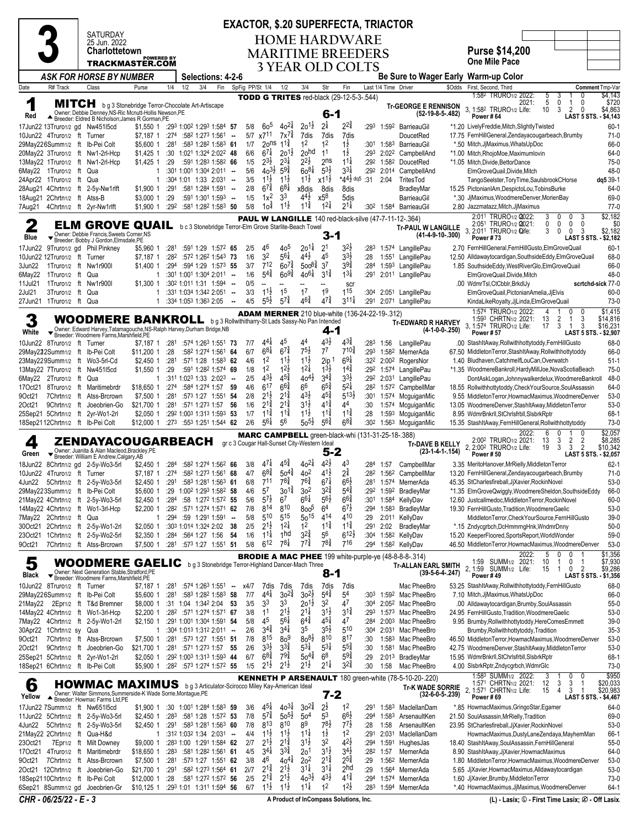## **EXACTOR, \$.20 SUPERFECTA, TRIACTOR**

|                   |                                                               |                                                                                                                                                                            |                                    |                  |     |                                                                                     |                  |                 |                                             |                                          |                                              |                                       | <b>EXACTOR, \$.20 SUPERFECTA, TRIACTOR</b>               |                  |                      |                                                                        |                   |                                                                                                           |                                                      |                                               |
|-------------------|---------------------------------------------------------------|----------------------------------------------------------------------------------------------------------------------------------------------------------------------------|------------------------------------|------------------|-----|-------------------------------------------------------------------------------------|------------------|-----------------|---------------------------------------------|------------------------------------------|----------------------------------------------|---------------------------------------|----------------------------------------------------------|------------------|----------------------|------------------------------------------------------------------------|-------------------|-----------------------------------------------------------------------------------------------------------|------------------------------------------------------|-----------------------------------------------|
|                   |                                                               | SATURDAY<br>25 Jun. 2022                                                                                                                                                   |                                    |                  |     |                                                                                     |                  |                 |                                             |                                          |                                              |                                       | <b>HOME HARDWARE</b>                                     |                  |                      |                                                                        |                   |                                                                                                           |                                                      |                                               |
|                   |                                                               | <b>Charlottetown</b>                                                                                                                                                       |                                    |                  |     |                                                                                     |                  |                 |                                             |                                          |                                              |                                       | <b>MARITIME BREEDERS</b>                                 |                  |                      |                                                                        |                   | Purse \$14,200                                                                                            |                                                      |                                               |
|                   |                                                               | TRACKMASTER.COM                                                                                                                                                            | <b>POWERED BY</b>                  |                  |     |                                                                                     |                  |                 |                                             |                                          |                                              |                                       | 3 YEAR OLD COLTS                                         |                  |                      |                                                                        |                   | <b>One Mile Pace</b>                                                                                      |                                                      |                                               |
|                   |                                                               | <b>ASK FOR HORSE BY NUMBER</b>                                                                                                                                             |                                    |                  |     | Selections: 4-2-6                                                                   |                  |                 |                                             |                                          |                                              |                                       |                                                          |                  |                      | <b>Be Sure to Wager Early</b>                                          |                   | <b>Warm-up Color</b>                                                                                      |                                                      |                                               |
| Date              | R# Track                                                      | Class                                                                                                                                                                      | Purse                              | 1/4              | 1/2 | 3/4<br>Fin                                                                          |                  | SpFig PP/St 1/4 |                                             | 1/2                                      | 3/4                                          | Str                                   | Fin                                                      |                  | Last 1/4 Time Driver |                                                                        | \$Odds            | First, Second, Third                                                                                      |                                                      | Comment Tmp-Var                               |
| 1                 |                                                               |                                                                                                                                                                            |                                    |                  |     |                                                                                     |                  |                 |                                             |                                          |                                              |                                       | <b>TODD G TRITES</b> red-black (29-12-5-3-.544)          |                  |                      |                                                                        |                   | 1:58 <sup>2</sup> TRURO1/2 2022:<br>5<br>2021:<br>5                                                       | 0<br>3<br>$\mathbf 0$<br>0                           | \$4,143<br>\$720                              |
|                   |                                                               | MITCH bg 3 Stonebridge Terror-Chocolate Art-Artiscape<br>Owner: Debbie Denney, NS-Ric Mcnutt-Hollis Newson, PE<br>▲ Breeder: Eldred B Nicholson; James R Gorman, PE        |                                    |                  |     |                                                                                     |                  |                 |                                             |                                          |                                              | 6-1                                   |                                                          |                  |                      | <b>Tr-GEORGE E RENNISON</b><br>$(52-19-8-5-482)$                       |                   | 3, 1:582 TRURO1/2 Life:<br>10                                                                             | 3<br>2<br>$\mathbf{0}$                               | \$4,863                                       |
| Red               | 17Jun22 13Truro1/2 gd Nw451l5cd                               |                                                                                                                                                                            | \$1,550 1                          |                  |     | :293 1:002 1:293 1:584 57                                                           |                  | 5/8             | 60 <sup>5</sup>                             | $40^{21}$                                | $20^{11}$                                    | $2\frac{1}{4}$                        | $2^{2^{3}_{4}}$                                          | :293             |                      | 1:592 BarrieauGil                                                      |                   | Power #64<br>*1.20 LivelyFreddie, Mitch, SlightlyTwisted                                                  |                                                      | LAST 5 STS. - \$4,143<br>$60-1$               |
|                   | 10Jun22 4Truro1/2 ft Turner                                   |                                                                                                                                                                            | \$7,187 1                          |                  |     | $:274$ $:582$ 1:273 1:561 -                                                         |                  |                 | 5/7 x7 <sup>11</sup>                        | $7x^{7}\frac{3}{4}$                      | 7dis                                         | 7dis                                  | 7dis                                                     |                  |                      | DoucetRed                                                              |                   | 17.75 FernHillGeneral, Zendayacougarbeach, Brumby                                                         |                                                      | $71-0$                                        |
|                   | 29May226Summ1/2 ft Ib-Pei Colt                                |                                                                                                                                                                            | \$5,600 1                          | :281             |     | :583 1:282 1:583 61                                                                 |                  | 1/7             | $20$ ns                                     | $11\frac{3}{4}$                          | 1 <sup>2</sup>                               | 1 <sup>2</sup>                        | $1\frac{1}{2}$                                           |                  |                      | :301 1:583 BarrieauGil                                                 |                   | *.50 Mitch, JjMaximus, WhatsUpDoc                                                                         |                                                      | 66-0                                          |
|                   |                                                               | 20May22 3Truro1/2 ft Nw1-2rl-Hcp                                                                                                                                           | $$1,425$ 1                         | :30              |     | 1:021 1:324 2:022 48                                                                |                  | 6/6             | $6^{7}$                                     | $20^{11}$                                | 20 <sup>hd</sup>                             | 11                                    | $1\frac{1}{2}$                                           |                  |                      | :293 2:022 CampbellAnd                                                 |                   | *1.00 Mitch, RhojoMoe, Maximumlovin                                                                       |                                                      | 64-0                                          |
|                   |                                                               | 13May22 1Truro1/2 ft Nw1-2rl-Hcp                                                                                                                                           | $$1,425$ 1<br>-1                   | :29              |     | :591 1:283 1:582 66<br>$:301$ 1:001 1:304 2:011 -                                   |                  | 1/5<br>5/6      | $2^{3}\frac{1}{2}$<br>$40^{3}\frac{1}{2}$   | $2^{3\frac{1}{4}}$<br>$59\frac{3}{4}$    | $2^{2\frac{1}{2}}$<br>$60^{81}$              | 2 <sub>ns</sub><br>$5^{3}\frac{1}{2}$ | $1^{11}$<br>$3^{31}$                                     |                  |                      | :292 1:582 DoucetRed<br>:292 2:014 CampbellAnd                         |                   | *1.05 Mitch, Divide, BettorDance<br>ElmGroveQuail.Divide.Mitch                                            |                                                      | 75-0<br>48-0                                  |
|                   | 6May22 1Truro1/2 ft Qua<br>24Apr22 1Truro1/2 ft Qua           |                                                                                                                                                                            | $\mathbf{1}$                       |                  |     | :304 1:01 1:33 2:031 --                                                             |                  | 3/5             | $11\frac{1}{2}$                             | $11\frac{1}{2}$                          | $11\frac{1}{2}$                              | $x1^{1\frac{1}{2}}$                   | $*44\frac{1}{2}$ dq5 :31                                 |                  | 2:04                 | TritesTod                                                              |                   | TangoSeelster, ToryTime, SaulsbrookCHorse                                                                 |                                                      | dq5 39-1                                      |
|                   |                                                               | 28Aug21 4Chrtn1/2 ft 2-5y-Nw1rlft                                                                                                                                          | \$1,900 1                          | :291             |     | :581 1:284 1:591 -                                                                  |                  | 2/8             | $6^{7\frac{3}{4}}$                          | $6^{8\frac{1}{4}}$                       | x8dis                                        | 8dis                                  | 8dis                                                     |                  |                      | BradleyMar                                                             |                   | 15.25 PictonianIAm, DespictoLou, TobinsBurke                                                              |                                                      | 64-0                                          |
|                   | 18Aug21 2Chrtn1/2 ft Atss-B                                   |                                                                                                                                                                            | \$3,000 1                          | :29              |     | $:5911:3011:593$ -                                                                  |                  | 1/5             | $1x^2$                                      | 33                                       | $4^{4}_{2}$                                  | x5 <sup>8</sup>                       | 5dis                                                     |                  |                      | BarrieauGil                                                            |                   | *.30 JjMaximus, WoodmereDenver, MorienBay                                                                 |                                                      | 69-0                                          |
| 7Aug21            |                                                               | 4Chrtn1/2 ft 2yr-Nw1rlft                                                                                                                                                   | \$1,900 1                          |                  |     | :292 :581 1:282 1:583 50                                                            |                  | 5/8             | 10 <sup>1</sup>                             | $11\frac{1}{2}$                          | $1^{1\frac{3}{4}}$                           | $1^{2\frac{1}{4}}$                    | $2^{1\frac{1}{4}}$                                       |                  |                      | :30 <sup>2</sup> 1:584 BarrieauGil                                     |                   | 2.80 Jazzmatazz, Mitch, JjMaximus                                                                         |                                                      | $77-0$                                        |
| 2                 |                                                               | <b>ELM GROVE QUAIL</b>                                                                                                                                                     |                                    |                  |     | b c 3 Stonebridge Terror-Elm Grove Starlite-Beach Towel                             |                  |                 |                                             |                                          |                                              |                                       |                                                          |                  |                      | <b>PAUL W LANGILLE</b> 140 red-black-silve (47-7-11-12-.364)           |                   | 2:011 TRURO1/2 2022:<br>3<br>2:051 TRURO1/2 2021:<br>0                                                    | 0<br>0<br>$\mathbf{0}$<br>$\mathbf{0}$<br>0          | \$2,182<br>\$0                                |
| Blue              |                                                               | Owner: Debbie Francis, Sweets Corner, NS                                                                                                                                   |                                    |                  |     |                                                                                     |                  |                 |                                             |                                          |                                              | 3-1                                   |                                                          |                  |                      | <b>Tr-PAUL W LANGILLE</b><br>$(41-4-9-10-300)$                         |                   | 3.<br>2:011 TRURO1/2 Offe:<br>3<br><b>Power #73</b>                                                       | $\mathbf 0$<br>0<br>3<br><b>LAST 5 STS.</b>          | \$2,182<br>\$2,182                            |
|                   |                                                               | Breeder: Bobby J Gordon, Elmsdale, PE<br>17Jun22 9Truro1/2 gd Phil Pinkney                                                                                                 | \$5,960 1                          | :281             |     | :591 1:29 1:572 65                                                                  |                  | 2/5             | 46                                          | 405                                      | $20^{11}$                                    | 2 <sup>1</sup>                        | 32)                                                      | :283             |                      | 1:574 LangillePau                                                      |                   | 2.70 FernHillGeneral,FernHillGusto,ElmGroveQuail                                                          |                                                      | $60-1$                                        |
|                   | 10Jun22 12Truro1/2 ft Turner                                  |                                                                                                                                                                            | \$7,187 1                          | :282             |     | :572 1:262 1:543 73                                                                 |                  | 1/6             | 3 <sup>2</sup>                              | $56\frac{1}{4}$                          | $4^{4}\frac{1}{2}$                           | 45                                    | $3^{3}\frac{1}{2}$                                       | :28              |                      | 1:551 LangillePau                                                      |                   | 12.50 Alldawaytocardigan, Southside Eddy, Elm Grove Quail                                                 |                                                      | 68-0                                          |
| 3Jun22            | 1Truro1/2 ft Nw1r900l                                         |                                                                                                                                                                            | \$1.400 1                          |                  |     | :294 :594 1:29 1:573 55                                                             |                  | 3/7             | $7^{12}$                                    | $60^{7\frac{3}{4}}$                      | $500^{8\frac{3}{4}}$                         | 3 <sup>7</sup>                        | $3^{9\frac{3}{4}}$                                       | :284             |                      | 1:593 LangillePau                                                      |                   | 1.85 SouthsideEddy, WestRiverGlo, ElmGroveQuail                                                           |                                                      | 66-0                                          |
| 6May22            | 1Truro1/2 ft Qua                                              |                                                                                                                                                                            | 1                                  |                  |     | $:301$ 1:001 1:304 2:011 -                                                          |                  | 1/6             | $5^{4^{3}_{4}}$                             | $60^{9\frac{3}{4}}$                      | $40^{6}$                                     | $3^{11}$                              | $1^{3\frac{1}{4}}$                                       | :291             |                      | 2:011 LangillePau                                                      |                   | ElmGroveQuail, Divide, Mitch                                                                              |                                                      | 48-0                                          |
| 11Jul21<br>2Jul21 | 1Truro1/2 ft Nw1r900l<br>3Truro1/2 ft Qua                     |                                                                                                                                                                            | \$1,300 1<br>1                     |                  |     | :302 1:011 1:31 1:594 --<br>:331 1:034 1:342 2:051                                  |                  | 0/5<br>3/3      | $\overline{\phantom{a}}$<br>$11\frac{1}{2}$ | 1 <sup>5</sup>                           | 17                                           | $\overline{a}$<br>19                  | scr<br>115                                               | :304             |                      |                                                                        |                   | .00 WdmrTsl,CtCbblr,BrkdlJy<br>ElmGroveQuail, PictonianAmelia, JjElvis                                    |                                                      | scrtchd-sick 77-0<br>$60 - 0$                 |
|                   | 27Jun21 1Truro1/2 ft Qua                                      |                                                                                                                                                                            | 1                                  |                  |     | :334 1:053 1:363 2:05                                                               | $\sim$<br>$\sim$ | 4/5             | $5^{5}\frac{1}{2}$                          | $5^{74}$                                 | $4^{6}\frac{3}{4}$                           | $47\frac{3}{4}$                       | $3^{11}\frac{1}{4}$                                      | :291             |                      | 2:051 LangillePau<br>2:071 LangillePau                                 |                   | KindaLikeRoyalty,JjLinda,ElmGroveQuail                                                                    |                                                      | $73-0$                                        |
|                   |                                                               |                                                                                                                                                                            |                                    |                  |     |                                                                                     |                  |                 |                                             |                                          |                                              |                                       | <b>ADAM MERNER</b> 210 blue-white (136-24-22-19-.312)    |                  |                      |                                                                        |                   | 1:574 TRURO1/2 2022:                                                                                      | 0<br>0                                               | \$1,415                                       |
|                   |                                                               | <b>WOODMERE BANKROLL</b> bg3 Rollwithitharry-St Lads Sassy-No Pan Intended                                                                                                 |                                    |                  |     |                                                                                     |                  |                 |                                             |                                          |                                              |                                       |                                                          |                  |                      | <b>Tr-EDWARD R HARVEY</b>                                              |                   | 1:593 CHRTN1/2 2021:<br>13<br>3, 1:574 TRURO1/2 Life:<br>17                                               | 2<br>3<br>-1<br>3<br>3                               | \$14,816<br>\$16,231                          |
| White             |                                                               | Owner: Edward Harvey, Tatamagouche, NS-Ralph Harvey, Durham Bridge, NB<br>Breeder: Woodmere Farms, Marshfield, PE                                                          |                                    |                  |     |                                                                                     |                  |                 |                                             |                                          |                                              | 4-1                                   |                                                          |                  |                      |                                                                        | $(4-1-0-0-.250)$  | Power # 57                                                                                                |                                                      | LAST 5 STS. - \$2,907                         |
|                   | 10Jun22 8Truro1/2 ft Turner                                   |                                                                                                                                                                            | \$7,187 1 :281 :574 1:263 1:551 73 |                  |     |                                                                                     |                  | 7/7             | $4^{4}$                                     | 45                                       | $4^4\,$                                      | $4^{3}\frac{1}{2}$                    | $4^{3}\frac{3}{4}$                                       |                  | :283 1:56            | LangillePau                                                            |                   | .00 StashItAway, Rollwithhottytoddy, FernHillGusto                                                        |                                                      | 68-0                                          |
|                   | 29May222Summ1/2 ft Ib-Pei Colt                                |                                                                                                                                                                            | \$11,200 1                         | : 28             |     | :582 1:274 1:561 64                                                                 |                  | 6/7             | $68\frac{1}{4}$<br>1 <sup>2</sup>           | $6^{7\frac{3}{4}}$<br>$11\frac{1}{2}$    | $75\frac{1}{2}$<br>$11\frac{1}{2}$           | 7 <sup>7</sup><br>2ip <sup>1</sup>    | 710‡<br>$69\frac{1}{4}$                                  | :293             |                      | 1:582 MernerAda                                                        |                   | 67.50 MiddletonTerror, StashItAway, Rollwithhottytoddy                                                    |                                                      | 66-0                                          |
|                   | 13May22 7Truro1/2 ft Nw45115cd                                | 23May229Summ1/2 ft Wo3-5rl-Cd                                                                                                                                              | \$2,450 1<br>\$1,550 1             | :281<br>:29      |     | :57 <sup>1</sup> 1:28 1:58 <sup>3</sup> 62<br>:591 1:282 1:574 69                   |                  | 4/6<br>1/8      | 1 <sup>2</sup>                              | $12\frac{1}{2}$                          | $1^{2\frac{1}{4}}$                           | $\frac{1}{3}$                         | $14\frac{3}{4}$                                          |                  |                      | :32 <sup>2</sup> 2:00 <sup>2</sup> RogersNor<br>:292 1:574 LangillePau |                   | 1.40 Bludhaven, CatchmelfLouCan, Overwatch<br>*1.35 WoodmereBankroll,HardyMillJoe,NovaScotiaBeach         |                                                      | $51-1$<br>$75-0$                              |
|                   | 6May22 2Truro1/2 ft Qua                                       |                                                                                                                                                                            | $\mathbf{1}$                       |                  |     | :311 1:023 1:33 2:023 --                                                            |                  | 2/5             | $43\frac{1}{2}$                             | $45\frac{3}{4}$                          | $40^{4}$                                     | $3^{4^{3}_{4}}$                       | $3^{3}\frac{1}{2}$                                       |                  |                      | :292 2:031 LangillePau                                                 |                   | DontAskLogan,Johnnywalkerdelux,WoodmereBankroll                                                           |                                                      | 48-0                                          |
|                   |                                                               | 17Oct21 8Truro1/2 ft Maritimebrdr                                                                                                                                          | \$18,650 1                         | :274             |     | :584 1:274 1:57 59                                                                  |                  | 4/6             | $6^{17}$                                    | $66\frac{3}{4}$                          | 66                                           | $6^{5}\frac{3}{4}$                    | $5^{21}$                                                 |                  |                      | :282 1:572 CampbellMar                                                 |                   | 18.55 Rollwithhottytoddy, Check Your Source, Soul Assassin                                                |                                                      | 64-0                                          |
| 9Oct21            |                                                               | 7Chrtn1/2 ft Atss-Brcrown                                                                                                                                                  | \$7,500 1                          | :281             |     | :573 1:27 1:551 54                                                                  |                  | 2/8             | $2^{1\frac{1}{2}}$                          | $2^{1\frac{3}{4}}$                       | $4^{3}\frac{1}{2}$                           | $4^{5\frac{3}{4}}$                    | $5^{13}$                                                 | :301             |                      | 1:574 McguiganMic                                                      |                   | 9.55 MiddletonTerror, HowmacMaximus, WoodmereDenver                                                       |                                                      | $53-0$                                        |
| 20ct21            |                                                               | 9Chrtn1/2 ft Joeobrien-Go<br>25Sep21 5Chrtn1/2 ft 2yr-Wo1-2rl                                                                                                              | \$21,700 1<br>\$2,050 1            | :281             |     | :571 1:273 1:57 56<br>:292 1:003 1:313 1:593 53                                     |                  | 1/6<br>1/7      | $2^{1\frac{3}{4}}$<br>$11\frac{3}{4}$       | $2^{1\frac{3}{4}}$<br>$1^{1\frac{3}{4}}$ | $3^{1\frac{1}{2}}$<br>$11\frac{1}{2}$        | $4^{1\frac{3}{4}}$<br>$11\frac{3}{4}$ | 44<br>$1^{1\frac{3}{4}}$                                 | :30<br>:28       |                      | 1:574 McguiganMic<br>1:593 McguiganMic                                 |                   | 13.05 WoodmereDenver, StashItAway, Middleton Terror<br>8.95 WdmrBnkrll, StChrlsfrbll, SlsbrkRptr          |                                                      | $53-0$<br>$68-1$                              |
|                   | 18Sep2112Chrtn1/2 ft Ib-Pei Colt                              |                                                                                                                                                                            | \$12,000 1                         |                  |     | $:27^3$ $:55^3$ 1:25 <sup>1</sup> 1:544 62                                          |                  | 2/6             | $5^{6}$                                     | 56                                       | $50^{51}$                                    | $5^{6}$                               | $6^{8\frac{3}{4}}$                                       | :30 <sup>2</sup> |                      | 1:56 <sup>3</sup> McguiganMic                                          |                   | 15.35 StashItAway, FernHillGeneral, Rollwithhottytoddy                                                    |                                                      | $73-0$                                        |
|                   |                                                               |                                                                                                                                                                            |                                    |                  |     |                                                                                     |                  |                 |                                             |                                          |                                              |                                       | <b>MARC CAMPBELL</b> green-black-whi (131-31-25-18-.388) |                  |                      |                                                                        |                   | 2022:<br>6                                                                                                | 0                                                    | \$2,057                                       |
| 4                 |                                                               | ZENDAYACOUGARBEACH<br>Owner: Juanita & Alan Macleod.Brackley.PE                                                                                                            |                                    |                  |     |                                                                                     |                  |                 |                                             |                                          | gr c 3 Cougar Hall-Sunset City-Western Ideal |                                       |                                                          |                  |                      | <b>Tr-DAVE B KELLY</b>                                                 |                   | 2:00 <sup>2</sup> TRURO1/2 2021:<br>13<br>2, 2:00 <sup>2</sup> TRURO1/2 Life:<br>19                       | 3<br>$\overline{2}$<br>2<br>3<br>3<br>$\overline{2}$ | \$8,285<br>\$10,342                           |
| Green             |                                                               | Breeder: William E Andrew, Calgary, AB                                                                                                                                     |                                    |                  |     |                                                                                     |                  |                 |                                             |                                          |                                              | 5-2                                   |                                                          |                  |                      |                                                                        | $(23-1-4-1-154)$  | <b>Power #50</b>                                                                                          |                                                      | LAST 5 STS. - \$2,057                         |
| 18Jun22           |                                                               | 8Chrtn1/2 gd 2-5y-Wo3-5rl                                                                                                                                                  | \$2,450 1                          | :284             |     | :582 1:274 1:562 66                                                                 |                  | 3/8<br>4/7      | 4/1<br>$68\frac{3}{4}$                      | 45‡<br>$50^{4\frac{3}{4}}$               | $40^{21}$<br>4 <sup>o</sup>                  | $4^{2}$<br>$41\frac{1}{2}$            | 43<br>$2^{\frac{3}{4}}$                                  |                  | :284 1:57            | CampbellMar                                                            |                   | 3.35 MeritoHanover, MrRielly, Middleton Terror                                                            |                                                      | $62 - 1$                                      |
|                   | 10Jun22 4Truro1/2 ft Turner                                   | 4Jun22 5Chrtn1/2 ft 2-5y-Wo3-5rl                                                                                                                                           | \$7,187 1<br>$$2,450$ 1            | :274             |     | :582 1:273 1:561 68<br>$:291$ $:583$ 1:28 <sup>1</sup> 1:563 <b>61</b>              |                  | 6/8             | 711                                         | $7^{8}$ <sup>2</sup>                     | $76\frac{3}{4}$                              | $6^{7\frac{1}{4}}$                    | $66\frac{1}{2}$                                          |                  |                      | :28 <sup>2</sup> 1:56 <sup>2</sup> CampbellMar<br>:281 1:574 MernerAda |                   | 13.20 FernHillGeneral, Zendayacougarbeach, Brumby<br>45.35 StCharlesfireball, JjXavier, RockinNovel       |                                                      | $71-0$<br>$53-0$                              |
|                   |                                                               | 29May223Summ1/2 ft Ib-Pei Colt                                                                                                                                             | \$5,600 1                          | :29              |     | 1:002 1:293 1:582 58                                                                |                  | 4/6             | $5^7$                                       | $30^{1\frac{3}{4}}$                      | 30 <sup>2</sup>                              | $3^{2^{3}_{4}}$                       | $5^{4}$                                                  | :292             |                      | 1:592 BradleyMar                                                       |                   | *1.35 ElmGroveQwiggly,WoodmereSheldon,SouthsideEddy                                                       |                                                      | 66-0                                          |
|                   |                                                               | 21May22 4Chrtn1/2 ft 2-5y-Wo3-5rl                                                                                                                                          | \$2,450 1                          |                  |     | :284 :58 1:272 1:572 55                                                             |                  | 5/6             | $5^{7}$                                     | 67                                       | $66\frac{1}{4}$                              | $56\frac{1}{2}$                       | $66\frac{3}{4}$                                          |                  |                      | :301 1:584 KellyDav                                                    |                   | 12.60 Justcallmedoc, Middleton Terror, Rockin Novel                                                       |                                                      | 60-0                                          |
|                   |                                                               | 14May22 4Chrtn1/2 ft Wo1-3rl-Hcp                                                                                                                                           | $$2,200$ 1                         | :282             |     | :571 1:274 1:571 62                                                                 |                  | 7/8             | 814<br>510                                  | 810<br>$5^{15}$                          | 8005                                         | 6 <sup>4</sup><br>414                 | $6^{7\frac{1}{2}}$<br>410                                | :294             |                      | 1:583 BradleyMar                                                       |                   | 19.30 FernHillGusto, Tradition, WoodmereGaelic                                                            |                                                      | $53-0$                                        |
|                   | 7May22 2Chrtn1/2 ft Qua                                       | 30Oct21 2Chrtn1/2 ft 2-5y-Wo1-2rl                                                                                                                                          | 1<br>$$2,050$ 1                    | :294             |     | $:59$ 1:291 1:591 -<br>:30 <sup>3</sup> 1:01 <sup>4</sup> 1:32 <sup>4</sup> 2:02 38 |                  | 5/8<br>2/5      | $2^{1\frac{1}{2}}$                          | $12\frac{1}{4}$                          | $50^{15}$<br>1 <sup>2</sup>                  | $11\frac{3}{4}$                       | $11\frac{3}{4}$                                          | :29<br>:291      | 2:02                 | 2:011 KellyDav<br>BradleyMar                                           |                   | MiddletonTerror, CheckYourSource, FernHillGusto<br>*.15 Zndycgrbch, DcHmmrngHnk, WndmrDnny                |                                                      | $39-0$<br>$50-0$                              |
| 23Oct21           |                                                               | 1Chrtn1/2 ft 2-5y-Wo2-5rl                                                                                                                                                  | \$2,350 1                          | :284             |     | :564 1:27 1:56                                                                      | - 54             | 1/6             | $11\frac{1}{4}$                             | 1 <sub>hd</sub>                          | $3^{2^{3}_{4}}$                              | 56                                    | $6^{12}\frac{1}{2}$                                      | :304             |                      | 1:58 <sup>2</sup> KellyDav                                             |                   | 15.20 KeeperFloored, Sports Report, World Wonder                                                          |                                                      | 59-0                                          |
| 9Oct21            |                                                               | 7Chrtn1/2 ft Atss-Brcrown                                                                                                                                                  | \$7,500 1                          |                  |     | :281 :573 1:27 1:551 51                                                             |                  | 5/8             | $6^{12}$                                    | $7^{8\frac{1}{4}}$                       | $7^{7\frac{3}{4}}$                           | $7^{8}\frac{3}{4}$                    | 716                                                      |                  |                      | :294 1:582 KellyDav                                                    |                   | 46.50 MiddletonTerror,HowmacMaximus,WoodmereDenver                                                        |                                                      | $53-0$                                        |
|                   |                                                               |                                                                                                                                                                            |                                    |                  |     |                                                                                     |                  |                 |                                             |                                          |                                              |                                       |                                                          |                  |                      | <b>BRODIE A MAC PHEE</b> 199 white-purple-ye (48-8-8-8-.314)           |                   | 2022:<br>5                                                                                                | 0<br>0                                               | \$1,356<br>\$7,930                            |
| 5                 |                                                               | WOODMERE GAELIC bg3 Stonebridge Terror-Highland Dancer-Mach Three<br>Owner: Next Generation Stable, Stratford, PE                                                          |                                    |                  |     |                                                                                     |                  |                 |                                             |                                          |                                              | 8-1                                   |                                                          |                  |                      | <b>Tr-ALLAN EARL SMITH</b>                                             | $(39-5-6-4-247)$  | 1:59 SUMM1/2 2021:<br>10<br>2, 1:59 SUMM1/2 Life:<br>15                                                   | 0<br>1<br>$\overline{2}$<br>$\mathbf{1}$<br>0        | \$9,286                                       |
| Black             |                                                               | ▼ Breeder: Woodmere Farms, Marshfield, PE                                                                                                                                  |                                    |                  |     |                                                                                     |                  |                 |                                             |                                          |                                              |                                       |                                                          |                  |                      |                                                                        |                   | Power #49                                                                                                 | <b>LAST 5 STS.</b>                                   | - \$1,356                                     |
|                   | 10Jun22 8Truro1/2 ft Turner<br>29May226Summ1/2 ft Ib-Pei Colt |                                                                                                                                                                            | \$7,187 1<br>\$5,600 1             | :281<br>:281     |     | :574 1:263 1:551 - x4/7<br>:583 1:282 1:583 58                                      |                  | 7/7             | 7dis<br>$4^{4}$                             | 7dis<br>$30^{24}$                        | 7dis<br>$30^{21}$                            | 7dis<br>$5^{4^{3}_{4}}$               | 7dis<br>54                                               | :303             |                      | Mac PheeBro<br>1:592 Mac PheeBro                                       |                   | 53.25 StashItAway, Rollwithhottytoddy, FernHillGusto<br>7.10 Mitch, JiMaximus, WhatsUpDoc                 |                                                      | 68-0<br>66-0                                  |
|                   |                                                               | 21May22 2Epr1/2 ft T&d Bremner                                                                                                                                             | \$8,000 1                          |                  |     | :31 1:04 1:34 <sup>2</sup> 2:04 53                                                  |                  | 3/5             | 3 <sup>3</sup>                              | 3 <sup>3</sup>                           | $20^{1\frac{1}{2}}$                          | 3 <sup>2</sup>                        | 47                                                       | :304             |                      | 2:05 <sup>2</sup> Mac PheeBro                                          |                   | .00 Alldawaytocardigan, Brumby, SoulAssassin                                                              |                                                      | $55-0$                                        |
|                   |                                                               | 14May22 4Chrtn1/2 ft Wo1-3rl-Hcp                                                                                                                                           | \$2,200 1                          |                  |     | :282 :571 1:274 1:571 67                                                            |                  | 3/8             | 11                                          | $2^{1\frac{1}{2}}$                       | $2^{11}$                                     | $3^{1}\frac{1}{2}$                    | $3^{1\frac{3}{4}}$                                       | :293             |                      | 1:573 Mac PheeBro                                                      |                   | 24.95 FernHillGusto, Tradition, WoodmereGaelic                                                            |                                                      | $53-0$                                        |
|                   |                                                               | 7May22 4Chrtn1/2 ft 2-5y-Wo1-2rl                                                                                                                                           | \$2.150 1                          |                  |     | :291 1:001 1:304 1:591 54                                                           |                  | 5/8             | 45                                          | $5^{6}$                                  | $6^{4^{3}_{4}}$                              | $4^{51}$                              | 47                                                       | :284             |                      | 2:003 Mac PheeBro                                                      |                   | 9.95 Brumby, Rollwithhottytoddy, HereComesEmmett                                                          |                                                      | $39-0$                                        |
|                   | 30Apr22 1Chrtn1/2 sy Qua                                      |                                                                                                                                                                            | 1                                  |                  |     | $:304$ 1:01 <sup>3</sup> 1:31 <sup>2</sup> 2:01 <sup>1</sup> -                      |                  | 2/6             | $3^{4}$                                     | $3^{4}$<br>8 <sup>9</sup>                | 3 <sup>5</sup><br>$80^{81}$                  | $3^{51}$<br>810                       | 510<br>817                                               | :304             |                      | 2:031 Mac PheeBro                                                      |                   | Brumby, Rollwithhottytoddy, Tradition                                                                     |                                                      | $35-3$                                        |
| 90ct21<br>20ct21  |                                                               | 7Chrtn1/2 ft Atss-Brcrown<br>9Chrtn1/2 ft Joeobrien-Go                                                                                                                     | \$7,500 1<br>\$21,700 1            | :281             |     | :573 1:27 1:551 51<br>:281 :571 1:273 1:57 55                                       |                  | 7/8<br>2/6      | 815<br>$3^{3}\frac{1}{2}$                   | $3^{3}\frac{3}{4}$                       | $5^{3\frac{1}{4}}$                           | $5^{31}$                              | $5^{5\frac{3}{4}}$                                       | :30<br>:30       | 1:581                | 1:583 Mac PheeBro<br>Mac PheeBro                                       |                   | 46.50 MiddletonTerror,HowmacMaximus,WoodmereDenver<br>42.75 WoodmereDenver, StashItAway, Middleton Terror |                                                      | $53-0$<br>$53-0$                              |
|                   |                                                               | 25Sep21 5Chrtn1/2 ft 2yr-Wo1-2rl                                                                                                                                           | \$2,050 1                          |                  |     | :292 1:003 1:313 1:593 44                                                           |                  | 6/7             | $6^{8\frac{3}{4}}$                          | $79\frac{3}{4}$                          | $50^{4}$                                     | 6 <sup>8</sup>                        | $59\frac{3}{4}$                                          | :29              |                      | 2:013 BradleyMar                                                       |                   | 15.95 WdmrBnkrll, StChrlsfrbll, SlsbrkRptr                                                                |                                                      | $68-1$                                        |
|                   | 18Sep21 6Chrtn1/2 ft lb-Pei Colt                              |                                                                                                                                                                            | \$5,900 1                          |                  |     | :282 :573 1:274 1:572 55                                                            |                  | 1/5             | $2^{1}\frac{1}{2}$                          | $2^{1\frac{1}{2}}$                       | $2^{1\frac{1}{2}}$                           | $2^{1\frac{1}{4}}$                    | $3^{2}\frac{3}{4}$                                       | :30              | 1:58                 | Mac PheeBro                                                            |                   | 4.00 SIsbrkRptr, Zndycgrbch, WdmrGlc                                                                      |                                                      | 73-0                                          |
|                   |                                                               |                                                                                                                                                                            |                                    |                  |     |                                                                                     |                  |                 |                                             |                                          |                                              |                                       |                                                          |                  |                      | <b>KENNETH P ARSENAULT</b> 180 green-white (78-5-10-20-.220)           |                   | 1:583 SUMM <sub>1/2</sub> 2022:<br>3                                                                      | 0<br>0<br>1<br>1                                     | \$950                                         |
| 6<br>Yellow       |                                                               | <b>HOWMAC MAXIMUS</b> bg 3 Articulator-Scirocco Miley Kay-American Ideal<br>Owner: Walter Simmons, Summerside-K Wade Sorrie, Montague, PE<br>Breeder: Howmac Farms Ltd, PE |                                    |                  |     |                                                                                     |                  |                 |                                             |                                          |                                              | 7-2                                   |                                                          |                  |                      | <b>Tr-K WADE SORRIE</b>                                                | $(32-6-0-5-.239)$ | 1:571 CHRTN1/2 2021:<br>12<br>2, 1:571 CHRTN1/2 Life:<br>15<br>Power #69                                  | 3<br>3<br>3<br>4<br>$\overline{1}$                   | \$20,033<br>\$20,983<br>LAST 5 STS. - \$4,467 |
|                   | 17Jun22 7Summ1/2 ft Nw651l5cd                                 |                                                                                                                                                                            | \$1,900 1                          |                  |     | :30 1:001 1:284 1:583 59                                                            |                  | 3/6             | $45\frac{1}{4}$                             | $40^{31}$                                | $30^{24}$                                    | $2\frac{1}{2}$                        | 1 <sup>2</sup>                                           | :291             |                      | 1:583 MaclellanDam                                                     |                   | *.85 HowmacMaximus, GringoStar, Egamer                                                                    |                                                      | 64-0                                          |
|                   |                                                               | 11Jun22 5Chrtn1/2 ft 2-5y-Wo3-5rl                                                                                                                                          | \$2,450 1                          | :283             |     | :581 1:28 1:572 53                                                                  |                  | 7/8             | $5^{7\frac{3}{4}}$                          | $50^{51}$                                | 50 <sup>4</sup>                              | 5 <sup>3</sup>                        | $66\frac{1}{2}$                                          | :294             |                      | 1:583 ArsenaultKen                                                     |                   | 21.50 SoulAssassin, MrRielly, Tradition                                                                   |                                                      | 69-0                                          |
| 4Jun22            |                                                               | 5Chrtn1/2 ft 2-5y-Wo3-5rl                                                                                                                                                  | $$2,450$ 1                         | :291             |     | :583 1:281 1:563 60                                                                 |                  | 7/8<br>4/4      | 813<br>$11\frac{1}{2}$                      | 810<br>$11\frac{1}{2}$                   | 89<br>$11\frac{1}{4}$                        | $7^{8\frac{1}{2}}$<br>$1\frac{1}{2}$  | $7^{7}\frac{1}{2}$<br>1 <sup>2</sup>                     | :28<br>:291      | 1:58                 | ArsenaultKen<br>2:031 MaclellanDam                                     |                   | 23.95 StCharlesfireball, JjXavier, RockinNovel                                                            |                                                      | $53-0$                                        |
| 23Oct21           | 21May22 2Chrtn1/2 ft Qua-H&d                                  | 7Epr1/2 ft Milt Downey                                                                                                                                                     | $\mathbf{1}$<br>\$9,000 1          |                  |     | :312 1:032 1:34 2:031 --<br>:283 1:00 1:291 1:584 62                                |                  | 2/7             | $2^{1\frac{1}{2}}$                          | $2^{1\frac{3}{4}}$                       | $3^{1}\frac{1}{2}$                           | 32                                    | $4^{2}\frac{1}{2}$                                       | :294             |                      | 1:591 HughesJas                                                        |                   | HowmacMaximus, DustyLaneZendaya, MayhemMan<br>18.40 StashItAway, SoulAssassin, FernHillGeneral            |                                                      | 66-1<br>$55-0$                                |
|                   |                                                               | 17Oct21 4Truro1/2 ft Maritimebrdr                                                                                                                                          | \$18,650 1                         | :28 <sup>3</sup> |     | :581 1:282 1:561 61                                                                 |                  | 4/5             | $3^{4}$                                     | $3^{3}\frac{3}{4}$                       | 2o <sup>1</sup>                              | $3^{1\frac{1}{2}}$                    | $3^{4}\frac{1}{2}$                                       | :282             | 1:57                 | MernerAda                                                              |                   | 8.90 StashItAway, JjXavier, HowmacMaximus                                                                 |                                                      | 64-0                                          |
| 90ct21            |                                                               | 7Chrtn1/2 ft Atss-Brcrown                                                                                                                                                  | \$7,500 1                          | :281             |     | :573 1:27 1:551 62                                                                  |                  | 3/8             | $4^6\,$                                     | $40^{4}$                                 | 2 <sup>o</sup>                               | $2^{1\frac{3}{4}}$                    | $2^{5\frac{3}{4}}$                                       | :29              |                      | 1:562 MernerAda                                                        |                   | 1.80 MiddletonTerror, HowmacMaximus, WoodmereDenver                                                       |                                                      | 53-0                                          |
|                   |                                                               | 2Oct21 12Chrtn1/2 ft Joeobrien-Go                                                                                                                                          | \$21,700 1                         | :291             |     | :582 1:273 1:564 61                                                                 |                  | 2i/7            | $2^{1\frac{3}{4}}$                          | $2^{1\frac{1}{2}}$<br>$2^{1\frac{1}{2}}$ | $3^{11}$<br>$40^{3}\frac{1}{2}$              | $3^{11}$<br>$4^{3}\frac{1}{2}$        | 2 <sub>hd</sub><br>$4^{1\frac{3}{4}}$                    | :29              |                      | 1:564 MernerAda                                                        |                   | 5.65 JjXavier, HowmacMaximus, Alldawaytocardigan                                                          |                                                      | $53-0$                                        |
|                   | 18Sep2110Chrtn1/2 ft Ib-Pei Colt                              | 6Sep21 8Summ1/2 gd Joeobrien-Gr                                                                                                                                            | \$12,000 1<br>\$10,125 1           | :28              |     | :581 1:272 1:572 56<br>:293 1:01 1:311 1:594 56                                     |                  | 2/5<br>6/7      | $2^{1\frac{3}{4}}$<br>$11\frac{1}{2}$       | $11\frac{1}{2}$                          | $11\frac{1}{4}$                              | 1 <sup>2</sup>                        | $1^{2}\frac{1}{2}$                                       | :294             | 1:574                | MernerAda<br>:283 1:594 MernerAda                                      |                   | 1.60 JjXavier,Brumby,MiddletonTerror<br>*.40 HowmacMaximus, JjMaximus, WoodmereDenver                     |                                                      | $73-0$<br>64-1                                |
|                   |                                                               |                                                                                                                                                                            |                                    |                  |     |                                                                                     |                  |                 |                                             |                                          |                                              |                                       |                                                          |                  |                      |                                                                        |                   |                                                                                                           |                                                      |                                               |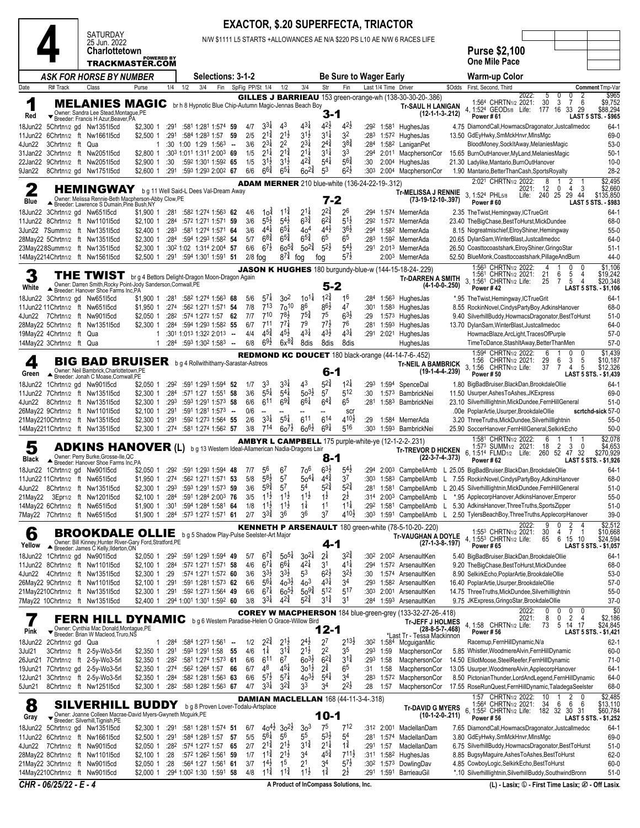|                                                                    |                                                                                                                                                            |                                     |              |                                                                                      |                          |                   |                                                                |                                                             |                                                    |                                                                   | <b>EXACTOR, \$.20 SUPERFECTA, TRIACTOR</b>            |                                 |                          |                                                                                                                  |                  |                                                                                                                                                |                                                                                 |                                 |
|--------------------------------------------------------------------|------------------------------------------------------------------------------------------------------------------------------------------------------------|-------------------------------------|--------------|--------------------------------------------------------------------------------------|--------------------------|-------------------|----------------------------------------------------------------|-------------------------------------------------------------|----------------------------------------------------|-------------------------------------------------------------------|-------------------------------------------------------|---------------------------------|--------------------------|------------------------------------------------------------------------------------------------------------------|------------------|------------------------------------------------------------------------------------------------------------------------------------------------|---------------------------------------------------------------------------------|---------------------------------|
|                                                                    | <b>SATURDAY</b><br>25 Jun. 2022                                                                                                                            |                                     |              |                                                                                      |                          |                   |                                                                |                                                             |                                                    |                                                                   |                                                       |                                 |                          | N/W \$1111 L5 STARTS +ALLOWANCES AE N/A \$220 PS L10 AE N/W 6 RACES LIFE                                         |                  |                                                                                                                                                |                                                                                 |                                 |
|                                                                    | <b>Charlottetown</b><br>TRACKMASTER.COM                                                                                                                    | <b>POWERED BY</b>                   |              |                                                                                      |                          |                   |                                                                |                                                             |                                                    |                                                                   |                                                       |                                 |                          |                                                                                                                  |                  | <b>Purse \$2,100</b><br><b>One Mile Pace</b>                                                                                                   |                                                                                 |                                 |
|                                                                    | ASK FOR HORSE BY NUMBER                                                                                                                                    |                                     |              | <b>Selections: 3-1-2</b>                                                             |                          |                   |                                                                |                                                             |                                                    |                                                                   | <b>Be Sure to Wager Early</b>                         |                                 |                          |                                                                                                                  |                  | Warm-up Color                                                                                                                                  |                                                                                 |                                 |
| Date<br>R# Track                                                   | Class                                                                                                                                                      | Purse                               | 1/4          | 3/4<br>1/2                                                                           | Fin                      | SpFig PP/St 1/4   |                                                                | 1/2                                                         | 3/4                                                | Str                                                               | Fin                                                   |                                 | Last 1/4 Time Driver     |                                                                                                                  | \$Odds           | First, Second, Third                                                                                                                           |                                                                                 | Comment Tmp-Var                 |
| 1<br>Red                                                           | MELANIES MAGIC br h 8 Hypnotic Blue Chip-Autumn Magic-Jennas Beach Boy<br>Owner: Sandra Lee Stead, Montague, PE<br>▼ Breeder: Francis H Azur, Beaver, PA   |                                     |              |                                                                                      |                          |                   |                                                                |                                                             |                                                    | 3-1                                                               |                                                       |                                 |                          | GILLES J BARRIEAU 153 green-orange-wh (138-30-30-20-.386)<br><b>Tr-SAUL H LANIGAN</b><br>$(12-1-1-3-212)$        |                  | 2022:<br>5<br>0<br>1:564 CHRTN1/2 2021:<br>30<br>$\mathbf{3}$<br>4, 1:524 GEOD5/8 Life:<br>177 16<br>Power#61                                  | 0<br>2<br>7<br>6<br>33<br>29<br>LAST 5 STS. - \$965                             | \$965<br>\$9,752<br>\$88,294    |
| 18Jun22<br>11Jun22<br>4Jun22<br>3Chrtn1/2 ft Qua                   | 5Chrtn1/2 gd Nw1351l5cd<br>6Chrtn1/2 ft Nw166115cd                                                                                                         | \$2,300 1<br>\$2,500 1<br>1         | :291<br>:291 | :581 1:281 1:574 59<br>:584 1:283 1:57<br>:30 1:00 1:29 1:563 --                     | 59                       | 4/7<br>2/5<br>3/6 | $3^{3\frac{1}{4}}$<br>$2^{1\frac{3}{4}}$<br>$2^{3\frac{1}{4}}$ | 43<br>$2^{1\frac{1}{2}}$<br>2 <sup>2</sup>                  | 43‡<br>$3^{1\frac{1}{2}}$<br>$2^{3}\frac{1}{4}$    | $4^{2}\frac{1}{2}$<br>$3^{1\frac{1}{4}}$<br>$2^{4^{\frac{3}{4}}}$ | $4^{2}$<br>32<br>38 <sub>4</sub>                      | :284                            |                          | :29 <sup>2</sup> 1:58 <sup>1</sup> HughesJas<br>:283 1:572 HughesJas<br>1:58 <sup>2</sup> LaniganPet             |                  | 4.75 DiamondCall, HowmacsDragonator, Justcallmedoc<br>13.50 GdEyHwky, SmMckHnvr, MinsMgc<br>BloodMoney, SockItAway, MelaniesMagic              |                                                                                 | $64-1$<br>69-0<br>$53-0$        |
| 31Jan22<br>22Jan22<br>9Jan22                                       | 3Chrtn1/2 ft Nw2051I5cd<br>9Chrtn1/2 ft Nw2051I5cd<br>8Chrtn1/2 gd Nw1751l5cd                                                                              | \$2,800 1<br>\$2,900 1<br>\$2,600 1 | :30<br>:291  | :303 1:011 1:311 2:003 69<br>:592 1:301 1:592 65<br>:593 1:293 2:002 67              |                          | 1/5<br>1/5<br>6/6 | $2^{1\frac{1}{4}}$<br>$3^{1}\frac{1}{2}$<br>$66\frac{3}{4}$    | $2^{1\frac{3}{4}}$<br>$3^{1\frac{1}{2}}$<br>$65\frac{1}{4}$ | $2^{1\frac{1}{4}}$<br>$4^{2^{3}_{4}}$<br>$60^{24}$ | $3^{11}$<br>$5^{4}$<br>53                                         | 33<br>$5^{6}$<br>$6^{2}\frac{1}{2}$                   | :294<br>:30<br>:30 <sup>3</sup> |                          | 2:011 MacphersonCor<br>2:004 HughesJas<br>2:004 MacphersonCor                                                    |                  | 15.65 BurnOutHanover, MyLand, Melanies Magic<br>21.30 Ladylike, Mantario, BurnOutHanover<br>1.90 Mantario, Better ThanCash, Sports Royalty     |                                                                                 | $50-1$<br>$10-0$<br>$28-2$      |
| $\mathbf 2$                                                        | HEMINGWAY                                                                                                                                                  |                                     |              | b g 11 Well Said-L Dees Val-Dream Away                                               |                          |                   |                                                                |                                                             |                                                    |                                                                   | <b>ADAM MERNER</b> 210 blue-white (136-24-22-19-.312) |                                 |                          |                                                                                                                  |                  | 2:021 CHRTN1/2 2022:<br>8<br>12<br>$\mathbf 0$<br>2021:                                                                                        | 2<br>$\overline{4}$<br>-3                                                       | \$2,495<br>\$2,660              |
| Blue                                                               | Owner: Melissa Rennie-Beth Macpherson-Abby Clow, PE<br>▲ Breeder: Lawrence S Dumain, Pine Bush, NY                                                         |                                     |              |                                                                                      |                          |                   |                                                                |                                                             |                                                    | 7-2                                                               |                                                       |                                 |                          | <b>Tr-MELISSA J RENNIE</b><br>(73-19-12-10-.397)                                                                 |                  | $\overline{3}$<br>1:524 PHL <sub>5/8</sub><br>240 25<br>Life:<br>Power#60                                                                      | 29 44<br><b>LAST 5 STS. - \$983</b>                                             | \$135,850                       |
| 18Jun22 3Chrtn1/2 gd Nw651l5cd<br>11Jun22 8Chrtn1/2 ft Nw1101l5cd  |                                                                                                                                                            | $$1,900$ 1 :281<br>\$2,100 1        | :284         | :582 1:274 1:563 62<br>:572 1:271 1:571 59                                           |                          | 4/6<br>3/6        | 10 <sup>1</sup><br>$5^{5}\frac{1}{2}$                          | $11\frac{3}{4}$<br>$5^{4}$                                  | $2^{1\frac{1}{4}}$<br>$6^{3}\frac{3}{4}$           | $2^{2\frac{3}{4}}$<br>$6^{2\frac{3}{4}}$                          | 26<br>$5^{1}\frac{1}{2}$                              | :294<br>:292                    |                          | 1:574 MernerAda<br>1:572 MernerAda                                                                               |                  | 2.35 The Twist, Hemingway, ICTrueGrit<br>23.40 TheBigChase, BestToHurst, MickDundee                                                            |                                                                                 | $64-1$<br>68-0                  |
| 3Jun22 7Summ1/2 ft Nw1351l5cd                                      |                                                                                                                                                            | $$2,400$ 1                          | :283         | :581 1:274 1:571 64                                                                  |                          | 3/6               | $4^{4}$                                                        | $6^{5\frac{1}{4}}$                                          | 404                                                | $44\frac{1}{2}$                                                   | $36\frac{1}{2}$                                       | :294                            |                          | 1:582 MernerAda                                                                                                  |                  | 8.15 Nogreatmischief, ElroyShiner, Hemingway                                                                                                   |                                                                                 | $55-0$                          |
| 28May22 5Chrtn1/2 ft Nw1351l5cd<br>23May228Summ1/2 ft Nw1351l5cd   |                                                                                                                                                            | \$2,300 1<br>$$2,300$ 1             | :284         | :594 1:293 1:582 54<br>:30 <sup>2</sup> 1:02 1:31 <sup>4</sup> 2:00 <sup>4</sup> 57  |                          | 5/7<br>6/6        | $6^{8\frac{3}{4}}$<br>$6^{7\frac{1}{2}}$                       | $6^{5\frac{3}{4}}$<br>$60^{5\frac{3}{4}}$                   | $6^{5\frac{3}{4}}$<br>$50^{24}$                    | 6 <sup>5</sup><br>$5^{2}$                                         | 6 <sup>5</sup><br>$5^{4\frac{1}{2}}$                  | :283                            |                          | 1:59 <sup>2</sup> MernerAda<br>:291 2:013 MernerAda                                                              |                  | 20.65 DylanSam, WinterBlast, Justcallmedoc<br>26.50 Coasttocoastshark, ElroyShiner, GringoStar                                                 |                                                                                 | 64-0<br>$51-1$                  |
| 14May2214Chrtn1/2 ft Nw1561I5cd                                    |                                                                                                                                                            | $$2,500$ 1                          |              | :291 :594 1:301 1:591 51                                                             |                          | $2/8$ fog         |                                                                | $8^{7\frac{3}{4}}$                                          | foq                                                | fog                                                               | $5^{7\frac{1}{2}}$                                    |                                 |                          | 2:003 MernerAda                                                                                                  |                  | 52.50 BlueMonk, Coasttocoastshark, PillageAndBurn<br>1:563 CHRTN1/2 2022:                                                                      | 0                                                                               | 44-0<br>\$1,106                 |
| White                                                              | THE TWIST<br>Owner: Darren Smith, Rocky Point-Jody Sanderson, Cornwall, PE<br>Breeder: Hanover Shoe Farms Inc,PA                                           |                                     |              | br g 4 Bettors Delight-Dragon Moon-Dragon Again                                      |                          |                   |                                                                |                                                             |                                                    | 5-2                                                               |                                                       |                                 |                          | JASON K HUGHES 180 burgundy-blue-w (144-15-18-24-.229)<br><b>Tr-DARREN A SMITH</b>                               | $(4-1-0-0-.250)$ | 1:561 CHRTN1/2 2021:<br>21<br>6<br>3, 1:561 CHRTN1/2 Life:<br>$\overline{7}$<br>25<br>Power #42                                                | $\frac{5}{5}$<br>LAST 5 STS. - \$1,106                                          | \$19,242<br>\$20,348            |
| 18Jun22 3Chrtn1/2 gd Nw651l5cd<br>11Jun22 11Chrtn1/2 ft Nw651l5cd  |                                                                                                                                                            | \$1,900 1<br>\$1.9501               | :281<br>:274 | :582 1:274 1:563 68<br>:562 1:271 1:571 54                                           |                          | 5/6<br>7/8        | $57\frac{1}{4}$<br>713                                         | 3 <sup>2</sup><br>$70^{10}$                                 | $10^{11}$<br>86                                    | $12\frac{3}{4}$<br>$8^{6}\frac{1}{2}$                             | 16<br>47                                              | :284<br>:301                    |                          | 1:56 <sup>3</sup> HughesJas<br>1:58 <sup>3</sup> HughesJas                                                       |                  | *.95 TheTwist,Hemingway,ICTrueGrit<br>8.55 RockinNovel, CindysPartyBoy, AdkinsHanover                                                          |                                                                                 | $64-1$<br>68-0                  |
| 4Jun22 7Chrtn1/2 ft Nw90115cd                                      |                                                                                                                                                            | \$2,050 1                           | :282         | :574 1:272 1:57 62                                                                   |                          | 7/7               | $7^{10}$                                                       | $78\frac{1}{2}$                                             | $7^{5\frac{3}{4}}$                                 | 75                                                                | $6^{3}\frac{1}{2}$                                    | :29                             |                          | 1:573 HughesJas                                                                                                  |                  | 9.40 SilverhillBuddy, HowmacsDragonator, BestToHurst                                                                                           |                                                                                 | $51-0$                          |
| 28May22 5Chrtn1/2 ft Nw1351I5cd<br>19May22 4Chrtn1/2 ft Qua        |                                                                                                                                                            | $$2,300$ 1<br>1                     | :284         | :594 1:293 1:582 55<br>:301 1:013 1:322 2:013                                        | $\overline{\phantom{a}}$ | 6/7<br>4/4        | 711<br>$4^{5^{3}_{4}}$                                         | $77\frac{1}{4}$<br>$4^{5}\frac{1}{2}$                       | 79<br>$4^{3\frac{1}{4}}$                           | $77\frac{1}{2}$<br>$4^{3}\frac{1}{2}$                             | 76<br>$4^{3\frac{1}{4}}$                              | :281                            |                          | 1:593 HughesJas<br>:291 2:021 HughesJas                                                                          |                  | 13.70 DylanSam, WinterBlast, Justcallmedoc<br>HowmacBlaze, ArcLight, TracesOfPurple                                                            |                                                                                 | 64-0<br>$57-0$                  |
| 14May22 3Chrtn1/2 ft Qua                                           |                                                                                                                                                            | 1                                   | :284         | :593 1:302 1:583 -                                                                   |                          | 6/8               | $69\frac{1}{2}$                                                | $6x^{8}\frac{3}{4}$                                         | 8dis                                               | 8dis                                                              | 8dis                                                  |                                 |                          | HughesJas                                                                                                        |                  | TimeToDance,StashItAway,BetterThanMen                                                                                                          |                                                                                 | $57-0$                          |
| 4<br>Green                                                         | <b>BIG BAD BRUISER</b> bg4 Rollwithitharry-Sarastar-Astreos<br>Owner: Neil Bambrick, Charlottetown, PE<br>Breeder: Jonah C Moase, Cornwall, PE             |                                     |              |                                                                                      |                          |                   |                                                                |                                                             |                                                    | 6-1                                                               |                                                       |                                 |                          | <b>REDMOND KC DOUCET</b> 180 black-orange (44-14-7-6-.452)<br><b>Tr-NEIL A BAMBRICK</b><br>$(19-1-4-4-239)$      |                  | 1:594 CHRTN1/2 2022:<br>6<br>-1<br>29<br>6<br>1:56 CHRTN <sub>1/2</sub> 2021:<br>3, 1:56<br>7<br>CHRTN <sub>1/2</sub> Life:<br>37<br>Power #50 | 0<br>0<br>3<br>5<br>5<br>4<br>LAST 5 STS. - \$1,439                             | \$1,439<br>\$10,187<br>\$12,326 |
| 18Jun22<br>11Jun22 7Chrtn1/2 ft Nw1351l5cd                         | 1Chrtn1/2 gd Nw901l5cd                                                                                                                                     | \$2,050 1<br>$$2,300$ 1             | :292<br>:284 | :591 1:293 1:594 52<br>:571 1:27 1:551 58                                            |                          | 1/7<br>3/6        | 33<br>$5^{5\frac{1}{4}}$                                       | $3^{3}\frac{1}{4}$<br>$5^{41}$                              | 43<br>$50^{31}$                                    | $5^{24}$<br>5 <sup>7</sup>                                        | $12\frac{1}{4}$<br>512                                | :293<br>:30                     | 1:594<br>1:573           | SpenceDal<br>BambrickNei                                                                                         |                  | 1.80 BigBadBruiser, BlackDan, BrookdaleOllie<br>11.50 Usurper, Ashes To Ashes, JKExpress                                                       |                                                                                 | $64-1$<br>69-0                  |
| 4Jun22                                                             | 8Chrtn1/2 ft Nw135115cd                                                                                                                                    | $$2,300$ 1                          | :293         | :593 1:291 1:573 58                                                                  |                          | 6/6               | 611                                                            | $69\frac{3}{4}$                                             | $6^{61}$                                           | $6^{4^{3}_{4}}$                                                   | 6 <sup>5</sup>                                        | :281                            |                          | 1:583 BambrickNei                                                                                                |                  | 23.10 Silverhilllightnin, MickDundee, FernHillGeneral                                                                                          |                                                                                 | $51-0$                          |
| 26May22 9Chrtn1/2 ft Nw1101l5cd<br>21May2210Chrtn1/2 ft Nw1351l5cd |                                                                                                                                                            | $$2,100$ 1<br>$$2,300$ 1            | :291<br>:291 | :591 1:281 1:573 -<br>:592 1:273 1:564 55                                            |                          | 0/6<br>2/6        | $3^{3\frac{1}{4}}$                                             | $5^{5\frac{1}{4}}$                                          | 611                                                | $6^{14}$                                                          | scr<br>410}                                           | :29                             | 1:584                    | MernerAda                                                                                                        |                  | .00e PoplarArtie, Usurper, BrookdaleOllie<br>3.20 ThreeTruths, MickDundee, Silverhilllightnin                                                  | scrtchd-sick 57-0                                                               | $55-0$                          |
| 14May2211Chrtn1/2 ft Nw1351l5cd                                    |                                                                                                                                                            | $$2,300$ 1                          | :274         | :581 1:274 1:562 57                                                                  |                          | 3/8               | $7^{14}$                                                       | $60^{7}$                                                    | $60^{61}$                                          | $69\frac{1}{4}$                                                   | 516                                                   | :30 <sup>3</sup>                |                          | 1:593 BambrickNei                                                                                                |                  | 25.90 SoccerHanover,FernHillGeneral,SelkirkEcho                                                                                                |                                                                                 | $50-0$                          |
| 5<br>Black                                                         | <b>ADKINS HANOVER</b> (L) b g 13 Western Ideal-Allamerican Nadia-Dragons Lair<br>Owner: Perry Burke, Grosse-Ile, QC<br>Breeder: Hanover Shoe Farms Inc, PA |                                     |              |                                                                                      |                          |                   |                                                                |                                                             |                                                    | 8-1                                                               |                                                       |                                 |                          | <b>AMBYR L CAMPBELL</b> 175 purple-white-ye (12-1-2-2-.231)<br><b>Tr-TREVOR D HICKEN</b><br>$(22-3-7-4-373)$     |                  | 1:581 CHRTN1/2 2022:<br>6<br>2<br>1:573 SUMM <sub>1/2</sub> 2021:<br>18<br>260 52 47 32<br>6, 1:514 FLMD <sub>1/2</sub> Life:<br>Power #62     | 3<br>0<br>LAST 5 STS. - \$1,926                                                 | \$2,078<br>\$4,653<br>\$270,929 |
| 18Jun22 1Chrtn1/2 gd Nw901l5cd                                     |                                                                                                                                                            | \$2,050 1                           |              | :292 :591 1:293 1:594 48                                                             |                          | 7/7               | 56                                                             | 6 <sup>7</sup>                                              | 70 <sup>6</sup>                                    | $63\frac{1}{2}$                                                   | $5^{4}$                                               |                                 |                          |                                                                                                                  |                  | :294 2:003 CampbellAmb L 25.05 BigBadBruiser, BlackDan, BrookdaleOllie                                                                         |                                                                                 | $64-1$                          |
| 11Jun22 11Chrtn1/2 ft Nw651l5cd<br>4Jun22                          | 8Chrtn1/2 ft Nw1351l5cd                                                                                                                                    | \$2,300 1                           | :293         | \$1,950 1 :274 :562 1:271 1:571 53<br>$:59^3$ 1:29 <sup>1</sup> 1:57 <sup>3</sup> 59 |                          | 5/8<br>3/6        | $58\frac{1}{2}$<br>$5^{9\frac{3}{4}}$                          | 57<br>57                                                    | $50^{41}$<br>54                                    | $4^{4^{3}_{4}}$<br>$5^{24}$                                       | 37<br>$5^{24}$                                        |                                 | $:281$ 1:581             | CampbellAmb                                                                                                      |                  | :303 1:583 CampbellAmb L 7.55 RockinNovel, CindysPartyBoy, AdkinsHanover<br>L 20.45 Silverhilllightnin, MickDundee, Fern Hill General          |                                                                                 | 68-0<br>$51-0$                  |
| 21May22                                                            | 3Epr1/2 ft Nw1201l5cd                                                                                                                                      | $$2,100$ 1                          | :284         | :591 1:284 2:003 76                                                                  |                          | 3/5               | $11\frac{1}{2}$                                                | $1^{1\frac{1}{2}}$                                          | $11\frac{1}{2}$                                    | $1^{\frac{1}{2}}$                                                 | 2ż                                                    | :314                            | 2:00 <sup>3</sup>        | CampbellAmb                                                                                                      |                  | *.95 ApplecorpHanover, AdkinsHanover, Emperor                                                                                                  |                                                                                 | $55-0$                          |
| 14May22 6Chrtn1/2 ft Nw651l5cd<br>7May22 7Chrtn1/2 ft Nw651l5cd    |                                                                                                                                                            | \$1,900 1<br>\$1,900 1              | :301<br>:284 | :594 1:284 1:581 64<br>:573 1:272 1:571 61                                           |                          | 1/8<br>2/7        | $11\frac{1}{2}$<br>$3^{3}\frac{3}{4}$                          | $11\frac{1}{2}$<br>36                                       | $1\frac{1}{4}$<br>36                               | 11<br>3 <sup>7</sup>                                              | $11\frac{1}{4}$<br>$4^{10\frac{1}{2}}$                |                                 | :292 1:581<br>:303 1:591 | CampbellAmb<br>CampbellAmb                                                                                       | L<br>L           | 5.30 AdkinsHanover, Three Truths, Sports Zipper<br>2.50 TylersBeachBoy, Three Truths, ApplecorpHanover                                         |                                                                                 | $51-0$<br>$39-0$                |
| 6<br>Yellow                                                        | <b>BROOKDALE OLLIE</b><br>Owner: Bill Kinney, Hunter River-Gary Ford, Stratford, PE<br>▲ Breeder: James C Kelly, Ilderton, ON                              |                                     |              | b g 5 Shadow Play-Pulse Seelster-Art Major                                           |                          |                   |                                                                |                                                             |                                                    | 4-1                                                               |                                                       |                                 |                          | <b>KENNETH P ARSENAULT</b> 180 green-white (78-5-10-20-.220)<br><b>Tr-VAUGHAN A DOYLE</b><br>$(27-1-3-8-197)$    |                  | 2022:<br>0<br>30<br>1:553 CHRTN1/2 2021:<br>4<br>4. 1:553 CHRTN1/2 Life:<br>65<br>6<br><b>Power #65</b>                                        | $\frac{2}{7}$<br>-1<br>15 10<br>LAST 5 STS. - \$1,057                           | \$2,512<br>\$10,668<br>\$24,594 |
| 18Jun22                                                            | 1Chrtn1/2 gd Nw901l5cd                                                                                                                                     | \$2,050 1 :292                      |              | :591 1:293 1:594 49                                                                  |                          | 5/7               | $6^{74}$                                                       | $50^{5}$                                                    | $30^{21}$                                          | 2 <sup>1</sup>                                                    | $3^{2^{3}}$                                           | :302                            |                          | 2:00 <sup>2</sup> ArsenaultKen                                                                                   |                  | 5.40 BigBadBruiser, BlackDan, BrookdaleOllie                                                                                                   |                                                                                 | 64-1                            |
| 11Jun22 8Chrtn1/2 ft Nw1101l5cd<br>4Jun22                          | 4Chrtn1/2 ft Nw135115cd                                                                                                                                    | \$2,100 1<br>\$2,300 1              | :284<br>:29  | :572 1:271 1:571 58<br>:574 1:271 1:572 60                                           |                          | 4/6<br>3/6        | $6^{7\frac{1}{4}}$<br>$3^{3}\frac{1}{2}$                       | $66\frac{1}{4}$<br>$3^{3}\frac{1}{2}$                       | $4^{21}$<br>5 <sup>3</sup>                         | 3 <sup>1</sup><br>$6^{2}\frac{1}{2}$                              | $4^{1\frac{1}{4}}$<br>$3^{2}\frac{1}{2}$              | :294<br>:30                     |                          | 1:572 ArsenaultKen<br>1:574 ArsenaultKen                                                                         |                  | 9.20 TheBigChase, BestToHurst, MickDundee<br>8.90 SelkirkEcho, PoplarArtie, BrookdaleOllie                                                     |                                                                                 | 68-0<br>$53-0$                  |
| 26May22 9Chrtn1/2 ft Nw1101l5cd                                    |                                                                                                                                                            | \$2,100 1                           | :291         | :591 1:281 1:573 62<br>:592 1:273 1:564 49                                           |                          | 6/6<br>6/6        | $5^{61}$<br>$6^{7\frac{1}{4}}$                                 | $40^{3}\frac{1}{2}$<br>$60^{51}$                            | $403$<br>$50^{9\frac{3}{4}}$                       | $4^{3\frac{1}{4}}$<br>$5^{12}$                                    | 34<br>$5^{17}$                                        | :293<br>:303                    |                          | 1:582 ArsenaultKen<br>ArsenaultKen                                                                               |                  | 16.40 PoplarArtie, Usurper, BrookdaleOllie<br>14.75 ThreeTruths, MickDundee, Silverhilllightnin                                                |                                                                                 | $57-0$                          |
| 21May2210Chrtn1/2 ft Nw1351l5cd<br>7May22 10Chrtn1/2 ft Nw1351l5cd |                                                                                                                                                            | \$2,300 1<br>\$2,400 1              | :291         | :294 1:001 1:301 1:592 60                                                            |                          | 3/8               | $3^{31}$                                                       | $4^{2}\frac{3}{4}$                                          | $5^{24}$                                           | $3^{1\frac{3}{4}}$                                                | 31                                                    |                                 | 2:001                    | :284 1:593 ArsenaultKen                                                                                          |                  | 9.75 JKExpress, GringoStar, BrookdaleOllie                                                                                                     |                                                                                 | $55-0$<br>$37-0$                |
| Pink                                                               | <b>FERN HILL DYNAMIC</b> bg 6 Western Paradise-Helen O Grace-Willow Bird<br>Owner: Cynthia Mac Donald, Montague, PE                                        |                                     |              |                                                                                      |                          |                   |                                                                |                                                             |                                                    | 12-1                                                              |                                                       |                                 |                          | <b>COREY W MACPHERSON</b> 184 blue-green-grey (133-32-27-26-.418)<br><b>Tr-JEFF J HOLMES</b><br>$(28-8-5-7-468)$ |                  | 2022:<br>0<br>0<br>2021:<br>8<br>$\mathbf 0$<br>4, 1:58 CHRTN1/2 Life:<br>73<br>5<br><b>Power #56</b>                                          | 0<br>0<br>$\overline{2}$<br>$\overline{4}$<br>17<br>14<br>LAST 5 STS. - \$1,421 | \$0<br>\$2,186<br>\$24,845      |
| 18Jun22<br>2Chrtn1/2 gd Qua                                        | ▼ Breeder: Brian W Macleod, Truro, NS                                                                                                                      | 1                                   | :284         | $:584$ 1:273 1:561 -                                                                 |                          | 1/2               | $2^{2^{3}_{4}}$                                                | $2^{1}\frac{1}{2}$                                          | $2^{4}\frac{1}{2}$                                 | 2 <sup>7</sup>                                                    | $2^{13}\frac{1}{2}$                                   |                                 | $:30^2$ 1:584            | *Last Tr - Tessa Mackinnoń<br>McguiganMic                                                                        |                  | Racemup, FernHillDynamic, N/a                                                                                                                  |                                                                                 | $62 - 1$                        |
| 3Jul21<br>26Jun21                                                  | 3Chrtn1/2 ft 2-5y-Wo3-5rl<br>7Chrtn1/2 ft 2-5y-Wo3-5rl                                                                                                     | \$2,350 1<br>\$2,350 1              | :291<br>:282 | :593 1:291 1:58<br>:581 1:274 1:573 61                                               | 55                       | 4/6<br>6/6        | $1\frac{1}{4}$<br>611                                          | $3^{12}$<br>67                                              | $2^{1\frac{1}{2}}$<br>$60^{31}$                    | 2 <sup>2</sup><br>$6^{2}\frac{3}{4}$                              | 35<br>$3^{1\frac{3}{4}}$                              | :293                            | $:293$ 1:59<br>1:58      | MacphersonCor<br>MacphersonCor                                                                                   |                  | 5.85 Whistler, WoodmereAlvin, FernHillDynamic<br>14.50 ElliotMoose, SteelReefer, FernHillDynamic                                               |                                                                                 | 60-0<br>$71-0$                  |
| 19Jun21                                                            | 7Chrtn1/2 gd 2-5y-Wo3-5rl                                                                                                                                  | \$2,350 1                           | :274         | :562 1:264 1:57 66                                                                   |                          | 6/7               | 48                                                             | $4^{51}$                                                    | $30^{11}$                                          | $2^{3}_{4}$                                                       | 65                                                    | :31                             | 1:58                     | MacphersonCor                                                                                                    |                  | 13.05 Usurper, WoodmereAlvin, ApplecorpHanover                                                                                                 |                                                                                 | $64-1$                          |
| 12Jun21<br>5Jun21                                                  | 3Chrtn1/2 ft 2-5y-Wo3-5rl<br>8Chrtn1/2 ft Nw1251l5cd                                                                                                       | \$2,350 1<br>\$2,300 1              | :284<br>:282 | :582 1:281 1:563 63<br>:583 1:282 1:563 67                                           |                          | 6/6<br>4/7        | $5^{7}$<br>$3^{3}\frac{1}{4}$                                  | $5^{7\frac{1}{4}}$<br>$3^{2}\frac{3}{4}$                    | $40^{31}$<br>33                                    | $5^{4}$<br>34                                                     | 34<br>$2^{2}\frac{1}{2}$                              | :283<br>:28                     | 1:572<br>1:57            | MacphersonCor<br>MacphersonCor                                                                                   |                  | 8.50 PictonianThunder,LordAndLegend,FernHillDynamic<br>17.55 RoseRunQuest, FernHillDynamic, TaladegaSeelster                                   |                                                                                 | 64-0<br>68-0                    |
| 8<br>Gray                                                          | <b>SILVERHILL</b><br>Owner: Joanne Colleen Macrae-David Myers-Gwyneth Mcguirk, PE<br>$\blacktriangleright$ Breeder: Silverhill, Tignish, PE                | <b>BUDDY</b>                        |              | b g 8 Proven Lover-Todalu-Artsplace                                                  |                          |                   |                                                                |                                                             |                                                    | $10 - 1$                                                          | <b>DAMIAN MACLELLAN 168 (44-11-3-4-.318)</b>          |                                 |                          | <b>Tr-DAVID G MYERS</b><br>$(10-1-2-0-211)$                                                                      |                  | 1:57 CHRTN1/2 2022:<br>10<br>1:564 CHRTN1/2 2021:<br>34<br>6<br>6, 1:552 CHRTN1/2 Life:<br>182 32<br>Power #56                                 | 2<br>0<br>6<br>6<br>30 31<br>LAST 5 STS. - \$1,252                              | \$2,485<br>\$13,110<br>\$60,784 |
| 18Jun22 5Chrtn1/2 gd Nw135115cd                                    |                                                                                                                                                            | \$2,300 1                           | :291         | :581 1:281 1:574 51                                                                  |                          | 6/7               |                                                                | $40^{4\frac{1}{2}}$ 30 <sup>2</sup> / <sub>2</sub>          | 3 <sup>3</sup>                                     | 75                                                                | 712                                                   |                                 | $:312$ 2:001             | MaclellanDam                                                                                                     |                  | 7.65 DiamondCall, HowmacsDragonator, Justcallmedoc                                                                                             |                                                                                 | 64-1                            |
| 11Jun22 6Chrtn1/2 ft Nw1661l5cd<br>4Jun22 7Chrtn1/2 ft Nw90115cd   |                                                                                                                                                            | \$2,500 1<br>\$2,050 1 :282         | :291         | :584 1:283 1:57<br>:574 1:272 1:57 65                                                | -57                      | 5/5<br>2/7        | $5^{61}$<br>$2^{1\frac{3}{4}}$                                 | 56<br>$2^{1\frac{1}{2}}$                                    | $5^5$<br>$3^{1\frac{3}{4}}$                        | $5^{3}\frac{1}{2}$<br>$2^{1\frac{1}{4}}$                          | 54<br>$1\frac{3}{4}$                                  | :281                            | 1:574<br>:291 1:57       | MaclellanDam<br>MaclellanDam                                                                                     |                  | 3.80 GdEyHwky, SmMckHnvr, MinsMgc<br>6.75 SilverhillBuddy,HowmacsDragonator,BestToHurst                                                        |                                                                                 | 69-0<br>$51-0$                  |
| 28May22 8Chrtn1/2 ft Nw1101l5cd                                    |                                                                                                                                                            | \$2,100 1                           | :28          | :572 1:262 1:561 59                                                                  |                          | 1/7               | $11\frac{3}{4}$                                                | $2^{1\frac{1}{2}}$                                          | 34                                                 | $45\frac{3}{4}$                                                   | $7^{11}\frac{1}{2}$                                   | :311                            | 1:582                    | HughesJas                                                                                                        |                  | 8.85 BugsyMaguire, Ashes To Ashes, Best To Hurst                                                                                               |                                                                                 | $62-0$                          |
| 21May22 3Chrtn1/2 ft Nw901l5cd                                     |                                                                                                                                                            | \$2,050 1                           | :28          | :564 1:27 1:561 61                                                                   |                          | 3/7               | $1^{4}$<br>$1^{1\frac{3}{4}}$                                  | 1 <sup>5</sup><br>$11\frac{3}{4}$                           | 21<br>$11\frac{1}{2}$                              | 34<br>$1\frac{3}{4}$                                              | $5^{7}$<br>$2^{\frac{1}{2}}$                          | :30 <sup>2</sup><br>:291        | 1:573<br>1:591           | DowlingDav<br>BarrieauGil                                                                                        |                  | 4.85 CowboyLogic, SelkirkEcho, BestToHurst<br>*.10 Silverhilllightnin, Silverhill Buddy, Southwind Bronn                                       |                                                                                 | $60 - 0$<br>$51-0$              |
| 14May2210Chrtn1/2 ft Nw901l5cd                                     |                                                                                                                                                            | \$2,000 1                           |              | :294 1:002 1:30 1:591 58                                                             |                          | 4/8               |                                                                |                                                             |                                                    |                                                                   |                                                       |                                 |                          |                                                                                                                  |                  |                                                                                                                                                |                                                                                 |                                 |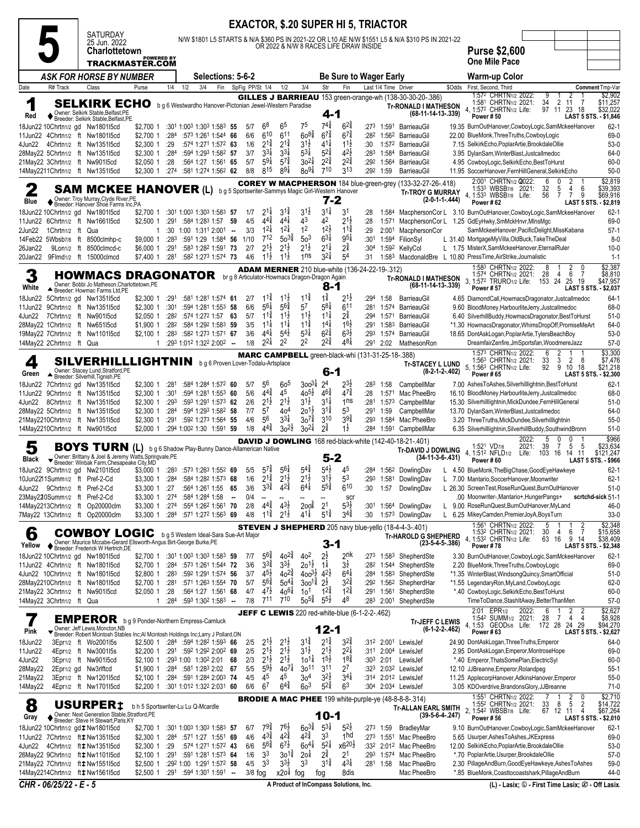|                     |                           |                                                                                                                      |                                                                           |              |     |                                                                                                  |                          |                 |                                          |                                           |                                          |                                             | <b>EXACTOR, \$.20 SUPER HI 5, TRIACTOR</b>            |                          |                            |                                                                                                  |                  |                                                                                                                       |                                         |
|---------------------|---------------------------|----------------------------------------------------------------------------------------------------------------------|---------------------------------------------------------------------------|--------------|-----|--------------------------------------------------------------------------------------------------|--------------------------|-----------------|------------------------------------------|-------------------------------------------|------------------------------------------|---------------------------------------------|-------------------------------------------------------|--------------------------|----------------------------|--------------------------------------------------------------------------------------------------|------------------|-----------------------------------------------------------------------------------------------------------------------|-----------------------------------------|
|                     |                           | <b>SATURDAY</b><br>25 Jun. 2022                                                                                      |                                                                           |              |     |                                                                                                  |                          |                 |                                          |                                           |                                          |                                             | OR 2022 & N/W 8 RACES LIFE DRAW INSIDE                |                          |                            | N/W \$1801 L5 STARTS & N/A \$360 PS IN 2021-22 OR L10 AE N/W \$1551 L5 & N/A \$310 PS IN 2021-22 |                  |                                                                                                                       |                                         |
|                     |                           | <b>Charlottetown</b>                                                                                                 | <b>POWERED BY</b>                                                         |              |     |                                                                                                  |                          |                 |                                          |                                           |                                          |                                             |                                                       |                          |                            |                                                                                                  |                  | <b>Purse \$2,600</b><br>One Mile Pace                                                                                 |                                         |
|                     |                           | TRACKMASTER.COM<br><b>ASK FOR HORSE BY NUMBER</b>                                                                    |                                                                           |              |     | Selections: 5-6-2                                                                                |                          |                 |                                          |                                           |                                          |                                             | <b>Be Sure to Wager Early</b>                         |                          |                            |                                                                                                  |                  | Warm-up Color                                                                                                         |                                         |
| Date                | R# Track                  | Class                                                                                                                | Purse                                                                     | 1/4          | 1/2 | 3/4<br>Fin                                                                                       |                          | SpFig PP/St 1/4 |                                          | 1/2                                       | 3/4                                      | Str                                         | Fin                                                   |                          | Last 1/4 Time Driver       |                                                                                                  | \$Odds           | First, Second, Third                                                                                                  | <b>Comment Tmp-Var</b>                  |
| 1                   |                           | <b>SELKIRK ECHO</b>                                                                                                  |                                                                           |              |     | b g 6 Westwardho Hanover-Pictonian Jewel-Western Paradise                                        |                          |                 |                                          |                                           |                                          |                                             |                                                       |                          |                            | <b>GILLES J BARRIEAU</b> 153 green-orange-wh (138-30-30-20-.386)                                 |                  | 1:572 CHRTN1/2 2022:<br>9<br>2<br>34<br>1:581 CHRTN <sub>1/2</sub> 2021:<br>2<br>11<br>7                              | \$2,902<br>\$11,257                     |
| Red                 |                           | Owner: Selkirk Stable, Belfast, PE<br>♦ Breeder: Selkirk Stable, Belfast, PE                                         |                                                                           |              |     |                                                                                                  |                          |                 |                                          |                                           |                                          | 4-1                                         |                                                       |                          |                            | <b>Tr-RONALD I MATHESON</b><br>(68-11-14-13-.339)                                                |                  | 23<br>4, 1:572 CHRTN1/2 Life:<br>97 11<br>18<br>Power #50                                                             | \$32,022<br>LAST 5 STS. - \$1,846       |
|                     |                           | 18Jun22 10Chrtn1/2 gd Nw1801l5cd                                                                                     | \$2,700 1                                                                 | :284         |     | :30 <sup>1</sup> 1:00 <sup>3</sup> 1:30 <sup>3</sup> 1:58 <sup>3</sup> 55<br>:573 1:261 1:544 66 |                          | 5/7<br>6/6      | $6^8$<br>$6^{10}$                        | 65<br>$6^{11}$                            | 75<br>$60^{84}$                          | 741<br>$6^{7\frac{3}{4}}$                   | $6^{24}$<br>$6^{7\frac{3}{4}}$                        | :282                     | $:273$ 1:591<br>1:562      | BarrieauGil<br>BarrieauGil                                                                       |                  | 19.35 BurnOutHanover,CowboyLogic,SamMckeeHanover                                                                      | $62-1$<br>69-0                          |
| 4Jun22              |                           | 11Jun22 4Chrtn1/2 ft Nw180115cd<br>4Chrtn1/2 ft Nw1351l5cd                                                           | \$2,700 1<br>\$2,300 1                                                    | :29          |     | :574 1:271 1:572 63                                                                              |                          | 1/6             | $2^{1\frac{3}{4}}$                       | $2^{1\frac{3}{4}}$                        | $31\frac{1}{2}$                          | $41\frac{1}{4}$                             | $11\frac{1}{2}$                                       | :30                      | 1:572                      | BarrieauGil                                                                                      |                  | 22.00 BlueMonk, Three Truths, Cowboy Logic<br>7.15 SelkirkEcho, PoplarArtie, BrookdaleOllie                           | $53-0$                                  |
|                     |                           | 28May22 5Chrtn1/2 ft Nw1351l5cd<br>21May22 3Chrtn1/2 ft Nw90115cd                                                    | $$2,300$ 1<br>\$2,050 1                                                   | :284<br>:28  |     | :594 1:293 1:582 57<br>:564 1:27 1:561 65                                                        |                          | 3/7<br>5/7      | $3^{31}$<br>$59\frac{1}{4}$              | $3^{3}$<br>$5^{7\frac{3}{4}}$             | $5^{31}$<br>$30^{21}$                    | $5^{2\frac{3}{4}}$<br>$2^{2^{\frac{3}{4}}}$ | $4^{2}\frac{1}{2}$<br>$2^{2^{\frac{3}{4}}}$           | :283<br>:292             | 1:584                      | BarrieauGil<br>1:564 BarrieauGil                                                                 |                  | 3.95 DylanSam, WinterBlast, Justcallmedoc<br>4.95 CowboyLogic, SelkirkEcho, BestToHurst                               | 64-0<br>60-0                            |
|                     |                           | 14May2211Chrtn1/2 ft Nw1351l5cd                                                                                      | $$2,300$ 1                                                                | :274         |     | :581 1:274 1:562 62                                                                              |                          | 8/8             | 815                                      | $89\frac{1}{4}$                           | $80^{9}$                                 | 710                                         | 313                                                   |                          | :292 1:59                  | BarrieauGil                                                                                      |                  | 11.95 SoccerHanover, FernHillGeneral, SelkirkEcho                                                                     | $50-0$                                  |
| 2                   |                           | SAM MCKEE                                                                                                            | <b>HANOVER (L)</b>                                                        |              |     |                                                                                                  |                          |                 |                                          |                                           |                                          |                                             | b g 5 Sportswriter-Sammys Magic Girl-Western Hanover  |                          |                            | COREY W MACPHERSON 184 blue-green-grey (133-32-27-26-.418)<br><b>Tr-TROY G MURRAY</b>            |                  | 2:001 CHRTN1/2 2022:<br>1:533 WBSB7/8 2021:<br>32<br>5<br>4<br>6                                                      | \$2,819<br>\$39,393                     |
| Blue                |                           | Owner: Troy Murray,Clyde River,PE<br>' Breeder: Hanover Shoe Farms Inc,PA                                            |                                                                           |              |     |                                                                                                  |                          |                 |                                          |                                           |                                          | 7-2                                         |                                                       |                          |                            |                                                                                                  | (2-0-1-1-.444)   | 4, 1:533 WBSB7/8 Life:<br>56<br>9<br>7<br>7<br><b>Power #62</b>                                                       | \$69,916<br>LAST 5 STS. - \$2,819       |
|                     |                           | 18Jun22 10Chrtn1/2 gd Nw1801l5cd<br>11Jun22 6Chrtn1/2 ft Nw166115cd                                                  | \$2,700 1<br>\$2,500 1                                                    | :291         |     | :301 1:003 1:303 1:583<br>:584 1:283 1:57                                                        | -57<br>59                | 1/7<br>4/5      | $2^{1\frac{1}{4}}$<br>$4^{4^{3}_{4}}$    | $3^{11}$<br>$4^{4}$                       | $3^{1\frac{1}{2}}$<br>43                 | $3^{11}$<br>42                              | 31<br>$2^{1}\frac{1}{2}$                              | :28<br>:28               | 1:584<br>1:571             | MacphersonCor L                                                                                  |                  | MacphersonCor L 3.10 BurnOutHanover, CowboyLogic, SamMckeeHanover<br>1.25 GdEyHwky,SmMckHnvr,MInsMgc                  | $62 - 1$<br>69-0                        |
| 2Jun22              | 1 Chrtn <sub>1/2</sub> ft | Qua                                                                                                                  | 1                                                                         | :30          |     | $1:00$ $1:311$ $2:001$ -                                                                         |                          | 3/3             | $12\frac{1}{4}$                          | $12\frac{1}{4}$                           | 1 <sup>2</sup>                           | $12\frac{1}{2}$                             | $11\frac{3}{4}$                                       | :29                      | 2:001                      | MacphersonCor                                                                                    |                  | SamMckeeHanover, PacificDelight, MissKabana                                                                           | $57-1$                                  |
| 26Jan22             |                           | 14Feb22 5Wbsb7/8 ft 8500clmhp-c<br>9Lon1/2 ft 8500clmcd-c                                                            | \$9,000 1<br>\$6,000 1                                                    | :283<br>:291 |     | :591 1:29 1:584 56<br>:583 1:282 1:591                                                           | -73                      | 1/10<br>2/7     | $7^{12}$<br>$2^{1\frac{1}{2}}$           | $50^{34}$<br>$2^{1\frac{1}{2}}$           | 50 <sup>3</sup><br>$2^{1\frac{1}{2}}$    | $6^{3\frac{1}{4}}$<br>$2^{1\frac{1}{4}}$    | $9^{51}$<br>$2^{3}$                                   | :301<br>:30 <sup>4</sup> | 1:592                      | 1:594 FilionSyl<br>KellyCol                                                                      |                  | L 31.40 MortgageMyVilla, OldBuck, TakeTheDeal<br>L 1.75 MisterX, SamMckeeHanover, EternalRuler                        | $8 - 0$<br>$10 - 0$                     |
| 20Jan22             |                           | 9Flmd <sub>1/2</sub> ft 15000clmcd                                                                                   | \$7,400 1                                                                 | :281         |     | :582 1:273 1:574 73                                                                              |                          | 4/6             | $11\frac{1}{2}$                          | $11\frac{1}{2}$                           | 1ns                                      | $3^{2}\frac{1}{4}$                          | 54                                                    | :31                      | 1:583                      |                                                                                                  |                  | MacdonaldBre L 10.80 PressTime, AirStrike, Journalistic                                                               | $1 - 1$                                 |
| 3                   |                           | <b>HOWMACS DRAGONATOR</b> brg 8 Articulator-Howmacs Dragon-Dragon Again                                              |                                                                           |              |     |                                                                                                  |                          |                 |                                          |                                           |                                          |                                             | <b>ADAM MERNER</b> 210 blue-white (136-24-22-19-.312) |                          |                            | <b>Tr-RONALD I MATHESON</b>                                                                      |                  | 1:583 CHRTN1/2 2022:<br>8<br>2<br>0<br>-1<br>28<br>6<br>1:574 CHRTN <sub>1/2</sub> 2021:<br>-7<br>4                   | \$2,387<br>\$8,810                      |
| White               |                           | Owner: Bobbi Jo Matheson, Charlottetown, PE<br>Breeder: Howmac Farms Ltd, PE                                         |                                                                           |              |     |                                                                                                  |                          |                 |                                          |                                           |                                          | 8-1                                         |                                                       |                          |                            | (68-11-14-13-.339)                                                                               |                  | 3, 1:572 TRURO1/2 Life: 153 24<br>19<br>25<br><b>Power #57</b>                                                        | \$47,957<br>LAST 5 STS. - \$2,037       |
|                     |                           | 18Jun22 5Chrtn1/2 gd Nw1351l5cd<br>11Jun22 9Chrtn1/2 ft Nw1351l5cd                                                   | \$2,300 1<br>\$2,300 1                                                    | :291<br>:301 |     | :581 1:281 1:574 61<br>:594 1:281 1:553                                                          | -58                      | 2/7<br>6/6      | $11\frac{3}{4}$<br>$5^{61}$              | $11\frac{1}{2}$<br>$5^{64}$               | $11\frac{3}{4}$<br>57                    | $1\frac{3}{4}$<br>$5^{8\frac{1}{4}}$        | $2^{1}\frac{1}{2}$<br>611                             | :294<br>:281             | 1:58<br>1:574              | BarrieauGil<br>BarrieauGil                                                                       |                  | 4.65 DiamondCall, HowmacsDragonator, Justcallmedoc<br>9.60 BloodMoney, HarbourliteJerry, Justcallmedoc                | $64-1$<br>68-0                          |
| 4Jun22              |                           | 7Chrtn1/2 ft Nw901l5cd                                                                                               | \$2,050 1                                                                 | :282         |     | :574 1:272 1:57 63                                                                               |                          | 5/7             | $1^{1\frac{3}{4}}$                       | $11\frac{1}{2}$                           | $11\frac{1}{2}$                          | $11\frac{1}{4}$                             | $2^{\frac{3}{4}}$                                     | :294                     | 1:571                      | BarrieauGil                                                                                      |                  | 6.40 SilverhillBuddy, HowmacsDragonator, BestToHurst                                                                  | $51-0$                                  |
|                     |                           | 28May22 1Chrtn1/2 ft Nw65115cd<br>19May22 7Chrtn1/2 ft Nw1101l5cd                                                    | \$1,900 1<br>\$2.1001                                                     | :282<br>:283 |     | :584 1:292 1:583 59<br>:582 1:273 1:571 67                                                       |                          | 3/5<br>3/6      | $11\frac{1}{4}$<br>$4^{4}$               | $11\frac{1}{4}$<br>$5^{4}$                | $11\frac{3}{4}$<br>$5^{31}$              | $14\frac{1}{4}$<br>$6^{2^{3}_{4}}$          | $16\frac{1}{2}$<br>$6^{3}\frac{1}{2}$                 | :291<br>:293             | 1:58 <sup>3</sup><br>1:574 | BarrieauGil<br>BarrieauGil                                                                       |                  | *1.30 HowmacsDragonator, WhimsDropOff, PromiseMeArt<br>18.65 DontAskLogan, PoplarArtie, TylersBeachBoy                | 64-0<br>$53-0$                          |
|                     | 14May22 2Chrtn1/2 ft Qua  |                                                                                                                      | 1                                                                         |              |     | :293 1:012 1:322 2:002 --                                                                        |                          | 1/8             | $2^{2\frac{1}{4}}$                       | 2 <sup>2</sup>                            | 2 <sup>2</sup>                           | $2^{2^{3}_{4}}$                             | $4^{8\frac{1}{4}}$                                    | :291                     | 2:02                       | MathesonRon                                                                                      |                  | DreamfairZenfire,JmSportsfan,WoodmereJazz                                                                             | $57-0$                                  |
| $\boldsymbol{\rho}$ |                           | SILVERHILLLIGHTNIN                                                                                                   |                                                                           |              |     | b g 6 Proven Lover-Todalu-Artsplace                                                              |                          |                 |                                          |                                           |                                          |                                             | MARC CAMPBELL green-black-whi (131-31-25-18-.388)     |                          |                            | <b>Tr-STACEY L LUND</b>                                                                          |                  | 1:573 CHRTN1/2 2022:<br>6<br>1:563 CHRTN1/2 2021:<br>33<br>2<br>8<br>3                                                | \$3,300<br>\$7,476                      |
| Green               |                           | Owner: Stacey Lund, Stratford, PE<br>▲ Breeder: Silverhill, Tignish, PE                                              |                                                                           |              |     |                                                                                                  |                          |                 |                                          |                                           |                                          | $6-1$                                       |                                                       |                          |                            |                                                                                                  | $(8-2-1-2-402)$  | 92<br>10 18<br>5, 1:56 <sup>3</sup> CHRTN <sub>1/2</sub> Life:<br>9<br><b>Power #65</b>                               | \$21,218<br>LAST 5 STS. - \$2,300       |
|                     |                           | 18Jun22 7Chrtn1/2 gd Nw1351l5cd                                                                                      | \$2,300 1                                                                 | :281         |     | :584 1:284 1:572 60                                                                              |                          | 5/7             | 56<br>$4^{4^{3}_{4}}$                    | 6o <sup>5</sup><br>4 <sup>5</sup>         | $300^{31}$<br>$40^{5\frac{1}{2}}$        | 2 <sup>4</sup><br>$46\frac{3}{4}$           | $2^{3}\frac{1}{2}$<br>$4^{7\frac{3}{4}}$              | :283                     | 1:58                       | CampbellMar                                                                                      |                  | 7.00 AshesToAshes, Silverhilllightnin, BestToHurst                                                                    | $62 - 1$                                |
| 4Jun22              |                           | 11Jun22 9Chrtn1/2 ft Nw1351l5cd<br>8Chrtn1/2 ft Nw135115cd                                                           | $$2,300$ 1<br>$$2,300$ 1                                                  | :301<br>:293 |     | :594 1:281 1:553 60<br>:593 1:291 1:573 62                                                       |                          | 5/6<br>2/6      | $2^{1\frac{1}{2}}$                       | $2^{1\frac{1}{2}}$                        | $3^{1\frac{1}{2}}$                       | $3^{11}$                                    | 1 <sub>ns</sub>                                       | :28<br>:281              | 1:571                      | Mac PheeBro<br>1:573 CampbellMar                                                                 |                  | 16.10 BloodMoney, HarbourliteJerry, Justcallmedoc<br>15.30 Silverhilllightnin, MickDundee, FernHillGeneral            | 68-0<br>$51-0$                          |
|                     |                           | 28May22 5Chrtn1/2 ft Nw1351l5cd<br>21May2210Chrtn1/2 ft Nw1351l5cd                                                   | \$2,300 1<br>$$2,300$ 1                                                   | :284<br>:291 |     | :594 1:293 1:582 58<br>:592 1:273 1:564 55                                                       |                          | 7/7<br>4/6      | 57<br>56                                 | 40 <sup>4</sup><br>$3^{3}\frac{1}{4}$     | $20^{11}$<br>$30^{7\frac{3}{4}}$         | $3^{11}$<br>310                             | 5 <sup>3</sup><br>$3^{9^{3}_{4}}$                     | :291<br>:293             | 1:59                       | CampbellMar<br>1:584 Mac PheeBro                                                                 |                  | 13.70 DylanSam, WinterBlast, Justcallmedoc<br>3.20 ThreeTruths, MickDundee, Silverhilllightnin                        | 64-0<br>$55-0$                          |
|                     |                           | 14May2210Chrtn1/2 ft Nw901l5cd                                                                                       | \$2,000 1                                                                 |              |     | :294 1:002 1:30 1:591 59                                                                         |                          | 1/8             | $4^{4^{3}_{4}}$                          | $30^{21}$                                 | $30^{21}$                                | $2^{3}$                                     | $1\frac{1}{2}$                                        | :284                     | 1:591                      | CampbellMar                                                                                      |                  | 6.35 Silverhilllightnin, Silverhill Buddy, Southwind Bronn                                                            | $51-0$                                  |
|                     |                           | <b>BOYS TURN</b> (L) b g 6 Shadow Play-Bunny Dance-Allamerican Native                                                |                                                                           |              |     |                                                                                                  |                          |                 |                                          |                                           |                                          |                                             |                                                       |                          |                            | <b>DAVID J DOWLING</b> 168 red-black-white (142-40-18-21-.401)                                   |                  | 2022:<br>5<br>39<br>7<br>5<br>5<br>2021:<br>1:52 <sup>1</sup> VD <sub>7/8</sub>                                       | \$966<br>\$23,634                       |
| <b>Black</b>        |                           | Owner: Brittany & Joel & Jeremy Watts, Springvale, PE<br>Breeder: Winbak Farm, Chesapeake City, MD                   |                                                                           |              |     |                                                                                                  |                          |                 |                                          |                                           |                                          | 5-2                                         |                                                       |                          |                            | <b>Tr-DAVID J DOWLING</b>                                                                        | (34-11-3-6-.431) | 4, 1:512 NFLD1/2<br>Life: 103 16<br>14 11<br>Power#60                                                                 | \$121,247<br><b>LAST 5 STS. - \$966</b> |
|                     |                           | 18Jun22 9Chrtn1/2 gd Nw2101l5cd                                                                                      | \$3,000 1                                                                 | :283         |     | :573 1:263 1:552 69                                                                              |                          | 5/5             | $5^{74}$<br>$2^{1\frac{3}{4}}$           | $5^{6}$<br>$2^{1}\frac{1}{2}$             | $5^{4}\frac{3}{4}$<br>$2^{1\frac{1}{2}}$ | $5^{4}$<br>$3^{1\frac{1}{2}}$               | 45<br>53                                              | :284                     |                            | 1:562 DowlingDav                                                                                 |                  | L 4.50 BlueMonk, The Big Chase, Good Eye Hawkeye                                                                      | $62 - 1$                                |
|                     |                           | 10Jun2211Summ1/2 ft Pref-2-Cd<br>4Jun22 9Chrtn1/2 ft Pref-2-Cd                                                       | \$3,300 1<br>\$3,300 1                                                    | :284<br>:27  |     | :584 1:282 1:573 68<br>:564 1:261 1:55                                                           | 65                       | 1/6<br>3/6      | $3^{3}\frac{3}{4}$                       |                                           | ρ.                                       | 5°4                                         | 610                                                   | :293<br>:30              | 1:57                       | 1:581 DowlingDav<br>DowlingDav                                                                   | L                | 7.00 Mantario, SoccerHanover, Moonwriter<br>L 26.30 ScreenTest, RoseRunQuest, BurnOutHanover                          | $62 - 1$<br>$51-0$                      |
|                     |                           | 23May220Summ1/2 ft Pref-2-Cd<br>14May2213Chrtn1/2 ft Op20000clm                                                      | \$3,300 1<br>\$3,300 1                                                    | :274<br>:274 |     | :584 1:284 1:58<br>:554 1:262 1:561 70                                                           | $\overline{\phantom{a}}$ | 0/4<br>2/8      | $4^{4}\frac{3}{4}$                       | $43\frac{1}{2}$                           | 200 <sup>3</sup>                         | 2 <sup>1</sup>                              | scr<br>$5^{3}\frac{1}{2}$                             | :301                     |                            | 1:564 DowlingDav                                                                                 | L                | .00 Moonwriter-, Mantario+, HungerPangs+<br>9.00 RoseRunQuest, BurnOutHanover, MyLand                                 | scrtchd-sick 51-1<br>46-0               |
|                     |                           | 7May22 13Chrtn1/2 ft Op20000clm                                                                                      | \$3,300 1 :284 :571 1:272 1:563 69                                        |              |     |                                                                                                  |                          | 4/8             | $1^{1\frac{3}{4}}$                       | $2^{1\frac{1}{2}}$                        | $4^{1\frac{1}{4}}$                       | $5^{1\frac{3}{4}}$                          | $3^{4^{3}_{4}}$                                       | :30                      |                            | 1:573 DowlingDav                                                                                 |                  | L 6.25 MikeyCamden, PremierJoyA, BoysTurn                                                                             | $33-0$                                  |
| 6                   |                           | <b>COWBOY LOGIC</b>                                                                                                  |                                                                           |              |     | b g 5 Western Ideal-Sara Sue-Art Major                                                           |                          |                 |                                          |                                           |                                          |                                             |                                                       |                          |                            | <b>STEVEN J SHEPHERD</b> 205 navy blue-yello (18-4-4-3-.401)<br>Tr-HAROLD G SHEPHERD             |                  | 1:561 CHRTN1/2 2022:<br>$\overline{2}$<br>5<br>30<br>7<br>1:532 CHRTN1/2 2021:<br>4<br>6                              | \$2,348<br>\$15,658                     |
| Yellow              |                           | ◆ Owner: Maurice Mccabe-Gerard Ellsworth-Angus Birt-George Burke, PE<br>◆ Breeder: Frederick W Hertrich, DE          |                                                                           |              |     |                                                                                                  |                          |                 |                                          |                                           |                                          | $3 - 1$                                     |                                                       |                          |                            |                                                                                                  | $(23-5-4-5-386)$ | 4, 1:532 CHRTN1/2 Life:<br>63<br>16<br>9<br>14<br>Power #78                                                           | \$38,409<br>LAST 5 STS. - \$2,348       |
|                     |                           | 18Jun22 10Chrtn1/2 gd Nw1801l5cd<br>11Jun22 4Chrtn1/2 ft Nw1801l5cd                                                  | \$2,700 1 :301 1:003 1:303 1:583 59<br>\$2,700 1 :284 :573 1:261 1:544 72 |              |     |                                                                                                  |                          | 7/7<br>3/6      | $5^{6}\frac{3}{4}$<br>$3^{3}\frac{3}{4}$ | $40^{2\frac{3}{4}}$<br>$3^{3}\frac{1}{2}$ | 40 <sup>2</sup><br>$20^{1\frac{1}{2}}$   | $2^{\frac{1}{2}}$<br>$1\frac{1}{4}$         | 2 <sup>nk</sup><br>$3\overline{2}$                    | :282                     |                            | :273 1:583 ShepherdSte<br>1:544 ShepherdSte                                                      |                  | 3.30 BurnOutHanover,CowboyLogic,SamMckeeHanover<br>2.20 BlueMonk, Three Truths, CowboyLogic                           | $62-1$<br>69-0                          |
|                     |                           | 4Jun22 10Chrtn1/2 ft Nw1801l5cd                                                                                      | \$2,800 1                                                                 | :283         |     | :592 1:291 1:574 56                                                                              |                          | 3/7             | $4^{5\frac{1}{2}}$                       | $40^{2}\frac{3}{4}$                       | $400^{3\frac{1}{2}}$ $4^{2\frac{1}{2}}$  |                                             | $6^{41}$                                              |                          | :284 1:583                 | ShepherdSte                                                                                      |                  | *1.35 WinterBlast, Windsong Quincy, SmartOfficial                                                                     | $51-0$                                  |
|                     |                           | 28May2210Chrtn1/2 ft Nw1801l5cd<br>21May22 3Chrtn1/2 ft Nw90115cd                                                    | \$2,700 1<br>\$2,050 1                                                    | :281<br>:28  |     | :571 1:263 1:554 70<br>:564 1:27 1:561 68                                                        |                          | 5/7<br>4/7      | $5^{6}\frac{3}{4}$<br>$4^{7\frac{1}{2}}$ | $50^{41}$<br>$40^{61}$                    | $300^{14}$<br>10 <sup>1</sup>            | $2^{\frac{1}{2}}$<br>$1^{2\frac{3}{4}}$     | $3^{2}\frac{3}{4}$<br>$1^{2^{3}_{4}}$                 |                          |                            | :292 1:562 ShepherdHar<br>:291 1:561 ShepherdSte                                                 |                  | *1.55 LegendaryRon,MyLand,CowboyLogic<br>*.40 CowboyLogic, SelkirkEcho, BestToHurst                                   | $62-0$<br>60-0                          |
|                     | 14May22 3Chrtn1/2 ft Qua  |                                                                                                                      | 1                                                                         | :284         |     | $:593$ 1:30 <sup>2</sup> 1:58 <sup>3</sup> -                                                     |                          | 7/8             | 711                                      | 710                                       | $50^{5\frac{3}{4}}$                      | $5^{5\frac{1}{2}}$                          | 48                                                    | :283                     | 2:001                      | ShepherdSte                                                                                      |                  | TimeToDance,StashItAway,BetterThanMen                                                                                 | $57-0$                                  |
|                     |                           | <b>EMPEROR</b>                                                                                                       | b g 9 Ponder-Northern Empress-Camluck                                     |              |     |                                                                                                  |                          |                 |                                          |                                           |                                          |                                             | JEFF C LEWIS 220 red-white-blue (6-1-2-2-.462)        |                          |                            | Tr-JEFF C LEWIS                                                                                  |                  | 2:01 EPR1/2 2022:<br>1:542 SUMM1/2 2021:<br>2<br>6<br>28<br>7<br>4<br>$\overline{4}$                                  | $\frac{$2,627}{$8,928}$                 |
| Pink                |                           | Owner: Jeff Lewis, Moncton, NB<br>▼ Breeder: Robert Mcintosh Stables Inc;Al Mcintosh Holdings Inc;Larry J Pollard,ON |                                                                           |              |     |                                                                                                  |                          |                 |                                          |                                           |                                          | $12 - 1$                                    |                                                       |                          |                            |                                                                                                  | $(6-1-2-2-462)$  | 1:53 GEOD <sub>5/8</sub> Life: 172 28<br>24 29<br>4.<br>Power #63                                                     | \$94,270<br>LAST 5 STS. - \$2,627       |
| 18Jun22<br>11Jun22  |                           | 3Epr1/2 ft Wo200115s<br>4Epr1/2 ft Nw3001l5s                                                                         | \$2,500 1 :284 :594 1:282 1:593 66<br>\$2,200 1                           |              |     | :291 :592 1:292 2:002 69                                                                         |                          | 2/5<br>2/5      | $2^{1\frac{1}{2}}$<br>$2^{1\frac{1}{2}}$ | $2^{1\frac{1}{2}}$<br>$2^{1\frac{1}{2}}$  | $3^{1\frac{3}{4}}$<br>$3^{1\frac{1}{2}}$ | $2^{1\frac{3}{4}}$<br>$2^{1\frac{1}{2}}$    | $3^{2}\frac{3}{4}$<br>$2^{2\frac{1}{4}}$              | :31 <sup>2</sup><br>:311 |                            | 2:001 LewisJef<br>2:004 LewisJef                                                                 |                  | 24.90 DontAskLogan, Three Truths, Emperor<br>2.95 DontAskLogan, Emperor, MontroseHope                                 | 64-0<br>69-0                            |
| 4Jun22              |                           | 3Epr1/2 ft Nw901l5cd                                                                                                 | \$2,100 1 :293 1:00 1:302 2:01 68                                         |              |     |                                                                                                  |                          | 2/3             | $2^{1\frac{1}{2}}$                       | $2^{1\frac{1}{2}}$                        | $10^{11}$                                | $1^{5\frac{1}{2}}$                          | $18\frac{3}{4}$                                       | :303                     |                            | 2:01 LewisJef                                                                                    |                  | *.40 Emperor, ThatsSomePlan, ElectricSyl                                                                              | $60 - 0$                                |
| 28May22<br>21May22  |                           | 2Epr1/2 gd Nw3rlftcd<br>3Epr1/2 ft Nw1201l5cd                                                                        | \$1,900 1<br>\$2,100 1                                                    |              |     | $:284$ $:581$ 1:283 2:02 67<br>:284 :591 1:284 2:003 74                                          |                          | 5/5<br>4/5      | $5^{9}\frac{1}{2}$<br>45                 | $40^{7\frac{1}{4}}$<br>45                 | $30^{11}$<br>304                         | 311<br>$3^{2}\frac{1}{2}$                   | 27<br>$3^{4}$                                         | :314                     |                            | :323 2:032 LewisJef<br>2:012 LewisJef                                                            |                  | 12.10 JJBreanne, Emperor, Rolandpeg<br>11.25 ApplecorpHanover, AdkinsHanover, Emperor                                 | $55-1$<br>$55-0$                        |
| 14May22             |                           | 4Epr1/2 ft Nw1701l5cd                                                                                                | \$2,200 1                                                                 |              |     | :301 1:012 1:322 2:031 60                                                                        |                          | 6/6             | 67                                       | $6^{4}\frac{3}{4}$                        | 6 <sup>3</sup>                           | $5^{24}$                                    | 6 <sup>3</sup>                                        |                          |                            | :304 2:034 LewisJef                                                                              |                  | 3.05 KDOverdrive, Brandons Glory, JJBreanne                                                                           | $71-0$                                  |
| 8                   |                           | USURPER <sub>‡</sub>                                                                                                 | b h 5 Sportswriter-Lu Lu Q-Mcardle                                        |              |     |                                                                                                  |                          |                 |                                          |                                           |                                          |                                             |                                                       |                          |                            | <b>BRODIE A MAC PHEE</b> 199 white-purple-ye $(48-8-8-314)$<br><b>Tr-ALLAN EARL SMITH</b>        |                  | 1:551 CHRTN1/2 2022:<br>$\frac{2}{5}$<br>0<br>$_4^2$<br>33<br>67<br>1:55 <sup>2</sup> CHRTN <sub>1/2</sub> 2021:<br>8 | \$2,710<br>\$14,722<br>\$67,264         |
| Gray                |                           | Owner: Next Generation Stable, Stratford, PE<br>Breeder: Steve H Stewart, Paris, KY                                  |                                                                           |              |     |                                                                                                  |                          |                 |                                          |                                           |                                          | $10 - 1$                                    |                                                       |                          |                            |                                                                                                  | $(39-5-6-4-247)$ | 2, 1:542 WBSB7/8 Life:<br>12<br>11<br><b>Power #56</b>                                                                | LAST 5 STS. - \$2,010                   |
|                     |                           | 18Jun22 10Chrtn1/2 gd‡Nw1801l5cd<br>11Jun22 7Chrtn1/2 ft # Nw135115cd                                                | \$2,700 1<br>\$2,300 1                                                    | :284         |     | :301 1:003 1:303 1:583 57<br>:571 1:27 1:551 69                                                  |                          | 6/7<br>4/6      | $79\frac{3}{4}$<br>$4^{3\frac{3}{4}}$    | 76}<br>$4^{2^{3}_{4}}$                    | $60^{3}\frac{3}{4}$<br>$4^{2^{3}_{4}}$   | $5^{3\frac{1}{4}}$<br>33                    | $5^{2}$<br>1 <sub>hd</sub>                            | :273                     | :273 1:59                  | BradleyMar<br>1:551 Mac PheeBro                                                                  |                  | 9.10 BurnOutHanover, CowboyLogic, SamMckeeHanover<br>5.65 Usurper, Ashes To Ashes, JKExpress                          | $62-1$<br>69-0                          |
|                     |                           | 4Jun22 4Chrtn1/2 ft # Nw135115cd                                                                                     | \$2,300 1                                                                 | :29          |     | :574 1:271 1:572 43                                                                              |                          | 6/6             | $5^{6\frac{3}{4}}$                       | $6^{7\frac{1}{2}}$                        | $60^{41}$                                | $5^{21}$                                    | x6 <sup>20}</sup>                                     |                          |                            | :332 2:012 Mac PheeBro                                                                           |                  | 12.00 SelkirkEcho, PoplarArtie, BrookdaleOllie                                                                        | 53-0                                    |
|                     |                           | 26May22 9Chrtn1/2 ft $\ddagger$ Nw110115cd<br>21May22 7Chrtn1/2 ft # Nw155115cd                                      | \$2,100 1<br>\$2,500 1                                                    | :291         |     | :591 1:281 1:573 64<br>:292 1:00 1:291 1:572 58                                                  |                          | 1/6<br>4/5      | 3 <sup>3</sup><br>33                     | $30^{12}$<br>$3^{3}\frac{1}{2}$           | 20 <sup>1</sup><br>3 <sup>3</sup>        | $2^{\frac{3}{4}}$<br>$3^{1\frac{3}{4}}$     | 21<br>$4^{3\frac{1}{4}}$                              |                          | $:281$ 1:58                | :293 1:574 Mac PheeBro<br>Mac PheeBro                                                            |                  | *.70 PoplarArtie, Usurper, BrookdaleOllie<br>2.30 PillageAndBurn, GoodEyeHawkeye, AshesToAshes                        | $57-0$<br>59-0                          |
|                     |                           | 14May2214Chrtn1/2 ft # Nw1561I5cd                                                                                    | \$2,500 1                                                                 |              |     | :291 :594 1:301 1:591 --                                                                         |                          | $3/8$ fog       |                                          | x2o‡                                      | fog                                      | fog                                         | 8dis                                                  |                          |                            | Mac PheeBro                                                                                      |                  | *.85 BlueMonk, Coasttocoastshark, PillageAndBurn                                                                      | 44-0                                    |
|                     | CHR - 06/25/22 - E - 5    |                                                                                                                      |                                                                           |              |     |                                                                                                  |                          |                 |                                          |                                           |                                          |                                             | A Product of InCompass Solutions, Inc.                |                          |                            |                                                                                                  |                  | (L) - Lasix; $\mathbb O$ - First Time Lasix; $\mathscr D$ - Off Lasix.                                                |                                         |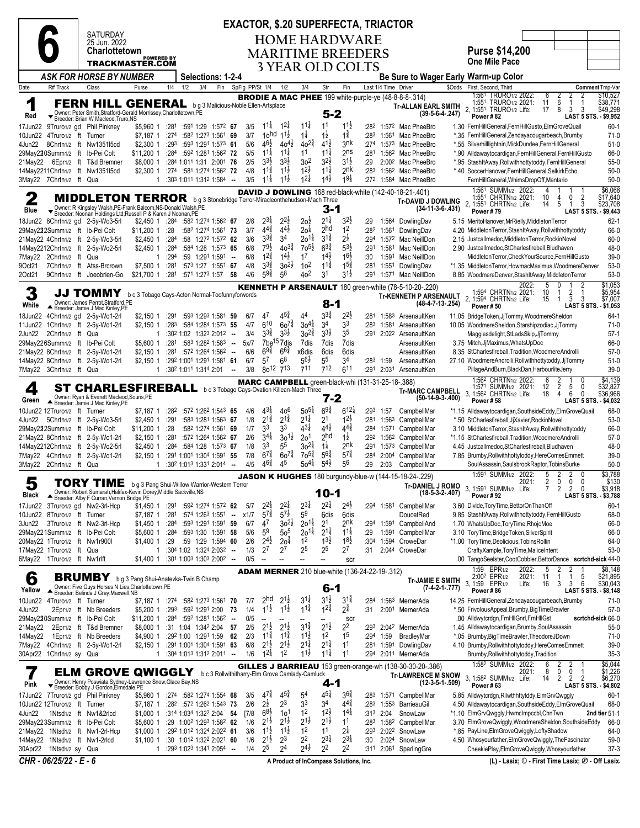| SATURDAY      |  |
|---------------|--|
| 25 Jun. 2022  |  |
| Charlottetown |  |

POWERED BY TRACKMASTER.COM

**6**

### **EXACTOR, \$.20 SUPERFECTA, TRIACTOR HOME HARDWARE**

**MARITIME BREEDERS 3 YEAR OLD COLTS**

**Purse \$14,200 One Mile Pace** *ASK FOR HORSE BY NUMBER* **Selections: 1-2-4 Be Sure to Wager Early Warm-up Color** Class Purse 1/4 1/2 3/4 Fin SpFig PP/St 1/4 1/2 3/4 Str Fin Last 1/4 Time Driver \$Odds First, Second, Third **Comment** Tmp-Var **Tr-ALLAN EARL SMITH (39-5-6-4-.247)** 1:561 TRURO1/2 1:551 TRURO1/2 2, 1:551 TRURO1/2 2022: 6 2 2 2 \$10,527 2021: 11 6 1 1 \$38,771 Life: 17 8 3 3 \$49,298

|         |                                                     | <b>FERN HILL GENERAL</b> bg3 Malicious-Noble Ellen-Artsplace                                                                    |                |      |                                                                                           |        |            |                                       |                                                          |                                      |                                      |                                       |                  |                   | <b>BRODIE A MAC PHEE</b> 199 white-purple-ye $(48-8-8-8-314)$                               | 1:56<br><b>IRURO1/2 2022:</b><br>b<br>\$10,527<br>2<br>Z<br>1:551<br>TRURO <sub>1/2</sub> 2021:<br>6<br>\$38,771<br>11<br>$\mathbf{1}$<br>-1           |
|---------|-----------------------------------------------------|---------------------------------------------------------------------------------------------------------------------------------|----------------|------|-------------------------------------------------------------------------------------------|--------|------------|---------------------------------------|----------------------------------------------------------|--------------------------------------|--------------------------------------|---------------------------------------|------------------|-------------------|---------------------------------------------------------------------------------------------|--------------------------------------------------------------------------------------------------------------------------------------------------------|
| Red     |                                                     | Owner: Peter Smith, Stratford-Gerald Morrissey, Charlottetown, PE                                                               |                |      |                                                                                           |        |            |                                       |                                                          |                                      | 5-2                                  |                                       |                  |                   | Tr-ALLAN EARL SMITH<br>$(39-5-6-4-247)$                                                     | 2, 1:551<br>\$49,298<br>TRURO <sub>1/2</sub> Life:<br>8<br>3<br>3<br>17<br>Power #82<br>LAST 5 STS. - \$9,952                                          |
|         |                                                     | ▼ Breeder: Brian W Macleod, Truro, NS<br>17Jun22 9Truro1/2 gd Phil Pinkney                                                      |                |      | \$5,960 1 :281 :591 1:29 1:572 67                                                         |        | 3/5        | $11\frac{1}{4}$                       | $1^{2}$                                                  | $11\frac{1}{4}$                      | 11                                   | $11\frac{1}{2}$                       |                  |                   | :28 <sup>2</sup> 1:57 <sup>2</sup> Mac PheeBro                                              | $60-1$<br>1.30 FernHillGeneral, FernHillGusto, ElmGroveQuail                                                                                           |
|         | 10Jun22 4Truro1/2 ft Turner                         |                                                                                                                                 | \$7,187 1 :274 |      | :582 1:273 1:561 69                                                                       |        | 3/7        | 1 <sub>o</sub> hd                     | $11\frac{1}{2}$                                          | $1\frac{1}{4}$                       | 1ż                                   | 1‡                                    | :283             |                   | 1:561 Mac PheeBro                                                                           | $71-0$<br>*.35 FernHillGeneral,Zendayacougarbeach,Brumby                                                                                               |
| 4Jun22  |                                                     | 8Chrtn1/2 ft Nw1351l5cd                                                                                                         | \$2,300 1      | :293 | :593 1:291 1:573 61                                                                       |        | 5/6        | $46\frac{1}{2}$                       | $40^{4}$                                                 | $40^{2\frac{3}{4}}$                  | $41\frac{1}{2}$                      | 3nk                                   | :274             |                   | 1:573 Mac PheeBro                                                                           | *.55 Silverhilllightnin, MickDundee, FernHillGeneral<br>$51-0$                                                                                         |
|         |                                                     | 29May220Summ1/2 ft Ib-Pei Colt                                                                                                  | \$11.200 1     | :284 | :592 1:281 1:562 72                                                                       |        | 5/5        | $1^{1\frac{1}{4}}$                    | $11\frac{1}{4}$                                          | 11                                   | $11\frac{1}{4}$                      | 2 <sub>ns</sub>                       | :281             |                   | 1:56 <sup>2</sup> Mac PheeBro                                                               | *.90 Alldawaytocardigan, FernHillGeneral, FernHillGusto<br>66-0                                                                                        |
|         |                                                     | 21May22 6Epr1/2 ft T&d Bremner                                                                                                  | \$8,000 1      |      | :284 1:011 1:31 2:001 76                                                                  |        | 2/5        | $3^{3}\frac{1}{2}$                    | $3^{3}\frac{1}{2}$                                       | 302                                  | $3^{2}$                              | $3^{1\frac{1}{2}}$                    | :29              |                   | 2:002 Mac PheeBro                                                                           | *.95 StashItAway, Rollwithhottytoddy, FernHillGeneral<br>$55-0$                                                                                        |
|         |                                                     | 14May2211Chrtn1/2 ft Nw1351l5cd                                                                                                 | \$2,300 1      |      | :274 :581 1:274 1:562 72                                                                  |        | 4/8        | $11\frac{3}{4}$<br>$11\frac{1}{4}$    | $11\frac{1}{2}$<br>$11\frac{1}{2}$                       | $12\frac{1}{2}$<br>$1^{21}$          | $11\frac{1}{4}$<br>$14\frac{1}{2}$   | 2nk<br>$19\frac{1}{4}$                | :283             |                   | 1:562 Mac PheeBro                                                                           | $50-0$<br>*.40 SoccerHanover.FernHillGeneral.SelkirkEcho                                                                                               |
|         | 3May22 7Chrtn1/2 ft Qua                             |                                                                                                                                 | $\mathbf{1}$   |      | $:30^3$ 1:01 <sup>1</sup> 1:31 <sup>2</sup> 1:58 <sup>4</sup> -                           |        | 3/5        |                                       |                                                          |                                      |                                      |                                       |                  |                   | :272 1:584 Mac PheeBro                                                                      | FernHillGeneral, WhimsDropOff, Mantario<br>$50-0$<br>\$6,068<br>1:561 SUMM <sub>1/2</sub> 2022:                                                        |
| 2       |                                                     | <b>MIDDLETON TERROR</b>                                                                                                         |                |      | b g 3 Stonebridge Terror-Miracleonthehudson-Mach Three                                    |        |            |                                       |                                                          |                                      |                                      |                                       |                  |                   | <b>DAVID J DOWLING</b> 168 red-black-white (142-40-18-21-.401)<br><b>Tr-DAVID J DOWLING</b> | 1:551 CHRTN1/2 2021:<br>0<br>2<br>10<br>\$17,640<br>4                                                                                                  |
| Blue    |                                                     | Vener: R Kingsley Walsh, PE-Frank Balcom, NS-Donald Walsh, PE<br>■ Breeder: Noonan Holdings Ltd; Russell P & Karen J Noonan, PE |                |      |                                                                                           |        |            |                                       |                                                          |                                      | 3-1                                  |                                       |                  |                   | $(34-11-3-6-.431)$                                                                          | 2, 1:551 CHRTN1/2 Life:<br>5<br>3<br>\$23,708<br>14<br>$\overline{1}$<br>Power #79<br>LAST 5 STS. - \$9,443                                            |
|         |                                                     | 18Jun22 8Chrtn1/2 gd 2-5y-Wo3-5rl                                                                                               | \$2,450 1 :284 |      | :582 1:274 1:562 67                                                                       |        | 2/8        | $2^{3\frac{1}{4}}$                    | $2^{2}$                                                  | $20\overline{2}$                     | $2^{1\frac{1}{4}}$                   | $3^{2}$                               | :29              |                   | 1:564 DowlingDav                                                                            | 5.15 MeritoHanover, MrRielly, Middleton Terror<br>$62 - 1$                                                                                             |
|         |                                                     | 29May222Summ1/2 ft Ib-Pei Colt                                                                                                  | \$11,200 1     | :28  | :582 1:274 1:561 73                                                                       |        | 3/7        | $4^{4^{3}_{4}}$                       | $44\frac{1}{2}$                                          | 2o‡                                  | 2hd                                  | 1 <sup>2</sup>                        | :282             | 1:561             | DowlingDav                                                                                  | 66-0<br>4.20 MiddletonTerror, StashItAway, Rollwithhottytoddy                                                                                          |
|         |                                                     | 21May22 4Chrtn1/2 ft 2-5y-Wo3-5rl                                                                                               | \$2,450 1      | :284 | :58 1:272 1:572 62                                                                        |        | 3/6        | $3^{3}\frac{3}{4}$                    | 34                                                       | 201#                                 | $3^{1\frac{3}{4}}$                   | $2^{\frac{1}{2}}$                     | :294             |                   | 1:572 Mac NeillDon                                                                          | 60-0<br>2.15 Justcallmedoc, Middleton Terror, Rockin Novel                                                                                             |
|         |                                                     | 14May2212Chrtn1/2 ft 2-5y-Wo2-5rl                                                                                               | \$2,450 1      | :284 | :584 1:28 1:573 65                                                                        |        | 6/8        | $79\frac{1}{2}$                       | $40^{3\frac{3}{4}}$                                      | $70^{51}$                            | $6^{3}\frac{3}{4}$                   | $5^{3}$                               | :291             | 1:581             | Mac NeillDon                                                                                | 2.90 Justcallmedoc, StCharlesfireball, Bludhaven<br>48-0                                                                                               |
|         | 7May22 2Chrtn1/2 ft                                 | Qua                                                                                                                             | 1              | :294 | :59 1:291 1:591                                                                           | $\sim$ | 6/8        | $12\frac{3}{4}$                       | $14\frac{1}{2}$                                          | 17                                   | $14\frac{1}{2}$                      | $16\frac{1}{2}$                       | :30              | 1:591             | Mac NeillDon                                                                                | $39-0$<br>MiddletonTerror,CheckYourSource,FernHillGusto                                                                                                |
| 90ct21  |                                                     | 7Chrtn1/2 ft Atss-Brcrown                                                                                                       | \$7,500 1      | :281 | :573 1:27 1:551 67                                                                        |        | 4/8<br>4/6 | $3^{3}\frac{3}{4}$<br>$59\frac{3}{4}$ | $30^{21}$<br>58                                          | 10 <sup>2</sup><br>40 <sup>2</sup>   | $11\frac{3}{4}$<br>3 <sup>1</sup>    | $1^{5^{3}_{4}}$<br>$3^{1\frac{1}{2}}$ | :281             | 1:551             | DowlingDav                                                                                  | $53-0$<br>*1.35 MiddletonTerror,HowmacMaximus,WoodmereDenver                                                                                           |
| 20ct21  | 9Chrtn <sub>1/2</sub> ft                            | Joeobrien-Go                                                                                                                    | \$21,700 1     | :281 | :571 1:273 1:57                                                                           | - 58   |            |                                       |                                                          |                                      |                                      |                                       | :291             |                   | 1:571 Mac NeillDon                                                                          | 8.85 WoodmereDenver, StashItAway, MiddletonTerror<br>$53-0$<br>\$1,053<br>2022:<br>5<br>$\Omega$                                                       |
| 3       |                                                     | JJ TOMMY                                                                                                                        |                |      | b c 3 Tobago Cays-Acton Normal-Toofunnyforwords                                           |        |            |                                       |                                                          |                                      |                                      |                                       |                  |                   | <b>KENNETH P ARSENAULT</b> 180 green-white (78-5-10-20-.220)                                | 1:594 CHRTN1/2 2021:<br>2<br>\$5,954<br>10<br>1<br>$\mathbf{1}$                                                                                        |
| White   |                                                     | Owner: James Perrot.Stratford.PE                                                                                                |                |      |                                                                                           |        |            |                                       |                                                          |                                      | 8-1                                  |                                       |                  |                   | <b>Tr-KENNETH P ARSENAULT</b><br>$(48-4-7-13-.254)$                                         | 2. 1:594 CHRTN1/2 Life:<br>- 3<br>\$7.007<br>15<br>3<br>-1<br><b>LAST 5 STS.</b><br>$- $1,053$<br><b>Power #50</b>                                     |
| 18Jun22 |                                                     | Breeder: Jamie J Mac Kinley, PE<br>4Chrtn1/2 gd 2-5y-Wo1-2rl                                                                    | \$2,150 1      |      | :291 :593 1:293 1:581 59                                                                  |        | 6/7        | 4 <sup>7</sup>                        | $4^{5}\frac{3}{4}$                                       | 44                                   | $3^{3}\frac{3}{4}$                   | $2^{2}\frac{1}{2}$                    |                  |                   | :281 1:583 ArsenaultKen                                                                     | $64-1$<br>11.05 BridgeToken, JjTommy, WoodmereSheldon                                                                                                  |
|         |                                                     | 11Jun22 1Chrtn1/2 ft 2-5y-Wo1-2rl                                                                                               | \$2,150 1      | :283 | :584 1:284 1:573 55                                                                       |        | 4/7        | 610                                   | $60^{7}$                                                 | $30^{4}$                             | 34                                   | 33                                    | :283             | 1:581             | ArsenaultKen                                                                                | 10.05 WoodmereSheldon, Starshipzodiac, JjTommy<br>$71-0$                                                                                               |
| 2Jun22  | 2Chrtn <sub>1/2</sub> ft                            | Qua                                                                                                                             | 1              |      | $:30^2$ 1:02 1:32 <sup>3</sup> 2:01 <sup>2</sup> -                                        |        | 3/4        | $3^{3}\frac{3}{4}$                    | $3^{3}\frac{1}{2}$                                       | $30^{24}$                            | $3^{3}\frac{1}{2}$                   | 35                                    |                  |                   | :291 2:022 ArsenaultKen                                                                     | Maggiesdelight, StLadsSkip, JjTommy<br>$57-1$                                                                                                          |
|         |                                                     | 29May226Summ1/2 ft Ib-Pei Colt                                                                                                  | \$5,600 1      |      | :281 :583 1:282 1:583 --                                                                  |        | 5x/7       |                                       | 7be <sup>15</sup> 7dis                                   | 7dis                                 | 7dis                                 | 7dis                                  |                  |                   | ArsenaultKen                                                                                | 3.75 Mitch, JjMaximus, WhatsUpDoc<br>66-0                                                                                                              |
|         |                                                     | 21May22 8Chrtn1/2 ft 2-5y-Wo1-2rl                                                                                               | \$2,150 1      |      | :281 :572 1:264 1:562 --                                                                  |        | 6/6        | $69\frac{3}{4}$                       | $66\frac{3}{4}$                                          | x6dis                                | 6dis                                 | 6dis                                  |                  |                   | ArsenaultKen                                                                                | 8.35 StCharlesfireball, Tradition, WoodmereAndrolli<br>$57-0$                                                                                          |
|         |                                                     | 14May22 8Chrtn1/2 ft 2-5y-Wo1-2rl                                                                                               | \$2,150 1      |      | :292 1:001 1:291 1:581 61<br>:302 1:011 1:314 2:01                                        |        | 6/7        | 57<br>$80^{12}$                       | 68<br>713                                                | 56†<br>711                           | 55<br>712                            | 34                                    | :283             | 1:59              | ArsenaultKen                                                                                | 27.10 WoodmereAndrolli, Rollwithhottytoddy, JjTommy<br>$51-0$                                                                                          |
|         | 7May22 3Chrtn1/2 ft Qua                             |                                                                                                                                 | $\mathbf{1}$   |      |                                                                                           | $\sim$ | 3/8        |                                       |                                                          |                                      |                                      | 6 <sup>11</sup>                       | :291             | 2:031             | ArsenaultKen                                                                                | $39-0$<br>PillageAndBurn,BlackDan,HarbourliteJerry<br>1:562 CHRTN1/2 2022:<br>\$4,139<br>2<br>6<br>$\mathbf{1}$<br>0                                   |
| 4       |                                                     | <b>ST CHARLESFIREBALL</b> bc3 Tobago Cays-Ovation Killean-Mach Three                                                            |                |      |                                                                                           |        |            |                                       | <b>MARC CAMPBELL</b> green-black-whi (131-31-25-18-.388) |                                      |                                      |                                       |                  |                   | <b>Tr-MARC CAMPBELL</b>                                                                     | $\overline{2}$<br>\$32,827<br>1:571 SUMM <sub>1/2</sub> 2021:<br>12<br>5<br>0                                                                          |
| Green   |                                                     | Owner: Ryan & Everett Macleod, Souris, PE<br>▲ Breeder: Jamie J Mac Kinley, PE                                                  |                |      |                                                                                           |        |            |                                       |                                                          |                                      | 7-2                                  |                                       |                  |                   | $(50-14-9-3-0.400)$                                                                         | 3, 1:56 <sup>2</sup> CHRTN <sub>1/2</sub> Life:<br>6<br>0<br>\$36,966<br>18<br>4<br><b>Power #58</b><br>LAST 5 STS. - \$4,032                          |
|         | 10Jun22 12Truro1/2 ft Turner                        |                                                                                                                                 | \$7,187 1      | :282 | :572 1:262 1:543 65                                                                       |        | 4/6        | $4^{3}\frac{1}{4}$                    | 406                                                      | $50^{51}$                            | $69\frac{3}{4}$                      | $612\frac{1}{4}$                      |                  | :293 1:57         | CampbellMar                                                                                 | 68-0<br>*1.15 Alldawaytocardigan,SouthsideEddy,ElmGroveQuail                                                                                           |
| 4Jun22  |                                                     | 5Chrtn1/2 ft 2-5y-Wo3-5rl                                                                                                       | \$2,450 1      | :291 | :583 1:281 1:563 67                                                                       |        | 1/8        | $2^{1\frac{3}{4}}$                    | $2^{1\frac{3}{4}}$                                       | $2^{1\frac{1}{4}}$                   | 2 <sup>1</sup>                       | 12불                                   |                  | :281 1:563        | CampbellMar                                                                                 | $53-0$<br>*.50 StCharlesfireball, JjXavier, RockinNovel                                                                                                |
|         |                                                     | 29May222Summ1/2 ft Ib-Pei Colt                                                                                                  | \$11,200 1     | : 28 | :582 1:274 1:561 69                                                                       |        | 1/7        | 33                                    | 33                                                       | 43‡                                  | $4^{4}$                              | $4^{4}\frac{3}{4}$                    | :284             | 1:571             | CampbellMar                                                                                 | 3.10 MiddletonTerror, StashItAway, Rollwithhottytoddy<br>66-0                                                                                          |
|         |                                                     | 21May22 8Chrtn1/2 ft 2-5y-Wo1-2rl                                                                                               | $$2,150$ 1     | :281 | :572 1:264 1:562 67                                                                       |        | 2/6        | $3^{41}$                              | $30^{11}$                                                | 201                                  | 2hd                                  | $1\frac{1}{2}$                        |                  |                   | :292 1:562 CampbellMar                                                                      | $57-0$<br>*1.15 StCharlesfireball, Tradition, WoodmereAndrolli                                                                                         |
|         |                                                     | 14May2212Chrtn1/2 ft 2-5y-Wo2-5rl                                                                                               | $$2,450$ 1     |      | $:284$ $:584$ 1:28 1:573 67                                                               |        | 1/8        | 33                                    | 55                                                       | $30^{21}$                            | $1\frac{1}{4}$                       | 2nk                                   | :291             |                   | 1:573 CampbellMar                                                                           | 48-0<br>4.45 Justcallmedoc, StCharlesfireball, Bludhaven                                                                                               |
|         |                                                     | 7May22 4Chrtn1/2 ft 2-5y-Wo1-2rl                                                                                                | $$2,150$ 1     |      | :291 1:001 1:304 1:591 55<br>$:302$ 1:013 1:331 2:014 -                                   |        | 7/8<br>4/5 | $6^{7\frac{3}{4}}$<br>$46\frac{3}{4}$ | $60^{7\frac{3}{4}}$<br>45                                | $70^{5\frac{3}{4}}$<br>$50^{4}$      | $5^{64}$<br>$5^{4}$                  | $5^{74}$<br>56                        | :284             | 2:00 <sup>4</sup> | CampbellMar                                                                                 | 7.85 Brumby, Rollwithhottytoddy, HereComesEmmett<br>$39-0$<br>$50-0$                                                                                   |
|         | 3May22 2Chrtn1/2 ft Qua                             |                                                                                                                                 |                |      |                                                                                           |        |            |                                       |                                                          |                                      |                                      |                                       | :29              | 2:03              | CampbellMar                                                                                 | SoulAssassin, SaulsbrookRaptor, TobinsBurke<br>\$3,788<br>1:591 SUMM <sub>1/2</sub> 2022:<br>5<br>2<br>2<br>0                                          |
| 5       |                                                     | TORY TIME                                                                                                                       |                |      | b g 3 Pang Shui-Willow Warrior-Western Terror                                             |        |            |                                       |                                                          |                                      |                                      |                                       |                  |                   | JASON K HUGHES 180 burgundy-blue-w (144-15-18-24-.229)<br><b>Tr-DANIEL J ROMO</b>           | 0<br>2021:<br>2<br>0<br>0<br>\$130                                                                                                                     |
| Black   |                                                     | Owner: Robert Sumarah, Halifax-Kevin Dorey, Middle Sackville, NS<br>▲ Breeder: Alby F Curran, Vernon Bridge, PE                 |                |      |                                                                                           |        |            |                                       |                                                          |                                      | 10-1                                 |                                       |                  |                   | $(18-5-3-2-.407)$                                                                           | 3<br>1:591 SUMM <sub>1/2</sub> Life:<br>$\overline{2}$<br>\$3,918<br>$\overline{2}$<br>0<br>7<br>Power #92<br>LAST 5 STS. - \$3,788                    |
|         |                                                     | 17Jun22 3Truro1/2 gd Nw2-3rl-Hcp                                                                                                | \$1,450 1 :291 |      | :592 1:274 1:572 62                                                                       |        | 5/7        | $2^{2}$                               | $2^{2}$                                                  | $2^{3}\frac{1}{4}$                   | $2^{2\frac{1}{4}}$                   | $2^{4}$                               |                  | :294 1:581        | CampbellMar                                                                                 | $60-1$<br>3.60 Divide, Tory Time, Bettor On Than Off                                                                                                   |
|         | 10Jun22 8Truro1/2 ft Turner                         |                                                                                                                                 | \$7.187 1      | :281 | $:574$ 1:26 <sup>3</sup> 1:551 $\ldots$                                                   |        | x1/7       | $5^{7\frac{3}{4}}$                    | $5^{7\frac{1}{2}}$                                       | 5 <sup>9</sup>                       | 6dis                                 | 6dis                                  |                  |                   | DoucetRed                                                                                   | 9.85 StashItAway, Rollwithhottytoddy, FernHillGusto<br>68-0                                                                                            |
| 3Jun22  |                                                     | 3Truro1/2 ft Nw2-3rl-Hcp                                                                                                        | \$1,450 1      | :284 | :593 1:291 1:591 59                                                                       |        | 6/7        | 47                                    | $30^{21}$                                                | $20^{11}$                            | 2 <sup>1</sup>                       | 2nk                                   | :294             | 1:591             | CampbellAnd                                                                                 | 1.70 WhatsUpDoc, ToryTime, RhojoMoe<br>66-0                                                                                                            |
|         | 29May221Summ1/2 ft                                  | Ib-Pei Colt                                                                                                                     | \$5,600 1      | :284 | :593 1:30 1:591 58                                                                        |        | 5/6        | 5 <sup>9</sup>                        | $50^5$                                                   | $20^{11}$                            | $2^{11}$                             | $11\frac{1}{4}$                       | :29              | 1:591             | CampbellMar                                                                                 | 3.10 ToryTime, BridgeToken, SilverSpirit<br>66-0                                                                                                       |
|         | 20May22 1Truro1/2 ft                                | Nw1r900l                                                                                                                        | \$1,400 1      | :29  | :59 1:29 1:594 60                                                                         |        | 2/6        | $2^{4}$                               | 2o‡                                                      | 1 <sup>2</sup>                       | $1^{3}\frac{1}{2}$                   | $18\frac{1}{2}$                       | :30 <sup>4</sup> | 1:594             | CroweDar                                                                                    | *1.00 ToryTime,Deolicious,TobinsRollin<br>64-0                                                                                                         |
|         | 17Mav22 1Truro1/2 ft<br>6May22 1Truro1/2 ft Nw1rlft | Qua                                                                                                                             | 1              |      | $:30^4$ 1:02 1:32 <sup>4</sup> 2:03 <sup>2</sup> -<br>$$1,400$ 1 :301 1:003 1:303 2:002 - |        | 1/3<br>0/5 | $2^7$<br>$\sim$                       | 27                                                       | 2 <sup>5</sup>                       | 25                                   | 27                                    | :31              |                   | 2:044 CroweDar                                                                              | $53-0$<br>CraftyXample,ToryTime,MaliceIntent<br>.00 TangoSeelster,CootCobbler,BettorDance scrtchd-sick 44-0                                            |
|         |                                                     |                                                                                                                                 |                |      |                                                                                           |        |            |                                       |                                                          |                                      |                                      | scr                                   |                  |                   |                                                                                             | EPR <sub>1/2</sub><br>2<br>$\overline{2}$<br>\$8,148<br>1:59<br>2022:<br>5                                                                             |
| 6       |                                                     | <b>BRUMBY</b> bg 3 Pang Shui-Anatevka-Twin B Champ                                                                              |                |      |                                                                                           |        |            |                                       | <b>ADAM MERNER</b> 210 blue-white (136-24-22-19-.312)    |                                      |                                      |                                       |                  |                   | <b>Tr-JAMIE E SMITH</b>                                                                     | 2:00 <sup>2</sup> EPR <sub>1/2</sub><br>2021:<br>\$21,895<br>\$30,043<br>11<br>$\mathbf{1}$<br>$\overline{1}$<br>$\begin{array}{c} 5 \\ 6 \end{array}$ |
| Yellow  |                                                     | Owner: Five Guys Horses N Lies, Charlottetown, PE                                                                               |                |      |                                                                                           |        |            |                                       |                                                          |                                      | $6-1$                                |                                       |                  |                   | $(7-4-2-1-.777)$                                                                            | 3<br>3, 1:59 EPR1/2<br>3<br>Life:<br>16<br>Power #86<br>LAST 5 STS. - \$8,148                                                                          |
|         | 10Jun22 4Truro1/2 ft Turner                         | Breeder: Belinda J Gray, Maxwell, NB                                                                                            | \$7,187 1 :274 |      | :582 1:273 1:561 70                                                                       |        | 7/7        | 2hd                                   | $2^{1\frac{1}{2}}$                                       | $3^{11}$                             | $3^{1}\frac{1}{2}$                   | $3^{1\frac{3}{4}}$                    | :284             |                   | 1:56 <sup>3</sup> MernerAda                                                                 | 14.25 FernHillGeneral, Zendayacougarbeach, Brumby<br>71-0                                                                                              |
| 4Jun22  |                                                     | 2Epr1/2 ft Nb Breeders                                                                                                          | \$5,200 1      |      | :293 :592 1:291 2:00                                                                      | - 73   | 1/4        | $1^{1\frac{1}{2}}$                    | $1^{1\frac{1}{2}}$                                       | $1^{1\frac{3}{4}}$                   | $1^{2^{3}_{4}}$                      | $2^{3}$                               | :31              |                   | 2:001 MernerAda                                                                             | *.50 FrivolousAppeal, Brumby, BigTimeBrawler<br>$57-0$                                                                                                 |
|         |                                                     | 29May220Summ1/2 ft Ib-Pei Colt                                                                                                  | \$11,200 1     |      | :284 :592 1:281 1:562                                                                     | $\sim$ | 0/5        | $\overline{\phantom{a}}$              | $\overline{\phantom{a}}$                                 |                                      |                                      | <b>SCI</b>                            |                  |                   |                                                                                             | .00 Alldwytcrdgn, FrnHllGnrl, FrnHllGst<br>scrtchd-sick 66-0                                                                                           |
|         |                                                     | 21May22 2Epr1/2 ft T&d Bremner                                                                                                  | \$8,000 1      |      | :31 1:04 1:342 2:04 57                                                                    |        | 2/5        | $2^{1\frac{1}{2}}$                    | $2^{1\frac{1}{2}}$                                       | $3^{1\frac{3}{4}}$                   | $2^{1\frac{1}{2}}$                   | 2 <sup>2</sup>                        |                  |                   | :293 2:042 MernerAda                                                                        | 1.45 Alldawaytocardigan, Brumby, SoulAssassin<br>$55-0$                                                                                                |
|         |                                                     | 14May22 1Epr1/2 ft Nb Breeders                                                                                                  | \$4,900 1      |      | :292 1:00 1:291 1:59 62                                                                   |        | 2/3        | $1^{1\frac{3}{4}}$                    | $1^{12}$                                                 | $11\frac{1}{2}$                      | 1 <sup>2</sup>                       | 1 <sup>5</sup>                        | :294             | 1:59              | BradleyMar                                                                                  | *.05 Brumby, Big Time Brawler, TheodoreJDown<br>$71-0$                                                                                                 |
|         |                                                     | 7May22 4Chrtn1/2 ft 2-5y-Wo1-2rl                                                                                                | \$2,150 1      |      | :291 1:001 1:304 1:591 63                                                                 |        | 6/8        | $2^{1\frac{1}{2}}$                    | $2^{1\frac{1}{2}}$                                       | $2^{1\frac{1}{4}}$                   | $2^{1\frac{1}{4}}$                   | 1 <sup>1</sup>                        |                  |                   | :281 1:591 DowlingDav                                                                       | 4.10 Brumby, Rollwithhottytoddy, HereComesEmmett<br>$39-0$                                                                                             |
|         | 30Apr22 1Chrtn1/2 sy Qua                            |                                                                                                                                 |                |      | $1:304$ 1:01 <sup>3</sup> 1:31 <sup>2</sup> 2:01 <sup>1</sup> -                           |        | 1/6        | $1^{2\frac{1}{4}}$                    | 1 <sup>2</sup>                                           | $11\frac{1}{2}$                      | $11\frac{1}{4}$                      | 11                                    | :294             |                   | 2:011 MernerAda                                                                             | $35-3$<br>Brumby, Rollwithhottytoddy, Tradition                                                                                                        |
|         |                                                     | <b>ELM GROVE QWIGGLY</b>                                                                                                        |                |      | b c 3 Rollwithitharry-Elm Grove Camlady-Camluck                                           |        |            |                                       |                                                          |                                      |                                      |                                       |                  |                   | <b>GILLES J BARRIEAU</b> 153 green-orange-wh (138-30-30-20-.386)                            | 1:58 <sup>2</sup> SUMM <sub>1/2</sub> 2022:<br>$$5,044$<br>$$1,226$<br>6<br>$\frac{2}{0}$<br>$\frac{2}{0}$<br>8<br>2021:<br>1                          |
| Pink    |                                                     | Owner: Henry Poswiata, Sydney-Lawrence Snow, Glace Bay, NS<br>▼ Breeder: Bobby J Gordon, Elmsdale, PE                           |                |      |                                                                                           |        |            |                                       |                                                          |                                      | $4 - 1$                              |                                       |                  |                   | <b>Tr-LAWRENCE M SNOW</b><br>$(12-3-5-1-.509)$                                              | 3, 1:582 SUMM1/2 Life:<br>$\overline{2}$<br>2<br>$\overline{2}$<br>14<br>\$6,270                                                                       |
|         |                                                     | 17Jun22 7Truro1/2 gd Phil Pinkney                                                                                               | \$5,960 1      |      | :274 :582 1:274 1:554 68                                                                  |        | 3/5        | $4^{7\frac{3}{4}}$                    | $4^{5\frac{3}{4}}$                                       | 5 <sup>4</sup>                       | $4^{5}$                              | $3^{64}$                              |                  |                   | :283 1:571 CampbellMar                                                                      | Power #63<br>LAST 5 STS. - \$4,802<br>5.85 Alldwytcrdgn, Rllwthhttytddy, Elm Grv Qwggly<br>$60-1$                                                      |
|         | 10Jun22 12Truro1/2 ft Turner                        |                                                                                                                                 | \$7,187 1      |      | :28 <sup>2</sup> :57 <sup>2</sup> 1:26 <sup>2</sup> 1:54 <sup>3</sup> 73                  |        | 2/6        | $2^{\frac{1}{2}}$                     | 2 <sup>3</sup>                                           | 33                                   | 34                                   | $4^{4^{3}_{4}}$                       |                  |                   | :283 1:553 BarrieauGil                                                                      | 4.50 Alldawaytocardigan, Southside Eddy, Elm Grove Quail<br>68-0                                                                                       |
| 4Jun22  |                                                     | 1Ntsd1/2 ft Nw1&2rlcd                                                                                                           | \$1,000 1      |      | :314 1:034 1:322 2:04 54                                                                  |        | $[7/8]$    | $6^{8\frac{1}{2}}$                    | 10 <sup>1</sup>                                          | 1 <sup>2</sup>                       | $12\frac{1}{2}$                      | $1^{4}$                               |                  | :313 2:04         | SnowLaw                                                                                     | *1.10 ElmGrvQwggly,HwmcImpccbl,ChnTwn<br>2nd tier 51-1                                                                                                 |
|         |                                                     | 29May223Summ1/2 ft Ib-Pei Colt                                                                                                  | \$5,600 1      |      | :29 1:00 <sup>2</sup> 1:29 <sup>3</sup> 1:58 <sup>2</sup> 62                              |        | 1/6        | $2^{1\frac{1}{2}}$                    | $2^{1\frac{1}{2}}$                                       | $2^{1\frac{1}{2}}$                   | $2^{1\frac{1}{2}}$                   | 1 <sup>1</sup>                        | :283             |                   | 1:58 <sup>2</sup> CampbellMar                                                               | 3.70 ElmGroveQwiggly,WoodmereSheldon,SouthsideEddy<br>66-0                                                                                             |
|         |                                                     | 21May22 1Ntsd1/2 ft Nw1-2rl-Hcp                                                                                                 | \$1,000 1      |      | :292 1:012 1:324 2:022 61                                                                 |        | 3/6        | $1^{1}\frac{1}{2}$                    | $1^{1}\frac{1}{2}$                                       | 1 <sup>2</sup>                       | 11                                   | $2^{1/2}$                             | :293             |                   | 2:02 <sup>2</sup> SnowLaw                                                                   | *.85 PayLine, ElmGrove Qwiggly, Lofty Shadow<br>64-0                                                                                                   |
|         |                                                     | 14May22 1Ntsd1/2 ft Nw1-2rlcd                                                                                                   | $$1,100$ 1     |      | :30 1:012 1:322 2:021 60                                                                  |        | 1/6        | $2^{1}\frac{1}{2}$                    | 2 <sup>3</sup>                                           | 2 <sup>2</sup><br>$2^{4}\frac{1}{2}$ | $2^{3\frac{1}{4}}$<br>2 <sup>2</sup> | $2^{3\frac{1}{4}}$                    | :30              | 2:024             | SnowLaw                                                                                     | 4.50 Whosyourfather, ElmGroveQwiggly, TheFascinator<br>$59-0$                                                                                          |
|         | 30Apr22 1Ntsd1/2 sy Qua<br>CHR - 06/25/22 - E - 6   |                                                                                                                                 | 1              |      | :293 1:023 1:341 2:054 --                                                                 |        | 1/4        | 25                                    | 24                                                       |                                      |                                      | 22                                    | :311             | 2:061             | SparlingGre                                                                                 | CheekiePlay, ElmGroveQwiggly, Whosyourfather<br>$37-3$                                                                                                 |
|         |                                                     |                                                                                                                                 |                |      |                                                                                           |        |            |                                       | A Product of InCompass Solutions, Inc.                   |                                      |                                      |                                       |                  |                   |                                                                                             | (L) - Lasix; ① - First Time Lasix; ② - Off Lasix.                                                                                                      |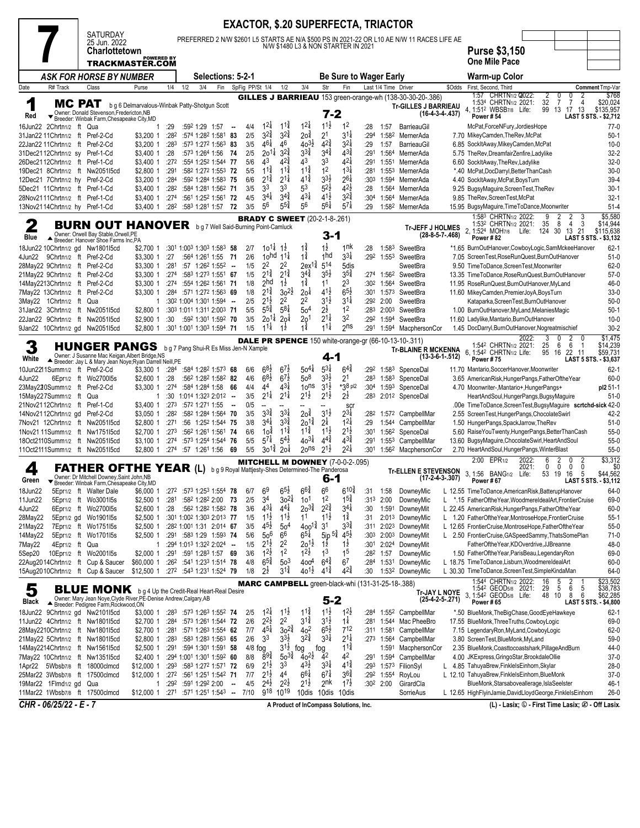|                                                                  |                                                                                                                                                                                                                                                                                                                                                                                                                                                                                                                                                                                                                                                                                                                                                                                                                                                                                                                                                                                                                                                                                                                                                                                                                                                                                                                                                                                                                                                                                                                                                |                                               |              |     |                                                                        |                          |                 |                                          |                                          |                                        |                                          | <b>EXACTOR, \$.20 SUPERFECTA, TRIACTOR</b>                    |                          |                      |                                                                                            |        |                                                                                                                                                                            |
|------------------------------------------------------------------|------------------------------------------------------------------------------------------------------------------------------------------------------------------------------------------------------------------------------------------------------------------------------------------------------------------------------------------------------------------------------------------------------------------------------------------------------------------------------------------------------------------------------------------------------------------------------------------------------------------------------------------------------------------------------------------------------------------------------------------------------------------------------------------------------------------------------------------------------------------------------------------------------------------------------------------------------------------------------------------------------------------------------------------------------------------------------------------------------------------------------------------------------------------------------------------------------------------------------------------------------------------------------------------------------------------------------------------------------------------------------------------------------------------------------------------------------------------------------------------------------------------------------------------------|-----------------------------------------------|--------------|-----|------------------------------------------------------------------------|--------------------------|-----------------|------------------------------------------|------------------------------------------|----------------------------------------|------------------------------------------|---------------------------------------------------------------|--------------------------|----------------------|--------------------------------------------------------------------------------------------|--------|----------------------------------------------------------------------------------------------------------------------------------------------------------------------------|
|                                                                  | <b>SATURDAY</b><br>25 Jun. 2022                                                                                                                                                                                                                                                                                                                                                                                                                                                                                                                                                                                                                                                                                                                                                                                                                                                                                                                                                                                                                                                                                                                                                                                                                                                                                                                                                                                                                                                                                                                |                                               |              |     |                                                                        |                          |                 |                                          |                                          |                                        |                                          |                                                               |                          |                      | PREFERRED 2 N/W \$2601 L5 STARTS AE N/A \$500 PS IN 2021-22 OR L10 AE N/W 11 RACES LIFE AE |        |                                                                                                                                                                            |
|                                                                  | Charlottetown                                                                                                                                                                                                                                                                                                                                                                                                                                                                                                                                                                                                                                                                                                                                                                                                                                                                                                                                                                                                                                                                                                                                                                                                                                                                                                                                                                                                                                                                                                                                  | <b>POWERED BY</b>                             |              |     |                                                                        |                          |                 |                                          |                                          |                                        |                                          | N/W \$1480 L3 & NON STARTER IN 2021                           |                          |                      |                                                                                            |        | <b>Purse \$3,150</b>                                                                                                                                                       |
|                                                                  |                                                                                                                                                                                                                                                                                                                                                                                                                                                                                                                                                                                                                                                                                                                                                                                                                                                                                                                                                                                                                                                                                                                                                                                                                                                                                                                                                                                                                                                                                                                                                | TRACKMASTER.COM                               |              |     |                                                                        |                          |                 |                                          |                                          |                                        |                                          |                                                               |                          |                      |                                                                                            |        | <b>One Mile Pace</b>                                                                                                                                                       |
|                                                                  | <b>ASK FOR HORSE BY NUMBER</b>                                                                                                                                                                                                                                                                                                                                                                                                                                                                                                                                                                                                                                                                                                                                                                                                                                                                                                                                                                                                                                                                                                                                                                                                                                                                                                                                                                                                                                                                                                                 |                                               |              |     | Selections: 5-2-1                                                      |                          |                 |                                          |                                          |                                        |                                          | <b>Be Sure to Wager Early</b>                                 |                          |                      |                                                                                            |        | Warm-up Color                                                                                                                                                              |
| R# Track<br>Date                                                 | Class                                                                                                                                                                                                                                                                                                                                                                                                                                                                                                                                                                                                                                                                                                                                                                                                                                                                                                                                                                                                                                                                                                                                                                                                                                                                                                                                                                                                                                                                                                                                          | Purse                                         | 1/4          | 1/2 | Fin<br>3/4                                                             |                          | SpFig PP/St 1/4 |                                          | 1/2                                      | 3/4                                    | Str                                      | Fin                                                           |                          | Last 1/4 Time Driver | GILLES J BARRIEAU 153 green-orange-wh (138-30-30-20-.386)                                  | \$Odds | First, Second, Third<br>Comment Tmp-Var<br>1:57 CHRTN <sub>1/2</sub> Q022<br>0<br>\$768<br>2<br>0<br>2                                                                     |
| 1                                                                | MC PAT                                                                                                                                                                                                                                                                                                                                                                                                                                                                                                                                                                                                                                                                                                                                                                                                                                                                                                                                                                                                                                                                                                                                                                                                                                                                                                                                                                                                                                                                                                                                         | b g 6 Delmarvalous-Winbak Patty-Shotgun Scott |              |     |                                                                        |                          |                 |                                          |                                          |                                        |                                          |                                                               |                          |                      | <b>Tr-GILLES J BARRIEAU</b>                                                                |        | 32<br>$\overline{7}$<br>$\overline{7}$<br>\$20,024<br>1:534 CHRTN <sub>1/2</sub> 2021:<br>$\overline{4}$<br>4, 1:51 <sup>2</sup> WBSB7/8 Life:<br>99 13 17 13<br>\$135,957 |
| Red                                                              | Owner: Donald Stevenson, Fredericton, NB<br>▼ Breeder: Winbak Farm, Chesapeake City, MD                                                                                                                                                                                                                                                                                                                                                                                                                                                                                                                                                                                                                                                                                                                                                                                                                                                                                                                                                                                                                                                                                                                                                                                                                                                                                                                                                                                                                                                        |                                               |              |     |                                                                        |                          |                 |                                          |                                          |                                        | $7 - 2$                                  |                                                               |                          |                      | $(16-4-3-4-437)$                                                                           |        | Power #54<br>LAST 5 STS. - \$2,712                                                                                                                                         |
| 16Jun22 2Chrtn1/2 ft Qua<br>31Jan22 11Chrtn1/2 ft Pref-2-Cd      |                                                                                                                                                                                                                                                                                                                                                                                                                                                                                                                                                                                                                                                                                                                                                                                                                                                                                                                                                                                                                                                                                                                                                                                                                                                                                                                                                                                                                                                                                                                                                | 1<br>\$3,200 1                                | :29<br>:282  |     | :592 1:29 1:57<br>:574 1:282 1:581 83                                  | - -                      | 4/4<br>2/5      | $1^{2}$<br>$3^{2^{3}_{4}}$               | $1^{1\frac{3}{4}}$<br>$3^{24}$           | $1^{2\frac{1}{4}}$<br>20 <sup>3</sup>  | $11\frac{1}{2}$<br>21                    | 1 <sup>2</sup><br>31                                          | :28<br>:294              | 1:57                 | BarrieauGil<br>1:582 MernerAda                                                             |        | McPat, ForceNFury, JordiesHope<br>$77-0$<br>$50-1$<br>7.70 MikeyCamden, TheRev, McPat                                                                                      |
| 22Jan22 11Chrtn1/2 ft Pref-2-Cd                                  |                                                                                                                                                                                                                                                                                                                                                                                                                                                                                                                                                                                                                                                                                                                                                                                                                                                                                                                                                                                                                                                                                                                                                                                                                                                                                                                                                                                                                                                                                                                                                | \$3,200 1                                     | :283         |     | :573 1:272 1:563 83                                                    |                          | 3/5             | $46\frac{1}{4}$                          | 46                                       | $40^{3}\frac{1}{2}$                    | $42\frac{3}{4}$                          | $3^{21}$                                                      | :29                      | 1:57                 | BarrieauGil                                                                                |        | 6.85 SockItAway, MikeyCamden, McPat<br>$10-0$                                                                                                                              |
| 31Dec2112Chrtn1/2 sy Pref-1-Cd<br>26Dec2112Chrtn1/2 ft Pref-1-Cd |                                                                                                                                                                                                                                                                                                                                                                                                                                                                                                                                                                                                                                                                                                                                                                                                                                                                                                                                                                                                                                                                                                                                                                                                                                                                                                                                                                                                                                                                                                                                                | \$3,400 1<br>\$3,400 1                        | : 28<br>:272 |     | :573 1:264 1:56 74<br>:554 1:252 1:544 77                              |                          | 2/5<br>5/6      | $20^{11}$<br>43                          | $3^{2}\frac{3}{4}$<br>$4^{2^{3}_{4}}$    | $3^{3}\frac{3}{4}$<br>43               | $3^{4^{3}_{4}}$<br>33                    | $4^{3\frac{3}{4}}$<br>42                                      | :291<br>:291             |                      | 1:564 MernerAda<br>1:551 MernerAda                                                         |        | 5.75 TheRev, DreamfairZenfire, Ladylike<br>$32 - 2$<br>$32-0$<br>6.60 SockItAway, The Rev, Ladylike                                                                        |
|                                                                  | 19Dec21 8Chrtn1/2 ft Nw2051l5cd                                                                                                                                                                                                                                                                                                                                                                                                                                                                                                                                                                                                                                                                                                                                                                                                                                                                                                                                                                                                                                                                                                                                                                                                                                                                                                                                                                                                                                                                                                                | $$2,800$ 1                                    | :291         |     | :582 1:272 1:553 72                                                    |                          | 5/5             | $11\frac{3}{4}$                          | $11\frac{3}{4}$                          | $11\frac{3}{4}$                        | 1 <sup>2</sup>                           | $13\frac{1}{4}$                                               | :281                     |                      | 1:553 MernerAda                                                                            |        | $30-0$<br>*.40 McPat,DocDarryl,BetterThanCash                                                                                                                              |
| 12Dec21 7Chrtn1/2 hy Pref-2-Cd                                   |                                                                                                                                                                                                                                                                                                                                                                                                                                                                                                                                                                                                                                                                                                                                                                                                                                                                                                                                                                                                                                                                                                                                                                                                                                                                                                                                                                                                                                                                                                                                                | \$3,200 1                                     | :284         |     | :592 1:284 1:583 75                                                    |                          | 6/6             | $2^{1\frac{3}{4}}$                       | $2^{1\frac{1}{4}}$                       | $4^{1\frac{3}{4}}$                     | $3^{31}$                                 | $2^{6\frac{1}{4}}$                                            | :30 <sup>3</sup>         |                      | 1:594 MernerAda                                                                            |        | 4.40 SockItAway, McPat, BoysTurn<br>$39-4$                                                                                                                                 |
| 5Dec21 11Chrtn1/2 ft Pref-1-Cd<br>28Nov2111Chrtn1/2 ft Pref-1-Cd |                                                                                                                                                                                                                                                                                                                                                                                                                                                                                                                                                                                                                                                                                                                                                                                                                                                                                                                                                                                                                                                                                                                                                                                                                                                                                                                                                                                                                                                                                                                                                | \$3,400 1<br>\$3,400 1                        | :282<br>:274 |     | :584 1:281 1:562 71<br>:561 1:252 1:561 72                             |                          | 3/5<br>4/5      | 33<br>$3^{4}$                            | 33<br>$3^{4}\frac{3}{4}$                 | 5 <sup>3</sup><br>$4^{3}\frac{1}{4}$   | $5^{2}$<br>$41\frac{1}{2}$               | $4^{2}\frac{1}{2}$<br>$3^{2^{3}}_{4}$                         | :28<br>:30 <sup>4</sup>  | 1:564<br>1:564       | MernerAda<br>MernerAda                                                                     |        | $30-1$<br>9.25 BugsyMaguire, ScreenTest, TheRev<br>9.85 TheRev, ScreenTest, McPat<br>$32 - 1$                                                                              |
| 13Nov2114Chrtn1/2 hy Pref-1-Cd                                   |                                                                                                                                                                                                                                                                                                                                                                                                                                                                                                                                                                                                                                                                                                                                                                                                                                                                                                                                                                                                                                                                                                                                                                                                                                                                                                                                                                                                                                                                                                                                                | \$3,400 1                                     | :282         |     | $:58^3$ 1:28 <sup>1</sup> 1:57 72                                      |                          | 3/5             | 56                                       | $5^{5}_{4}$                              | 56                                     | $5^{6}$                                  | $5^{7}$                                                       | :29                      |                      | 1:58 <sup>2</sup> MernerAda                                                                |        | 15.95 BugsyMaguire, Time To Dance, Moonwriter<br>$51 - 4$                                                                                                                  |
|                                                                  |                                                                                                                                                                                                                                                                                                                                                                                                                                                                                                                                                                                                                                                                                                                                                                                                                                                                                                                                                                                                                                                                                                                                                                                                                                                                                                                                                                                                                                                                                                                                                |                                               |              |     |                                                                        |                          |                 |                                          |                                          | <b>BRADY C SWEET</b> (20-2-1-8-.261)   |                                          |                                                               |                          |                      |                                                                                            |        | \$5,580<br>1:583 CHRTN1/2 2022:<br>2<br>2<br>9<br>3<br>-3<br>1:532 CHRTN1/2 2021:<br>- 8<br>$\overline{4}$<br>\$14,944<br>35                                               |
| 2                                                                |                                                                                                                                                                                                                                                                                                                                                                                                                                                                                                                                                                                                                                                                                                                                                                                                                                                                                                                                                                                                                                                                                                                                                                                                                                                                                                                                                                                                                                                                                                                                                |                                               |              |     |                                                                        |                          |                 |                                          |                                          |                                        |                                          |                                                               |                          |                      |                                                                                            |        | \$115,638<br>13 21                                                                                                                                                         |
|                                                                  | <b>BURN OUT HANOVER</b> bg 7 Well Said-Burning Point-Camluck<br><b>Tr-JEFF J HOLMES</b><br>2, 1:524 MOH7/8 Life: 124 30<br>Owner: Orwell Bay Stable.Orwell.PE<br>3-1<br>$(28-8-5-7-.468)$<br>Blue<br>Power #82<br>LAST 5 STS. - \$3,132<br>Breeder: Hanover Shoe Farms Inc, PA<br>$1\frac{1}{2}$<br>$10^{11}$ 12<br>$1\frac{3}{4}$<br>1nk<br>:301 1:003 1:303 1:583 58<br>$62 - 1$<br>18Jun22 10Chrtn1/2 gd Nw1801l5cd<br>2/7<br>:28<br>1:583<br>SweetBra<br>*1.65 BurnOutHanover,CowboyLogic,SamMckeeHanover<br>\$2,700 1<br>$1\frac{3}{4}$<br>1hd<br>$3^{31}$<br>2/6<br>10 <sup>hd</sup><br>$11\frac{1}{4}$<br>:292 1:553 SweetBra<br>4Jun22 9Chrtn1/2 ft Pref-2-Cd<br>:27<br>:564 1:261 1:55 71<br>7.05 ScreenTest, RoseRunQuest, BurnOutHanover<br>$51-0$<br>\$3,300 1<br>$2^2$<br>2 <sup>2</sup><br>$5^{14}$<br>$2ex^{1\frac{3}{4}}$<br>1/5<br>5dis<br>$62 - 0$<br>28May22 9Chrtn1/2 ft Pref-2-Cd<br>:281<br>$:57$ 1:26 <sup>2</sup> 1:55 <sup>2</sup> -<br>9.50 TimeToDance.ScreenTest.Moonwriter<br>\$3,300 1<br>SweetBra<br>$2^{1\frac{3}{4}}$<br>$2^{1\frac{3}{4}}$<br>$3^{4^{3}_{4}}$<br>$3^{5}\frac{1}{2}$<br>$3^{5\frac{3}{4}}$<br>:274<br>:583 1:273 1:551 67<br>1/5<br>:274 1:562 SweetBra<br>$57-0$<br>21May22 9Chrtn1/2 ft Pref-2-Cd<br>\$3,300 1<br>13.35 TimeToDance.RoseRunQuest.BurnOutHanover<br>$1\frac{1}{2}$<br>$1\frac{3}{4}$<br>2hd<br>23<br>1/8<br>11<br>14May2213Chrtn1/2 ft Pref-2-Cd<br>:274<br>:554 1:262 1:561 71<br>:302<br>1:564 SweetBra<br>11.95 RoseRunQuest, BurnOutHanover, MyLand<br>46-0<br>\$3,300 1 |                                               |              |     |                                                                        |                          |                 |                                          |                                          |                                        |                                          |                                                               |                          |                      |                                                                                            |        |                                                                                                                                                                            |
|                                                                  |                                                                                                                                                                                                                                                                                                                                                                                                                                                                                                                                                                                                                                                                                                                                                                                                                                                                                                                                                                                                                                                                                                                                                                                                                                                                                                                                                                                                                                                                                                                                                |                                               |              |     |                                                                        |                          |                 |                                          |                                          |                                        |                                          |                                                               |                          |                      |                                                                                            |        |                                                                                                                                                                            |
|                                                                  |                                                                                                                                                                                                                                                                                                                                                                                                                                                                                                                                                                                                                                                                                                                                                                                                                                                                                                                                                                                                                                                                                                                                                                                                                                                                                                                                                                                                                                                                                                                                                |                                               |              |     |                                                                        |                          |                 |                                          |                                          |                                        |                                          |                                                               |                          |                      |                                                                                            |        |                                                                                                                                                                            |
|                                                                  |                                                                                                                                                                                                                                                                                                                                                                                                                                                                                                                                                                                                                                                                                                                                                                                                                                                                                                                                                                                                                                                                                                                                                                                                                                                                                                                                                                                                                                                                                                                                                |                                               |              |     |                                                                        |                          |                 |                                          |                                          |                                        |                                          |                                                               |                          |                      |                                                                                            |        |                                                                                                                                                                            |
| 7May22 13Chrtn1/2 ft Pref-2-Cd                                   |                                                                                                                                                                                                                                                                                                                                                                                                                                                                                                                                                                                                                                                                                                                                                                                                                                                                                                                                                                                                                                                                                                                                                                                                                                                                                                                                                                                                                                                                                                                                                | \$3,300 1                                     |              |     | :284 :571 1:272 1:563 69                                               |                          | 1/8             | $2^{1\frac{3}{4}}$                       | $30^{21}$                                | 20 <sup>1</sup>                        | $4^{1}\frac{1}{2}$                       | $6^{51}$                                                      |                          |                      | :301 1:573 SweetBra                                                                        |        | $33-0$<br>11.60 MikeyCamden, PremierJoyA, BoysTurn                                                                                                                         |
| 3May22 1Chrtn1/2 ft Qua                                          |                                                                                                                                                                                                                                                                                                                                                                                                                                                                                                                                                                                                                                                                                                                                                                                                                                                                                                                                                                                                                                                                                                                                                                                                                                                                                                                                                                                                                                                                                                                                                | 1                                             |              |     | :302 1:004 1:301 1:594                                                 | $\sim$                   | 2/5             | $2^{1}\frac{1}{2}$<br>$55\frac{3}{4}$    | 2 <sup>2</sup><br>$5^{81}$               | 2 <sup>2</sup>                         | $3^{1}\frac{1}{2}$                       | $3^{11}$<br>1 <sup>2</sup>                                    | :292                     | 2:00                 | SweetBra                                                                                   |        | $50-0$<br>Kataparka, ScreenTest, BurnOutHanover                                                                                                                            |
|                                                                  | 31Jan22 3Chrtn1/2 ft Nw2051l5cd<br>22Jan22 9Chrtn1/2 ft Nw2051l5cd                                                                                                                                                                                                                                                                                                                                                                                                                                                                                                                                                                                                                                                                                                                                                                                                                                                                                                                                                                                                                                                                                                                                                                                                                                                                                                                                                                                                                                                                             | \$2,800 1<br>\$2,900 1                        | :30          |     | :303 1:011 1:311 2:003 71<br>:592 1:301 1:592 70                       |                          | 5/5<br>3/5      | $20^{11}$                                | 20 <sup>1</sup>                          | 5 <sup>4</sup><br>2o <sup>1</sup>      | $2\frac{1}{2}$<br>$2^{1\frac{1}{4}}$     | 32                                                            |                          | :292 1:594           | :283 2:003 SweetBra<br>SweetBra                                                            |        | $50-1$<br>1.00 BurnOutHanover, MyLand, Melanies Magic<br>11.60 Ladylike, Mantario, BurnOutHanover<br>$10 - 0$                                                              |
|                                                                  | 9Jan22 10Chrtn1/2 gd Nw2051l5cd                                                                                                                                                                                                                                                                                                                                                                                                                                                                                                                                                                                                                                                                                                                                                                                                                                                                                                                                                                                                                                                                                                                                                                                                                                                                                                                                                                                                                                                                                                                | \$2,800 1                                     |              |     | :301 1:001 1:303 1:594 71                                              |                          | 1/5             | $11\frac{1}{4}$                          | $1\frac{1}{2}$                           | $1\frac{3}{4}$                         | $11\frac{1}{4}$                          | 2 <sup>ns</sup>                                               | :291                     |                      | 1:594 MacphersonCor                                                                        |        | $30 - 2$<br>1.45 DocDarryl, BurnOutHanover, Nogreatmischief                                                                                                                |
| 3                                                                | <b>HUNGER PANGS</b> bg 7 Pang Shui-R Es Miss Jen-N Xample                                                                                                                                                                                                                                                                                                                                                                                                                                                                                                                                                                                                                                                                                                                                                                                                                                                                                                                                                                                                                                                                                                                                                                                                                                                                                                                                                                                                                                                                                      |                                               |              |     |                                                                        |                          |                 |                                          |                                          |                                        |                                          |                                                               |                          |                      | <b>DALE PR SPENCE</b> 150 white-orange-gr (66-10-13-10-.311)                               |        | \$1,475<br>2022<br>2<br>3<br>0<br>25<br>6<br>6<br>\$14,239<br>1:542 CHRTN1/2 2021:<br>-1                                                                                   |
| White                                                            | Owner: J Susanne Mac Keigan, Albert Bridge, NS<br>Breeder: Jay L & Mary Jean Noye; Ryan Darrell Neill, PE                                                                                                                                                                                                                                                                                                                                                                                                                                                                                                                                                                                                                                                                                                                                                                                                                                                                                                                                                                                                                                                                                                                                                                                                                                                                                                                                                                                                                                      |                                               |              |     |                                                                        |                          |                 |                                          |                                          |                                        | 4-1                                      |                                                               |                          |                      | <b>Tr-BLAINE R MCKENNA</b><br>$(13-3-6-1-.512)$                                            |        | 6, 1:542 CHRTN1/2 Life:<br>95 16 22 11<br>\$59,731<br>Power #75<br>LAST 5 STS. - \$3,637                                                                                   |
| 10Jun2211Summ1/2 ft Pref-2-Cd                                    |                                                                                                                                                                                                                                                                                                                                                                                                                                                                                                                                                                                                                                                                                                                                                                                                                                                                                                                                                                                                                                                                                                                                                                                                                                                                                                                                                                                                                                                                                                                                                | \$3,300 1                                     | :284         |     | :584 1:282 1:573 68                                                    |                          | 6/6             | $68\frac{1}{2}$                          | $6^{7}\frac{1}{2}$                       | $50^{4}$                               | $5^{31}$                                 | $6^{4^{\frac{3}{4}}}$                                         | :292                     |                      | 1:583 SpenceDal                                                                            |        | $62 - 1$<br>11.70 Mantario, SoccerHanover, Moonwriter                                                                                                                      |
| 4Jun22                                                           | 6Epr1/2 ft Wo2700l5s                                                                                                                                                                                                                                                                                                                                                                                                                                                                                                                                                                                                                                                                                                                                                                                                                                                                                                                                                                                                                                                                                                                                                                                                                                                                                                                                                                                                                                                                                                                           | \$2,600 1                                     | :28          |     | :562 1:282 1:582 82                                                    |                          | 4/6             | $68\frac{1}{2}$                          | $67\frac{1}{2}$                          | 50 <sup>8</sup>                        | $3^{3}\frac{1}{2}$                       | 2 <sup>1</sup>                                                | :283                     |                      | 1:583 SpenceDal                                                                            |        | $60 - 0$<br>3.65 AmericanRisk, HungerPangs, FatherOftheYear                                                                                                                |
| 23May220Summ1/2 ft Pref-2-Cd<br>15May227Summ1/2 ft Qua           |                                                                                                                                                                                                                                                                                                                                                                                                                                                                                                                                                                                                                                                                                                                                                                                                                                                                                                                                                                                                                                                                                                                                                                                                                                                                                                                                                                                                                                                                                                                                                | \$3,300 1<br>1                                | :274<br>:30  |     | $:584$ 1:284 1:58 66<br>$1:01^4$ 1:32 <sup>3</sup> 2:01 <sup>2</sup> - |                          | 4/4<br>3/5      | 44<br>$2^{1\frac{1}{4}}$                 | $4^{3}\frac{1}{4}$<br>$2^{1\frac{1}{4}}$ | 10 <sup>ns</sup><br>$2^{1\frac{1}{2}}$ | $3^{1\frac{1}{2}}$<br>$2^{1\frac{1}{2}}$ | $*38$ pl2<br>$2^{\frac{1}{2}}$                                | :30 <sup>4</sup><br>:283 |                      | 1:593 SpenceDal<br>2:012 SpenceDal                                                         |        | 4.70 Moonwriter-, Mantario+, HungerPangs+<br>pl2 51-1<br>HeartAndSoul, HungerPangs, BugsyMaguire<br>$51-0$                                                                 |
| 21Nov2112Chrtn1/2 ft Pref-1-Cd                                   |                                                                                                                                                                                                                                                                                                                                                                                                                                                                                                                                                                                                                                                                                                                                                                                                                                                                                                                                                                                                                                                                                                                                                                                                                                                                                                                                                                                                                                                                                                                                                | \$3,400 1                                     | :273         |     | :572 1:271 1:55                                                        | $\sim$                   | 0/5             | --                                       |                                          |                                        |                                          | <b>SCI</b>                                                    |                          |                      |                                                                                            |        | .00e TimeToDance,ScreenTest,BugsyMaguire scrtchd-sick 42-0                                                                                                                 |
| 14Nov2112Chrtn1/2 gd Pref-2-Cd                                   |                                                                                                                                                                                                                                                                                                                                                                                                                                                                                                                                                                                                                                                                                                                                                                                                                                                                                                                                                                                                                                                                                                                                                                                                                                                                                                                                                                                                                                                                                                                                                | \$3,050 1                                     | :282         |     | :582 1:284 1:564 70                                                    |                          | 3/5             | $3^{3}\frac{3}{4}$                       | $3^{3}\frac{1}{4}$                       | $20^{\frac{3}{4}}$                     | $3^{1}\frac{1}{2}$                       | $2^{3\frac{1}{4}}$                                            | :282                     |                      | 1:572 CampbellMar                                                                          |        | 2.55 ScreenTest, HungerPangs, ChocolateSwirl<br>42-2                                                                                                                       |
|                                                                  | 7Nov21 12Chrtn1/2 ft Nw2051l5cd<br>1Nov21 11Summ1/2 ft Nw175115cd                                                                                                                                                                                                                                                                                                                                                                                                                                                                                                                                                                                                                                                                                                                                                                                                                                                                                                                                                                                                                                                                                                                                                                                                                                                                                                                                                                                                                                                                              | \$2,800 1<br>\$2,700 1                        | :271<br>:273 |     | :56 1:25 <sup>2</sup> 1:544 75<br>:562 1:261 1:561 74                  |                          | 3/8<br>6/6      | $3^{4}$<br>10 <sup>3</sup>               | $3^{3}\frac{3}{4}$<br>$11\frac{3}{4}$    | $20^{14}$<br>$11\frac{3}{4}$           | $2^{\frac{1}{4}}$<br>$11\frac{1}{2}$     | $\frac{1}{1}$ <sup>2</sup> <sup>1</sup><br>$2^{1\frac{1}{2}}$ | :29<br>:301              |                      | 1:544 CampbellMar<br>1:562 SpenceDal                                                       |        | 1.50 HungerPangs, SpackJarrow, TheRev<br>$51-0$<br>$55-0$<br>5.60 RaiseYouTwenty,HungerPangs,BetterThanCash                                                                |
|                                                                  | 18Oct2110Summ1/2 ft Nw2051l5cd                                                                                                                                                                                                                                                                                                                                                                                                                                                                                                                                                                                                                                                                                                                                                                                                                                                                                                                                                                                                                                                                                                                                                                                                                                                                                                                                                                                                                                                                                                                 | $$3,100$ 1                                    | :274         |     | :573 1:254 1:544 76                                                    |                          | 5/5             | $5^{7\frac{1}{4}}$                       | $5^{4}$                                  | $40^{3\frac{1}{4}}$                    | $4^{4\frac{3}{4}}$                       | $4^{3}\frac{3}{4}$                                            | :291                     |                      | 1:553 CampbellMar                                                                          |        | 13.60 BugsyMaguire, Chocolate Swirl, HeartAnd Soul<br>$55-0$                                                                                                               |
|                                                                  | 11Oct2111Summ1/2 ft Nw2051l5cd                                                                                                                                                                                                                                                                                                                                                                                                                                                                                                                                                                                                                                                                                                                                                                                                                                                                                                                                                                                                                                                                                                                                                                                                                                                                                                                                                                                                                                                                                                                 | \$2,800 1                                     |              |     | :274 :57 1:261 1:56 69                                                 |                          | 5/5             | $30^{1\frac{3}{4}}$                      | 2o‡                                      | $20$ ns                                | $2^{1\frac{1}{2}}$                       | $2^{21}$                                                      | :301                     |                      | 1:56 <sup>2</sup> MacphersonCor                                                            |        | 2.70 HeartAndSoul, HungerPangs, WinterBlast<br>$55-0$                                                                                                                      |
| 4                                                                | <b>FATHER OFTHE YEAR (L)</b> bg9 Royal Mattjesty-Shes Determined-The Panderosa                                                                                                                                                                                                                                                                                                                                                                                                                                                                                                                                                                                                                                                                                                                                                                                                                                                                                                                                                                                                                                                                                                                                                                                                                                                                                                                                                                                                                                                                 |                                               |              |     |                                                                        |                          |                 |                                          |                                          |                                        |                                          | <b>MITCHELL M DOWNEY (7-0-0-2-.095)</b>                       |                          |                      |                                                                                            |        | 2:00 EPR <sub>1/2</sub><br>\$3,312<br>2022:<br>$\overline{2}$<br>ĥ<br>0<br>2<br>0<br>0<br>\$0<br>2021:<br>0<br>0                                                           |
| Green                                                            | Owner: Dr Mitchell Downey, Saint John, NB<br>Breeder: Winbak Farm, Chesapeake City, MD                                                                                                                                                                                                                                                                                                                                                                                                                                                                                                                                                                                                                                                                                                                                                                                                                                                                                                                                                                                                                                                                                                                                                                                                                                                                                                                                                                                                                                                         |                                               |              |     |                                                                        |                          |                 |                                          |                                          |                                        | 6-1                                      |                                                               |                          |                      | <b>Tr-ELLEN E STEVENSON</b><br>$(17-2-4-3-.307)$                                           |        | 3.1:56 BANG1/2 Life:<br>5<br>\$44,562<br>53 19<br>16<br>Power # 67<br>LAST 5 STS. - \$3,112                                                                                |
| 18Jun22                                                          | 5Epr1/2 ft Walter Dale                                                                                                                                                                                                                                                                                                                                                                                                                                                                                                                                                                                                                                                                                                                                                                                                                                                                                                                                                                                                                                                                                                                                                                                                                                                                                                                                                                                                                                                                                                                         | \$6,000 1                                     |              |     | :272 :573 1:253 1:554 78                                               |                          | 6/7             | 6 <sup>9</sup>                           | $6^{51}$                                 | $6^{6}\frac{3}{4}$                     | 6 <sup>6</sup>                           | $6^{10\frac{3}{4}}$                                           | :31                      | 1:58                 | DowneyMic                                                                                  |        | 64-0<br>L 12.55 TimeToDance, American Risk, Batterup Hanover                                                                                                               |
| 11Jun22                                                          | 5Epr1/2 ft Wo3001l5s                                                                                                                                                                                                                                                                                                                                                                                                                                                                                                                                                                                                                                                                                                                                                                                                                                                                                                                                                                                                                                                                                                                                                                                                                                                                                                                                                                                                                                                                                                                           | $$2,500$ 1                                    | :281         |     | :582 1:282 2:00 73                                                     |                          | 2/5             | 34                                       | $30^{21}$                                | 10 <sup>1</sup>                        | 1 <sup>2</sup>                           | $15\frac{3}{4}$                                               | :313                     | 2:00                 | DowneyMic                                                                                  |        | L *.15 FatherOftheYear, WoodmereIdealArt, FrontierCruise<br>69-0                                                                                                           |
| 4Jun22<br>28May22                                                | 6Epr1/2 ft Wo2700l5s<br>5Epr1/2 gd Wo1901l5s                                                                                                                                                                                                                                                                                                                                                                                                                                                                                                                                                                                                                                                                                                                                                                                                                                                                                                                                                                                                                                                                                                                                                                                                                                                                                                                                                                                                                                                                                                   | $$2,600$ 1<br>\$2,500 1                       | :28          |     | :562 1:282 1:582 78<br>:301 1:002 1:303 2:013 77                       |                          | 3/6<br>1/5      | $4^{3\frac{1}{4}}$<br>$11\frac{1}{2}$    | $4^{41}$<br>$11\frac{1}{2}$              | $20^{3}\frac{3}{4}$<br>1 <sup>1</sup>  | $2^{2\frac{3}{4}}$<br>$11\frac{1}{2}$    | $3^{4}$<br>$1^{\frac{3}{4}}$                                  | :30<br>:31               | 1:591                | DowneyMit<br>2:013 DowneyMic                                                               |        | L 22.45 AmericanRisk, HungerPangs, FatherOftheYear<br>60-0<br>$55-1$<br>L 1.20 FatherOftheYear, MontroseHope, FrontierCruise                                               |
| 21May22                                                          | 7Epr1/2 ft Wo175115s                                                                                                                                                                                                                                                                                                                                                                                                                                                                                                                                                                                                                                                                                                                                                                                                                                                                                                                                                                                                                                                                                                                                                                                                                                                                                                                                                                                                                                                                                                                           | \$2,500 1                                     |              |     | :282 1:001 1:31 2:014 67                                               |                          | 3/5             | $45\frac{1}{2}$                          | 5 <sup>0</sup>                           | $400^{1\frac{3}{4}}$                   | 3 <sup>1</sup>                           | $3^{34}$                                                      | :311                     |                      | 2:023 DowneyMit                                                                            |        | L 12.65 FrontierCruise, MontroseHope, FatherOftheYear<br>$55-0$                                                                                                            |
| 14May22                                                          | 5Epr1/2 ft Wo1701l5s                                                                                                                                                                                                                                                                                                                                                                                                                                                                                                                                                                                                                                                                                                                                                                                                                                                                                                                                                                                                                                                                                                                                                                                                                                                                                                                                                                                                                                                                                                                           | \$2.5001                                      |              |     | :291:5831:291:59374                                                    |                          | 5/6             | 50 <sup>6</sup>                          | 66                                       | $6^{51}$                               | $5ip^{5}\frac{3}{4}$                     | $4^{5\frac{1}{2}}$                                            | :30 <sup>3</sup>         |                      | 2:003 DowneyMit                                                                            |        | L 2.50 FrontierCruise, GASpeedSammy, ThatsSomePlan<br>$71-0$                                                                                                               |
| 7May22<br>5Sep20                                                 | 4Epr1/2 ft Qua<br>10Epr1/2 ft Wo2001I5s                                                                                                                                                                                                                                                                                                                                                                                                                                                                                                                                                                                                                                                                                                                                                                                                                                                                                                                                                                                                                                                                                                                                                                                                                                                                                                                                                                                                                                                                                                        | 1<br>\$2,000 1                                |              |     | :294 1:013 1:322 2:024 -<br>:291 :591 1:283 1:57 69                    |                          | 1/5<br>3/6      | $2^{1}\frac{1}{2}$<br>$1^{2}\frac{1}{2}$ | 2 <sup>2</sup><br>1 <sup>2</sup>         | $20^{11/2}$<br>$12\frac{1}{2}$         | $1\overline{2}$<br>1 <sup>3</sup>        | $1\overline{2}$<br>1 <sup>5</sup>                             | :301<br>:282             | 1:57                 | 2:024 DowneyMit<br>DowneyMic                                                               |        | 48-0<br>FatherOftheYear,KDOverdrive,JJBreanne<br>69-0<br>1.50 FatherOftheYear, ParisBeau, Legendary Ron                                                                    |
|                                                                  | 22Aug2014Chrtn1/2 ft Cup & Saucer                                                                                                                                                                                                                                                                                                                                                                                                                                                                                                                                                                                                                                                                                                                                                                                                                                                                                                                                                                                                                                                                                                                                                                                                                                                                                                                                                                                                                                                                                                              | \$60,000 1                                    |              |     | $:26^2$ $:54^1$ 1:23 <sup>3</sup> 1:514 <b>78</b>                      |                          | 4/8             | $6^{5*}$                                 | 50 <sup>3</sup>                          | 400 <sup>4</sup>                       | $6^{4}\frac{3}{4}$                       | 6 <sup>7</sup>                                                | :284                     |                      | 1:531 DowneyMic                                                                            |        | L 18.75 TimeToDance, Lisburn, Woodmereldeal Art<br>60-0                                                                                                                    |
|                                                                  | 15Aug2010Chrtn1/2 ft Cup & Saucer                                                                                                                                                                                                                                                                                                                                                                                                                                                                                                                                                                                                                                                                                                                                                                                                                                                                                                                                                                                                                                                                                                                                                                                                                                                                                                                                                                                                                                                                                                              | \$12,500 1                                    |              |     | :272 :543 1:231 1:524 79                                               |                          | 1/8             | $2^{\frac{1}{2}}$                        | $3^{1\frac{3}{4}}$                       | $40^{11}$                              | $4^{1\frac{3}{4}}$                       | $4^{2}\frac{3}{4}$                                            | :30                      |                      | 1:532 DowneyMic                                                                            |        | L 30.30 TimeToDance, ScreenTest, SimpleKindaMan<br>64-0                                                                                                                    |
| 5                                                                | <b>BLUE MONK</b>                                                                                                                                                                                                                                                                                                                                                                                                                                                                                                                                                                                                                                                                                                                                                                                                                                                                                                                                                                                                                                                                                                                                                                                                                                                                                                                                                                                                                                                                                                                               | b g 4 Up the Credit-Real Heart-Real Desire    |              |     |                                                                        |                          |                 |                                          |                                          |                                        |                                          | <b>MARC CAMPBELL</b> green-black-whi (131-31-25-18-.388)      |                          |                      | Tr-JAY L NOYE                                                                              |        | 1:544 CHRTN1/2 2022:<br>\$23,502<br>5<br>2<br>16<br>6<br>5<br>\$38,783<br>5<br>1:542 GEOD <sub>5/8</sub> 2021:<br>29                                                       |
| Black                                                            | Owner: Mary Jean Noye, Clyde River, PE-Denise Andrew, Calgary, AB<br>Breeder: Pedigree Farm, Rockwood, ON                                                                                                                                                                                                                                                                                                                                                                                                                                                                                                                                                                                                                                                                                                                                                                                                                                                                                                                                                                                                                                                                                                                                                                                                                                                                                                                                                                                                                                      |                                               |              |     |                                                                        |                          |                 |                                          |                                          |                                        | $5 - 2$                                  |                                                               |                          |                      | $(25-4-2-5-.271)$                                                                          |        | 3, 1:54 <sup>2</sup> GEOD <sub>5/8</sub> Life:<br>6<br>\$62,285<br>48 10<br>-8<br>Power #65<br>LAST 5 STS. - \$4,800                                                       |
|                                                                  | 18Jun22 9Chrtn1/2 gd Nw210115cd                                                                                                                                                                                                                                                                                                                                                                                                                                                                                                                                                                                                                                                                                                                                                                                                                                                                                                                                                                                                                                                                                                                                                                                                                                                                                                                                                                                                                                                                                                                | \$3,000 1                                     |              |     | :283 :573 1:263 1:552 74                                               |                          | 2/5             | $1^{2}$                                  | $11\frac{1}{2}$                          | $11\frac{3}{4}$                        | $11\frac{1}{2}$                          | $12\frac{1}{2}$                                               |                          |                      | :284 1:552 CampbellMar                                                                     |        | *.50 BlueMonk, The Big Chase, Good Eye Hawkeye<br>$62-1$                                                                                                                   |
|                                                                  | 11Jun22 4Chrtn1/2 ft Nw1801I5cd<br>28May2210Chrtn1/2 ft Nw1801l5cd                                                                                                                                                                                                                                                                                                                                                                                                                                                                                                                                                                                                                                                                                                                                                                                                                                                                                                                                                                                                                                                                                                                                                                                                                                                                                                                                                                                                                                                                             | \$2,700 1<br>\$2,700 1                        | :284<br>:281 |     | :573 1:261 1:544 72<br>:571 1:263 1:554 62                             |                          | 2/6<br>7/7      | $2^{2}\frac{1}{2}$<br>$4^{5\frac{1}{4}}$ | 2 <sup>2</sup><br>$30^{2\frac{3}{4}}$    | $3^{1\frac{3}{4}}$<br>40 <sup>2</sup>  | $3^{1}\frac{1}{2}$<br>$6^{51}$           | $1\frac{1}{4}$<br>$7^{12}$                                    | :281                     | 1:544<br>:311 1:581  | Mac PheeBro<br>CampbellMar                                                                 |        | 17.55 BlueMonk, Three Truths, CowboyLogic<br>69-0<br>7.15 LegendaryRon, MyLand, CowboyLogic<br>62-0                                                                        |
|                                                                  | 21May22 5Chrtn1/2 ft Nw1801l5cd                                                                                                                                                                                                                                                                                                                                                                                                                                                                                                                                                                                                                                                                                                                                                                                                                                                                                                                                                                                                                                                                                                                                                                                                                                                                                                                                                                                                                                                                                                                | \$2,800 1                                     | :283         |     | $:583$ 1:283 1:563 65                                                  |                          | 2/6             | 3 <sup>3</sup>                           | $3^{3}\frac{1}{2}$                       | $3^{2}\frac{3}{4}$                     | $3^{31}$                                 | $2^{1\frac{1}{4}}$                                            |                          |                      | :273 1:564 CampbellMar                                                                     |        | 59-0<br>3.80 ScreenTest, BlueMonk, MyLand                                                                                                                                  |
|                                                                  | 14May2214Chrtn1/2 ft Nw1561I5cd                                                                                                                                                                                                                                                                                                                                                                                                                                                                                                                                                                                                                                                                                                                                                                                                                                                                                                                                                                                                                                                                                                                                                                                                                                                                                                                                                                                                                                                                                                                | \$2,500 1                                     | :291         |     | :594 1:301 1:591 58                                                    |                          | 4/8 fog         |                                          | $3^{1}\frac{1}{2}$                       | fog                                    | fog                                      | $11\frac{3}{4}$                                               |                          | 1:591                | MacphersonCor                                                                              |        | 2.35 BlueMonk, Coasttocoastshark, PillageAndBurn<br>44-0                                                                                                                   |
|                                                                  | 7May22 10Chrtn1/2 ft Nw1351l5cd<br>1Apr22 5Wbsb7/8 ft 18000clmcd                                                                                                                                                                                                                                                                                                                                                                                                                                                                                                                                                                                                                                                                                                                                                                                                                                                                                                                                                                                                                                                                                                                                                                                                                                                                                                                                                                                                                                                                               | $$2,400$ 1<br>\$12,000 1                      | :293         |     | :294 1:001 1:301 1:592 60<br>:583 1:272 1:571 72                       |                          | 8/8<br>6/9      | $8^{9\frac{3}{4}}$<br>$2^{1}\frac{1}{2}$ | $50^{3\frac{3}{4}}$<br>3 <sup>3</sup>    | $40^{21}$<br>$4^{3}\frac{1}{2}$        | 4 <sup>2</sup><br>$3^{31}$               | 42<br>$4^{1\frac{3}{4}}$                                      |                          |                      | :291 1:594 CampbellMar<br>:293 1:573 FilionSyl                                             |        | 4.00 JKExpress, GringoStar, BrookdaleOllie<br>$37-0$<br>L 4.85 TahuyaBrew, Finklels Einhorn, Skylar<br>28-0                                                                |
|                                                                  | 25Mar22 3Wbsb7/8 ft 17500clmcd                                                                                                                                                                                                                                                                                                                                                                                                                                                                                                                                                                                                                                                                                                                                                                                                                                                                                                                                                                                                                                                                                                                                                                                                                                                                                                                                                                                                                                                                                                                 | \$12,000 1                                    | :272         |     | :561 1:251 1:542 71                                                    |                          | 7/7             | $2^{1\frac{1}{2}}$                       | 44                                       | $6^{61}$                               | $6^{7\frac{1}{4}}$                       | $3^{64}$                                                      |                          | :292 1:554           | RoyLou                                                                                     |        | L 12.10 TahuyaBrew, Finklels Einhorn, BlueMonk<br>$37-0$                                                                                                                   |
| 19Mar22 1Flmd1/2 gd Qua                                          |                                                                                                                                                                                                                                                                                                                                                                                                                                                                                                                                                                                                                                                                                                                                                                                                                                                                                                                                                                                                                                                                                                                                                                                                                                                                                                                                                                                                                                                                                                                                                | 1                                             | :292         |     | :591 1:292 2:00                                                        | $\overline{\phantom{a}}$ | 4/5             | $2^{4}$                                  | $2^{2}\frac{1}{2}$                       | $2^{1\frac{1}{2}}$                     | 2 <sup>nk</sup>                          | $1^{7\frac{1}{2}}$                                            |                          | $:30^2$ 2:00         | GirardCla                                                                                  |        | BlueMonk, Starsaboveallerage, IslaSeelster<br>46-1                                                                                                                         |
|                                                                  | 11Mar22 1Wbsb7/8 ft 17500clmcd                                                                                                                                                                                                                                                                                                                                                                                                                                                                                                                                                                                                                                                                                                                                                                                                                                                                                                                                                                                                                                                                                                                                                                                                                                                                                                                                                                                                                                                                                                                 | \$12,000 1                                    |              |     | :271 :571 1:251 1:543 - 7/10                                           |                          |                 | g18                                      | 1019                                     | 10dis                                  | 10dis                                    | 10dis                                                         |                          |                      | SorrieAus                                                                                  |        | L 12.65 HighFlyinJamie,DavidLloydGeorge,FinklelsEinhorn<br>$26-0$                                                                                                          |
| CHR - 06/25/22 - E - 7                                           |                                                                                                                                                                                                                                                                                                                                                                                                                                                                                                                                                                                                                                                                                                                                                                                                                                                                                                                                                                                                                                                                                                                                                                                                                                                                                                                                                                                                                                                                                                                                                |                                               |              |     |                                                                        |                          |                 |                                          |                                          |                                        |                                          | A Product of InCompass Solutions, Inc.                        |                          |                      |                                                                                            |        | (L) - Lasix; ① - First Time Lasix; ② - Off Lasix.                                                                                                                          |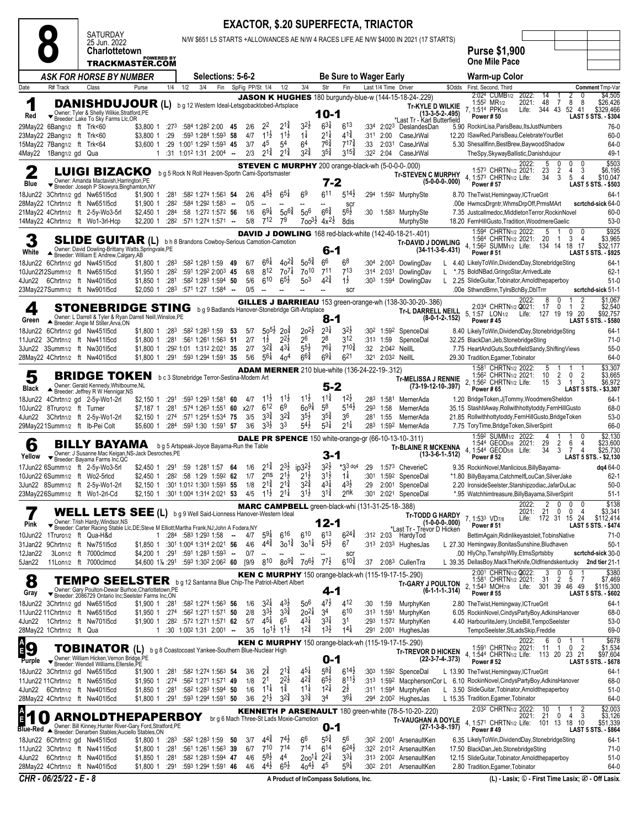|            |                                                          |                                                                                                                                                                                         |                        |                   |     |                                                                                                                                                                               |        |                 |                                             |                                          | <b>EXACTOR, \$.20 SUPERFECTA, TRIACTOR</b>               |                                                    |                                           |              |                      |                                                                                            |                    |                                                                                                                                |                                            |                                                        |
|------------|----------------------------------------------------------|-----------------------------------------------------------------------------------------------------------------------------------------------------------------------------------------|------------------------|-------------------|-----|-------------------------------------------------------------------------------------------------------------------------------------------------------------------------------|--------|-----------------|---------------------------------------------|------------------------------------------|----------------------------------------------------------|----------------------------------------------------|-------------------------------------------|--------------|----------------------|--------------------------------------------------------------------------------------------|--------------------|--------------------------------------------------------------------------------------------------------------------------------|--------------------------------------------|--------------------------------------------------------|
|            |                                                          | SATURDAY<br>25 Jun. 2022                                                                                                                                                                |                        |                   |     |                                                                                                                                                                               |        |                 |                                             |                                          |                                                          |                                                    |                                           |              |                      | N/W \$651 L5 STARTS +ALLOWANCES AE N/W 4 RACES LIFE AE N/W \$4000 IN 2021 (17 STARTS)      |                    |                                                                                                                                |                                            |                                                        |
|            |                                                          | <b>Charlottetown</b>                                                                                                                                                                    |                        | <b>POWERED BY</b> |     |                                                                                                                                                                               |        |                 |                                             |                                          |                                                          |                                                    |                                           |              |                      |                                                                                            |                    | <b>Purse \$1,900</b>                                                                                                           |                                            |                                                        |
|            |                                                          | TRACKMASTER.COM                                                                                                                                                                         |                        |                   |     |                                                                                                                                                                               |        |                 |                                             |                                          |                                                          |                                                    |                                           |              |                      |                                                                                            |                    | <b>One Mile Pace</b>                                                                                                           |                                            |                                                        |
|            |                                                          | ASK FOR HORSE BY NUMBER                                                                                                                                                                 |                        |                   |     | Selections: 5-6-2                                                                                                                                                             |        |                 |                                             |                                          |                                                          |                                                    | <b>Be Sure to Wager Early</b>             |              |                      |                                                                                            |                    | Warm-up Color                                                                                                                  |                                            |                                                        |
| Date       | R# Track                                                 | Class                                                                                                                                                                                   | Purse                  | 1/4               | 1/2 | Fin<br>3/4                                                                                                                                                                    |        | SpFig PP/St 1/4 |                                             | 1/2                                      | 3/4                                                      | Str                                                | Fin                                       |              | Last 1/4 Time Driver | <b>JASON K HUGHES</b> 180 burgundy-blue-w (144-15-18-24-.229)                              | \$Odds             | First, Second, Third<br>2:024 CUMB <sub>1/2</sub><br>2022:                                                                     | 14                                         | Comment Tmp-Var<br>\$4,505                             |
| 1<br>Red   | ▼                                                        | <b>DANISHDUJOUR (L)</b><br>Owner: Tyler & Shelly Wilkie, Stratford, PE<br>Breeder: Lake To Sky Farms Llc, OR                                                                            |                        |                   |     | b g 12 Western Ideal-Letsgobacktobed-Artsplace                                                                                                                                |        |                 |                                             |                                          |                                                          | 10-1                                               |                                           |              |                      | (13-3-5-2-495)<br>Last Tr - Karl Butterfield*                                              | Tr-KYLE D WILKIE   | 2021:<br>1:55 <sup>2</sup> MR <sub>1/2</sub><br>7, 1:514 PPK5/8<br>Life:<br><b>Power #50</b>                                   | 48<br>8<br>7<br>344 43<br>52 41            | \$26,426<br>8<br>\$329,466<br>LAST 5 STS. - \$304      |
|            | 29May22 6Bang1/2 ft Trk<60                               |                                                                                                                                                                                         | \$3,800 1              | :27 $3$           |     | $:584$ 1:28 <sup>2</sup> 2:00 45                                                                                                                                              |        | 2/6             | $2^2$                                       | $2^{1\frac{3}{4}}$                       | 32½                                                      | $6^{3\frac{1}{4}}$                                 | $6^{13}$                                  |              |                      | :334 2:023 DeslandesDan                                                                    |                    | 5.90 RockinLisa, ParisBeau, ItsJustNumbers                                                                                     |                                            | 76-0                                                   |
|            | 23May22 2Bang1/2 ft Trk<60<br>15May22 7Bang1/2 ft Trk<64 |                                                                                                                                                                                         | \$3,800 1<br>\$3,600 1 | :29               |     | :593 1:284 1:593 58<br>:29 1:001 1:292 1:593 45                                                                                                                               |        | 4/7<br>3/7      | $11\frac{1}{2}$<br>45                       | $11\frac{1}{2}$<br>54                    | $1\frac{1}{4}$<br>64                                     | $2^{11}$<br>$76\frac{3}{4}$                        | $4^{1\frac{3}{4}}$<br>$7^{17}\frac{3}{4}$ | :311<br>:33  | 2:00<br>2:031        | CaseJrWal<br>CaseJrWal                                                                     |                    | 12.20 ISawRed, ParisBeau, Celebrate YourBet<br>5.30 Shesallfinn, BestBrew, Baywood Shadow                                      |                                            | 60-0<br>64-0                                           |
|            | 4May22 1Bang1/2 gd Qua                                   |                                                                                                                                                                                         | 1                      |                   |     | $:31$ 1:01 <sup>2</sup> 1:31 2:00 <sup>4</sup> -                                                                                                                              |        | 2/3             | $2^{1\frac{3}{4}}$                          | $2^{1\frac{3}{4}}$                       | $3^{2^{3}_{4}}$                                          | $3^{5\frac{3}{4}}$                                 | $3^{15\frac{3}{4}}$                       |              | $:32^2$ 2:04         | CaseJrWal                                                                                  |                    | TheSpy, SkywayBallistic, Danishdujour                                                                                          |                                            | 49-1                                                   |
|            |                                                          |                                                                                                                                                                                         |                        |                   |     |                                                                                                                                                                               |        |                 |                                             |                                          |                                                          |                                                    |                                           |              |                      | <b>STEVEN C MURPHY</b> 200 orange-black-wh (5-0-0-0-.000)                                  |                    | 2022:<br>1:573 CHRTN1/2 2021:                                                                                                  | 5<br>0<br>23<br>$\overline{2}$<br>4        | \$503<br>3<br>\$6,195                                  |
| 2<br>Blue  |                                                          | LUIGI BIZACKO<br>Owner: Amanda Mactavish, Harrington, PE                                                                                                                                |                        |                   |     | b g 5 Rock N Roll Heaven-Sportn Cami-Sportsmaster                                                                                                                             |        |                 |                                             |                                          |                                                          | 7-2                                                |                                           |              |                      | <b>Tr-STEVEN C MURPHY</b>                                                                  | $(5-0-0-0-000)$    | 4, 1:573 CHRTN1/2 Life:<br>Power #57                                                                                           | 34<br>3<br>5                               | \$10,047<br>4<br>LAST 5 STS. - \$503                   |
|            |                                                          | Breeder: Joseph P Skowyra, Binghamton, NY<br>18Jun22 3Chrtn1/2 gd Nw651l5cd                                                                                                             | \$1,900 1              | :281              |     | :582 1:274 1:563 54                                                                                                                                                           |        | 2/6             | $4^{5}\frac{1}{2}$                          | $6^{5\frac{1}{4}}$                       | 6 <sup>9</sup>                                           | 611                                                | $5^{14}$                                  | :294         |                      | 1:592 MurphySte                                                                            |                    | 8.70 The Twist, Hemingway, ICTrueGrit                                                                                          |                                            | $64-1$                                                 |
|            |                                                          | 28May22 1Chrtn1/2 ft Nw651l5cd                                                                                                                                                          | \$1,900 1<br>\$2,450 1 | :282<br>:284      |     | :584 1:292 1:583<br>:58 1:272 1:572 56                                                                                                                                        | $\sim$ | 0/5<br>1/6      | $\overline{\phantom{a}}$<br>$69\frac{1}{4}$ | $50^{6}$                                 | 50 <sup>6</sup>                                          | $6^{64}$                                           | <b>SCI</b><br>$5^{6}\frac{1}{2}$          | :30          |                      |                                                                                            |                    | .00e HwmcsDrgntr, WhmsDrpOff, PrmsMArt<br>7.35 Justcallmedoc, Middleton Terror, Rockin Novel                                   |                                            | scrtchd-sick 64-0<br>60-0                              |
|            |                                                          | 21May22 4Chrtn1/2 ft 2-5y-Wo3-5rl<br>14May22 4Chrtn1/2 ft Wo1-3rl-Hcp                                                                                                                   | \$2,200 1              | :282              |     | :571 1:274 1:571 -                                                                                                                                                            |        | 5/8             | 712                                         | 79                                       |                                                          | $700^{3}\frac{1}{2}$ 4x <sup>2</sup> $\frac{1}{2}$ | 8dis                                      |              |                      | 1:583 MurphySte<br>MurphySte                                                               |                    | 18.20 FernHillGusto, Tradition, WoodmereGaelic                                                                                 |                                            | $53-0$                                                 |
|            |                                                          |                                                                                                                                                                                         |                        |                   |     |                                                                                                                                                                               |        |                 |                                             |                                          |                                                          |                                                    |                                           |              |                      | DAVID J DOWLING 168 red-black-white (142-40-18-21-.401)                                    |                    | 1:594 CHRTN1/2 2022:<br>1:564 CHRTN1/2 2021:                                                                                   | 0<br>20<br>3<br>-1                         | \$925<br>\$3,965<br>4                                  |
| 3<br>White |                                                          | <b>SLIDE GUITAR (L)</b><br>Owner: David Dowling-Brittany Watts, Springvale, PE<br>Breeder: William E Andrew, Calgary, AB                                                                |                        |                   |     | b h 8 Brandons Cowboy-Serious Camotion-Camotion                                                                                                                               |        |                 |                                             |                                          |                                                          | 6-1                                                |                                           |              |                      | <b>Tr-DAVID J DOWLING</b>                                                                  | $(34-11-3-6-.431)$ | 4, 1:56 <sup>2</sup> SUMM <sub>1/2</sub> Life:<br>Power #51                                                                    | 134 14<br>18                               | \$32,177<br>17<br>LAST 5 STS. - \$925                  |
|            |                                                          | 18Jun22 6Chrtn1/2 gd Nw45115cd                                                                                                                                                          | \$1,800 1              | :283              |     | :582 1:283 1:59                                                                                                                                                               | - 49   | 6/7             | $6^{6}\frac{1}{4}$<br>812                   | $40^{2\frac{3}{4}}$                      | $50^{5\frac{3}{4}}$                                      | 66<br>711                                          | 6 <sup>8</sup>                            | :304         |                      | 2:003 DowlingDav                                                                           |                    | 4.40 LikelyToWin,DividendDay,StonebridgeSting                                                                                  |                                            | $64-1$                                                 |
|            |                                                          | 10Jun2212Summ1/2 ft Nw651l5cd<br>4Jun22 6Chrtn1/2 ft Nw401l5cd                                                                                                                          | \$1,950 1<br>\$1,850 1 | :282<br>:281      |     | :591 1:292 2:003 45<br>:582 1:283 1:594 50                                                                                                                                    |        | 6/8<br>5/6      | 610                                         | $70^{7}$<br>$6^{5}\frac{1}{2}$           | 7 <sub>0</sub> 10<br>50 <sup>3</sup>                     | $4^{2^{3}_{4}}$                                    | 713<br>$1\frac{1}{2}$                     | :314<br>:303 | 1:594                | 2:031 DowlingDav<br>DowlingDav                                                             |                    | *.75 BoldNBad, GringoStar, ArrivedLate<br>L 2.25 SlideGuitar, Tobinator, Arnold the paperboy                                   |                                            | $62 - 1$<br>$51-0$                                     |
|            |                                                          | 23May227Summ1/2 ft Nw901l5cd                                                                                                                                                            | \$2.050 1              | :283              |     | :571 1:27 1:584 -                                                                                                                                                             |        | 0/5             |                                             |                                          |                                                          |                                                    | scr                                       |              |                      |                                                                                            |                    | .00e SthwndBrnn, TylrsBchBy, DbITrrr                                                                                           |                                            | scrtchd-sick 51-1                                      |
| 4          |                                                          | <b>STONEBRIDGE STING</b>                                                                                                                                                                |                        |                   |     | b g 9 Badlands Hanover-Stonebridge Gift-Artsplace                                                                                                                             |        |                 |                                             |                                          |                                                          |                                                    |                                           |              |                      | <b>GILLES J BARRIEAU</b> 153 green-orange-wh (138-30-30-20-.386)<br>Tr-L DARRELL NEILL     |                    | 2022:<br>2:034 CHRTN1/2 Q021:                                                                                                  | 0<br>8<br>17<br>0<br>$\mathbf{1}$          | \$1,067<br>$\overline{2}$<br>$\overline{2}$<br>\$2,540 |
| Green      |                                                          | Owner: L Darrell & Tyler & Ryan Darrell Neill, Winsloe, PE<br>▲ Breeder: Angie M Stiller, Arva, ON                                                                                      |                        |                   |     |                                                                                                                                                                               |        |                 |                                             |                                          |                                                          | 8-1                                                |                                           |              |                      |                                                                                            | $(8-0-1-2-152)$    | 5, 1:57 LON <sub>1/2</sub><br>Life: 127 19<br>Power #45                                                                        | 19                                         | \$92,757<br>20<br><b>LAST 5 STS. - \$580</b>           |
|            |                                                          | 18Jun22 6Chrtn1/2 gd Nw45115cd                                                                                                                                                          | \$1,800 1              |                   |     | :283 :582 1:283 1:59 53                                                                                                                                                       |        | 5/7             | $50^{51}$                                   | 20 <sup>1</sup>                          | $20^{21}$                                                | $2^{3\frac{1}{4}}$                                 | $3^{2}$                                   |              |                      | :302 1:592 SpenceDal                                                                       |                    | 8.40 LikelyToWin,DividendDay,StonebridgeSting                                                                                  |                                            | $64-1$                                                 |
| 3Jun22     |                                                          | 11Jun22 3Chrtn1/2 ft Nw411l5cd<br>3Summ1/2 ft Nw301l5cd                                                                                                                                 | \$1,800 1<br>\$1,800 1 | :281              |     | :561 1:261 1:563 51<br>:292 1:01 1:312 2:021 35                                                                                                                               |        | 2/7<br>2/7      | $1\frac{1}{2}$<br>$3^{2^{3}}$               | $2^{2}\frac{1}{2}$<br>$4^{3\frac{1}{4}}$ | 26<br>$5^{5\frac{1}{2}}$                                 | 28<br>$76\frac{1}{4}$                              | 3 <sup>12</sup><br>$7^{10\frac{3}{4}}$    | :313<br>:32  | 1:59                 | SpenceDal<br>2:042 NeillL                                                                  |                    | 32.25 BlackDan, Jeb, Stonebridge Sting<br>7.75 HeartAndGuts,SouthfieldSandy,ShiftingViews                                      |                                            | $71-0$<br>$55-0$                                       |
|            |                                                          | 28May22 4Chrtn1/2 ft Nw401l5cd                                                                                                                                                          | \$1,800 1              |                   |     | :291 :593 1:294 1:591 35                                                                                                                                                      |        | 5/6             | $56\frac{1}{4}$                             | 40 <sup>4</sup>                          | $66\frac{3}{4}$                                          | $69\frac{1}{4}$                                    | 621                                       |              |                      | :321 2:032 NeillL                                                                          |                    | 29.30 Tradition, Egamer, Tobinator                                                                                             |                                            | 64-0                                                   |
| 5          |                                                          | <b>BRIDGE TOKEN</b>                                                                                                                                                                     |                        |                   |     | b c 3 Stonebridge Terror-Sestina-Modern Art                                                                                                                                   |        |                 |                                             |                                          | <b>ADAM MERNER</b> 210 blue-white (136-24-22-19-.312)    |                                                    |                                           |              |                      |                                                                                            |                    | 1:581 CHRTN1/2 2022:<br>1:56 <sup>2</sup> CHRTN <sub>1/2</sub> 2021:                                                           | 5<br>1<br>10<br>$\overline{2}$<br>0        | \$3,307<br>2<br>\$3,665                                |
| Black      |                                                          | Owner: Gerald Kennedy, Whitbourne, NL<br>Breeder: Jeffrey R W Hennigar, NS                                                                                                              |                        |                   |     |                                                                                                                                                                               |        |                 |                                             |                                          |                                                          | $5 - 2$                                            |                                           |              |                      | <b>Tr-MELISSA J RENNIE</b>                                                                 | (73-19-12-10-.397) | 2, 1:56 <sup>2</sup> CHRTN <sub>1/2</sub> Life:<br><b>Power #65</b>                                                            | 3<br>15<br>$\overline{1}$                  | 3<br>\$6,972<br>LAST 5 STS. - \$3,307                  |
|            |                                                          | 18Jun22 4Chrtn1/2 gd 2-5y-Wo1-2rl                                                                                                                                                       | \$2,150 1              | :291              |     | :593 1:293 1:581 60                                                                                                                                                           |        | 4/7             | $11\frac{1}{2}$                             | $11\frac{1}{2}$                          | $11\frac{1}{2}$                                          | $11\frac{3}{4}$                                    | $12\frac{1}{2}$                           | :283         |                      | 1:581 MernerAda                                                                            |                    | 1.20 BridgeToken, JjTommy, WoodmereSheldon                                                                                     |                                            | $64-1$                                                 |
| 4Jun22     | 10Jun22 8Truro1/2 ft Turner                              | 3Chrtn1/2 ft 2-5y-Wo1-2rl                                                                                                                                                               | \$7,187 1<br>\$2,150 1 | :281<br>:274      |     | :574 1:26 <sup>3</sup> 1:551 60<br>:571 1:254 1:534 75                                                                                                                        |        | x2/7<br>3/5     | $6^{12}$<br>$3^{3}\frac{3}{4}$              | 6 <sup>9</sup><br>$3^{2^{3}_{4}}$        | $60^{91}$<br>$3^{5}\frac{1}{2}$                          | 5 <sup>8</sup><br>$3^{5\frac{3}{4}}$               | $5^{14}$<br>36                            | :293<br>:281 | 1:58<br>1:55         | MernerAda<br>MernerAda                                                                     |                    | 35.15 StashItAway, Rollwithhottytoddy, FernHillGusto<br>21.85 Rollwithhottytoddy, FernHillGusto, BridgeToken                   |                                            | 68-0<br>$53-0$                                         |
|            |                                                          | 29May221Summ1/2 ft Ib-Pei Colt                                                                                                                                                          | \$5,600 1              |                   |     | $:284$ :593 1:30 1:591 57                                                                                                                                                     |        | 3/6             | $3^{3}\frac{1}{2}$                          | 33                                       | $5^{41}$                                                 | $5^{31}$                                           | $2^{1\frac{1}{4}}$                        | :283         |                      | 1:592 MernerAda                                                                            |                    | 7.75 ToryTime, Bridge Token, Silver Spirit                                                                                     |                                            | 66-0                                                   |
| 6          |                                                          | BILLY BAYAMA                                                                                                                                                                            |                        |                   |     | b g 5 Artspeak-Joyce Bayama-Run the Table                                                                                                                                     |        |                 |                                             |                                          |                                                          |                                                    |                                           |              |                      | <b>DALE PR SPENCE</b> 150 white-orange-gr (66-10-13-10-.311)<br><b>Tr-BLAINE R MCKENNA</b> |                    | :59 <sup>2</sup> SUMM <sub>1/2</sub> 2022:<br>1:544 GEOD5/8 2021:                                                              | 29<br>$\overline{2}$<br>6                  | \$2,130<br>\$23,600<br>4                               |
| Yellow     |                                                          | Owner: J Susanne Mac Keigan, NS-Jack Desroches, PE<br>Breeder: Bayama Farms Inc, QC                                                                                                     |                        |                   |     |                                                                                                                                                                               |        |                 |                                             |                                          |                                                          | 3-1                                                |                                           |              |                      |                                                                                            | $(13-3-6-1-.512)$  | 4, 1:544 GEOD5/8 Life:<br><b>Power #52</b>                                                                                     | 34<br>3<br>7                               | $\overline{4}$<br>\$25,730<br>LAST 5 STS. - \$2,130    |
|            |                                                          | 17Jun22 6Summ1/2 ft 2-5y-Wo3-5rl<br>10Jun22 6Summ1/2 ft Wo2-5rlcd                                                                                                                       | \$2,450 1              | :291              |     | :59 1:281 1:57 64<br>\$2,450 1 :282 :58 1:29 1:592 62                                                                                                                         |        | 1/6<br>1/7      | $2^{1\frac{3}{4}}$<br>2 <sub>ns</sub>       | $2^{3}\frac{1}{2}$<br>$2^{1\frac{1}{2}}$ | $ip3^{2}\frac{1}{2}$<br>$2^{1\frac{1}{2}}$               | $3^{2}\frac{1}{2}$<br>$3^{1\frac{1}{2}}$           | $*33$ dq4<br>$1\frac{1}{4}$               | :29<br>:301  |                      | 1:573 CheverieC<br>1:592 SpenceDal                                                         |                    | 9.35 RockinNovel, Manlicious, Billy Bayama-<br>*1.80 BillyBayama,CatchmelfLouCan,SilverJake                                    |                                            | dq4 64-0<br>$62-1$                                     |
|            |                                                          | 3Jun22 8Summ1/2 ft 2-5y-Wo1-2rl                                                                                                                                                         |                        |                   |     | \$2,150 1 :301 1:012 1:303 1:593 55                                                                                                                                           |        | 1/8             | $2^{1\frac{3}{4}}$                          | $2^{1\frac{3}{4}}$                       | $32\frac{3}{4}$                                          | $4^{3\frac{1}{4}}$                                 | $43\frac{1}{2}$                           | :29          |                      | 2:001 SpenceDal                                                                            |                    | 2.20 IronsideSeelster,Starshipzodiac,JafarDuLac                                                                                |                                            | $50-0$                                                 |
|            |                                                          | 23May226Summ1/2 ft Wo1-2rl-Cd                                                                                                                                                           |                        |                   |     | \$2,150 1 :30 <sup>1</sup> 1:00 <sup>4</sup> 1:31 <sup>4</sup> 2:02 <sup>1</sup> 53 4/5 1 <sup>1</sup> <sup>1</sup> / <sub>2</sub> 2 <sup>1</sup> <sup>1</sup> / <sub>4</sub> |        |                 |                                             |                                          | $3^{1\frac{1}{2}}$                                       | $3^{1\frac{3}{4}}$                                 | 2 <sup>nk</sup>                           |              |                      | :301 2:021 SpenceDal                                                                       |                    | *.95 Watchhimtreasure, Billy Bayama, Silver Spirit<br>2022:                                                                    | 0<br>0                                     | $51-1$<br>\$138                                        |
|            |                                                          | WELL LETS SEE (L) bg 9 Well Said-Lionness Hanover-Western Ideal                                                                                                                         |                        |                   |     |                                                                                                                                                                               |        |                 |                                             |                                          | <b>MARC CAMPBELL</b> green-black-whi (131-31-25-18-.388) |                                                    |                                           |              |                      |                                                                                            | Tr-TODD G HARDY    | 2021:<br>7, 1:533 VD7/8                                                                                                        | 2<br>21<br>0<br>0<br>Life: 172 31 15 24    | \$3,341<br>4<br>\$112,414                              |
| Pink       |                                                          | Owner: Trish Hardy, Windsor, NS<br>▼ Breeder: Carter Racing Stable Llc, DE; Steve M Elliott; Martha Frank, NJ; John A Fodera, NY                                                        |                        |                   |     |                                                                                                                                                                               |        |                 |                                             |                                          |                                                          | 12-1                                               |                                           |              |                      | *Last Tr - Trèvor D Hicken                                                                 | $(1-0-0-0-000)$    | Power # 51                                                                                                                     |                                            | <b>LAST 5 STS. - \$474</b>                             |
|            |                                                          | 10Jun22 1Truro1/2 ft Qua-H&d<br>31Jan22 9Chrtn1/2 ft Nw75115cd                                                                                                                          |                        | $\mathbf{1}$      |     | :284 :583 1:293 1:58<br>\$1,850 1 :301 1:004 1:314 2:021 56                                                                                                                   | $\sim$ | 4/7<br>4/6      | $5^{9\frac{1}{4}}$<br>$4^{4^{3}_{4}}$       | 616<br>$30^{1\frac{3}{4}}$               | 610<br>$30^{11}$                                         | $6^{13}$<br>$5^{3}\frac{1}{2}$                     | $6^{24}$<br>6 <sup>7</sup>                |              |                      | :312 2:03 HardyTod<br>:313 2:033 HughesJas                                                 |                    | BettimAgain, Ridinlikeyastoleit, TobinsNative<br>L 27.30 Hemingway, Bonitas Sunshine, Bludhaven                                |                                            | 71-0<br>$50-1$                                         |
| 12Jan22    |                                                          | 3Lon1/2 ft 7000clmcd                                                                                                                                                                    |                        |                   |     | \$4,200 1 :291 :591 1:283 1:593 -                                                                                                                                             |        | 0/7             | $\overline{\phantom{a}}$                    | $\overline{\phantom{a}}$                 |                                                          |                                                    | <b>SCI</b>                                |              |                      |                                                                                            |                    | .00 HlyChp, TwnshpWlly, EtmsSprtsbby                                                                                           |                                            | scrtchd-sick 30-0                                      |
| 5Jan22     |                                                          | 11Lon1/2 ft 7000clmcd                                                                                                                                                                   | \$4,600 1‰ :291        |                   |     | :593 1:302 2:062 60                                                                                                                                                           |        | [9/9]           | 810                                         | $80^{9\frac{3}{4}}$                      | 70 <sup>6}</sup>                                         | $7^{7}$                                            | $6^{10\frac{3}{4}}$                       | :37          |                      | 2:08 <sup>3</sup> CullenTra                                                                |                    | L 39.35 DellasBoy, MackTheKnife, Oldfriendskentucky<br>2:001 CHRTN1/2 2022:                                                    | 3<br>0                                     | 2nd tier 21-1                                          |
| 8          |                                                          | <b>TEMPO SEELSTER</b> bg 12 Santanna Blue Chip-The Patriot-Albert Albert                                                                                                                |                        |                   |     |                                                                                                                                                                               |        |                 |                                             |                                          |                                                          |                                                    |                                           |              |                      | <b>KEN C MURPHY</b> 150 orange-black-wh (115-19-17-15-.290)<br><b>Tr-GARY J POULTON</b>    |                    | 1:581 CHRTN <sub>1/2</sub> 2021:                                                                                               | 0<br>5<br>-31<br>2                         | \$380<br>\$7,469<br>7                                  |
| Gray       |                                                          | Owner: Gary Poulton-Dewar Burhoe, Charlottetown, PE<br>Breeder: 2086729 Ontario Inc;Seelster Farms Inc,ON                                                                               |                        |                   |     |                                                                                                                                                                               |        |                 |                                             |                                          |                                                          | 4-1                                                |                                           |              |                      |                                                                                            | $(6-1-1-1-314)$    | 2, 1:543 MOH7/8 Life:<br><b>Power #55</b>                                                                                      | 301 39<br>46                               | \$115,300<br>49<br><b>LAST 5 STS. - \$602</b>          |
|            |                                                          | 18Jun22 3Chrtn1/2 gd Nw651l5cd<br>11Jun22 11Chrtn1/2 ft Nw651l5cd                                                                                                                       | \$1,900 1<br>\$1,950 1 | :281<br>:274      |     | :582 1:274 1:563 56<br>:562 1:271 1:571 50                                                                                                                                    |        | 1/6<br>2/8      | $3^{2}$<br>$3^{3}\frac{1}{2}$               | $4^{3}\frac{1}{2}$<br>$3^{34}$           | 50 <sup>6</sup><br>$20^{21}$                             | $47\frac{1}{2}$<br>34                              | 412<br>610                                | :30          | 1:59                 | MurphyKen<br>:313 1:591 MurphyKen                                                          |                    | 2.80 TheTwist, Hemingway, ICTrueGrit<br>6.05 RockinNovel, CindysPartyBoy, AdkinsHanover                                        |                                            | 64-1<br>68-0                                           |
|            |                                                          | 4Jun22 1Chrtn1/2 ft Nw70115cd                                                                                                                                                           | \$1,900 1              | :282              |     | :572 1:271 1:571 62                                                                                                                                                           |        | 5/7             | $4^{5\frac{1}{4}}$                          | 6 <sup>5</sup>                           | $4^{3\frac{1}{4}}$                                       | $3^{3}\frac{1}{4}$                                 | 31                                        |              |                      | :293 1:572 MurphyKen                                                                       |                    | 4.40 HarbourliteJerry, UncleBill, TempoSeelster                                                                                |                                            | $53-0$                                                 |
|            | 28May22 1Chrtn1/2 ft Qua                                 |                                                                                                                                                                                         | 1                      |                   |     | $:30$ 1:00 <sup>2</sup> 1:31 2:00 <sup>1</sup> --                                                                                                                             |        | 3/5             | $10^{11/2}$ $1^{11/2}$                      |                                          | $1^{2^{3}_{4}}$                                          | $1^{3}\frac{1}{2}$                                 | $1^{4\frac{1}{4}}$                        |              |                      | :291 2:001 HughesJas                                                                       |                    | TempoSeelster, StLadsSkip, Freddie                                                                                             |                                            | 69-0                                                   |
| <b>Ag</b>  |                                                          | <b>TOBINATOR (L)</b>                                                                                                                                                                    |                        |                   |     | b g 8 Coastocoast Yankee-Southern Blue-Nuclear High                                                                                                                           |        |                 |                                             |                                          |                                                          |                                                    |                                           |              |                      | <b>KEN C MURPHY</b> 150 orange-black-wh (115-19-17-15-.290)<br><b>Tr-TREVOR D HICKEN</b>   |                    | 2022:<br>1:591 CHRTN <sub>1/2</sub> 2021:                                                                                      | 6<br>0<br>1<br>0<br>- 11<br>$\overline{1}$ | \$678<br>$\overline{2}$<br>\$1,534                     |
| Purple     |                                                          | Owner: William Hicken, Vernon Bridge, PE<br>Breeder: Wendell Williams, Ellerslie, PE                                                                                                    |                        |                   |     |                                                                                                                                                                               |        |                 |                                             |                                          |                                                          | 0-1                                                |                                           |              |                      |                                                                                            | $(22-3-7-4-373)$   | 4, 1:544 CHRTN1/2 Life: 113 20 23 21<br><b>Power #52</b>                                                                       |                                            | \$97,604<br><b>LAST 5 STS. - \$678</b>                 |
|            |                                                          | 18Jun22 3Chrtn1/2 gd Nw651l5cd                                                                                                                                                          | \$1,900 1              | :281              |     | :582 1:274 1:563 54                                                                                                                                                           |        | 3/6             | $2^{\frac{3}{4}}$                           | $2^{1\frac{3}{4}}$<br>$2^{2}\frac{1}{2}$ | $4^{51}$<br>$42\frac{3}{4}$                              | $5^{8\frac{3}{4}}$<br>$65\frac{1}{2}$              | $6^{14}$                                  |              |                      | :303 1:592 SpenceDal                                                                       |                    | L 13.90 The Twist, Hemingway, ICTrueGrit                                                                                       |                                            | $64-1$                                                 |
|            |                                                          | 11Jun22 11Chrtn1/2 ft Nw65115cd<br>4Jun22 6Chrtn1/2 ft Nw40115cd                                                                                                                        | \$1,950 1<br>\$1,850 1 | :274<br>:281      |     | :562 1:271 1:571 49<br>:582 1:283 1:594 50                                                                                                                                    |        | 1/8<br>1/6      | 2 <sup>1</sup><br>$1^{1\frac{1}{4}}$        | $1\frac{3}{4}$                           | $11\frac{1}{4}$                                          | $1^{2\frac{1}{4}}$                                 | $8^{11}\frac{1}{2}$<br>$2^{\frac{1}{2}}$  |              |                      | :311 1:594 MurphyKen                                                                       |                    | :313 1:592 MacphersonCor L 6.10 RockinNovel, CindysPartyBoy, AdkinsHanover<br>3.50 SlideGuitar, Tobinator, Arnold the paperboy |                                            | 68-0<br>$51-0$                                         |
|            |                                                          | 28May22 4Chrtn1/2 ft Nw40115cd                                                                                                                                                          |                        |                   |     | \$1,800 1 :291 :593 1:294 1:591 50                                                                                                                                            |        | 3/6             | $2^{1\frac{1}{2}}$                          | $3^{24}$                                 | $3^{3}\frac{3}{4}$                                       | 34                                                 | $3^{6}\frac{1}{4}$                        |              |                      | :294 2:002 HughesJas                                                                       |                    | L 15.35 Tradition, Egamer, Tobinator                                                                                           |                                            | 64-0                                                   |
| E          |                                                          | <b>ARNOLDTHEPAPERBOY</b>                                                                                                                                                                |                        |                   |     |                                                                                                                                                                               |        |                 |                                             |                                          | br g 6 Mach Three-St Lads Moxie-Camotion                 |                                                    |                                           |              |                      | <b>KENNETH P ARSENAULT</b> 180 green-white (78-5-10-20-.220)<br>Tr-VAUGHAN A DOYLE         |                    | 2:032 CHRTN1/2 2022:<br>2021:                                                                                                  | 10<br>0<br>21<br>4                         | \$2,003<br>\$3,126<br>3                                |
|            |                                                          | Owner: Bill Kinney, Hunter River-Gary Ford, Stratford, PE<br>Blue-Red ▲ Breeder: Bill Kinney, Hunuer River-Service (1970)<br>Blue-Red ▲ Breeder: Denarben Stables, Auciello Stables, ON |                        |                   |     |                                                                                                                                                                               |        |                 |                                             |                                          |                                                          | 0-1                                                |                                           |              |                      |                                                                                            | (27-1-3-8-.197)    | 4, 1:57 <sup>1</sup> CHRTN1/2 Life:<br>Power #49                                                                               | 101 13<br>18                               | \$51,339<br>10<br><b>LAST 5 STS. - \$864</b>           |
|            |                                                          | 18Jun22 6Chrtn1/2 gd Nw45115cd                                                                                                                                                          | \$1,800 1              | :283              |     | :582 1:283 1:59                                                                                                                                                               | - 50   | 3/7             | $4^{44}_{4}$                                | $74\frac{1}{2}$                          | 66                                                       | $55\frac{3}{4}$                                    | 56                                        |              |                      | :302 2:001 ArsenaultKen                                                                    |                    | 6.35 LikelyToWin,DividendDay,StonebridgeSting                                                                                  |                                            | 64-1                                                   |
|            |                                                          | 11 Jun 22 3 Chrtn1/2 ft Nw 411 5 cd<br>4Jun22 6Chrtn1/2 ft Nw401l5cd                                                                                                                    | \$1,800 1<br>\$1,850 1 | :281<br>:281      |     | :561 1:261 1:563 39<br>:582 1:283 1:594 47                                                                                                                                    |        | 6/7<br>4/6      | $7^{10}$<br>$5^{8\frac{1}{2}}$              | 714<br>44                                | $7^{14}$<br>$200^{11}$                                   | $6^{14}$<br>$2^{2}\frac{1}{4}$                     | $6^{24}$<br>$3^{3}\frac{1}{4}$            |              |                      | :322 2:012 ArsenaultKen<br>:313 2:002 ArsenaultKen                                         |                    | 17.50 BlackDan, Jeb, Stonebridge Sting<br>12.15 SlideGuitar, Tobinator, Arnold the paperboy                                    |                                            | $71-0$<br>$51-0$                                       |
|            |                                                          | 28May22 4Chrtn1/2 ft Nw40115cd                                                                                                                                                          | \$1,800 1              | :291              |     | :593 1:294 1:591 46                                                                                                                                                           |        | 4/6             | $4^{4}\frac{1}{2}$                          | $6^{5}\frac{1}{2}$                       | $40^{4}$                                                 | 45                                                 | $5^{9\frac{1}{4}}$                        |              |                      | :302 2:01 ArsenaultKen                                                                     |                    | 2.80 Tradition, Egamer, Tobinator                                                                                              |                                            | 64-0                                                   |
|            | CHR - 06/25/22 - E - 8                                   |                                                                                                                                                                                         |                        |                   |     |                                                                                                                                                                               |        |                 |                                             |                                          | A Product of InCompass Solutions, Inc.                   |                                                    |                                           |              |                      |                                                                                            |                    | (L) - Lasix; ① - First Time Lasix; ② - Off Lasix.                                                                              |                                            |                                                        |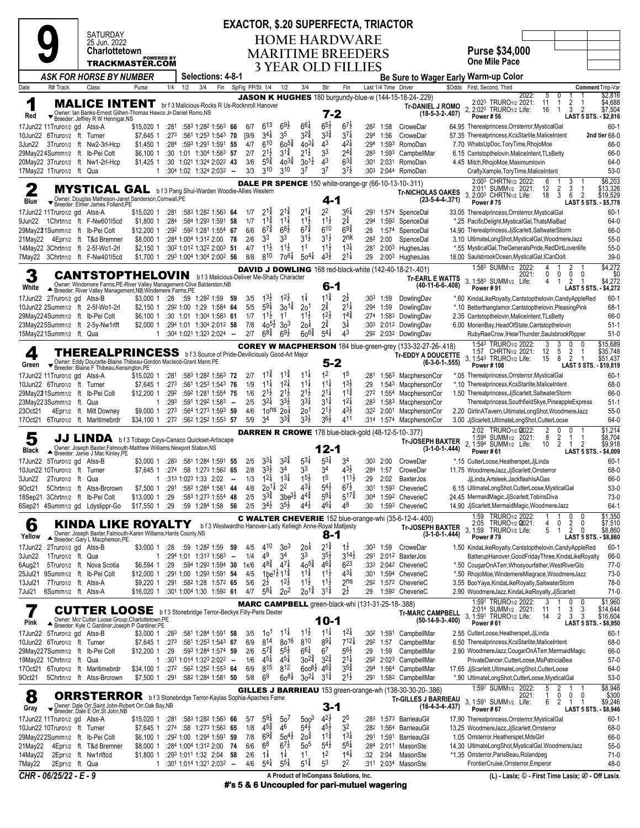| SATURDAY      |
|---------------|
| 25 Jun 2022   |
| Charlottetown |

**9**

### **EXACTOR, \$.20 SUPERFECTA, TRIACTOR HOME HARDWARE**

**MARITIME BREEDERS 3 YEAR OLD FILLIES**

**Purse \$34,000 One Mile Pace**

|                                                                                                                                                                                                                                                                        |                | TRACKMASTER.COM                                                                                                                        | <b>POWERED BY</b>                   |      |     |                                                                         |        |                 |                                          |                                         |                                        |                                       | 3 YEAR OLD FILLIES                                |                         |                      |                                                                   | <b>One Mile Pace</b>                                                                                     |                                  |
|------------------------------------------------------------------------------------------------------------------------------------------------------------------------------------------------------------------------------------------------------------------------|----------------|----------------------------------------------------------------------------------------------------------------------------------------|-------------------------------------|------|-----|-------------------------------------------------------------------------|--------|-----------------|------------------------------------------|-----------------------------------------|----------------------------------------|---------------------------------------|---------------------------------------------------|-------------------------|----------------------|-------------------------------------------------------------------|----------------------------------------------------------------------------------------------------------|----------------------------------|
|                                                                                                                                                                                                                                                                        |                | <b>ASK FOR HORSE BY NUMBER</b>                                                                                                         |                                     |      |     | <b>Selections: 4-8-1</b>                                                |        |                 |                                          |                                         |                                        |                                       |                                                   |                         |                      |                                                                   | Be Sure to Wager Early Warm-up Color                                                                     |                                  |
| R# Track<br>Date                                                                                                                                                                                                                                                       |                | Class                                                                                                                                  | Purse                               | 1/4  | 1/2 | 3/4<br>Fin                                                              |        | SpFig PP/St 1/4 |                                          | 1/2                                     | 3/4                                    | Str                                   | Fin                                               |                         | Last 1/4 Time Driver |                                                                   | \$Odds First, Second, Third                                                                              | Comment Tmp-Var                  |
| 1                                                                                                                                                                                                                                                                      |                | <b>MALICE INTENT</b> br f 3 Malicious-Rocks R Us-Rocknroll Hanover                                                                     |                                     |      |     |                                                                         |        |                 |                                          |                                         |                                        |                                       |                                                   |                         |                      | <b>JASON K HUGHES</b> 180 burgundy-blue-w (144-15-18-24-.229)     | 2022:<br>0<br>5<br>2:023 TRURO1/2 2021:<br>11<br>$\mathbf{1}$<br>$\frac{2}{3}$                           | \$2,816<br>\$4,688               |
| Red                                                                                                                                                                                                                                                                    |                | Owner: Ian Banks-Ernest Gilhen-Thomas Hawco Jr-Daniel Romo.NS                                                                          |                                     |      |     |                                                                         |        |                 |                                          |                                         |                                        | 7-2                                   |                                                   |                         |                      | <b>Tr-DANIEL J ROMO</b><br>$(18-5-3-2-.407)$                      | 2, 2:023 TRURO1/2 Life:<br>$\overline{2}$<br>16<br>$\mathbf{1}$<br>Power #56                             | \$7,504<br>LAST 5 STS. - \$2,816 |
| 17Jun22 11Truro1/2 gd Atss-A                                                                                                                                                                                                                                           |                | ▼ Breeder: Jeffrey R W Hennigar, NS                                                                                                    | \$15.020 1 :281 :583 1:282 1:563 66 |      |     |                                                                         |        | 6/7             | $6^{13}$                                 | $69\frac{1}{2}$                         | $66\frac{1}{4}$                        | $6^{5}\frac{1}{2}$                    | $6^{7}$                                           | :282                    | 1:58                 | CroweDar                                                          | 64.95 Therealprincess, Orrsterror, Mystical Gal                                                          | $60-1$                           |
| 10Jun22 6Truro1/2 ft Turner                                                                                                                                                                                                                                            |                |                                                                                                                                        |                                     |      |     | \$7,645 1 :273 :561 1:253 1:543 70                                      |        | [9/9]           | $3^{41}$                                 | 35                                      | $3^{2^{3}_{4}}$                        | 33‡                                   | $3^{7}$                                           |                         | :294 1:56            | CroweDar                                                          | 57.35 Therealprincess, KcsStarlite, MaliceIntent                                                         | 2nd tier 68-0                    |
| 3Jun22 3Truro1/2 ft Nw2-3rl-Hcp                                                                                                                                                                                                                                        |                |                                                                                                                                        | \$1,450 1                           |      |     | $:284$ $:593$ 1:291 1:591 55                                            |        | 4/7             | 610                                      | $60^{5\frac{3}{4}}$                     | $40^{31}$                              | 43                                    | $42\frac{1}{4}$                                   |                         |                      | :294 1:593 RomoDan                                                | 7.70 WhatsUpDoc, ToryTime, RhojoMoe                                                                      | 66-0                             |
| 29May224Summ1/2 ft Ib-Pei Colt<br>20May22 3Truro1/2 ft Nw1-2rl-Hcp                                                                                                                                                                                                     |                |                                                                                                                                        |                                     |      |     | \$6,100 1 :30 1:01 1:304 1:583 57<br>\$1,425 1 :30 1:021 1:324 2:022 43 |        | 2/7<br>3/6      | $2^{1\frac{1}{2}}$<br>$5^{5\frac{3}{4}}$ | $3^{12}$<br>$40^{3}\frac{3}{4}$         | $2^{1\frac{1}{2}}$<br>$30^{11}$        | 33<br>4 <sup>3</sup>                  | $2^{4^3}$<br>$6^{3}\frac{3}{4}$                   | :301                    |                      | :283 1:593 CampbellMar<br>2:031 RomoDan                           | 6.15 Cantstopthelovin, MaliceIntent, TLsBetty<br>4.45 Mitch, RhojoMoe, Maximumlovin                      | 66-0<br>64-0                     |
| 17May22 1Truro1/2 ft Qua                                                                                                                                                                                                                                               |                |                                                                                                                                        |                                     |      |     | $1:30^4$ 1:02 1:32 <sup>4</sup> 2:03 <sup>2</sup> -                     |        | 3/3             | 310                                      | 310                                     | 37                                     | 37                                    | $3^{7}\frac{1}{2}$                                | :30 <sup>3</sup>        |                      | 2:044 RomoDan                                                     | CraftyXample,ToryTime,MaliceIntent                                                                       | $53-0$                           |
|                                                                                                                                                                                                                                                                        |                |                                                                                                                                        |                                     |      |     |                                                                         |        |                 |                                          |                                         |                                        |                                       |                                                   |                         |                      | <b>DALE PR SPENCE</b> 150 white-orange-gr (66-10-13-10-.311)      | 2:003 CHRTN1/2 2022:<br>2:011 SUMM1/2 2021:<br>3<br>3<br>6                                               | \$6,203                          |
| 2                                                                                                                                                                                                                                                                      |                | MYSTICAL GAL bf3 Pang Shui-Warden Woodie-Allies Western                                                                                |                                     |      |     |                                                                         |        |                 |                                          |                                         |                                        |                                       |                                                   |                         |                      | <b>Tr-NICHOLAS OAKES</b>                                          | 2<br>12<br>3, 2:003 CHRTN1/2 Life:<br>3<br>6<br>$\overline{2}$<br>18                                     | \$13,326<br>\$19,529             |
| Blue                                                                                                                                                                                                                                                                   |                | Owner: Douglas Matheson-Janet Sanderson, Cornwall, PE<br>▼ Breeder: Elmer James Folland, PE                                            |                                     |      |     |                                                                         |        |                 |                                          |                                         |                                        | $4 - 1$                               |                                                   |                         |                      | $(23-5-4-4-371)$                                                  | Power #75                                                                                                | LAST 5 STS. - \$5,778            |
| 17Jun22 11Truro1/2 gd Atss-A                                                                                                                                                                                                                                           |                |                                                                                                                                        | \$15,020 1 :281                     |      |     | :583 1:282 1:563 64                                                     |        | 1/7<br>1/7      | $2^{1\frac{3}{4}}$<br>$1^{1\frac{3}{4}}$ | $2^{1\frac{3}{4}}$<br>$11\frac{1}{4}$   | $2^{11}$<br>$11\frac{1}{2}$            | 22<br>$1^{1\frac{1}{2}}$              | $3^{6}$<br>$2^{\frac{3}{4}}$                      | :291                    |                      | 1:574 SpenceDal                                                   | 33.05 Therealprincess, Orrsterror, MysticalGal                                                           | $60-1$                           |
| 9Jun22<br>29May221Summ1/2 ft Ib-Pei Colt                                                                                                                                                                                                                               |                | 1Chrtn1/2 ft F-Nw601l5cd                                                                                                               | \$1,800 1<br>\$12,200 1             | :284 |     | :584 1:293 1:591 58<br>:292 :592 1:281 1:554 67                         |        | 6/6             | $67\frac{3}{4}$                          | $68\frac{1}{2}$                         | $6^{7\frac{3}{4}}$                     | 610                                   | $69\frac{3}{4}$                                   | :294<br>:28             |                      | 1:59 <sup>2</sup> SpenceDal<br>1:574 SpenceDal                    | *.25 PacificDelight, MysticalGal, ThatsMiaBad<br>14.90 Therealprincess, JjScarlett, SaltwaterStorm       | 64-0<br>66-0                     |
| 21May22 4Epr1/2 ft T&d Bremner                                                                                                                                                                                                                                         |                |                                                                                                                                        | \$8,000 1                           |      |     | :284 1:004 1:312 2:00 78                                                |        | 2/6             | 33                                       | 33                                      | $3^{1\frac{1}{2}}$                     | $3^{11}$                              | $2n$ K                                            | :282                    | 2:00                 | SpenceDal                                                         | 3.10 UltimateLongShot,MysticalGal,WoodmereJazz                                                           | $55-0$                           |
| 14May22 3Chrtn1/2 ft 2-5f-Wo1-2rl                                                                                                                                                                                                                                      |                |                                                                                                                                        | $$2,150$ 1                          |      |     | :302 1:012 1:322 2:003 51                                               |        | 4/7             | $1^{1\frac{1}{2}}$                       | $11\frac{1}{2}$                         | 1 <sup>1</sup>                         | $11\frac{1}{2}$                       | $1^{3\frac{1}{4}}$                                | :281                    |                      | $2:003$ HughesJas                                                 | *.55 MysticalGal, TheGeneralsPride, RedDirtLovenlife                                                     | $55-0$                           |
| 7May22 3Chrtn1/2 ft F-Nw401l5cd                                                                                                                                                                                                                                        |                |                                                                                                                                        | \$1,700 1                           |      |     | :293 1:004 1:304 2:002 56                                               |        | 8/8             | 810                                      | $70^{61}$                               | $50^{4}$                               | $43\frac{1}{2}$                       | $2^{11}$                                          | :29                     |                      | 2:003 HughesJas                                                   | 18.00 SaulsbrookOcean, MysticalGal, ICanDolt                                                             | $39-0$                           |
| \$4,272<br>1:583 SUMM <sub>1/2</sub> 2022:<br>2<br>4<br><b>DAVID J DOWLING</b> 168 red-black-white (142-40-18-21-.401)<br>3<br><b>CANTSTOPTHELOVIN</b><br>2021:<br>0<br>0<br>0<br>0<br>\$4,272<br>b f 3 Malicious-Deliver Me-Shady Character<br><b>Tr-EARL E WATTS</b> |                |                                                                                                                                        |                                     |      |     |                                                                         |        |                 |                                          |                                         |                                        |                                       |                                                   |                         |                      |                                                                   |                                                                                                          |                                  |
| White                                                                                                                                                                                                                                                                  |                | Owner: Windemere Farms, PE-River Valley Management-Clive Balderston, NB<br>▲ Breeder: River Valley Management, NB; Windemere Farms, PE |                                     |      |     |                                                                         |        |                 |                                          |                                         |                                        | 6-1                                   |                                                   |                         |                      | $(40-11-6-6-0.408)$                                               | 3, 1:583 SUMM1/2 Life:<br>2<br>4<br>$\mathbf{1}$<br>$\overline{1}$<br>Power #91<br>LAST 5 STS.           | \$4,272                          |
| 17Jun22 2Truro1/2 gd Atss-B                                                                                                                                                                                                                                            |                |                                                                                                                                        | \$3,000 1 :28                       |      |     | :59 1:28 <sup>2</sup> 1:59 59                                           |        | 3/5             | $13\frac{1}{2}$                          | $12\frac{1}{2}$                         | 1‡                                     | $11\frac{3}{4}$                       | 2ż                                                |                         | $:30^3$ 1:59         | DowlingDav                                                        | *.60 KindaLikeRoyalty,Cantstopthelovin,CandyAppleRed                                                     | $60-1$                           |
| 10Jun22 2Summ1/2 ft 2-5f-Wo1-2rl                                                                                                                                                                                                                                       |                |                                                                                                                                        | \$2.150 1                           |      |     | :292 1:00 1:29 1:584 64                                                 |        | 5/5             | $5^{9\frac{1}{4}}$                       | $30^{14}$                               | 20 <sup>1</sup>                        | 2‡                                    | $2^{1\frac{1}{4}}$                                |                         | :294 1:59            | DowlingDav                                                        | *.10 Betterthanglamor, Cantstopthelovin, Pleasing Pink                                                   | $68-1$                           |
| 29May224Summ1/2 ft Ib-Pei Colt                                                                                                                                                                                                                                         |                |                                                                                                                                        |                                     |      |     | \$6,100 1 :30 1:01 1:304 1:583 61                                       |        | 1/7             | $11\frac{1}{2}$                          | 1 <sup>1</sup>                          | $11\frac{1}{2}$                        | $1^{2}\frac{1}{2}$                    | $1^{4}$                                           |                         |                      | :274 1:583 DowlingDav                                             | 2.35 Cantstopthelovin, MaliceIntent, TLsBetty                                                            | 66-0                             |
| 23May225Summ1/2 ft 2-5y-Nw1rlft<br>15May221Summ1/2 ft Qua                                                                                                                                                                                                              |                |                                                                                                                                        |                                     |      |     | \$2,000 1 :294 1:01 1:304 2:012 58<br>$1:30^4 1:02^1 1:32^3 2:02^4$ -   |        | 7/8<br>2/7      | $40^{51}$<br>$6^{8\frac{3}{4}}$          | 3 <sup>3</sup><br>$69\frac{1}{2}$       | 20 <sup>1</sup><br>$60^{6}\frac{3}{4}$ | $2^{3}_{4}$<br>$5^{4}$                | $3\frac{1}{4}$<br>43                              | :303                    |                      | 2:01 <sup>2</sup> DowlingDav<br>:292 2:032 DowlingDav             | 6.00 MorienBay, HeadOfState, Cantstopthelovin<br>RubyRaeCrow, IHearThunder, SaulsbrookRipper             | $51-1$<br>$51-0$                 |
|                                                                                                                                                                                                                                                                        |                |                                                                                                                                        |                                     |      |     |                                                                         |        |                 |                                          |                                         |                                        |                                       |                                                   |                         |                      | <b>COREY W MACPHERSON</b> 184 blue-green-grey (133-32-27-26-.418) | 1:543 TRURO1/2 2022:<br>3                                                                                | \$15,689                         |
| 4                                                                                                                                                                                                                                                                      |                | <b>THEREALPRINCESS</b> b f 3 Source of Pride-Deviliciously Good-Art Major                                                              |                                     |      |     |                                                                         |        |                 |                                          |                                         |                                        |                                       |                                                   |                         |                      | <b>Tr-EDDY A DOUCETTE</b>                                         | 5<br>1:57 CHRTN1/2 2021:<br>12<br>2<br>3, 1:543 TRURO1/2 Life:<br>8<br>2<br>15<br>-1                     | \$35,748<br>\$51,437             |
| Green                                                                                                                                                                                                                                                                  |                | Owner: Eddy Doucette-Blaine Thibeau-Gordon Macleod-Grant Mann, PE<br>Breeder: Blaine F Thibeau, Kensington, PE                         |                                     |      |     |                                                                         |        |                 |                                          |                                         |                                        | $5 - 2$                               |                                                   |                         |                      | $(6-3-0-1-.555)$                                                  | Power #108                                                                                               | LAST 5 STS. - \$19,819           |
| 17Jun22 11Truro1/2 gd Atss-A                                                                                                                                                                                                                                           |                |                                                                                                                                        | \$15,020 1 :281                     |      |     | :583 1:282 1:563 72                                                     |        | 2/7             | $1^{1\frac{3}{4}}$                       | $11\frac{3}{4}$                         | $11\frac{1}{4}$                        | 1 <sup>2</sup>                        | 1 <sup>5</sup>                                    | :281                    |                      | 1:563 MacphersonCor                                               | *.05 Therealprincess, Orrsterror, MysticalGal                                                            | $60-1$                           |
| 10Jun22 6Truro1/2 ft Turner                                                                                                                                                                                                                                            |                |                                                                                                                                        |                                     |      |     | \$7,645 1 :273 :561 1:253 1:543 76                                      |        | 1/9             | $11\frac{1}{4}$<br>$2^{1\frac{1}{2}}$    | $12\frac{1}{4}$<br>$2^{1\frac{1}{2}}$   | $11\frac{1}{4}$<br>$2^{1\frac{1}{2}}$  | $11\frac{1}{4}$                       | $13\frac{1}{2}$                                   | :29                     |                      | 1:543 MacphersonCor                                               | *.10 Therealprincess, KcsStarlite, MaliceIntent                                                          | 68-0                             |
| 29May221Summ1/2 ft Ib-Pei Colt<br>23May223Summ1/2 ft Qua                                                                                                                                                                                                               |                |                                                                                                                                        | \$12,200 1 :292<br>$\mathbf{1}$     | :293 |     | :592 1:281 1:554 75<br>:591 1:292 1:583 -                               |        | 1/6<br>2/5      | $3^{21}$                                 | $3^{3}\frac{1}{2}$                      | $3^{31}$                               | $2^{11}$<br>$3^{14}$                  | $11\frac{3}{4}$<br>$1^{2\frac{1}{4}}$             | :283                    |                      | :272 1:554 MacphersonCor<br>1:583 MacphersonCor                   | 1.50 Therealprincess, JjScarlett, SaltwaterStorm<br>Therealprincess, Southfield Skye, Pineapple Express  | 66-0<br>$51-1$                   |
| 23Oct21                                                                                                                                                                                                                                                                |                | 4Epr1/2 ft Milt Downey                                                                                                                 | \$9,000 1 :273                      |      |     | :564 1:273 1:593 59                                                     |        | 4/6             | 10 <sub>ns</sub>                         | 20 <sup>1</sup>                         | 2o <sup>1</sup>                        | $2^{1\frac{1}{2}}$                    | $43\frac{1}{2}$                                   |                         | :322 2:001           | MacphersonCor                                                     | 2.20 GirllnATavern, UltimateLongShot, WoodmereJazz                                                       | $55-0$                           |
| 17Oct21 6Truro1/2 ft Maritimebrdr                                                                                                                                                                                                                                      |                |                                                                                                                                        | \$34,100 1                          |      |     | :272 :562 1:252 1:553 57                                                |        | 5/9             | 34                                       | $3^{3}$                                 | $3^{3}\frac{1}{2}$                     | 36}                                   | 411                                               |                         |                      | :314 1:574 MacphersonCor                                          | 3.00 JjScarlett, UltimateLongShot, CutterLoose                                                           | 64-0                             |
|                                                                                                                                                                                                                                                                        |                |                                                                                                                                        |                                     |      |     |                                                                         |        |                 |                                          |                                         |                                        |                                       |                                                   |                         |                      | DARREN R CROWE 178 blue-black-gold (48-12-5-10-.377)              | 2:02 TRURO1/2 2022:<br>2<br>0<br>0<br>$\overline{2}$<br>1:594 SUMM1/2 2021:<br>8<br>$\overline{1}$<br>-1 | \$1,214<br>\$8,704               |
| 5                                                                                                                                                                                                                                                                      |                | JJ LINDA bf3 Tobago Cays-Canaco Quickset-Artiscape                                                                                     |                                     |      |     |                                                                         |        |                 |                                          |                                         |                                        | 12-1                                  |                                                   |                         |                      | <b>Tr-JOSEPH BAXTER</b><br>$(3-1-0-1-.444)$                       | 2, 1:594 SUMM1/2 Life:<br>2<br>$\overline{2}$<br>10<br>-1                                                | \$9,918                          |
| Black                                                                                                                                                                                                                                                                  |                | Owner: Joseph Baxter, Falmouth-Matthew Williams, Newport Station, NS<br>▲ Breeder: Jamie J Mac Kinley, PE                              |                                     |      |     |                                                                         |        |                 | $3^{3\frac{1}{4}}$                       | $3^{24}$                                | $5^{31}$                               | $5^{3\frac{1}{4}}$                    | 34                                                |                         |                      |                                                                   | Power #61<br>*.15 CutterLoose, Heatherspet, JjLinda                                                      | LAST 5 STS. - \$4,009            |
| 17Jun22 5Truro1/2 gd Atss-B<br>10Jun22 10Truro1/2 ft Turner                                                                                                                                                                                                            |                |                                                                                                                                        | $$3,000$ 1 :28 <sup>3</sup>         |      |     | :581 1:284 1:591 55<br>\$7,645 1 :274 :58 1:273 1:562 65                |        | 2/5<br>2/8      | $3^{3}\frac{1}{2}$                       | 3 <sup>4</sup>                          | 33                                     | 34                                    | $4^{3}\frac{1}{2}$                                | :303<br>:284            | 2:00<br>1:57         | CroweDar<br>CroweDar                                              | 11.75 WoodmereJazz, JjScarlett, Orrsterror                                                               | $60-1$<br>68-0                   |
| 3Jun22<br>2Truro1/2 ft Qua                                                                                                                                                                                                                                             |                |                                                                                                                                        |                                     |      |     | 1 :313 1:023 1:33 2:02                                                  | $\sim$ | 1/3             | $1^{2\frac{1}{4}}$                       | $1^{31}$                                | $15\frac{1}{2}$                        | 1 <sup>5</sup>                        | $111\frac{1}{2}$                                  | :29                     | 2:02                 | BaxterJos                                                         | JjLinda,Artsleek,JackflashIsAGas                                                                         | 66-0                             |
| 9Oct21                                                                                                                                                                                                                                                                 |                | 5Chrtn1/2 ft Atss-Brcrown                                                                                                              | \$7,500 1 :291                      |      |     | :582 1:284 1:581 44                                                     |        | 4/8             | 201#                                     | 2 <sup>2</sup>                          | $4^{3\frac{1}{4}}$<br>$4^{4^{3}_{4}}$  | $5^{4}$                               | $6^{7\frac{1}{2}}$                                | :301                    |                      | 1:593 CheverieC                                                   | 6.15 UltimateLongShot,CutterLoose,MysticalGal                                                            | $53-0$                           |
| 18Sep21 3Chrtn1/2 ft Ib-Pei Colt<br>6Sep21 4Summ1/2 gd Ldyslippr-Go                                                                                                                                                                                                    |                |                                                                                                                                        | \$13,000 1<br>\$17,550 1 :29        | :29  |     | :583 1:273 1:554 48<br>:59 1:284 1:58 56                                |        | 2/5<br>2/5      | $3^{3}\frac{3}{4}$<br>$3^{4}\frac{1}{2}$ | 3be <sup>31</sup><br>$3^{5}\frac{1}{2}$ | 44}                                    | $5^{8\frac{1}{4}}$<br>46‡             | $5^{17\frac{3}{4}}$<br>48                         | :30 <sup>4</sup><br>:30 |                      | 1:592 CheverieC<br>1:593 CheverieC                                | 24.45 MermaidMagic, JjScarlett, TobinsDiva<br>14.90 JjScarlett, Mermaid Magic, WoodmereJazz              | $73-0$<br>$64-1$                 |
|                                                                                                                                                                                                                                                                        |                |                                                                                                                                        |                                     |      |     |                                                                         |        |                 |                                          |                                         |                                        |                                       |                                                   |                         |                      | <b>C WALTER CHEVERIE</b> 152 blue-orange-whi (35-6-12-4-.400)     | 1:59 TRURO1/2 2022:<br>0                                                                                 | \$1,350                          |
| 6                                                                                                                                                                                                                                                                      |                | KINDA LIKE ROYALTY                                                                                                                     |                                     |      |     | b f 3 Westwardho Hanover-Lady Kelleigh Anne-Royal Mattjesty             |        |                 |                                          |                                         |                                        |                                       |                                                   |                         |                      | <b>Tr-JOSEPH BAXTER</b>                                           | 2:05 TRURO1/2 0021:<br>2<br>0<br>0<br>4<br>3, 1:59 TRURO1/2 Life:<br>0<br>5<br>$\overline{1}$<br>2       | \$7,510<br>\$8,860               |
| Yellow                                                                                                                                                                                                                                                                 |                | Owner: Joseph Baxter, Falmouth-Karen Williams, Hants County, NS<br>Breeder: Gary L Macpherson, PE                                      |                                     |      |     |                                                                         |        |                 |                                          |                                         |                                        | $8 - 1$                               |                                                   |                         |                      | $(3-1-0-1-.444)$                                                  | Power #79                                                                                                | LAST 5 STS. - \$8,860            |
| 17Jun22 2Truro1/2 gd Atss-B                                                                                                                                                                                                                                            |                |                                                                                                                                        | \$3,000 1 :28                       |      |     | :59 1:28 <sup>2</sup> 1:59 59                                           |        | 4/5             | 410                                      | 3 <sup>3</sup>                          | 20 <sup>1</sup>                        | $2^{1\frac{3}{4}}$                    | $1\frac{1}{2}$                                    |                         | $:30^3$ 1:59         | CroweDar                                                          | 1.50 KindaLikeRoyalty,Cantstopthelovin,CandyAppleRed                                                     | $60-1$                           |
| 3Jun22<br>1Truro1/2 ft Qua                                                                                                                                                                                                                                             |                |                                                                                                                                        | 1                                   |      |     | :294 1:01 1:313 1:583                                                   | $\sim$ | 1/4             | 49<br>$4^{8}\frac{3}{4}$                 | 34<br>$4^{7\frac{1}{4}}$                | 3 <sup>3</sup><br>$40^{5\frac{3}{4}}$  | $3^{5\frac{1}{2}}$<br>$46\frac{3}{4}$ | $3^{14}$<br>$6^{23}$                              | :291                    |                      | 2:01 <sup>2</sup> BaxterJos                                       | BatterupHanover, GoodFridayThree, KindaLikeRoyalty                                                       | 66-0                             |
| 6Aug21<br>25Jul21 9Summ1/2 ft Ib-Pei Colt                                                                                                                                                                                                                              |                | 5Truro1/2 ft Nova Scotia                                                                                                               | \$6,594 1<br>\$12,000 1             | :29  |     | :594 1:293 1:594 30<br>:291 1:00 1:293 1:591 54                         |        | 1x/6<br>4/5     |                                          | $1be^{1\frac{1}{2}}11\frac{3}{4}$       | $11\frac{3}{4}$                        | $11\frac{1}{2}$                       | $43\frac{1}{4}$                                   |                         |                      | :333 2:042 CheverieC<br>:301 1:594 CheverieC                      | *.50 CougarOnATerr, Whosyourfather, WestRiverGlo<br>*.50 RhojoMoe, WindemereMiagrace, WoodmereJazz       | $77-0$<br>73-0                   |
| 13Jul21                                                                                                                                                                                                                                                                |                | 7Truro1/2 ft Atss-A                                                                                                                    | \$9,220 1                           |      |     | :291 :582 1:28 1:572 65                                                 |        | 5/6             | $2^{\frac{1}{2}}$                        | $1^{2}\frac{1}{2}$                      | $1^{1\frac{1}{2}}$                     | $11\frac{1}{2}$                       | 2 <sup>ns</sup>                                   | :292                    |                      | 1:572 CheverieC                                                   | 3.55 BooYaya, KindaLikeRoyalty, SaltwaterStorm                                                           | 78-0                             |
| 7Jul21<br>6Summ1/2 ft Atss-A                                                                                                                                                                                                                                           |                |                                                                                                                                        | \$16,020 1 :301 1:004 1:30 1:592 61 |      |     |                                                                         |        | 4/7             | $5^{8\frac{1}{4}}$                       | 2 <sup>o</sup>                          | $20^{1\frac{3}{4}}$                    | $3^{1\frac{3}{4}}$                    | $2^{\frac{1}{2}}$                                 | :29                     |                      | 1:592 CheverieC                                                   | 2.90 WoodmereJazz, KindaLikeRoyalty, JjScarlett                                                          | $71-0$                           |
|                                                                                                                                                                                                                                                                        |                |                                                                                                                                        |                                     |      |     |                                                                         |        |                 |                                          |                                         |                                        |                                       | MARC CAMPBELL green-black-whi (131-31-25-18-.388) |                         |                      |                                                                   | 1:591 TRURO1/2 2022:<br>3<br>0<br>0<br>-1<br>3<br>3<br>2:014 SUMM <sub>1/2</sub> 2021:<br>11<br>1        | \$1,960<br>\$14,644              |
|                                                                                                                                                                                                                                                                        |                | <b>CUTTER LOOSE</b> b f 3 Stonebridge Terror-Beckys Filly-Paris Dexter<br>Owner: Mcr Cutter Loose Group, Charlottetown, PE             |                                     |      |     |                                                                         |        |                 |                                          |                                         |                                        | 10-1                                  |                                                   |                         |                      | <b>Tr-MARC CAMPBELL</b><br>$(50-14-9-3-.400)$                     | 3, 1:591 TRURO1/2 Life:<br>3<br>3<br>2<br>14                                                             | \$16,604                         |
| Pink<br>17Jun22 5Truro1/2 gd Atss-B                                                                                                                                                                                                                                    |                | Breeder: Kyle C Gardiner; Joseph P Gardiner, PE                                                                                        | \$3,000 1 :283                      |      |     | :581 1:284 1:591 58                                                     |        | 3/5             | 1o <sup>1</sup>                          | $11\frac{1}{4}$                         | $11\frac{1}{2}$                        | $11\frac{1}{4}$                       | $12\frac{1}{4}$                                   |                         | :302 1:591           | CampbellMar                                                       | Power #61                                                                                                | LAST 5 STS. - \$8,950<br>$60-1$  |
| 10Jun22 6Truro1/2 ft Turner                                                                                                                                                                                                                                            |                |                                                                                                                                        | \$7,645 1 :273                      |      |     | :561 1:253 1:543 67                                                     |        | 6/9             | 814                                      | 8016                                    | 810                                    | $89\frac{1}{4}$                       | $7^{12\frac{1}{4}}$                               | :292                    | 1:57                 | CampbellMar                                                       | 2.55 CutterLoose, Heatherspet, JjLinda<br>6.50 Therealprincess, KcsStarlite, MaliceIntent                | 68-0                             |
| 29May227Summ1/2 ft Ib-Pei Colt                                                                                                                                                                                                                                         |                |                                                                                                                                        | \$12,200 1                          | :29  |     | :593 1:284 1:574 59                                                     |        | 2/6             | $5^{7\frac{3}{4}}$                       | $5^{5\frac{1}{2}}$                      | $6^{61}$                               | 6 <sup>7</sup>                        | $5^{6}\frac{1}{2}$                                | :29                     | 1:59                 | CampbellMar                                                       | 2.90 WoodmereJazz, CougarOnATerr, MermaidMagic                                                           | 66-0                             |
| 19May22 1Chrtn1/2 ft Qua                                                                                                                                                                                                                                               |                |                                                                                                                                        | 1                                   |      |     | :301 1:014 1:323 2:022 --                                               |        | 1/6             | $45\frac{1}{4}$                          | $45\frac{1}{4}$                         | $30^{2}\frac{3}{4}$                    | $3^{2^{3}}_{4}$<br>$4^{6\frac{3}{4}}$ | $2^{1\frac{1}{4}}$                                |                         |                      | :292 2:023 CampbellMar                                            | PrivateDancer.CutterLoose.MsPatriciaBea                                                                  | $57-0$                           |
| 17Oct21 6Truro1/2 ft Maritimebrdr<br>9Oct21                                                                                                                                                                                                                            |                | 5Chrtn1/2 ft Atss-Brcrown                                                                                                              | \$34,100 1 :272<br>\$7,500 1 :291   |      |     | :562 1:252 1:553 64<br>:582 1:284 1:581 50                              |        | 6/9<br>5/8      | 815<br>6 <sup>9</sup>                    | 812<br>$60^{8\frac{1}{4}}$              | $600^{8}$ <sub>2</sub><br>$30^{21}$    | $3^{12}$                              | $3^{5}\frac{3}{4}$<br>$2^{1\frac{1}{2}}$          | :294<br>:291            |                      | 1:564 CampbellMar<br>1:582 CampbellMar                            | 17.65 JjScarlett, UltimateLongShot, CutterLoose<br>*.90 UltimateLongShot,CutterLoose,MysticalGal         | 64-0<br>$53-0$                   |
|                                                                                                                                                                                                                                                                        |                |                                                                                                                                        |                                     |      |     |                                                                         |        |                 |                                          |                                         |                                        |                                       |                                                   |                         |                      | <b>GILLES J BARRIEAU</b> 153 green-orange-wh (138-30-30-20-.386)  | 1:591 SUMM <sub>1/2</sub> 2022:<br>5<br>2                                                                | \$8,946                          |
| 8                                                                                                                                                                                                                                                                      |                | <b>ORRSTERROR</b> b f 3 Stonebridge Terror-Kaylas Sophia-Apaches Fame                                                                  |                                     |      |     |                                                                         |        |                 |                                          |                                         |                                        |                                       |                                                   |                         |                      | <b>Tr-GILLES J BARRIEAU</b>                                       | 0<br>2021:<br>0<br>0<br>1<br>$\overline{2}$<br>6<br>$\overline{1}$<br>$\overline{1}$                     | \$300                            |
| Gray                                                                                                                                                                                                                                                                   |                | Owner: Dale Orr, Saint John-Robert Orr, Oak Bay, NB<br>▼ Breeder: Dale E Orr, St John, NB                                              |                                     |      |     |                                                                         |        |                 |                                          |                                         |                                        | 3-1                                   |                                                   |                         |                      | $(16-4-3-4-437)$                                                  | 3, 1:591 SUMM1/2 Life:<br>Power #67                                                                      | \$9,246<br>LAST 5 STS. - \$8,946 |
| 17Jun22 11Truro1/2 gd Atss-A                                                                                                                                                                                                                                           |                |                                                                                                                                        | \$15,020 1                          | :281 |     | :583 1:282 1:563 66                                                     |        | 5/7             | $5^{9\frac{1}{4}}$                       | 50 <sup>7</sup>                         | 500 <sup>3</sup>                       | $4^{2}\frac{1}{2}$                    | 2 <sup>5</sup>                                    | :283                    |                      | 1:573 BarrieauGil                                                 | 17.90 Therealprincess, Orrsterror, MysticalGal                                                           | $60-1$                           |
| 10Jun22 10Truro1/2 ft Turner                                                                                                                                                                                                                                           |                |                                                                                                                                        |                                     |      |     | \$7,645 1 :274 :58 1:273 1:562 65                                       |        | 1/8             | $45\frac{3}{4}$                          | 46                                      | $5^{4}$                                | $4^{5}\frac{1}{2}$                    | 32                                                | :282                    |                      | 1:564 BarrieauGil                                                 | 13.25 WoodmereJazz, JjScarlett, Orrsterror                                                               | 68-0                             |
| 29May222Summ1/2 ft Ib-Pei Colt<br>21May22 4Epr1/2 ft T&d Bremner                                                                                                                                                                                                       |                |                                                                                                                                        | \$8,000 1                           |      |     | \$6,100 1 :292 1:00 1:294 1:591 59<br>:284 1:004 1:312 2:00 74          |        | 7/8<br>6/6      | $69\frac{3}{4}$<br>$6^8$                 | $50^{41}$<br>$6^{7\frac{1}{2}}$         | 20 <sup>1</sup><br>50 <sup>5</sup>     | $1^{1\frac{3}{4}}$<br>$5^{4}$         | $1^{3\frac{1}{4}}$<br>$5^{61}$                    | :291<br>:284            | 1:591                | BarrieauGil<br>2:011 MasonSte                                     | 1.05 Orrsterror, Heatherspet, MdsGirl<br>14.30 UltimateLongShot,MysticalGal,WoodmereJazz                 | 66-0<br>$55-0$                   |
| 14May22                                                                                                                                                                                                                                                                |                | 2Epr1/2 ft Nw1rlftcd                                                                                                                   |                                     |      |     | \$1,800 1 :293 1:01 <sup>1</sup> 1:32 2:04 <b>58</b>                    |        | 2/6             | $1\frac{1}{4}$                           | $1\frac{1}{4}$                          | 11                                     | 1 <sup>2</sup>                        | $1^{4\frac{1}{4}}$                                | :32                     | 2:04                 | MasonSte                                                          | *1.35 Orrsterror, ParisBeau, Rolandpeg                                                                   | 71-0                             |
| 7May22                                                                                                                                                                                                                                                                 | 2Epr1/2 ft Qua |                                                                                                                                        |                                     |      |     | $1:3011:0141:3212:032 -$                                                |        | 4/6             | $5^{4}$                                  | $5^{5}_{4}$                             | $5^{1\frac{3}{4}}$                     | 5 <sup>3</sup>                        | 2 <sup>2</sup>                                    | :311                    |                      | 2:034 MasonSte                                                    | FrontierCruise, Orrsterror, Emperor                                                                      | 48-0                             |

*CHR - 06/25/22 - E - 9* **A Product of InCompass Solutions, Inc. (L) - Lasix; v - First Time Lasix; x - Off Lasix<sup>a</sup>**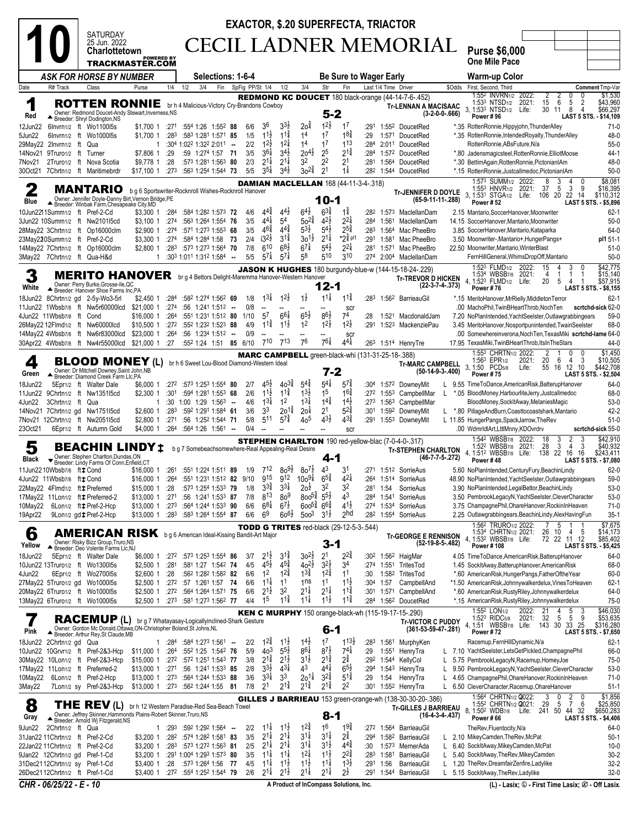|                                                                    |                                                                                                                                                                                                                                                                                                                                                                                                                                                           | <b>EXACTOR, \$.20 SUPERFECTA, TRIACTOR</b><br><b>SATURDAY</b>                                                                    |                                            |                  |                                                                                        |        |                 |                                          |                                                                      |                                          |                                          |                                                  |                         |                                        |                                                                                                              |                                                                                                                                                                                                                     |
|--------------------------------------------------------------------|-----------------------------------------------------------------------------------------------------------------------------------------------------------------------------------------------------------------------------------------------------------------------------------------------------------------------------------------------------------------------------------------------------------------------------------------------------------|----------------------------------------------------------------------------------------------------------------------------------|--------------------------------------------|------------------|----------------------------------------------------------------------------------------|--------|-----------------|------------------------------------------|----------------------------------------------------------------------|------------------------------------------|------------------------------------------|--------------------------------------------------|-------------------------|----------------------------------------|--------------------------------------------------------------------------------------------------------------|---------------------------------------------------------------------------------------------------------------------------------------------------------------------------------------------------------------------|
|                                                                    |                                                                                                                                                                                                                                                                                                                                                                                                                                                           | 25 Jun. 2022<br><b>Charlottetown</b>                                                                                             |                                            |                  |                                                                                        |        |                 |                                          |                                                                      |                                          |                                          |                                                  |                         | CECIL LADNER MEMORIAL                  | <b>Purse \$6,000</b>                                                                                         |                                                                                                                                                                                                                     |
|                                                                    |                                                                                                                                                                                                                                                                                                                                                                                                                                                           | <b>TRACKMASTER.COM</b>                                                                                                           | <b>POWERED BY</b>                          |                  |                                                                                        |        |                 |                                          |                                                                      |                                          |                                          |                                                  |                         |                                        |                                                                                                              | <b>One Mile Pace</b>                                                                                                                                                                                                |
|                                                                    |                                                                                                                                                                                                                                                                                                                                                                                                                                                           | ASK FOR HORSE BY NUMBER                                                                                                          |                                            |                  | <b>Selections: 1-6-4</b>                                                               |        |                 |                                          |                                                                      |                                          |                                          | <b>Be Sure to Wager Early</b>                    |                         |                                        |                                                                                                              | Warm-up Color                                                                                                                                                                                                       |
| Date                                                               | R# Track                                                                                                                                                                                                                                                                                                                                                                                                                                                  | Class                                                                                                                            | Purse                                      | 1/4              | 3/4<br>1/2                                                                             | Fin    | SpFig PP/St 1/4 |                                          | 1/2                                                                  | 3/4                                      | Str                                      | Fin                                              |                         | Last 1/4 Time Driver                   | REDMOND KC DOUCET 180 black-orange (44-14-7-6-.452)                                                          | \$Odds First, Second, Third<br>Comment Tmp-Var<br>1:552 INVRN1/2<br>\$1,530<br>2022:<br>2<br>2<br>0<br>0                                                                                                            |
| 1<br>Red                                                           |                                                                                                                                                                                                                                                                                                                                                                                                                                                           | <b>ROTTEN RONNIE</b><br>Owner: Redmond Doucet-Andy Stewart, Inverness, NS<br>Breeder: Shryl Dodington, NS                        |                                            |                  | br h 4 Malicious-Victory Cry-Brandons Cowboy                                           |        |                 |                                          |                                                                      |                                          | $5 - 2$                                  |                                                  |                         |                                        | <b>Tr-LENNAN A MACISAAC</b><br>$(3-2-0-0-666)$                                                               | 15<br>5<br>$\overline{2}$<br>\$43,960<br>6<br>1:533 NTSD <sub>1/2</sub><br>2021:<br>3, 1:533 NTSD <sub>1/2</sub> Life:<br>30<br>8<br>$\overline{4}$<br>\$66,297<br>-11<br>Power #96<br>LAST 5 STS. - \$14,109       |
| 12Jun22<br>5Jun22                                                  |                                                                                                                                                                                                                                                                                                                                                                                                                                                           | 6Invrn1/2 ft Wo1100I5s<br>6Invrn1/2 ft Wo1000I5s                                                                                 | \$1,700 1<br>\$1,700 1                     | :271<br>:283     | :554 1:26 1:552 88<br>:583 1:281 1:571 85                                              |        | 6/6<br>1/5      | 36<br>$1^{1\frac{1}{2}}$                 | $3^{3}$<br>$11\frac{3}{4}$                                           | $20^{\frac{3}{4}}$<br>1 <sup>4</sup>     | $1^{2}\frac{1}{2}$<br>1 <sup>7</sup>     | 1 <sup>7</sup><br>$18\frac{3}{4}$                | :291<br>:29             |                                        | 1:55 <sup>2</sup> DoucetRed<br>1:571 DoucetRed                                                               | *.35 RottenRonnie, Hippyjohn, Thunder Alley<br>$71-0$<br>48-0<br>*.35 RottenRonnie,IntendedRoyalty,ThunderAlley                                                                                                     |
| 29May22 2Invrn1/2 ft<br>14Nov21 9Truro1/2 ft                       |                                                                                                                                                                                                                                                                                                                                                                                                                                                           | Qua<br>Turner                                                                                                                    | 1<br>\$7,806 1                             | :29              | $:30^4$ 1:02 <sup>2</sup> 1:32 <sup>2</sup> 2:01 <sup>1</sup> -<br>:59 1:274 1:57 71   |        | 2/2<br>3/5      | $1^{2\frac{1}{2}}$<br>$3^{61}$           | $12\frac{1}{4}$<br>$3^{4}$                                           | 14<br>$20^{41}$                          | 17<br>25                                 | 113<br>$2^{1\frac{3}{4}}$                        | :284<br>:284            |                                        | 2:011 DoucetRed<br>1:572 DoucetRed                                                                           | $55-0$<br>RottenRonnie, ABsFuture, N/a<br>*.80 Jadensmagicsteel, Rotten Ronnie, Elliot Moose<br>44-1                                                                                                                |
| 7Nov21                                                             |                                                                                                                                                                                                                                                                                                                                                                                                                                                           | 2Truro1/2 ft Nova Scotia<br>30Oct21 7Chrtn1/2 ft Maritimebrdr                                                                    | \$9,778 1                                  | :28<br>:273      | :573 1:281 1:563 80<br>:563 1:254 1:544 73                                             |        | 2/3<br>5/5      | $2^{1\frac{1}{4}}$<br>$3^{5\frac{1}{4}}$ | $2^{1\frac{1}{4}}$<br>$34\frac{1}{2}$                                | 32<br>$30^{24}$                          | $2^2$<br>2 <sup>1</sup>                  | 2 <sup>1</sup><br>$1\frac{1}{4}$                 | :281<br>:282            |                                        | 1:564 DoucetRed                                                                                              | 48-0<br>*.30 BettimAgain, RottenRonnie, PictonianIAm<br>$50-0$                                                                                                                                                      |
|                                                                    |                                                                                                                                                                                                                                                                                                                                                                                                                                                           |                                                                                                                                  | \$17,100 1                                 |                  |                                                                                        |        |                 |                                          |                                                                      |                                          |                                          | <b>DAMIAN MACLELLAN 168 (44-11-3-4-.318)</b>     |                         |                                        | 1:544 DoucetRed                                                                                              | *.15 RottenRonnie,Justcallmedoc,PictonianIAm<br>\$8,081<br>1:57 <sup>3</sup> SUMM <sub>1/2</sub> 2022:<br>8<br>3<br>4                                                                                               |
| $\mathbf 2$<br>Blue                                                |                                                                                                                                                                                                                                                                                                                                                                                                                                                           | <b>MANTARIO</b><br>Owner: Jennifer Doyle-Danny Birt, Vernon Bridge, PE<br>Breeder: Winbak Farm, Chesapeake City, MD              |                                            |                  | b g 6 Sportswriter-Rocknroll Wishes-Rocknroll Hanover                                  |        |                 |                                          |                                                                      |                                          | $10 - 1$                                 |                                                  |                         |                                        | <b>Tr-JENNIFER D DOYLE</b><br>(65-9-11-11-.288)                                                              | 3<br>37<br>5<br>9<br>\$16,395<br>1:553 HNVR <sub>1/2</sub> 2021:<br>3, 1:531 STGA1/2 Life:<br>20<br>22 14<br>\$110,312<br>106<br><b>Power #52</b><br><b>LAST 5 STS. - \$5,896</b>                                   |
| 10Jun2211Summ1/2 ft Pref-2-Cd                                      |                                                                                                                                                                                                                                                                                                                                                                                                                                                           |                                                                                                                                  | \$3,300 1                                  | :284             | :584 1:282 1:573 72                                                                    |        | 4/6             | $4^{4^{3}_{4}}$                          | $4^{4}$                                                              | $6^{41}$                                 | $6^{3}\frac{3}{4}$                       | $1\frac{3}{4}$                                   | :282                    |                                        | 1:573 MaclellanDam                                                                                           | 2.15 Mantario, SoccerHanover, Moonwriter<br>$62 - 1$                                                                                                                                                                |
| 3Jun22 10Summ1/2 ft Nw2101l5cd                                     |                                                                                                                                                                                                                                                                                                                                                                                                                                                           | 28May22 3Chrtn1/2 ft Op16000clm                                                                                                  | \$3,100 1<br>\$2,900 1                     | :274<br>:274     | :563 1:264 1:554<br>:571 1:273 1:553 68                                                | 76     | 3/5<br>3/5      | $4^{4}$<br>$46\frac{3}{4}$               | 5 <sup>4</sup><br>$4^{4}$                                            | $50^{24}$<br>53}                         | $4^{2}\frac{1}{2}$<br>$5^{4}$            | $2^{2}\frac{1}{4}$<br>$2^{5}\frac{3}{4}$         | :284<br>:283            | 1:561                                  | MaclellanDam<br>1:564 Mac PheeBro                                                                            | $50-0$<br>14.15 SoccerHanover, Mantario, Moonwriter<br>64-0<br>3.85 SoccerHanover, Mantario, Kataparka                                                                                                              |
| 23May220Summ1/2 ft Pref-2-Cd                                       |                                                                                                                                                                                                                                                                                                                                                                                                                                                           | 14May22 7Chrtn1/2 ft Op16000clm                                                                                                  | \$3,300 1<br>\$2,800 1                     | :274<br>:283     | :584 1:284 1:58<br>:573 1:273 1:564 70                                                 | - 73   | 2/4<br>7/8      | $i3^{2}\frac{1}{2}$<br>610               | $3^{1\frac{3}{4}}$<br>$6^{8}\frac{1}{2}$                             | $30^{11}$<br>$6^{7\frac{1}{4}}$          | $2^{1\frac{1}{4}}$<br>$5^{4\frac{1}{2}}$ | $*2\frac{3}{4}$ pl1<br>$2^{2\frac{1}{4}}$        | :291<br>:281            | 1:581                                  | Mac PheeBro<br>1:571 Mac PheeBro                                                                             | 3.50 Moonwriter-, Mantario+, HungerPangs+<br>pl1 51-1<br>22.50 Moonwriter, Mantario, WinterBlast<br>$51-0$                                                                                                          |
| 3May22 7Chrtn1/2 ft Qua-H&d                                        |                                                                                                                                                                                                                                                                                                                                                                                                                                                           |                                                                                                                                  | $\mathbf{1}$                               |                  | :303 1:011 1:312 1:584 --                                                              |        | 5/5             | $57\frac{1}{4}$                          | $5^{7\frac{1}{4}}$                                                   | 58                                       | 510                                      | 310                                              | :274                    |                                        | 2:004 MaclellanDam                                                                                           | $50-0$<br>FernHillGeneral, WhimsDropOff, Mantario                                                                                                                                                                   |
|                                                                    |                                                                                                                                                                                                                                                                                                                                                                                                                                                           | <b>MERITO HANOVER</b>                                                                                                            |                                            |                  | br g 4 Bettors Delight-Maremma Hanover-Western Hanover                                 |        |                 |                                          |                                                                      |                                          |                                          |                                                  |                         |                                        | <b>JASON K HUGHES</b> 180 burgundy-blue-w (144-15-18-24-.229)<br><b>Tr-TREVOR D HICKEN</b>                   | \$42,775<br>1:523 FLMD1/2<br>15<br>2022:<br>3<br>1:534 WBSB7/8<br>4, 1:523 FLMD1/2<br>2021:<br>\$15,140<br>4<br>-1<br>20<br>5<br>Life:<br>\$57,915<br>4                                                             |
| White<br>18Jun22                                                   |                                                                                                                                                                                                                                                                                                                                                                                                                                                           | Owner: Perry Burke, Grosse-Ile, QC<br>Breeder: Hanover Shoe Farms Inc,PA<br>8Chrtn1/2 gd 2-5y-Wo3-5rl                            | \$2,450 1                                  | :284             | :582 1:274 1:562 69                                                                    |        | 1/8             | $13\frac{1}{4}$                          | $12\frac{1}{2}$                                                      | $1\frac{1}{2}$                           | 12-1<br>$11\frac{1}{4}$                  | $11\frac{3}{4}$                                  | :283                    |                                        | $(22-3-7-4-373)$<br>1:56 <sup>2</sup> BarrieauGil                                                            | Power #76<br>LAST 5 STS. - \$8,155<br>$62 - 1$<br>*.15 MeritoHanover,MrRielly,MiddletonTerror                                                                                                                       |
|                                                                    |                                                                                                                                                                                                                                                                                                                                                                                                                                                           | 11Jun22 1Wbsb7/8 ft Nw5r60000lcd                                                                                                 | \$21,000 1                                 | :274             | :56 1:241 1:512                                                                        | $\sim$ | 0/8             |                                          |                                                                      |                                          |                                          | SCI                                              |                         |                                        |                                                                                                              | .00 MachoPhil, TwinBHeartThrob, NochTen<br>scrtchd-sick 62-0                                                                                                                                                        |
| 4Jun22 11Wbsb7/8 ft Cond                                           |                                                                                                                                                                                                                                                                                                                                                                                                                                                           | 26May22 12Flmd1/2 ft Nw60000lcd                                                                                                  | \$16,000 1<br>\$10,500 1                   | :264<br>:272     | :551 1:231 1:512 80<br>:552 1:232 1:523 88                                             |        | 1/10<br>4/9     | $5^7$<br>$11\frac{3}{4}$                 | $6^{61}$<br>$11\frac{1}{2}$                                          | $6^{5}\frac{1}{2}$<br>12                 | $8^{6}\frac{1}{2}$<br>$12\frac{1}{2}$    | 74<br>$12\frac{1}{2}$                            | :28<br>:291             |                                        | 1:521 MacdonaldJam<br>1:523 MackenziePau                                                                     | 59-0<br>7.20 NoPlanIntended, YachtSeelster, Outlawgrabbingears<br>68-0<br>3.45 MeritoHanover, Nosportpunintended, TwainSeelster                                                                                     |
|                                                                    |                                                                                                                                                                                                                                                                                                                                                                                                                                                           | 14May22 4Wbsb7/8 ft Nw6r83000lcd                                                                                                 | \$23,000 1                                 | :264             | :56 1:234 1:512                                                                        | $\sim$ | 0/9             |                                          |                                                                      |                                          |                                          | SCI                                              |                         |                                        |                                                                                                              | .00 Somewhereinverona, Noch Ten, Texas Miki scrtchd-lame 64-0                                                                                                                                                       |
|                                                                    | 761<br>$4^{4}$<br>713<br>76<br>30Apr22 4Wbsb7/8 ft Nw4r55000lcd<br>\$21,000 1<br>:27<br>:552 1:24 1:51 85 6/10<br>710<br>44-0<br>:263 1:514 HenryTre<br>17.95 TexasMiki, TwinBHeartThrob, ItsInTheStars<br>\$1,450<br>1:553 CHRTN1/2 2022:<br>2<br>0<br>0<br><b>MARC CAMPBELL</b> green-black-whi (131-31-25-18-.388)<br>20<br>1:563 EPR1/2<br>2021:<br>6<br>4<br>3<br>\$10,505<br><b>BLOOD MONEY (L)</b><br>br h 6 Sweet Lou-Blood Diamond-Western Ideal |                                                                                                                                  |                                            |                  |                                                                                        |        |                 |                                          |                                                                      |                                          |                                          |                                                  |                         |                                        |                                                                                                              |                                                                                                                                                                                                                     |
| 4<br>Green                                                         |                                                                                                                                                                                                                                                                                                                                                                                                                                                           | Owner: Dr Mitchell Downey, Saint John, NB                                                                                        |                                            |                  |                                                                                        |        |                 |                                          |                                                                      |                                          | $7 - 2$                                  |                                                  |                         |                                        | <b>Tr-MARC CAMPBELL</b><br>$(50-14-9-3-0.400)$                                                               | 3, 1:50<br>55<br>16 12 10<br>PCD <sub>5/8</sub><br>Life:<br>\$442,708<br><b>Power #75</b><br>LAST 5 STS. - \$2,504                                                                                                  |
| 18Jun22                                                            |                                                                                                                                                                                                                                                                                                                                                                                                                                                           | Breeder: Diamond Creek Farm Llc,PA<br>5Epr1/2 ft Walter Dale                                                                     | \$6,000 1                                  | :272             | :573 1:253 1:554 80                                                                    |        | 2/7             | $45\frac{1}{2}$                          | $40^{37}$                                                            | $5^{4}$                                  | $5^{4}$                                  | $57\frac{3}{4}$                                  | :304                    |                                        | 1:572 DowneyMit                                                                                              | 64-0<br>L 9.55 TimeToDance, American Risk, Batterup Hanover                                                                                                                                                         |
| 11Jun22<br>4Jun22                                                  | 3Chrtn1/2 ft Qua                                                                                                                                                                                                                                                                                                                                                                                                                                          | 9Chrtn1/2 ft Nw135115cd                                                                                                          | \$2,300 1<br>1                             | :301<br>:30      | :594 1:281 1:553 68<br>1:00 1:29 1:563                                                 | $\sim$ | 2/6<br>4/6      | $11\frac{1}{2}$<br>$1^{3\frac{1}{4}}$    | $11\frac{3}{4}$<br>1 <sup>2</sup>                                    | $1^{3}\frac{1}{2}$<br>$1^{31}$           | 1 <sup>5</sup><br>$1^{4^{3}_{4}}$        | $16\frac{3}{4}$<br>$1^{4}$                       | :272<br>:273            | 1:55 <sup>3</sup><br>1:56 <sup>3</sup> | CampbellMar<br>L<br>CampbellMar                                                                              | 68-0<br>*.05 BloodMoney, HarbourliteJerry, Justcallmedoc<br>BloodMoney, SockItAway, MelaniesMagic<br>53-0                                                                                                           |
| 7Nov21 12Chrtn1/2 ft Nw2051I5cd                                    |                                                                                                                                                                                                                                                                                                                                                                                                                                                           | 14Nov21 7Chrtn1/2 gd Nw1751l5cd                                                                                                  | \$2,600 1<br>\$2,800 1                     | :283<br>:271     | :592 1:291 1:584 61<br>:56 1:252 1:544 71                                              |        | 3/6<br>5/8      | 33<br>511                                | $20^{12}$<br>$5^{7\frac{3}{4}}$                                      | 20 <sup>1</sup><br>40 <sup>5</sup>       | 2 <sup>1</sup><br>$4^{3}\frac{1}{2}$     | $5^{2^{3}_{4}}$<br>$4^{3\frac{3}{4}}$            | :301<br>:291            |                                        | 1:592 DowneyMit<br>L.<br>1:553 DownevMit                                                                     | $42 - 2$<br>*.80 PillageAndBurn,Coasttocoastshark,Mantario<br>L 11.85 HungerPangs, SpackJarrow, TheRev<br>$51-0$                                                                                                    |
| 23Oct21                                                            |                                                                                                                                                                                                                                                                                                                                                                                                                                                           | 6Epr1/2 ft Autumn Gold                                                                                                           | \$4,000 1                                  | :26 <sup>4</sup> | :564 1:26 1:561 --                                                                     |        | 0/4             |                                          |                                                                      |                                          |                                          | scr                                              |                         |                                        |                                                                                                              | .00 WdmrldlArt,LttlMnny,KDOvrdrv<br>scrtchd-sick 55-0                                                                                                                                                               |
| 5<br>Black                                                         |                                                                                                                                                                                                                                                                                                                                                                                                                                                           | BEACHIN LINDY ±<br>Owner: Stephen Charlton, Dundas, ON                                                                           |                                            |                  | b g 7 Somebeachsomewhere-Real Appealing-Real Desire                                    |        |                 |                                          |                                                                      |                                          | 4-1                                      |                                                  |                         |                                        | <b>STEPHEN CHARLTON</b> 190 red-yellow-blac (7-0-4-0-.317)<br><b>Tr-STEPHEN CHARLTON</b><br>$(46-7-7-5-272)$ | \$42,910<br>1:542 WBSB7/8<br>2022:<br>3<br>2<br>3<br>18<br>1:52 <sup>2</sup> WBSB7/8<br>28<br>3<br>\$40,932<br>2021:<br>4<br>3<br>4.1:512 WBSB7/8 Life: 138<br>22 16<br>16<br>\$243,411                             |
| 11Jun2210Wbsb7/8 fttCond                                           |                                                                                                                                                                                                                                                                                                                                                                                                                                                           | Breeder: Lindy Farms Of Conn, Enfield, CT                                                                                        | \$16,000 1                                 | :261             | :551 1:224 1:511 89                                                                    |        | 1/9             | 712                                      | $80^{9}$ <sub>2</sub>                                                | $80^{7}$                                 | 4 <sup>3</sup>                           | 31                                               |                         |                                        | :271  1:512  SorrieAus                                                                                       | Power #48<br>LAST 5 STS. - \$7,080<br>$62 - 0$<br>5.60 NoPlanIntended, Century Fury, BeachinLindy                                                                                                                   |
| 4Jun22 11Wbsb7/8 fttCond<br>22May22 4Flmd1/2 ft : Preferred        |                                                                                                                                                                                                                                                                                                                                                                                                                                                           |                                                                                                                                  | \$16,000 1                                 | :264<br>:28      | :551 1:231 1:512 82 9/10<br>$:573$ 1:254 1:533 79                                      |        | 1/8             | 915<br>$3^{3}\frac{3}{4}$                | 9 <sup>12</sup> 10 <sub>0</sub> 9 <sup>+</sup><br>$3^{3}\frac{1}{4}$ | 2oż                                      | $65\frac{3}{4}$<br>32                    | $4^{21}$<br>32                                   | :281                    | 1:54                                   | :264 1:514 SorrieAus<br>SorrieAus                                                                            | 59-0<br>48.90 NoPlanIntended, YachtSeelster, Outlawgrabbingears<br>53-0<br>3.90 NoPlanIntended, LegalBettor, BeachinLindy                                                                                           |
| 17May22 11Lon1/2 ft # Preferred-2                                  |                                                                                                                                                                                                                                                                                                                                                                                                                                                           |                                                                                                                                  | \$15,000 1<br>\$13,000 1                   | :271             | :56 1:241 1:533 87                                                                     |        | 7/8             | $8^{13}$                                 | 80 <sup>9</sup>                                                      | $800^{5\frac{3}{4}}$                     | $5^{5\frac{1}{2}}$                       | 43                                               | :284                    | 1:541                                  | SorrieAus                                                                                                    | 53-0<br>3.50 PembrookLegacyN, YachtSeelster, CleverCharacter                                                                                                                                                        |
| 10May22<br>19Apr22                                                 |                                                                                                                                                                                                                                                                                                                                                                                                                                                           | 6Lon1/2 ft # Pref-2-Hcp<br>9Lon1/2 gd # Pref-2-Hcp                                                                               | \$13,000 1<br>$$13,000$ 1 :28 <sup>3</sup> | :273             | :564 1:244 1:533 90<br>:583 1:264 1:554 87                                             |        | 6/6<br>6/6      | $6^{8\frac{1}{4}}$<br>6 <sup>9</sup>     | $6^{7\frac{1}{2}}$<br>$60^{61}$                                      | $600^{5\frac{3}{4}}$<br>500 <sup>3</sup> | $66\frac{3}{4}$<br>$3^{1}\frac{1}{2}$    | $41\frac{1}{2}$<br>2 <sub>hd</sub>               | :274<br>:282            |                                        | 1:534 SorrieAus<br>1:554 SorrieAus                                                                           | 3.75 ChampagnePhil, OhareHanover, RockinInHeaven<br>71-0<br>$35-1$<br>2.25 Outlawgrabbingears, BeachinLindy, AlexHavingFun                                                                                          |
| 6                                                                  |                                                                                                                                                                                                                                                                                                                                                                                                                                                           | AMERICAN RISK bg 6 American Ideal-Kissing Bandit-Art Major                                                                       |                                            |                  |                                                                                        |        |                 |                                          |                                                                      |                                          |                                          | <b>TODD G TRITES</b> red-black $(29-12-5-3-544)$ |                         |                                        | <b>Tr-GEORGE E RENNISON</b>                                                                                  | 1:56 <sup>2</sup> TRURO1/2 2022:<br>\$7,675<br>5<br>1:534 CHRTN1/2 2021:<br>26<br>\$14,173<br>10<br>4<br>5                                                                                                          |
| Yellow                                                             |                                                                                                                                                                                                                                                                                                                                                                                                                                                           | Owner: Risky Bizz Group, Truro, NS<br>Breeder: Deo Volente Farms Lic,NJ                                                          |                                            |                  |                                                                                        |        |                 |                                          |                                                                      |                                          | 3-1                                      |                                                  |                         |                                        | $(52-19-8-5-.482)$                                                                                           | 72 22 11 12<br>\$85,402<br>4, 1:532 WBSB7/8 Life:<br>Power #108<br>LAST 5 STS. - \$5,425                                                                                                                            |
| 18Jun22<br>10Jun22 13Truro1/2 ft Wo130015s                         |                                                                                                                                                                                                                                                                                                                                                                                                                                                           | 5Epr1/2 ft Walter Dale                                                                                                           | \$2,500 1                                  | :281             | \$6,000 1 :272 :573 1:253 1:554 86<br>:581 1:27 1:542 74                               |        | 3/7<br>4/5      | $2^{1\frac{1}{2}}$<br>$4^{5\frac{1}{2}}$ | $3^{1\frac{3}{4}}$<br>$4^{5\frac{3}{4}}$                             | $30^{21}$<br>$40^{21}$                   | 2 <sup>1</sup><br>$3^{2}\frac{1}{2}$     | $2^{2\frac{3}{4}}$<br>34                         | :302<br>:274            |                                        | 1:56 <sup>2</sup> HaigMar<br>1:551 TritesTod                                                                 | 4.05 TimeToDance,AmericanRisk,BatterupHanover<br>64-0<br>68-0<br>1.45 SockItAway, BatterupHanover, American Risk                                                                                                    |
| 4Jun22<br>27May22 5Truro1/2 gd Wo1000l5s                           |                                                                                                                                                                                                                                                                                                                                                                                                                                                           | 6Epr1/2 ft Wo270015s                                                                                                             | \$2,600 1                                  | :28              | :562 1:282 1:582 82<br>\$2,500 1 :27 <sup>2</sup> :57 1:26 <sup>1</sup> 1:57 <b>74</b> |        | 6/6<br>6/6      | 1 <sup>2</sup><br>$1^{1\frac{1}{4}}$     | $12\frac{3}{4}$<br>1 <sup>1</sup>                                    | $13\frac{3}{4}$<br>1 <sub>ns</sub>       | $12\frac{3}{4}$<br>11                    | 11<br>$1^{1\frac{1}{2}}$                         | :30<br>:30 <sup>4</sup> | 1:57                                   | 1:582 TritesTod<br>CampbellAnd                                                                               | $60 - 0$<br>*.60 AmericanRisk, HungerPangs, FatherOftheYear<br>*1.50 AmericanRisk, Johnnywalkerdelux, VinesToHeaven<br>$62 - 1$                                                                                     |
| 20May22 6Truro1/2 ft Wo1000l5s                                     |                                                                                                                                                                                                                                                                                                                                                                                                                                                           |                                                                                                                                  |                                            |                  | \$2,500 1 :272 :564 1:264 1:571 75                                                     |        | 6/6             | $2^{1\frac{1}{2}}$                       | 3 <sup>2</sup>                                                       | $2^{1\frac{1}{4}}$                       | $2^{1\frac{1}{4}}$                       | $1^{1\frac{3}{4}}$                               | :301                    |                                        | 1:571 CampbellAnd                                                                                            | *.60 AmericanRisk, RustyRiley, Johnnywalkerdelux<br>64-0                                                                                                                                                            |
| 13May22 6Truro1/2 ft Wo1000l5s                                     |                                                                                                                                                                                                                                                                                                                                                                                                                                                           |                                                                                                                                  | \$2,500 1 :273                             |                  | :581 1:273 1:562 77                                                                    |        | 4/4             | 1 <sup>5</sup>                           | $11\frac{3}{4}$                                                      | $11\frac{1}{4}$                          | $11\frac{1}{2}$                          | $11\frac{3}{4}$                                  | :284                    |                                        | 1:56 <sup>2</sup> DoucetRed<br><b>KEN C MURPHY</b> 150 orange-black-wh (115-19-17-15-.290)                   | $75-0$<br>*.15 AmericanRisk, RustyRiley, Johnnywalkerdelux<br>\$46,030<br>1:55 <sup>2</sup> LON <sub>1/2</sub><br>2022:<br>4                                                                                        |
| 1<br>Pink                                                          |                                                                                                                                                                                                                                                                                                                                                                                                                                                           | <b>RACEMUP (L)</b><br>Owner: Gordon Mc Donald, Ottawa, ON-Christopher Boland, St Johns, NL<br>Breeder: Arthur Rey, St Claude, MB |                                            |                  | br g 7 Whatayasay-Logicallyinclined-Shark Gesture                                      |        |                 |                                          |                                                                      |                                          | $6 - 1$                                  |                                                  |                         |                                        | <b>Tr-VICTOR C PUDDY</b><br>$(361 - 53 - 59 - 47 - 281)$                                                     | $\frac{5}{5}$<br>$\frac{21}{32}$<br>$\frac{3}{9}$<br>\$53,635<br>5<br>2021:<br>1:52 <sup>3</sup> RIDC <sub>5/8</sub><br>25<br>4, 1:51 WBSB7/8 Life: 143 30<br>33<br>\$316,280<br>Power #72<br>LAST 5 STS. - \$7,650 |
| 18Jun22 2Chrtn1/2 gd Qua                                           |                                                                                                                                                                                                                                                                                                                                                                                                                                                           | 10Jun22 10Grvr1/2 ft Pref-2&3-Hcp                                                                                                | 1<br>\$11,000 1                            | :284<br>:264     | :584 1:273 1:561 -<br>:552 1:25 1:542 76                                               |        | 2/2<br>5/9      | $1^{2\frac{3}{4}}$<br>40 <sup>3</sup>    | $1^{1}\frac{1}{2}$<br>$5^{5}\frac{1}{2}$                             | $1^{4}$<br>$8^{6}\frac{1}{4}$            | 1 <sup>7</sup><br>$8^{7\frac{1}{2}}$     | $1^{13}$<br>$7^{4\frac{1}{4}}$                   | :283<br>:29             |                                        | 1:561 MurphyKen<br>1:551 HenryTra                                                                            | Racemup, FernHillDynamic, N/a<br>$62-1$<br>L 7.10 YachtSeelster, LetsGetPickled, ChampagnePhil<br>66-0                                                                                                              |
|                                                                    |                                                                                                                                                                                                                                                                                                                                                                                                                                                           | 30May22 10Lon1/2 ft Pref-2&3-Hcp                                                                                                 | \$15,000 1                                 | :272             | :572 1:251 1:543 77                                                                    |        | 3/8             | $2^{1\frac{3}{4}}$                       | $2^{1}\frac{1}{2}$                                                   | $3^{1\frac{1}{2}}$                       | $2^{1\frac{3}{4}}$                       | $2^{3}_{4}$                                      | :292                    |                                        | 1:544 KellyCol<br>L                                                                                          | 75-0<br>5.75 PembrookLegacyN, Racemup, HomeyJoe                                                                                                                                                                     |
| 17May22 11Lon1/2 ft Preferred-2<br>10May22 6Lon1/2 ft Pref-2-Hcp   |                                                                                                                                                                                                                                                                                                                                                                                                                                                           |                                                                                                                                  | \$13,000 1 :271<br>\$13,000 1              | :27 <sup>3</sup> | :56 1:241 1:533 85<br>:564 1:244 1:533 88                                              |        | 2/8<br>3/6      | $3^{3}\frac{1}{2}$<br>$3^{3}\frac{1}{4}$ | $4^{3}\frac{1}{4}$<br>3 <sup>3</sup>                                 | 4 <sup>3</sup><br>$20^{11}$              | $4^{4}$<br>$3^{2^{3}_{4}}$               | $6^{5}\frac{1}{2}$<br>$5^{1\frac{3}{4}}$         | :294<br>:29             | 1:543<br>1:54                          | HenryTra<br>L.<br>HenryTra<br>L.                                                                             | 9.50 PembrookLegacyN, YachtSeelster, CleverCharacter<br>53-0<br>4.65 ChampagnePhil, OhareHanover, RockinInHeaven<br>$71-0$                                                                                          |
| 3May22                                                             |                                                                                                                                                                                                                                                                                                                                                                                                                                                           | 7Lon1/2 sy Pref-2&3-Hcp                                                                                                          |                                            |                  | \$13,000 1 :273 :562 1:244 1:55 81                                                     |        | 7/8             | 2 <sup>1</sup>                           | $2^{1\frac{3}{4}}$                                                   | $2^{1\frac{3}{4}}$                       | $2^{1\frac{3}{4}}$                       | 2 <sup>2</sup>                                   | :301                    |                                        | 1:552 HenryTra                                                                                               | $51-1$<br>L 6.50 CleverCharacter, Racemup, OhareHanover<br>\$1,856<br>1:56 <sup>4</sup> CHRTN1/2 <b>Q</b> 022:<br>3<br>0<br>0                                                                                       |
| 8<br>Gray                                                          |                                                                                                                                                                                                                                                                                                                                                                                                                                                           | THE REV(L)<br>Owner: Jeffrey Skinner, Hammonds Plains-Robert Skinner, Truro, NS<br>Breeder: Arnold Wj Fitzgerald, NS             |                                            |                  | br h 12 Western Paradise-Red Sea-Beach Towel                                           |        |                 |                                          |                                                                      |                                          | $8 - 1$                                  |                                                  |                         |                                        | GILLES J BARRIEAU 153 green-orange-wh (138-30-30-20-.386)<br><b>Tr-GILLES J BARRIEAU</b><br>$(16-4-3-4-437)$ | $\frac{2}{7}$<br>29<br>6<br>\$25,850<br>\$650,283<br>1:55 <sup>2</sup> CHRTN <sub>1/2</sub> Q021:<br>5<br>44 32<br>241 50<br>, 1:50º WDB⁊/8 Life:<br>Power #66<br>LAST 5 STS. - \$4,406                             |
| 9Jun22                                                             | 2Chrtn1/2 ft Qua                                                                                                                                                                                                                                                                                                                                                                                                                                          |                                                                                                                                  | $\mathbf{1}$                               | :293             | $:59^2$ 1:29 <sup>2</sup> 1:56 <sup>4</sup> -                                          |        | 2/2             | $11\frac{1}{4}$                          | $11\frac{1}{2}$                                                      | $1^{24}$                                 | 16                                       | $19\frac{3}{4}$                                  | :272                    |                                        | 1:564 BarrieauGil                                                                                            | TheRev, Fluentocity, N/a<br>64-0                                                                                                                                                                                    |
| 31Jan22 11Chrtn1/2 ft Pref-2-Cd<br>22Jan22 11Chrtn1/2 ft Pref-2-Cd |                                                                                                                                                                                                                                                                                                                                                                                                                                                           |                                                                                                                                  | \$3,200 1<br>\$3,200 1                     |                  | $:28^2$ $:57^4$ 1:28 <sup>2</sup> 1:58 <sup>1</sup> 83<br>:283 :573 1:272 1:563 81     |        | 3/5<br>2/5      | $2^{1\frac{1}{4}}$<br>$2^{1\frac{1}{4}}$ | $2^{1\frac{1}{4}}$<br>$2^{1\frac{1}{4}}$                             | $3^{11}$<br>$3^{11}$                     | $3^{11}$<br>$3^{1\frac{1}{2}}$           | $2^{3}$<br>$4^{44}$                              | :294<br>:30             |                                        | 1:58 <sup>2</sup> BarrieauGil<br>1:573 MernerAda                                                             | L 2.10 MikeyCamden, The Rev, McPat<br>$50-1$<br>$10 - 0$<br>L 6.40 SockItAway, Mikey Camden, McPat                                                                                                                  |
| 9Jan22 12Chrtn1/2 gd Pref-1-Cd<br>31Dec2112Chrtn1/2 sy Pref-1-Cd   |                                                                                                                                                                                                                                                                                                                                                                                                                                                           |                                                                                                                                  | \$3,200 1<br>\$3,400 1                     | :28              | :291 1:004 1:293 1:573 80<br>:573 1:264 1:56 77                                        |        | 3/5<br>4/5      | $11\frac{1}{4}$<br>$11\frac{1}{4}$       | $11\frac{1}{4}$<br>$11\frac{1}{2}$                                   | $12\frac{1}{4}$<br>$1^{1\frac{1}{2}}$    | $11\frac{1}{2}$<br>$1^{1\frac{1}{4}}$    | $2^{2^{3}_{4}}$<br>$1^{3}\frac{1}{2}$            | :283<br>:291            | 1:581<br>1:56                          | BarrieauGil<br>L.<br>BarrieauGil                                                                             | 5.40 SockItAway, TheRev, MikeyCamden<br>$30 - 2$<br>$32 - 2$<br>L 1.20 TheRev, Dreamfair Zenfire, Ladylike                                                                                                          |
| 26Dec2112Chrtn1/2 ft Pref-1-Cd                                     |                                                                                                                                                                                                                                                                                                                                                                                                                                                           |                                                                                                                                  |                                            |                  | \$3,400 1 :272 :554 1:252 1:544 79                                                     |        | 2/6             | $2^{1\frac{1}{4}}$                       | $2^{1\frac{1}{2}}$                                                   | $2^{1\frac{1}{4}}$                       | $2^{1\frac{1}{4}}$                       | $2^{\frac{1}{2}}$                                | :291                    |                                        | 1:544 BarrieauGil                                                                                            | L 5.15 SockItAway, The Rev, Ladylike<br>$32 - 0$                                                                                                                                                                    |
| CHR - 06/25/22 - E - 10                                            |                                                                                                                                                                                                                                                                                                                                                                                                                                                           |                                                                                                                                  |                                            |                  |                                                                                        |        |                 |                                          |                                                                      |                                          |                                          | A Product of InCompass Solutions, Inc.           |                         |                                        |                                                                                                              | (L) - Lasix; $\mathbb O$ - First Time Lasix; $\mathscr D$ - Off Lasix.                                                                                                                                              |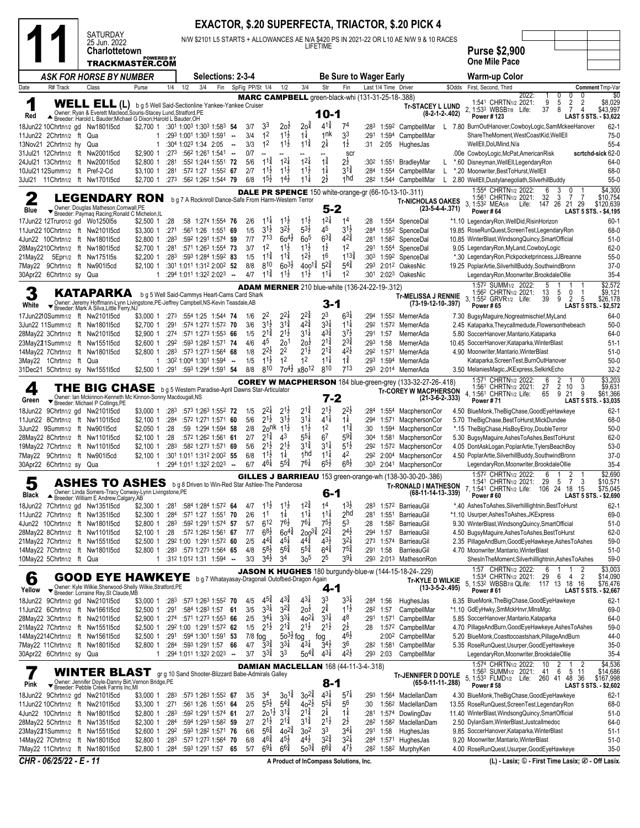|            |                                                      |                                                                                                                                                                                                       |                                     |                          |                      |                                                                                              |                 |                |                                          |                                    |                                          |                                       |                                                          |              |                      | <b>EXACTOR, \$.20 SUPERFECTA, TRIACTOR, \$.20 PICK 4</b>                                                          |        |                                                                                                                                                                                          |
|------------|------------------------------------------------------|-------------------------------------------------------------------------------------------------------------------------------------------------------------------------------------------------------|-------------------------------------|--------------------------|----------------------|----------------------------------------------------------------------------------------------|-----------------|----------------|------------------------------------------|------------------------------------|------------------------------------------|---------------------------------------|----------------------------------------------------------|--------------|----------------------|-------------------------------------------------------------------------------------------------------------------|--------|------------------------------------------------------------------------------------------------------------------------------------------------------------------------------------------|
|            |                                                      | <b>SATURDAY</b><br>25 Jun. 2022<br>Charlottetown                                                                                                                                                      |                                     |                          |                      |                                                                                              |                 |                |                                          |                                    |                                          | LIFETIME                              |                                                          |              |                      | N/W \$2101 L5 STARTS + ALLOWANCES AE N/A \$420 PS IN 2021-22 OR L10 AE N/W 9 & 10 RACES                           |        |                                                                                                                                                                                          |
|            |                                                      | TRACKMASTER.COM                                                                                                                                                                                       | <b>POWERED BY</b>                   |                          |                      |                                                                                              |                 |                |                                          |                                    |                                          |                                       |                                                          |              |                      |                                                                                                                   |        | <b>Purse \$2,900</b><br><b>One Mile Pace</b>                                                                                                                                             |
|            |                                                      | ASK FOR HORSE BY NUMBER                                                                                                                                                                               |                                     |                          |                      | <b>Selections: 2-3-4</b>                                                                     |                 |                |                                          |                                    |                                          |                                       | <b>Be Sure to Wager Early</b>                            |              |                      |                                                                                                                   |        | Warm-up Color                                                                                                                                                                            |
| Date       | R# Track                                             | Class                                                                                                                                                                                                 | Purse                               | 1/4                      | 1/2                  | 3/4<br>Fin                                                                                   | SpFig PP/St 1/4 |                |                                          | 1/2                                | 3/4                                      | Str                                   | Fin<br>MARC CAMPBELL green-black-whi (131-31-25-18-.388) |              | Last 1/4 Time Driver |                                                                                                                   | \$Odds | First, Second, Third<br>Comment Tmp-Var<br>\$0<br>2022:<br>0<br>0                                                                                                                        |
| 1<br>Red   |                                                      | WELL ELL (L) bg 5 Well Said-Sectionline Yankee-Yankee Cruiser<br>Owner: Ryan & Everett Macleod, Souris-Stacey Lund, Stratford, PE<br>A Breeder: Harold L Bauder; Michael G Dixon; Harold L Bauder, OH |                                     |                          |                      |                                                                                              |                 |                |                                          |                                    |                                          | $10-1$                                |                                                          |              |                      | <b>Tr-STACEY L LUND</b><br>(8-2-1-2-.402)                                                                         |        | 1:541 CHRTN1/2 2021:<br>9<br>5<br>$\frac{2}{7}$<br>$\overline{2}$<br>\$8,029<br>8<br>2, 1:533 WBSB7/8 Life:<br>37<br>$\overline{4}$<br>\$43,997<br>Power #123                            |
|            |                                                      | 18Jun22 10Chrtn1/2 gd Nw1801l5cd                                                                                                                                                                      | \$2,700 1 :301 1:003 1:303 1:583 54 |                          |                      |                                                                                              |                 | 3/7            | 33                                       | 2oż                                | 2o‡                                      | $4^{1\frac{3}{4}}$                    | 74                                                       | :283         | 1:592                | CampbellMar                                                                                                       |        | LAST 5 STS.<br>$- $3,622$<br>$62 - 1$<br>L 7.80 BurnOutHanover,CowboyLogic,SamMckeeHanover                                                                                               |
|            | 11Jun22 2Chrtn1/2 ft Qua<br>13Nov21 2Chrtn1/2 hy Qua |                                                                                                                                                                                                       | -1<br>1                             |                          | :304 1:023 1:34 2:05 | :293 1:001 1:303 1:591 --                                                                    | - 11            | 3/4<br>3/3     | 1 <sup>2</sup><br>1 <sup>2</sup>         | $11\frac{1}{2}$<br>$11\frac{1}{2}$ | $1\frac{1}{4}$<br>$11\frac{3}{4}$        | 1nk<br>$2\frac{1}{4}$                 | 33<br>$1\frac{1}{2}$                                     | :291<br>:31  | 1:594<br>2:05        | CampbellMar<br>HughesJas                                                                                          |        | $75-0$<br>ShareTheMoment, WestCoastKid, WellEll<br>$55 - 4$<br>WellEll.DoUMind.N/a                                                                                                       |
|            |                                                      | 31Jul21 12Chrtn1/2 ft Nw2001l5cd<br>24Jul21 13Chrtn1/2 ft Nw2001l5cd                                                                                                                                  | \$2,900 1<br>$$2,800$ 1             | :273<br>:281             |                      | :562 1:261 1:541<br>:552 1:244 1:551 72                                                      | $\sim$          | 0/7<br>5/6     | $1^{1\frac{3}{4}}$                       | $12\frac{1}{4}$                    | $1^{2\frac{1}{4}}$                       | $1\frac{3}{4}$                        | scr<br>$2^{\frac{1}{2}}$                                 | :302         |                      | 1:551 BradleyMar                                                                                                  |        | scrtchd-sick 62-0<br>.00e CowboyLogic, McPat, American Risk<br>64-0<br>*.60 Disneyman, Well Ell, Legendary Ron                                                                           |
|            |                                                      | 10Jul2112Summ1/2 ft Pref-2-Cd                                                                                                                                                                         | \$3,100 1                           | :281                     |                      | :572 1:27 1:552 67                                                                           |                 | 2/7            | $11\frac{1}{2}$                          | $11\frac{1}{2}$                    | $11\frac{1}{2}$<br>$1^{1\frac{1}{4}}$    | $1\frac{1}{4}$                        | $3^{11}$<br><sub>1</sub> hd                              | :284         |                      | 1:554 CampbellMar<br>L                                                                                            |        | *.20 Moonwriter, BestToHurst, WellEll<br>68-0                                                                                                                                            |
|            |                                                      | 3Jul21 11Chrtn1/2 ft Nw1701l5cd                                                                                                                                                                       | \$2,700 1                           | :273                     |                      | :562 1:262 1:544 79                                                                          |                 | 6/8            | $15\frac{1}{2}$                          | $14\frac{1}{2}$                    |                                          | $2\frac{1}{2}$                        |                                                          | :282         | 1:544                | CampbellMar<br>L.<br><b>DALE PR SPENCE</b> 150 white-orange-gr (66-10-13-10-.311)                                 |        | 2.80 WellEll, Dustylanegoliath, SilverhillBuddy<br>$55-0$<br>1:554 CHRTN1/2 2022:<br>\$4,300<br>3<br>0<br>6                                                                              |
| 2          |                                                      | <b>LEGENDARY RON</b><br>Owner: Douglas Matheson, Cornwall, PE                                                                                                                                         |                                     |                          |                      | b g 7 A Rocknroll Dance-Safe From Harm-Western Terror                                        |                 |                |                                          |                                    |                                          | $5 - 2$                               |                                                          |              |                      | <b>Tr-NICHOLAS OAKES</b><br>$(23-5-4-4-371)$                                                                      |        | 3<br>$\overline{7}$<br>1:561 CHRTN1/2 2021:<br>-7<br>\$10,754<br>32<br>3, 1:53 <sup>2</sup> MEA <sub>5/8</sub><br>147 26 21 29<br>\$120,639<br>Life:                                     |
| Blue       |                                                      | Breeder: Paymaq Racing; Ronald C Michelon, IL<br>17Jun22 12Truro1/2 gd Wo1250l5s                                                                                                                      | $$2,500$ 1                          | :28                      |                      | :58 1:274 1:554 76                                                                           |                 | 2/6            | $11\frac{1}{4}$                          | $11\frac{1}{2}$                    | $11\frac{1}{2}$                          | $1^{21}$                              | 1 <sup>4</sup>                                           | :28          |                      | 1:554 SpenceDal                                                                                                   |        | Power #64<br>LAST 5 STS. - \$4,195<br>*1.10 LegendaryRon, WellDid, RisinHorizon<br>$60-1$                                                                                                |
|            |                                                      | 11Jun22 10Chrtn1/2 ft Nw2101l5cd                                                                                                                                                                      | \$3,300 1                           | :271                     |                      | :561 1:26 1:551 69                                                                           |                 | 1/5            | $3^{1}\frac{1}{2}$<br>$7^{13}$           | $3^{2}\frac{1}{2}$                 | $5^{3}\frac{1}{2}$                       | 45                                    | $3^{1}\frac{1}{2}$                                       | :284         |                      | 1:552 SpenceDal                                                                                                   |        | 68-0<br>19.85 RoseRunQuest, ScreenTest, LegendaryRon                                                                                                                                     |
|            |                                                      | 4Jun22 10Chrtn1/2 ft Nw1801l5cd<br>28May2210Chrtn1/2 ft Nw1801l5cd                                                                                                                                    | \$2,800 1<br>\$2,700 1              | :283<br>:281             |                      | :592 1:291 1:574 59<br>:571 1:263 1:554 73                                                   |                 | 7/7<br>3/7     | 1 <sup>2</sup>                           | $60^{4}$<br>$11\frac{1}{2}$        | 60 <sup>5</sup><br>$11\frac{1}{2}$       | $6^{3}\frac{3}{4}$<br>$1\frac{1}{2}$  | $4^{24}$<br>1 <sup>2</sup>                               | :281<br>:291 |                      | 1:582 SpenceDal<br>1:554 SpenceDal                                                                                |        | 10.85 WinterBlast, Windsong Quincy, SmartOfficial<br>$51-0$<br>9.05 LegendaryRon,MyLand,CowboyLogic<br>$62-0$                                                                            |
| 21May22    |                                                      | 5Epr1/2 ft Nw1751l5s                                                                                                                                                                                  | $$2,200$ 1                          |                          |                      | :283 :593 1:284 1:592 83                                                                     |                 | 1/5            | $11\frac{3}{4}$                          | $11\frac{3}{4}$                    | $12\frac{1}{2}$                          | 16                                    | $1^{13\frac{3}{4}}$                                      | :303         |                      | 1:592 SpenceDal                                                                                                   |        | $55-0$<br>*.30 LegendaryRon,Pickpocketprincess,JJBreanne                                                                                                                                 |
|            | 30Apr22 6Chrtn1/2 sy Qua                             | 7May22 9Chrtn1/2 ft Nw901l5cd                                                                                                                                                                         | $$2,100$ 1<br>1                     |                          |                      | :301 1:011 1:312 2:002 52<br>:294 1:011 1:322 2:023 --                                       |                 | 8/8<br>4/7     | 810<br>$1^{1\frac{3}{4}}$                | $60^{31/2}$<br>$11\frac{1}{2}$     | $400^{1\frac{3}{4}}$<br>$11\frac{1}{2}$  | $5^{2^{3}_{4}}$<br>$11\frac{1}{4}$    | $5^{4^{3}_{4}}$<br>1 <sup>2</sup>                        | :293<br>:301 |                      | 2:01 <sup>2</sup> OakesNic<br>2:023 OakesNic                                                                      |        | 19.25 PoplarArtie, SilverhillBuddy, SouthwindBronn<br>$37-0$<br>LegendaryRon,Moonwriter,BrookdaleOllie<br>$35 - 4$                                                                       |
| 3          |                                                      | KATAPARKA                                                                                                                                                                                             |                                     |                          |                      | b g 5 Well Said-Cammys Heart-Cams Card Shark                                                 |                 |                |                                          |                                    |                                          |                                       | <b>ADAM MERNER</b> 210 blue-white (136-24-22-19-.312)    |              |                      | <b>Tr-MELISSA J RENNIE</b>                                                                                        |        | \$2,572<br>1:572 SUMM <sub>1/2</sub> 2022:<br>5<br>13<br>5<br>\$9,121<br>1:562 CHRTN1/2 2021:<br>0<br>-1                                                                                 |
| White      |                                                      | Vomer: Jeremy Hoffmann-Lynn Livingstone, PE-Jeffrey Campbell, NS-Kevin Teasdale, AB<br>▼ Breeder: Mark A Silva, Little Ferry, NJ                                                                      |                                     |                          |                      |                                                                                              |                 |                |                                          |                                    |                                          | 3-1                                   |                                                          |              |                      | (73-19-12-10-.397)                                                                                                |        | 3, 1:552 GRVR1/2 Life:<br>9<br>2<br>5<br>39<br>\$26,178<br>Power #65<br><b>LAST 5 STS. - \$2,572</b>                                                                                     |
|            |                                                      | 17Jun2210Summ1/2 ft Nw210115cd                                                                                                                                                                        | \$3,000 1                           | :273                     |                      | :554 1:25 1:544 74                                                                           |                 | 1/6<br>3/6     | $2^2$<br>$3^{1\frac{1}{2}}$              | $2^{2}$<br>$3^{1\frac{3}{4}}$      | $2^{2^{3}_{4}}$<br>$4^{2}\frac{3}{4}$    | 23<br>$3^{3}\frac{1}{4}$              | $6^{3}\frac{1}{4}$<br>$11\frac{1}{4}$                    | :294<br>:292 |                      | 1:552 MernerAda                                                                                                   |        | 64-0<br>7.30 BugsyMaguire, Nogreatmischief, MyLand                                                                                                                                       |
|            |                                                      | 3Jun22 11Summ1/2 ft Nw1801l5cd<br>28May22 3Chrtn1/2 ft Nw2101l5cd                                                                                                                                     | \$2,700 1<br>$$2,900$ 1             | :291<br>:274             |                      | :574 1:272 1:572 70<br>:571 1:273 1:553 66                                                   |                 | 1/5            | $2^{1\frac{3}{4}}$                       | $2^{1\frac{1}{2}}$                 | $3^{11}$                                 | $4^{3\frac{3}{4}}$                    | $3^{7}\frac{1}{2}$                                       |              | :291 1:57            | 1:572 MernerAda<br>MernerAda                                                                                      |        | $50-0$<br>2.45 Kataparka, Theycallmedude, Flowersonthebeach<br>5.80 SoccerHanover, Mantario, Kataparka<br>64-0                                                                           |
|            |                                                      | 23May221Summ1/2 ft Nw1551l5cd                                                                                                                                                                         | $$2,600$ 1                          | :292                     |                      | :593 1:282 1:571 74                                                                          |                 | 4/6            | 45                                       | 20 <sup>1</sup>                    | 20 <sup>1</sup>                          | $2^{1\frac{3}{4}}$                    | $2^{3\frac{3}{4}}$                                       | :293         | 1:58                 | MernerAda                                                                                                         |        | 10.45 SoccerHanover, Kataparka, WinterBlast<br>$51-1$                                                                                                                                    |
|            | 3May22 1Chrtn1/2 ft Qua                              | 14May22 7Chrtn1/2 ft Nw1801I5cd                                                                                                                                                                       | $$2,800$ 1<br>1                     |                          |                      | :283 :573 1:273 1:564 68<br>$:30^2$ 1:00 <sup>4</sup> 1:30 <sup>1</sup> 1:59 <sup>4</sup> -- |                 | 1/8<br>1/5     | $2^{2}\frac{1}{2}$<br>$11\frac{1}{2}$    | 2 <sup>2</sup><br>1 <sup>2</sup>   | $2^{1\frac{1}{2}}$<br>1 <sup>2</sup>     | $2^{1\frac{3}{4}}$<br>$11\frac{1}{4}$ | $42\frac{1}{2}$<br>$1\frac{3}{4}$                        | :293         | 1:594                | :292 1:571 MernerAda<br>MernerAda                                                                                 |        | $51-0$<br>4.90 Moonwriter, Mantario, WinterBlast<br>Kataparka, ScreenTest, BurnOutHanover<br>$50-0$                                                                                      |
|            |                                                      | 31Dec21 5Chrtn1/2 sy Nw1551l5cd                                                                                                                                                                       | \$2,500 1                           |                          |                      | :291 :593 1:294 1:591 54                                                                     |                 | 8/8            | 810                                      | $70^{41}$                          | x8o <sup>12</sup>                        | 810                                   | 713                                                      |              |                      | :293 2:014 MernerAda                                                                                              |        | $32 - 2$<br>3.50 MelaniesMagic, JKExpress, SelkirkEcho                                                                                                                                   |
| 4          |                                                      | THE BIG CHASE bg 5 Western Paradise-April Dawns Star-Articulator                                                                                                                                      |                                     |                          |                      |                                                                                              |                 |                |                                          |                                    |                                          |                                       |                                                          |              |                      | <b>COREY W MACPHERSON</b> 184 blue-green-grey (133-32-27-26-.418)<br><b>Tr-COREY W MACPHERSON</b>                 |        | \$3,203<br>1:571 CHRTN1/2 2022:<br>6<br>0<br>$\overline{2}$<br>\$9,631<br>1:561 CHRTN1/2 2021:<br>27<br>10<br>3<br>9<br>4, 1:56 <sup>1</sup> CHRTN1/2 Life:<br>9<br>21<br>\$61,366<br>65 |
| Green      |                                                      | $\begin{array}{c}\n\textbf{Owner:}\n\text{ Ian McKinnon-Kenneth Mc Kinnon-Sonny Macdougall, NS} \\ \textbf{F Breeder: Michael P Collins, PE}\n\end{array}$<br>18Jun22 9Chrtn1/2 gd Nw210115cd         | \$3,000 1                           | :283                     |                      | :573 1:263 1:552 72                                                                          |                 | 1/5            | $2^{2}$                                  | $2^{1}\frac{1}{2}$                 | $2^{1\frac{3}{4}}$                       | $7 - 2$<br>$2^{1\frac{1}{2}}$         | $2^{2}$ ż                                                |              |                      | $(21-3-6-2-.333)$<br>:284 1:554 MacphersonCor                                                                     |        | LAST 5 STS. - \$3,035<br><b>Power #71</b><br>$62 - 1$<br>4.50 BlueMonk, The Big Chase, Good Eye Hawkeye                                                                                  |
|            |                                                      | 11Jun22 8Chrtn1/2 ft Nw110115cd                                                                                                                                                                       | $$2,100$ 1                          | :284                     |                      | :572 1:271 1:571 60                                                                          |                 | 5/6            | $2^{1\frac{1}{2}}$                       | $3^{11}$                           | $3^{11}$                                 | $4^{1\frac{1}{4}}$                    | $1\frac{1}{4}$                                           | :294         | 1:571                | MacphersonCor                                                                                                     |        | 68-0<br>5.70 TheBigChase, BestToHurst, MickDundee                                                                                                                                        |
|            |                                                      | 3Jun22 9Summ1/2 ft Nw901l5cd                                                                                                                                                                          | $$2,050$ 1                          | :28                      |                      | :59 1:294 1:594 58<br>:572 1:262 1:561 61                                                    |                 | 2/8            | $20$ <sup>nk</sup><br>$2^{1\frac{3}{4}}$ | $11\frac{1}{2}$<br>43              | $11\frac{1}{2}$<br>$5^{51}$              | 1 <sup>2</sup>                        | $11\frac{3}{4}$<br>$5^{9\frac{3}{4}}$                    | :30          | 1:594                | MacphersonCor                                                                                                     |        | *.15 TheBigChase, HisBoyElroy, DoubleTerror<br>$50-0$                                                                                                                                    |
|            |                                                      | 28May22 8Chrtn1/2 ft Nw1101l5cd<br>19May22 7Chrtn1/2 ft Nw1101l5cd                                                                                                                                    | \$2,100 1<br>$$2,100$ 1             | :28<br>:283              |                      | :582 1:273 1:571 69                                                                          |                 | 2/7<br>5/6     | $2^{1}\frac{1}{2}$                       | $2^{1\frac{1}{2}}$                 | $3^{11}$                                 | 6 <sup>7</sup><br>$3^{11}$            | $5^{1}\frac{1}{2}$                                       | :304<br>:292 | 1:581                | MacphersonCor<br>1:572 MacphersonCor                                                                              |        | 5.30 BugsyMaguire, Ashes ToAshes, BestToHurst<br>$62-0$<br>4.05 DontAskLogan, PoplarArtie, TylersBeachBoy<br>$53-0$                                                                      |
|            |                                                      | 7May22 9Chrtn1/2 ft Nw901l5cd                                                                                                                                                                         | \$2.1001                            |                          |                      | :301 1:011 1:312 2:002 55                                                                    |                 | 6/8            | $11\frac{1}{2}$                          | $1\frac{1}{4}$                     | 1 <sub>hd</sub>                          | $11\frac{1}{4}$                       | 4 <sup>2</sup>                                           | :292         | 2:004                | MacphersonCor                                                                                                     |        | 4.50 PoplarArtie, SilverhillBuddy, SouthwindBronn<br>$37-0$                                                                                                                              |
|            | 30Apr22 6Chrtn1/2 sy Qua                             |                                                                                                                                                                                                       | 1                                   |                          |                      | $:294$ 1:011 1:322 2:023 -                                                                   |                 | 6/7            | $46\frac{1}{4}$                          | $5^{5\frac{3}{4}}$                 | $76\frac{1}{4}$                          | $6^{5}\frac{1}{2}$                    | $6^{8\frac{1}{2}}$                                       |              | :303 2:041           | MacphersonCor                                                                                                     |        | $35 - 4$<br>LegendaryRon,Moonwriter,BrookdaleOllie<br>1:572 CHRTN1/2 2022:<br>\$2,690<br>6<br>2<br>$\overline{1}$                                                                        |
| J<br>Black |                                                      | <b>ASHES TO ASHES</b> bg 8 Driven to Win-Red Star Ashlee-The Panderosa<br>Owner: Linda Somers-Tracy Conway-Lynn Livingstone, PE<br>▲ Breeder: William E Andrew, Calgary, AB                           |                                     |                          |                      |                                                                                              |                 |                |                                          |                                    |                                          | $6-1$                                 |                                                          |              |                      | GILLES J BARRIEAU 153 green-orange-wh (138-30-30-20-.386)<br><b>Tr-RONALD I MATHESON</b><br>$(68-11-14-13-0.339)$ |        | 1:54 GHRTN1/2 2021:<br>- 29<br>ಾ<br>-3<br>\$10,571<br>7, 1:54 <sup>1</sup> CHRTN <sub>1/2</sub> Life: 106 24<br>18 15<br>\$75,045<br>Power#60<br>LAST 5 STS. - \$2,690                   |
|            |                                                      | 18Jun22 7Chrtn1/2 gd Nw135115cd                                                                                                                                                                       | \$2,300 1                           | :281                     |                      | :584 1:284 1:572 64                                                                          |                 | 4/7            | $11\frac{1}{2}$                          | $11\frac{1}{2}$                    | $12\frac{3}{4}$                          | 1 <sup>4</sup>                        | $1^{3}\frac{1}{2}$                                       | :283         |                      | 1:572 BarrieauGil                                                                                                 |        | *.40 AshesToAshes, Silverhilllightnin, BestToHurst<br>$62-1$                                                                                                                             |
|            |                                                      | 11Jun22 7Chrtn1/2 ft Nw135115cd<br>4Jun22 10Chrtn1/2 ft Nw1801l5cd                                                                                                                                    | \$2,300 1<br>\$2,800 1              | :284<br>:283             |                      | :571 1:27 1:551 70<br>:592 1:291 1:574 57                                                    |                 | 2/6<br>5/7     | 1 <sup>1</sup><br>$6^{12}$               | $1\frac{1}{4}$<br>$76\frac{1}{2}$  | $11\frac{1}{4}$<br>$76\frac{1}{4}$       | $11\frac{1}{4}$<br>$7^{51}$           | 2 <sub>hd</sub><br>$5^3$                                 | :281<br>:28  |                      | 1:551 BarrieauGil<br>1:58 <sup>2</sup> BarrieauGil                                                                |        | *1.10 Usurper, Ashes To Ashes, JKExpress<br>69-0<br>9.30 WinterBlast, Windsong Quincy, SmartOfficial<br>$51-0$                                                                           |
|            |                                                      | 28May22 8Chrtn1/2 ft Nw1101l5cd                                                                                                                                                                       | $$2,100$ 1                          | :28                      |                      | :572 1:262 1:561 67                                                                          |                 | 7/7            | $68\frac{1}{2}$                          | $60^{44}$                          | $200^{3}\frac{3}{4}$                     | $2^{2}\frac{3}{4}$                    | $2^{4\frac{1}{2}}$                                       | :294         | 1:57                 | BarrieauGil                                                                                                       |        | 4.50 BugsyMaguire, Ashes ToAshes, BestToHurst<br>$62-0$                                                                                                                                  |
|            |                                                      | 21May22 7Chrtn1/2 ft Nw1551l5cd                                                                                                                                                                       | $$2,500$ 1                          |                          |                      | :292 1:00 1:291 1:572 60                                                                     |                 | 2/5            | $4^{4^{3}_{4}}$                          | $4^{51}$                           | $4^{4^{3}_{4}}$                          | $4^{3}\frac{1}{2}$                    | $3^{21}$                                                 |              |                      | :273 1:574 BarrieauGil                                                                                            |        | 2.35 PillageAndBurn,GoodEyeHawkeye,AshesToAshes<br>59-0                                                                                                                                  |
|            | 10May22 5Chrtn1/2 ft Qua                             | 14May22 7Chrtn1/2 ft Nw1801I5cd                                                                                                                                                                       | \$2,800 1<br>1                      |                          |                      | :283 :573 1:273 1:564 65<br>:312 1:012 1:31 1:594 --                                         |                 | 4/8<br>3/3     | $5^{8}$<br>$3^{4}$                       | $5^{6}\frac{3}{4}$<br>34           | $5^{5\frac{3}{4}}$<br>3 <sub>0</sub> 5   | $6^{4}\frac{3}{4}$<br>25              | $7^{5\frac{3}{4}}$<br>$39\frac{1}{4}$                    | :291<br>:293 | 1:58                 | BarrieauGil<br>2:013 MathesonRon                                                                                  |        | 4.70 Moonwriter, Mantario, WinterBlast<br>$51-0$<br>59-0<br>ShesInTheMoment, Silverhilllightnin, AshesToAshes                                                                            |
| 6          |                                                      | <b>GOOD EYE HAWKEYE</b> bg 7 Whatayasay-Dragonali Outofbed-Dragon Again                                                                                                                               |                                     |                          |                      |                                                                                              |                 |                |                                          |                                    |                                          |                                       |                                                          |              |                      | <b>JASON K HUGHES</b> 180 burgundy-blue-w (144-15-18-24-.229)<br>Tr-KYLE D WILKIE                                 |        | \$3,003<br>1:57 CHRTN1/2 2022:<br>6<br>2<br>29<br>$\overline{2}$<br>6<br>\$14,090<br>1:534 CHRTN <sub>1/2</sub> 2021:<br>4<br>5, 1:532 WBSB7/8 QLife:<br>117 13 18<br>16<br>\$76,476     |
| Yellow     |                                                      | Viner: Kyle Wilkie, Sherwood-Shelly Wilkie, Stratford, PE<br>▼ Breeder: Lorraine Rey, St Claude, MB                                                                                                   |                                     |                          |                      |                                                                                              |                 |                |                                          | $43\frac{3}{4}$                    | $4^{3}\frac{1}{4}$                       | 4-1                                   |                                                          |              |                      | $(13-3-5-2-495)$                                                                                                  |        | Power #61<br>LAST 5 STS. - \$2,667                                                                                                                                                       |
|            |                                                      | 18Jun22 9Chrtn1/2 gd Nw2101l5cd<br>11Jun22 6Chrtn1/2 ft Nw1661I5cd                                                                                                                                    | \$3,000 1<br>$$2,500$ 1             | :28 <sup>3</sup><br>:291 |                      | :573 1:263 1:552 70<br>:584 1:283 1:57 61                                                    |                 | 4/5<br>3/5     | $4^{5}_{4}$<br>$3^{31}$                  | $3^{2^{3}_{4}}$                    | $20^{\frac{1}{2}}$                       | 33<br>$2^{\frac{3}{4}}$               | $3^{31}$<br>$11\frac{1}{2}$                              | :284<br>:282 | 1:56<br>1:57         | HughesJas<br>CampbellMar                                                                                          |        | 6.35 BlueMonk, The Big Chase, Good Eye Hawkeye<br>$62-1$<br>69-0<br>*1.10 GdEyHwky,SmMckHnvr,MlnsMgc                                                                                     |
|            |                                                      | 28May22 3Chrtn1/2 ft Nw2101l5cd                                                                                                                                                                       | \$2,900 1                           |                          |                      | :274 :571 1:273 1:553 66                                                                     |                 | 2/5            | $3^{4}$                                  | $3^{3}\frac{1}{4}$                 | $40^{21}$                                | $3^{3}\frac{1}{4}$                    | 48                                                       | :291         | 1:571                | CampbellMar                                                                                                       |        | 64-0<br>5.85 SoccerHanover, Mantario, Kataparka                                                                                                                                          |
|            |                                                      | 21May22 7Chrtn1/2 ft Nw1551l5cd                                                                                                                                                                       | \$2,500 1                           |                          |                      | :292 1:00 1:291 1:572 62                                                                     |                 | 1/5            | $2^{1\frac{1}{2}}$                       | $2^{1\frac{3}{4}}$                 | $2^{1\frac{1}{2}}$                       | $2^{1\frac{1}{2}}$                    | $2^{\frac{1}{2}}$<br>$4^{6}\frac{1}{2}$                  | :28          |                      | 1:572 CampbellMar                                                                                                 |        | 59-0<br>4.70 PillageAndBurn,GoodEyeHawkeye,AshesToAshes                                                                                                                                  |
|            |                                                      | 14May2214Chrtn1/2 ft Nw1561I5cd<br>7May22 11Chrtn1/2 ft Nw1801I5cd                                                                                                                                    | $$2,500$ 1<br>$$2,800$ 1            | :291                     |                      | :594 1:301 1:591 53<br>:284 :593 1:291 1:57 66                                               |                 | 7/8 fog<br>4/7 | $3^{34}$                                 | $50^{3}$<br>$3^{31}$               | fog<br>$4^{3}\frac{1}{4}$                | fog<br>$3^{4}$                        | 36                                                       |              | :282 1:581           | 2:00 <sup>2</sup> CampbellMar<br>CampbellMar                                                                      |        | 5.20 BlueMonk, Coasttocoastshark, PillageAndBurn<br>44-0<br>5.35 RoseRunQuest, Usurper, GoodEyeHawkeye<br>$35-0$                                                                         |
|            | 30Apr22 6Chrtn1/2 sy Qua                             |                                                                                                                                                                                                       | $\mathbf{1}$                        |                          |                      | :294 1:011 1:322 2:023 --                                                                    |                 | $3/7$          | $3^{3}\frac{3}{4}$                       | 33                                 | $50^{4}$                                 | $4^{3}\frac{1}{4}$                    | $42\frac{1}{2}$                                          |              | $:29^3$ 2:03         | CampbellMar                                                                                                       |        | LegendaryRon,Moonwriter,BrookdaleOllie<br>$35 - 4$                                                                                                                                       |
| 7          |                                                      | WINTER BLAST gr g 10 Sand Shooter-Blizzard Babe-Admirals Galley<br>Owner: Jennifer Doyle-Danny Birt, Vernon Bridge, PE                                                                                |                                     |                          |                      |                                                                                              |                 |                |                                          |                                    |                                          | $8 - 1$                               | <b>DAMIAN MACLELLAN 168 (44-11-3-4-.318)</b>             |              |                      | <b>Tr-JENNIFER D DOYLE</b><br>(65-9-11-11-.288)                                                                   |        | \$4,536<br>1:574 CHRTN1/2 2022:<br>$\overline{2}$<br>10<br>2<br>6<br>1:563 SUMM <sub>1/2</sub> 2021:<br>5<br>11<br>\$14,686<br>41<br>5, 1:533 FLMD1/2 Life: 260 41 48<br>36<br>\$167,998 |
| Pink       |                                                      | ▼ Breeder: Pebble Creek Farms Inc, MI<br>18Jun22 9Chrtn1/2 gd Nw2101l5cd                                                                                                                              | \$3,000 1                           | :283                     |                      | :573 1:263 1:552 67                                                                          |                 | 3/5            | 34                                       | $30^{1\frac{3}{4}}$                | $30^{24}$                                | $4^{3\frac{1}{4}}$                    | $5^{7\frac{1}{4}}$                                       | :293         |                      | 1:564 MaclellanDam                                                                                                |        | <b>Power #58</b><br>LAST 5 STS. - \$2,602<br>4.30 BlueMonk, The BigChase, Good Eye Hawkeye<br>$62 - 1$                                                                                   |
|            |                                                      | 11Jun22 10Chrtn1/2 ft Nw2101l5cd                                                                                                                                                                      | \$3,300 1                           | :271                     |                      | :561 1:26 1:551 64                                                                           |                 | 2/5            | $5^{5\frac{1}{2}}$                       | $5^{4}\frac{3}{4}$                 | $40^{21}$                                | $5^{5\frac{1}{4}}$                    | 56                                                       | :30          |                      | 1:56 <sup>2</sup> MaclellanDam                                                                                    |        | 13.55 RoseRunQuest, ScreenTest, LegendaryRon<br>68-0                                                                                                                                     |
|            |                                                      | 4Jun22 10Chrtn1/2 ft Nw1801l5cd                                                                                                                                                                       | \$2,800 1                           | :283                     |                      | :592 1:291 1:574 61                                                                          |                 | 2/7            | $20^{11}$                                | $3^{1\frac{3}{4}}$                 | $2^{1\frac{3}{4}}$<br>$3^{1\frac{3}{4}}$ | 24<br>$2^{1\frac{1}{2}}$              | $1\frac{1}{4}$                                           | :281         | 1:574                | DowlingDav                                                                                                        |        | 11.40 WinterBlast, Windsong Quincy, SmartOfficial<br>$51-0$                                                                                                                              |
|            |                                                      | 28May22 5Chrtn1/2 ft Nw1351I5cd<br>23May221Summ1/2 ft Nw1551l5cd                                                                                                                                      | \$2,300 1<br>$$2,600$ 1             | :284<br>:292             |                      | :594 1:293 1:582 59<br>:593 1:282 1:571 76                                                   |                 | 2/7<br>6/6     | $2^{1}\frac{1}{2}$<br>$5^{6}\frac{3}{4}$ | $2^{1\frac{3}{4}}$<br>$40^{24}$    | 3 <sup>2</sup>                           | 3 <sup>3</sup>                        | $2\frac{1}{2}$<br>$3^{4}$                                | :282<br>:291 | 1:58                 | 1:58 <sup>2</sup> MaclellanDam<br>HughesJas                                                                       |        | 2.50 DylanSam, WinterBlast, Justcallmedoc<br>64-0<br>9.85 SoccerHanover, Kataparka, WinterBlast<br>$51-1$                                                                                |
|            |                                                      | 14May22 7Chrtn1/2 ft Nw180115cd                                                                                                                                                                       | \$2,800 1                           | :283                     |                      | :573 1:273 1:564 70                                                                          |                 | 6/8            | $46\frac{3}{4}$                          | $45\frac{1}{2}$                    | $44\frac{1}{2}$                          | $32\frac{3}{4}$                       | $32\frac{1}{4}$                                          | :284         |                      | 1:571 HughesJas                                                                                                   |        | $51-0$<br>9.20 Moonwriter, Mantario, WinterBlast                                                                                                                                         |
|            |                                                      | 7May22 11Chrtn1/2 ft Nw1801I5cd                                                                                                                                                                       | \$2,800 1                           | :284                     |                      | :593 1:291 1:57 65                                                                           |                 | 5/7            | $69\frac{1}{4}$                          | $6^{6}\frac{3}{4}$                 | $50^{3\frac{3}{4}}$                      | $6^{6}\frac{3}{4}$                    | $4^{7\frac{1}{2}}$                                       | :282         |                      | 1:582 MurphyKen                                                                                                   |        | 4.00 RoseRunQuest, Usurper, GoodEyeHawkeye<br>$35-0$                                                                                                                                     |
|            | CHR - 06/25/22 - E - 11                              |                                                                                                                                                                                                       |                                     |                          |                      |                                                                                              |                 |                |                                          |                                    |                                          |                                       | A Product of InCompass Solutions, Inc.                   |              |                      |                                                                                                                   |        | (L) - Lasix; ① - First Time Lasix; ② - Off Lasix.                                                                                                                                        |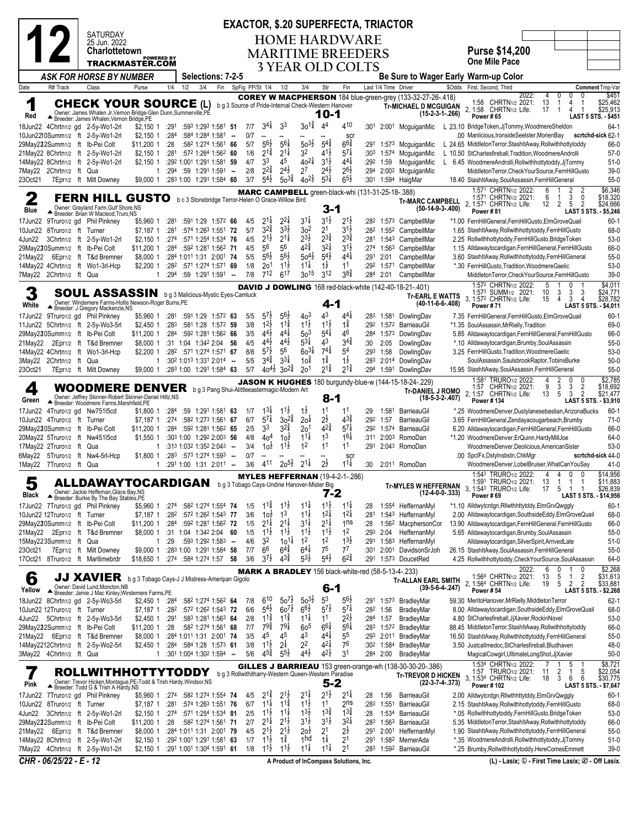|            |                                                                                                                                                                                                                                                                                                                                                                                                                                                                                                                                                                                                                                                                                   |  |                                                                                                                                                                  |                                                 |                                  |     |                        |                                                                 |        |            |                                             |                                           |                                             |                                                             | <b>EXACTOR, \$.20 SUPERFECTA, TRIACTOR</b>                 |              |                      |                                                                                                   |                    |                                                                                                                                                                                                                                          |
|------------|-----------------------------------------------------------------------------------------------------------------------------------------------------------------------------------------------------------------------------------------------------------------------------------------------------------------------------------------------------------------------------------------------------------------------------------------------------------------------------------------------------------------------------------------------------------------------------------------------------------------------------------------------------------------------------------|--|------------------------------------------------------------------------------------------------------------------------------------------------------------------|-------------------------------------------------|----------------------------------|-----|------------------------|-----------------------------------------------------------------|--------|------------|---------------------------------------------|-------------------------------------------|---------------------------------------------|-------------------------------------------------------------|------------------------------------------------------------|--------------|----------------------|---------------------------------------------------------------------------------------------------|--------------------|------------------------------------------------------------------------------------------------------------------------------------------------------------------------------------------------------------------------------------------|
|            |                                                                                                                                                                                                                                                                                                                                                                                                                                                                                                                                                                                                                                                                                   |  | SATURDAY<br>25 Jun. 2022                                                                                                                                         |                                                 |                                  |     |                        |                                                                 |        |            |                                             |                                           |                                             |                                                             | <b>HOME HARDWARE</b>                                       |              |                      |                                                                                                   |                    |                                                                                                                                                                                                                                          |
|            |                                                                                                                                                                                                                                                                                                                                                                                                                                                                                                                                                                                                                                                                                   |  | Charlottetown                                                                                                                                                    | <b>POWERED BY</b>                               |                                  |     |                        |                                                                 |        |            |                                             |                                           |                                             |                                                             | <b>MARITIME BREEDERS</b>                                   |              |                      |                                                                                                   |                    | <b>Purse \$14,200</b>                                                                                                                                                                                                                    |
|            |                                                                                                                                                                                                                                                                                                                                                                                                                                                                                                                                                                                                                                                                                   |  | TRACKMASTER.COM                                                                                                                                                  |                                                 |                                  |     |                        |                                                                 |        |            |                                             |                                           |                                             |                                                             | <b>3 YEAR OLD COLTS</b>                                    |              |                      |                                                                                                   |                    | <b>One Mile Pace</b>                                                                                                                                                                                                                     |
|            |                                                                                                                                                                                                                                                                                                                                                                                                                                                                                                                                                                                                                                                                                   |  | ASK FOR HORSE BY NUMBER                                                                                                                                          |                                                 |                                  |     |                        | Selections: 7-2-5                                               |        |            |                                             |                                           |                                             |                                                             |                                                            |              |                      |                                                                                                   |                    | Be Sure to Wager Early Warm-up Color                                                                                                                                                                                                     |
| Date       | R# Track                                                                                                                                                                                                                                                                                                                                                                                                                                                                                                                                                                                                                                                                          |  | Class                                                                                                                                                            | Purse                                           | 1/4                              | 1/2 | 3/4                    | Fin                                                             |        |            | SpFig PP/St 1/4                             | 1/2                                       | 3/4                                         | Str                                                         | Fin                                                        |              | Last 1/4 Time Driver |                                                                                                   |                    | \$Odds First, Second, Third<br>Comment Tmp-Var<br>\$451<br>2022:<br>4<br>0<br>0                                                                                                                                                          |
| 1<br>Red   |                                                                                                                                                                                                                                                                                                                                                                                                                                                                                                                                                                                                                                                                                   |  | <b>CHECK YOUR SOURCE</b> (L) bg3 Source of Pride-Internal Check-Western Hanover<br>Owner: James Whalen Jr, Vernon Bridge-Glen Dunn, Summerville, PE              |                                                 |                                  |     |                        |                                                                 |        |            |                                             |                                           |                                             | 10-1                                                        |                                                            |              |                      | <b>COREY W MACPHERSON</b> 184 blue-green-grey (133-32-27-26-.418)<br><b>Tr-MICHAEL D MCGUIGAN</b> | $(15-2-3-1-.266)$  | 1:58 CHRTN1/2 2021:<br>13<br>\$25,462<br>4<br>-1<br>-1<br>2, 1:58 CHRTN1/2 Life:<br>\$25,913<br>17<br>-1<br>4<br><b>LAST 5 STS. - \$451</b><br><b>Power #65</b>                                                                          |
|            |                                                                                                                                                                                                                                                                                                                                                                                                                                                                                                                                                                                                                                                                                   |  | Breeder: James Whalen, Vernon Bridge, PE<br>18Jun22 4Chrtn1/2 gd 2-5y-Wo1-2rl                                                                                    | \$2,150 1                                       | :291                             |     |                        | :593 1:293 1:581 51                                             |        | 7/7        | $3^{4}$                                     | 33                                        | $30^{1\frac{3}{4}}$                         | 44                                                          | 410                                                        | :301         |                      | 2:00 <sup>1</sup> McguiganMic                                                                     |                    | L 23.10 BridgeToken,JjTommy,WoodmereSheldon<br>$64-1$                                                                                                                                                                                    |
|            |                                                                                                                                                                                                                                                                                                                                                                                                                                                                                                                                                                                                                                                                                   |  | 10Jun2210Summ1/2 ft 2-5y-Wo1-2rl<br>29May222Summ1/2 ft Ib-Pei Colt                                                                                               | \$2,150 1<br>\$11,200 1                         | :284<br>: 28                     |     | :584 1:284 1:581       | :582 1:274 1:561 66                                             | $\sim$ | 0/7<br>5/7 | $\overline{\phantom{a}}$<br>$56\frac{1}{2}$ | $56\frac{1}{4}$                           | $50^{31}$                                   | $5^{4}$                                                     | <b>SCI</b><br>$66\frac{3}{4}$                              | :291         | 1:573                | McguiganMic                                                                                       |                    | .00 Manlicious, IronsideSeelster, MorienBay<br>scrtchd-sick 62-1<br>L 24.65 MiddletonTerror, StashItAway, Rollwithhottytoddy<br>66-0                                                                                                     |
|            |                                                                                                                                                                                                                                                                                                                                                                                                                                                                                                                                                                                                                                                                                   |  | 21May22 8Chrtn1/2 ft 2-5y-Wo1-2rl                                                                                                                                | \$2,150 1                                       | :281                             |     |                        | :572 1:264 1:562 60                                             |        | 1/6        | $2^{1\frac{3}{4}}$                          | $2^{1\frac{1}{4}}$                        | 32                                          | $4^{1\frac{1}{2}}$                                          | $5^{7\frac{1}{4}}$                                         | :303         | 1:574                | McquiganMic                                                                                       |                    | L 10.50 StCharlesfireball, Tradition, WoodmereAndrolli<br>$57-0$                                                                                                                                                                         |
|            |                                                                                                                                                                                                                                                                                                                                                                                                                                                                                                                                                                                                                                                                                   |  | 14May22 8Chrtn1/2 ft 2-5y-Wo1-2rl                                                                                                                                | $$2,150$ 1                                      |                                  |     |                        | :292 1:001 1:291 1:581 59                                       |        | 4/7        | 33                                          | 45                                        | $40^{21}$                                   | $3^{1}\frac{1}{2}$                                          | $4^{4}$                                                    | :292         | 1:59                 | McguiganMic                                                                                       |                    | $51-0$<br>L 6.45 WoodmereAndrolli, Rollwithhottytoddy, JjTommy                                                                                                                                                                           |
| 23Oct21    | 7May22 2Chrtn1/2 ft Qua                                                                                                                                                                                                                                                                                                                                                                                                                                                                                                                                                                                                                                                           |  | 7Epr1/2 ft Milt Downey                                                                                                                                           | $\mathbf{1}$<br>\$9,000 1                       |                                  |     |                        | $:294$ $:59$ 1:291 1:591 -<br>:283 1:00 1:291 1:584 60          |        | 2/8<br>3/7 | $2^{2\frac{3}{4}}$<br>$5^{4}$               | $2^{4}\frac{1}{2}$<br>$50^{34}$           | 2 <sup>7</sup><br>$40^{21}$                 | $2^{4}$<br>$5^{3\frac{1}{4}}$                               | $2^{6}\frac{1}{2}$<br>$6^{5}\frac{1}{2}$                   | :294<br>:301 |                      | 2:00 <sup>2</sup> McguiganMic<br>1:594 HaigMar                                                    |                    | $39-0$<br>MiddletonTerror,CheckYourSource,FernHillGusto<br>$55-0$<br>18.40 StashItAway, SoulAssassin, FernHillGeneral                                                                                                                    |
|            |                                                                                                                                                                                                                                                                                                                                                                                                                                                                                                                                                                                                                                                                                   |  |                                                                                                                                                                  |                                                 |                                  |     |                        |                                                                 |        |            |                                             |                                           |                                             |                                                             | MARC CAMPBELL green-black-whi (131-31-25-18-.388)          |              |                      |                                                                                                   |                    | \$6,346<br>1:571 CHRTN1/2 2022:<br>6<br>2<br>2                                                                                                                                                                                           |
| Blue       | 3<br>\$18,320<br>1:571 CHRTN <sub>1/2</sub> 2021:<br>6<br>0<br><b>FERN HILL GUSTO</b> b c 3 Stonebridge Terror-Helen O Grace-Willow Bird<br>-1<br><b>Tr-MARC CAMPBELL</b><br>\$24,666<br>2, 1:571 CHRTN1/2 Life:<br>12<br>2<br>5<br>$\overline{2}$<br>Owner: Grayland Farm, Gulf Shore, NS<br>3-1<br>$(50-14-9-3-0.400)$<br>Power #81<br>LAST 5 STS. - \$5,246<br>Breeder: Brian W Macleod, Truro, NS<br>$3^{1\frac{1}{2}}$<br>$2^{1\frac{1}{4}}$<br>$2^{2}$<br>$3^{11}$<br>$2^{1\frac{1}{2}}$<br>17Jun22 9Truro1/2 gd Phil Pinkney<br>\$5,960 1<br>:281<br>:591 1:29 1:572 66<br>4/5<br>:282<br>1:573 CampbellMar<br>*1.00 FernHillGeneral,FernHillGusto,ElmGroveQuail<br>$60-1$ |  |                                                                                                                                                                  |                                                 |                                  |     |                        |                                                                 |        |            |                                             |                                           |                                             |                                                             |                                                            |              |                      |                                                                                                   |                    |                                                                                                                                                                                                                                          |
|            | 10Jun22 8Truro1/2 ft Turner                                                                                                                                                                                                                                                                                                                                                                                                                                                                                                                                                                                                                                                       |  |                                                                                                                                                                  |                                                 | :281                             |     |                        | :574 1:263 1:551 72                                             |        | 5/7        | $3^{2}\frac{3}{4}$                          | $3^{3}\frac{1}{2}$                        | 3 <sup>2</sup>                              | 2 <sup>1</sup>                                              | $3^{1}\frac{1}{2}$                                         | :282         |                      | 1:552 CampbellMar                                                                                 |                    | 68-0<br>1.65 StashItAway, Rollwithhottytoddy, FernHillGusto                                                                                                                                                                              |
|            |                                                                                                                                                                                                                                                                                                                                                                                                                                                                                                                                                                                                                                                                                   |  | 4Jun22 3Chrtn1/2 ft 2-5y-Wo1-2rl                                                                                                                                 | \$7,187 1<br>$$2,150$ 1                         | :274                             |     |                        | :571 1:254 1:534 76                                             |        | 4/5        | $2^{1\frac{1}{2}}$                          | $2^{11}$                                  | $2^{3}\frac{1}{2}$                          | $2^{3\frac{3}{4}}$                                          | $2^{3}\frac{3}{4}$                                         | :281         |                      | 1:543 CampbellMar                                                                                 |                    | $53-0$<br>2.25 Rollwithhottytoddy, FernHillGusto, Bridge Token                                                                                                                                                                           |
|            |                                                                                                                                                                                                                                                                                                                                                                                                                                                                                                                                                                                                                                                                                   |  | 29May220Summ1/2 ft Ib-Pei Colt                                                                                                                                   | \$11,200 1                                      |                                  |     |                        | :284 :592 1:281 1:562 71                                        |        | 4/5        | 56                                          | 56                                        | $4^{2^{3}_{4}}$                             | $3^{2}$                                                     | $3^{11}$                                                   | :274         |                      | 1:563 CampbellMar                                                                                 |                    | 1.15 Alldawaytocardigan, Fern Hill General, Fern Hill Gusto<br>66-0                                                                                                                                                                      |
| 21May22    |                                                                                                                                                                                                                                                                                                                                                                                                                                                                                                                                                                                                                                                                                   |  | 6Epr1/2 ft T&d Bremner<br>14May22 4Chrtn1/2 ft Wo1-3rl-Hcp                                                                                                       | \$8,000 1<br>\$2,200 1                          |                                  |     |                        | :284 1:011 1:31 2:001 74<br>:282 :571 1:274 1:571 69            |        | 5/5<br>1/8 | $56\frac{1}{2}$<br>2 <sup>0</sup>           | $56\frac{1}{2}$<br>$11\frac{1}{2}$        | $50^{4}$<br>$11\frac{1}{4}$                 | $5^{4}$<br>$1\frac{1}{2}$                                   | $44\frac{1}{4}$<br>11                                      | :291<br>:292 | 2:01                 | CampbellMar<br>1:571 CampbellMar                                                                  |                    | $55-0$<br>3.60 StashItAway, Rollwithhottytoddy, FernHillGeneral<br>$53-0$<br>*.30 FernHillGusto, Tradition, WoodmereGaelic                                                                                                               |
|            | 7May22 2Chrtn1/2 ft Qua                                                                                                                                                                                                                                                                                                                                                                                                                                                                                                                                                                                                                                                           |  |                                                                                                                                                                  |                                                 | :294                             |     |                        | $:59$ 1:291 1:591 -                                             |        | 7/8        | 712                                         | 617                                       | $30^{15}$                                   | 3 <sup>12</sup>                                             | $3^{8}\frac{3}{4}$                                         | :284         | 2:01                 | CampbellMar                                                                                       |                    | $39-0$<br>MiddletonTerror,CheckYourSource,FernHillGusto                                                                                                                                                                                  |
|            |                                                                                                                                                                                                                                                                                                                                                                                                                                                                                                                                                                                                                                                                                   |  |                                                                                                                                                                  |                                                 |                                  |     |                        |                                                                 |        |            |                                             |                                           |                                             |                                                             |                                                            |              |                      | <b>DAVID J DOWLING</b> 168 red-black-white (142-40-18-21-.401)                                    |                    | \$4,011<br>1:572 CHRTN1/2 2022:<br>5<br>0<br>1:573 SUMM1/2 2021:<br>10<br>3<br>\$24,771<br>3<br>3                                                                                                                                        |
| 3<br>White |                                                                                                                                                                                                                                                                                                                                                                                                                                                                                                                                                                                                                                                                                   |  | <b>SOUL ASSASSIN</b> bg 3 Malicious-Mystic Eyes-Camluck<br>Owner: Windemere Farms-Hollis Newson-Roger Burns, PE                                                  |                                                 |                                  |     |                        |                                                                 |        |            |                                             |                                           |                                             | $4 - 1$                                                     |                                                            |              |                      | <b>Tr-EARL E WATTS</b>                                                                            | $(40-11-6-6-.408)$ | \$28,782<br>3, 1:572 CHRTN1/2 Life:<br>3<br>15<br>4<br>$\overline{4}$                                                                                                                                                                    |
|            |                                                                                                                                                                                                                                                                                                                                                                                                                                                                                                                                                                                                                                                                                   |  | Breeder: J Gregory Mackenzie, NS<br>17Jun22 9Truro1/2 gd Phil Pinkney                                                                                            | \$5,960 1                                       | :281                             |     |                        | :591 1:29 1:572 63                                              |        | 5/5        | $5^{7}$                                     | $56\frac{1}{2}$                           | 40 <sup>3</sup>                             | 43                                                          | $4^{4}$                                                    | :283         |                      | 1:581 DowlingDav                                                                                  |                    | <b>Power #71</b><br>LAST 5 STS. - \$4,011<br>$60-1$<br>7.35 FernHillGeneral.FernHillGusto.ElmGroveQuail                                                                                                                                  |
|            |                                                                                                                                                                                                                                                                                                                                                                                                                                                                                                                                                                                                                                                                                   |  | 11Jun22 5Chrtn1/2 ft 2-5y-Wo3-5rl                                                                                                                                | \$2,450 1                                       | :283                             |     |                        | :581 1:28 1:572 59                                              |        | 3/8        | $12\frac{1}{2}$                             | $11\frac{3}{4}$                           | $11\frac{1}{2}$                             | $11\frac{1}{2}$                                             | $1\frac{3}{4}$                                             | :292         |                      | 1:572 BarrieauGil                                                                                 |                    | 69-0<br>*1.35 SoulAssassin, MrRielly, Tradition                                                                                                                                                                                          |
|            |                                                                                                                                                                                                                                                                                                                                                                                                                                                                                                                                                                                                                                                                                   |  | 29May220Summ1/2 ft Ib-Pei Colt                                                                                                                                   | \$11,200 1<br>\$8,000 1                         | :284                             |     |                        | :592 1:281 1:562 66<br>:31 1:04 1:342 2:04 56                   |        | 3/5<br>4/5 | $4^{4}$<br>$4^{4}$                          | $4^{4}$<br>$4^{4}$                        | 50 <sup>3</sup><br>$5^{3\frac{1}{4}}$       | $5^{4}$<br>43                                               | 46<br>$3^{4^{3}_{4}}$                                      | :284<br>:30  | 1:573                | DowlingDav                                                                                        |                    | 66-0<br>5.85 Alldawaytocardigan, FernHillGeneral, FernHillGusto<br>$55-0$                                                                                                                                                                |
| 21May22    |                                                                                                                                                                                                                                                                                                                                                                                                                                                                                                                                                                                                                                                                                   |  | 2Epr1/2 ft T&d Bremner<br>14May22 4Chrtn1/2 ft Wo1-3rl-Hcp                                                                                                       | \$2,200 1                                       |                                  |     |                        | :282 :571 1:274 1:571 67                                        |        | 8/8        | $5^{7\frac{1}{2}}$                          | 56                                        | $60^{31}$                                   | $74\frac{3}{4}$                                             | 54                                                         | :293         | 2:05<br>1:58         | DowlingDav<br>DowlingDav                                                                          |                    | *.10 Alldawaytocardigan, Brumby, SoulAssassin<br>$53-0$<br>3.25 FernHillGusto, Tradition, WoodmereGaelic                                                                                                                                 |
|            | 3May22 2Chrtn1/2 ft Qua                                                                                                                                                                                                                                                                                                                                                                                                                                                                                                                                                                                                                                                           |  |                                                                                                                                                                  | $\mathbf{1}$                                    |                                  |     |                        | $:30^2$ 1:01 <sup>3</sup> 1:33 <sup>1</sup> 2:01 <sup>4</sup> - |        | 5/5        | $3^{4^{3}_{4}}$                             | $3^{3\frac{1}{4}}$                        | 10 <sup>1</sup>                             | $1\frac{3}{4}$                                              | $1\frac{1}{2}$                                             | :283         |                      | 2:014 DowlingDav                                                                                  |                    | SoulAssassin, SaulsbrookRaptor, TobinsBurke<br>$50-0$                                                                                                                                                                                    |
| 23Oct21    |                                                                                                                                                                                                                                                                                                                                                                                                                                                                                                                                                                                                                                                                                   |  | 7Epr1/2 ft Milt Downey                                                                                                                                           | \$9,000 1                                       |                                  |     |                        | :283 1:00 1:291 1:584 63                                        |        | 5/7        | $40^{4}$ <sub>2</sub>                       | $30^{2\frac{3}{4}}$                       | 20 <sup>1</sup>                             | $2^{1\frac{3}{4}}$                                          | $2^{1\frac{3}{4}}$                                         | :294         | 1:591                | DowlingDav                                                                                        |                    | $55-0$<br>15.95 StashItAway, SoulAssassin, FernHillGeneral                                                                                                                                                                               |
| 4<br>Green |                                                                                                                                                                                                                                                                                                                                                                                                                                                                                                                                                                                                                                                                                   |  | WOODMERE DENVER bg3 Pang Shui-Alittleeastermagic-Modern Art<br>Owner: Jeffrey Skinner-Robert Skinner-Daniel Hiltz, NS<br>Breeder: Woodmere Farms, Marshfield, PE |                                                 |                                  |     |                        |                                                                 |        |            |                                             |                                           |                                             | 8-1                                                         |                                                            |              |                      | <b>JASON K HUGHES</b> 180 burgundy-blue-w (144-15-18-24-.229)<br><b>Tr-DANIEL J ROMO</b>          | $(18-5-3-2-.407)$  | \$2,785<br>1:581 TRURO1/2 2022:<br>2<br>0<br>4<br>9<br>3<br>3<br>1:57 CHRTN1/2 2021:<br>$\overline{2}$<br>\$18,692<br>5<br>3<br>$\overline{2}$<br>2, 1:57 CHRTN1/2 Life:<br>13<br>\$21,477<br><b>Power #134</b><br>LAST 5 STS. - \$3,910 |
|            |                                                                                                                                                                                                                                                                                                                                                                                                                                                                                                                                                                                                                                                                                   |  | 17Jun22 4Truro1/2 gd Nw75115cd                                                                                                                                   | \$1,800 1                                       | :284                             |     |                        | :59 1:291 1:581 63                                              |        | 1/7        | $1^{3\frac{1}{4}}$                          | $11\frac{1}{2}$                           | $1\overline{2}$                             | 11                                                          | 11                                                         | :29          | 1:581                | BarrieauGil                                                                                       |                    | $60-1$<br>*.25 WoodmereDenver,Dustylanesebastian,ArizonaBucks                                                                                                                                                                            |
|            | 10Jun22 4Truro1/2 ft Turner                                                                                                                                                                                                                                                                                                                                                                                                                                                                                                                                                                                                                                                       |  |                                                                                                                                                                  | \$7,187 1                                       | :274                             |     |                        | :582 1:273 1:561 67<br>:592 1:281 1:562 65                      |        | 6/7<br>2/5 | $5^{7\frac{1}{4}}$<br>3 <sup>3</sup>        | $30^{2\frac{3}{4}}$<br>$3^{2}\frac{3}{4}$ | 20 <sup>1</sup>                             | $2^{\frac{1}{2}}$<br>$4^{2}$                                | $4^{3}\frac{3}{4}$<br>$5^{7}$                              | :292<br>:292 | 1:57<br>1:574        | BarrieauGil<br>BarrieauGil                                                                        |                    | $71-0$<br>3.65 FernHillGeneral, Zendayacougarbeach, Brumby<br>66-0                                                                                                                                                                       |
|            |                                                                                                                                                                                                                                                                                                                                                                                                                                                                                                                                                                                                                                                                                   |  | 29May220Summ1/2 ft Ib-Pei Colt<br>20May22 5Truro1/2 ft Nw451l5cd                                                                                                 | \$11,200 1<br>\$1,550 1                         | :284                             |     |                        | :303 1:00 1:292 2:003 56                                        |        | 4/8        | 40 <sup>4</sup>                             | $10\frac{1}{2}$                           | 2 <sup>0</sup><br>$11\frac{1}{4}$           | 1 <sup>3</sup>                                              | $16\frac{1}{4}$                                            | :311         | 2:003                | RomoDan                                                                                           |                    | 6.20 Alldawaytocardigan, Fern HillGeneral, Fern HillGusto<br>*1.20 WoodmereDenver, ErQuinn, HardyMillJoe<br>64-0                                                                                                                         |
|            | 17May22 2Truro1/2 ft Qua                                                                                                                                                                                                                                                                                                                                                                                                                                                                                                                                                                                                                                                          |  |                                                                                                                                                                  |                                                 |                                  |     | :313 1:032 1:352 2:043 |                                                                 | $\sim$ | 3/4        | 10 <sup>1</sup>                             | $11\frac{1}{2}$                           | 1 <sup>2</sup>                              | 11                                                          | 11                                                         | :291         |                      | 2:043 RomoDan                                                                                     |                    | $53-0$<br>WoodmereDenver,Deolicious,AmericanSister                                                                                                                                                                                       |
|            | 1May22 7Truro1/2 ft Qua                                                                                                                                                                                                                                                                                                                                                                                                                                                                                                                                                                                                                                                           |  | 6May22 5Truro1/2 ft Nw4-5rl-Hcp                                                                                                                                  | \$1,800 1                                       | :283<br>$1:2911:00$ 1:31 2:011 - |     | :573 1:274 1:593       |                                                                 | $\sim$ | 0/7<br>3/6 | 411                                         | $20^{51}$                                 | $2^{11}$                                    | $2\frac{1}{2}$                                              | SCI<br>$11\frac{1}{4}$                                     | :30          |                      | 2:011 RomoDan                                                                                     |                    | .00 SpclFx, DstyInsbstn, ChkMgr<br>scrtchd-sick 44-0<br>$41-0$<br>WoodmereDenver,LobelBruiser,WhatCanYouSay                                                                                                                              |
|            |                                                                                                                                                                                                                                                                                                                                                                                                                                                                                                                                                                                                                                                                                   |  |                                                                                                                                                                  |                                                 |                                  |     |                        |                                                                 |        |            |                                             |                                           |                                             |                                                             | <b>MYLES HEFFERNAN (19-4-2-1-.286)</b>                     |              |                      |                                                                                                   |                    | 1:543 TRURO1/2 2022:<br>\$14,956<br>4<br>4<br>0<br>0                                                                                                                                                                                     |
| Black      |                                                                                                                                                                                                                                                                                                                                                                                                                                                                                                                                                                                                                                                                                   |  | ALLDAWAYTOCARDIGAN<br>Owner: Jackie Heffernan, Glace Bay, NS<br>▲ Breeder: Burkie By The Bay Stables, PE                                                         |                                                 |                                  |     |                        |                                                                 |        |            |                                             |                                           | b g 3 Tobago Cays-Undine Hanover-Mister Big | $7-2$                                                       |                                                            |              |                      | <b>Tr-MYLES W HEFFERNAN</b>                                                                       | $(12-4-0-0-.333)$  | 13<br>\$11,883<br>1:591 TRURO1/2 2021:<br>-1<br>1<br>-1<br>3, 1:54 <sup>3</sup> TRURO <sub>1/2</sub> Life:<br>17<br>5<br>\$26,839<br>Power #69<br>LAST 5 STS. - \$14,956                                                                 |
|            |                                                                                                                                                                                                                                                                                                                                                                                                                                                                                                                                                                                                                                                                                   |  | 17Jun22 7Truro1/2 gd Phil Pinkney                                                                                                                                | \$5,960 1                                       | :274                             |     |                        | :582 1:274 1:554 74                                             |        | 1/5<br>3/6 | $11\frac{3}{4}$<br>10 <sup>1</sup>          | $11\frac{1}{2}$<br>1 <sup>3</sup>         | $11\frac{1}{4}$<br>$11\frac{1}{4}$          | $11\frac{1}{2}$<br>$1^{2\frac{1}{4}}$                       | $11\frac{1}{4}$<br>$1^{21}$                                | :28          |                      | 1:554 HeffernanMyl                                                                                |                    | $60-1$<br>*1.10 Alldwytcrdgn, Rllwthhttytddy, Elm Grv Qwggly                                                                                                                                                                             |
|            | 10Jun22 12Truro1/2 ft Turner                                                                                                                                                                                                                                                                                                                                                                                                                                                                                                                                                                                                                                                      |  | 29May220Summ1/2 ft Ib-Pei Colt                                                                                                                                   | \$7,187 1<br>\$11,200 1                         | :282<br>:284                     |     |                        | :572 1:262 1:543 77<br>:592 1:281 1:562 72                      |        | 1/5        | $2^{1\frac{1}{4}}$                          | $2^{11}$                                  | $3^{11}$                                    | $2^{1\frac{1}{4}}$                                          | 1 <sub>ns</sub>                                            | :281<br>:28  | 1:562                | 1:543 HeffernanMyl<br>MacphersonCor                                                               |                    | 2.00 Alldawaytocardigan, Southside Eddy, Elm Grove Quail<br>68-0<br>13.90 Alldawaytocardigan, FernHillGeneral, FernHillGusto<br>66-0                                                                                                     |
|            |                                                                                                                                                                                                                                                                                                                                                                                                                                                                                                                                                                                                                                                                                   |  | 21May22 2Epr1/2 ft T&d Bremner                                                                                                                                   | \$8,000 1 :31 1:04 1:342 2:04 60                |                                  |     |                        |                                                                 |        | 1/5        | $11\frac{1}{2}$                             | $11\frac{1}{2}$                           | $11\frac{1}{2}$                             | $11\frac{1}{2}$                                             | 1 <sup>2</sup>                                             | :293         | 2:04                 | HeffernanMvl                                                                                      |                    | $55-0$<br>5.65 Alldawaytocardigan, Brumby, SoulAssassin                                                                                                                                                                                  |
| 23Oct21    | 15May223Summ1/2 ft Qua                                                                                                                                                                                                                                                                                                                                                                                                                                                                                                                                                                                                                                                            |  |                                                                                                                                                                  | $\mathbf{1}$                                    | :29                              |     |                        | $:593$ 1:292 1:583 $-$<br>:283 1:00 1:291 1:584 58              |        | 4/6<br>7/7 | 3 <sup>2</sup><br>66                        | 101ء<br>$6^{4}\frac{3}{4}$                | 1 <sup>2</sup><br>$6^{41}$                  | 1 <sup>2</sup><br>75                                        | $1^{3}\frac{1}{2}$<br>77                                   | :291<br>:301 |                      | 1:583 HeffernanMyl<br>2:001 DavidsonSrJoh                                                         |                    | Alldawaytocardigan, SilverSpirit, ArrivedLate<br>$51-0$<br>26.15 StashItAway, SoulAssassin, FernHillGeneral<br>$55-0$                                                                                                                    |
|            |                                                                                                                                                                                                                                                                                                                                                                                                                                                                                                                                                                                                                                                                                   |  | 7Epr1/2 ft Milt Downey<br>17Oct21 8Truro1/2 ft Maritimebrdr                                                                                                      | \$9,000 1<br>\$18,650 1 :274 :584 1:274 1:57 58 |                                  |     |                        |                                                                 |        | 3/6        | $3^{7}\frac{1}{2}$                          | $4^{3}\frac{3}{4}$                        | $5^{3}\frac{1}{2}$                          | $5^{4}$                                                     | $6^{2\frac{3}{4}}$                                         | :291         |                      | 1:573 DoucetRed                                                                                   |                    | 4.25 Rollwithhottytoddy, Check Your Source, Soul Assassin<br>64-0                                                                                                                                                                        |
| 6          |                                                                                                                                                                                                                                                                                                                                                                                                                                                                                                                                                                                                                                                                                   |  | JJ XAVIER bg 3 Tobago Cays-J J Mistress-Ameripan Gigolo<br>Owner: David Lund.Moncton.NB                                                                          |                                                 |                                  |     |                        |                                                                 |        |            |                                             |                                           |                                             | $6 - 1$                                                     | <b>MARK A BRADLEY</b> 156 black-white-red (58-5-13-4-.233) |              |                      | Tr-ALLAN EARL SMITH                                                                               | $(39-5-6-4-.247)$  | \$2,268<br>0<br>6<br>0<br>2022:<br>1:564 CHRTN1/2 2021:<br>13<br>$\begin{array}{c} 5 \\ 5 \end{array}$<br>$\frac{2}{2}$<br>\$31,613<br>-1<br>$\overline{2}$<br>2, 1:564 CHRTN1/2 Life:<br>19<br>\$33,881                                 |
| Yellow     |                                                                                                                                                                                                                                                                                                                                                                                                                                                                                                                                                                                                                                                                                   |  | ▲ Breeder: Jamie J Mac Kinley; Windemere Farms, PE<br>18Jun22 8Chrtn1/2 gd 2-5y-Wo3-5rl                                                                          | \$2,450 1 :284                                  |                                  |     |                        | :582 1:274 1:562 64                                             |        | 7/8        | 610                                         | $50^{7}$                                  | $50^{31}$                                   | 5 <sup>3</sup>                                              | $56\frac{1}{2}$                                            |              |                      | :291 1:573 BradleyMar                                                                             |                    | Power #54<br>LAST 5 STS. - \$2,268<br>59.30 MeritoHanover, MrRielly, MiddletonTerror<br>$62-1$                                                                                                                                           |
|            | 10Jun22 12Truro1/2 ft Turner                                                                                                                                                                                                                                                                                                                                                                                                                                                                                                                                                                                                                                                      |  |                                                                                                                                                                  | \$7,187 1                                       | :282                             |     |                        | :572 1:262 1:543 72                                             |        | 6/6        | $5^{4}$                                     | $60^{7}$                                  | $66\frac{1}{2}$                             | $5^{7}$                                                     | $5^{7}$                                                    | :282         | 1:56                 | BradleyMar                                                                                        |                    | 8.00 Alldawaytocardigan, Southside Eddy, Elm Grove Quail<br>68-0                                                                                                                                                                         |
|            |                                                                                                                                                                                                                                                                                                                                                                                                                                                                                                                                                                                                                                                                                   |  | 4Jun22 5Chrtn1/2 ft 2-5y-Wo3-5rl                                                                                                                                 | \$2,450 1                                       | :291                             |     |                        | :583 1:281 1:563 64                                             |        | 2/8        | $1^{1\frac{3}{4}}$                          | $11\frac{3}{4}$                           | $11\frac{1}{4}$                             | 1 <sup>1</sup>                                              | $2^{2}\frac{1}{2}$                                         | :284         | 1:57                 | <b>BradlevMar</b>                                                                                 |                    | 4.80 StCharlesfireball.JiXavier.RockinNovel<br>53-0                                                                                                                                                                                      |
|            |                                                                                                                                                                                                                                                                                                                                                                                                                                                                                                                                                                                                                                                                                   |  | 29May222Summ1/2 ft Ib-Pei Colt<br>21May22 6Epr1/2 ft T&d Bremner                                                                                                 | \$11,200 1<br>\$8,000 1                         | :28                              |     |                        | :582 1:274 1:561 68<br>:284 1:011 1:31 2:001 74                 |        | 7/7<br>3/5 | $79\frac{3}{4}$<br>45                       | $79\frac{1}{4}$<br>45                     | 6o <sup>5</sup><br>4 <sup>3</sup>           | $66\frac{1}{4}$<br>444                                      | $56\frac{1}{4}$<br>55                                      | :283<br>:293 |                      | 1:572 BradleyMar<br>2:011 BradleyMar                                                              |                    | 88.45 MiddletonTerror, StashItAway, Rollwithhottytoddy<br>66-0<br>16.50 StashItAway, Rollwithhottytoddy, FernHillGeneral<br>$55-0$                                                                                                       |
|            |                                                                                                                                                                                                                                                                                                                                                                                                                                                                                                                                                                                                                                                                                   |  | 14May2212Chrtn1/2 ft 2-5y-Wo2-5rl                                                                                                                                | \$2,450 1                                       |                                  |     |                        | :284 :584 1:28 1:573 61                                         |        | 3/8        | $1^{1\frac{1}{2}}$                          | $2^{\frac{1}{4}}$                         | 2 <sup>2</sup>                              | $4^{21}$                                                    | 76                                                         |              | :302 1:584           | BradleyMar                                                                                        |                    | 3.50 Justcallmedoc, StCharlesfireball, Bludhaven<br>48-0                                                                                                                                                                                 |
|            | 3May22 4Chrtn1/2 ft Qua                                                                                                                                                                                                                                                                                                                                                                                                                                                                                                                                                                                                                                                           |  |                                                                                                                                                                  | $\mathbf{1}$                                    |                                  |     |                        | :301 1:004 1:302 1:594 --                                       |        | 5/6        | $45\frac{3}{4}$                             | $55\frac{1}{2}$                           | $4^{4}\frac{1}{2}$                          | $4^{2}\frac{1}{2}$                                          | 31                                                         |              | :284 2:00            | BradleyMar                                                                                        |                    | $50-0$<br>MagicalCowgirl, UltimateLongShot, JjXavier                                                                                                                                                                                     |
| Pink       |                                                                                                                                                                                                                                                                                                                                                                                                                                                                                                                                                                                                                                                                                   |  | <b>ROLLWITHHOTTYTODDY</b><br>Owner: Trevor Hicken, Montague, PE-Todd & Trish Hardy, Windsor, NS                                                                  |                                                 |                                  |     |                        |                                                                 |        |            |                                             |                                           |                                             | b g 3 Rollwithitharry-Western Queen-Western Paradise<br>5-2 |                                                            |              |                      | GILLES J BARRIEAU 153 green-orange-wh (138-30-30-20-.386)<br><b>Tr-TREVOR D HICKEN</b>            | $(22-3-7-4-373)$   | \$8,721<br>1:534 CHRTN1/2 2022<br>5<br>1:57 TRURO1/2 2021:<br>2<br>\$22,054<br>11<br>$\mathbf{1}$<br>5<br>$\mathbf{3}$<br>3, 1:534 CHRTN1/2 Life:<br>6<br>18<br>\$30,775<br>6<br>Power #102<br>LAST 5 STS. - \$7,647                     |
|            |                                                                                                                                                                                                                                                                                                                                                                                                                                                                                                                                                                                                                                                                                   |  | Breeder: Todd G & Trish A Hardy, NS<br>17Jun22 7Truro1/2 gd Phil Pinkney                                                                                         | \$5,960 1 :274 :582 1:274 1:554 74              |                                  |     |                        |                                                                 |        | 4/5        | $2^{1\frac{3}{4}}$                          | $2^{1\frac{1}{2}}$                        | $2^{1\frac{1}{4}}$                          | $2^{1\frac{1}{2}}$                                          | $2^{1\frac{1}{4}}$                                         | :28          | 1:56                 | BarrieauGil                                                                                       |                    | 2.00 Alldwytcrdgn, Rllwthhttytddy, Elm Grv Qwggly<br>60-1                                                                                                                                                                                |
|            | 10Jun22 8Truro1/2 ft Turner                                                                                                                                                                                                                                                                                                                                                                                                                                                                                                                                                                                                                                                       |  |                                                                                                                                                                  | \$7,187 1                                       | :281                             |     |                        | :574 1:263 1:551 76                                             |        | 6/7        | $11\frac{1}{4}$                             | $1^{1\frac{3}{4}}$                        | $1^{1\frac{1}{2}}$                          | 1 <sup>1</sup>                                              | 2 <sup>ns</sup>                                            | :283         | 1:551                | BarrieauGil                                                                                       |                    | 2.15 StashItAway, Rollwithhottytoddy, FernHillGusto<br>68-0                                                                                                                                                                              |
|            |                                                                                                                                                                                                                                                                                                                                                                                                                                                                                                                                                                                                                                                                                   |  | 4Jun22 3Chrtn1/2 ft 2-5y-Wo1-2rl<br>29May222Summ1/2 ft Ib-Pei Colt                                                                                               | \$2,150 1<br>\$11,200 1                         | :28                              |     |                        | :274 :571 1:254 1:534 81<br>:582 1:274 1:561 71                 |        | 2/5<br>2/7 | $11\frac{1}{2}$<br>$2^{1\frac{1}{4}}$       | $11\frac{1}{4}$<br>$2^{1\frac{1}{2}}$     | $1^{3}\frac{1}{2}$<br>$3^{1}\frac{1}{2}$    | $1^{3}\frac{3}{4}$<br>$3^{1\frac{1}{2}}$                    | $1^{3}\frac{3}{4}$<br>$3^{2}\frac{1}{4}$                   | :28<br>:283  | 1:56 <sup>3</sup>    | 1:534 BarrieauGil<br>BarrieauGil                                                                  |                    | 53-0<br>*.05 Rollwithhottytoddy,FernHillGusto,BridgeToken<br>5.35 MiddletonTerror, StashItAway, Rollwithhottytoddy<br>66-0                                                                                                               |
|            |                                                                                                                                                                                                                                                                                                                                                                                                                                                                                                                                                                                                                                                                                   |  | 21May22 6Epr1/2 ft T&d Bremner                                                                                                                                   | \$8,000 1                                       |                                  |     |                        | :284 1:011 1:31 2:001 79                                        |        | 4/5        | $2^{1}\frac{1}{2}$                          | $2^{1\frac{1}{2}}$                        | 20 <sup>1</sup>                             | 2 <sup>1</sup>                                              | $2^{\frac{1}{2}}$                                          | :291         |                      | 2:001 HeffernanMyl                                                                                |                    | 1.90 StashItAway, Rollwithhottytoddy, FernHillGeneral<br>$55-0$                                                                                                                                                                          |
|            |                                                                                                                                                                                                                                                                                                                                                                                                                                                                                                                                                                                                                                                                                   |  | 14May22 8Chrtn1/2 ft 2-5y-Wo1-2rl                                                                                                                                | \$2,150 1                                       |                                  |     |                        | :292 1:001 1:291 1:581 63                                       |        | 1/7        | $11\frac{1}{2}$                             | $1\frac{3}{4}$                            | 1hd                                         | $1\frac{1}{4}$                                              | 2 <sup>1</sup>                                             | :291         |                      | 1:582 MernerAda                                                                                   |                    | *.35 WoodmereAndrolli,Rollwithhottytoddy,JjTommy<br>$51-0$                                                                                                                                                                               |
|            | CHR - 06/25/22 - E - 12                                                                                                                                                                                                                                                                                                                                                                                                                                                                                                                                                                                                                                                           |  | 7May22 4Chrtn1/2 ft 2-5y-Wo1-2rl                                                                                                                                 | \$2,150 1                                       |                                  |     |                        | :291 1:001 1:304 1:591 61                                       |        | 1/8        | $1^{1\frac{1}{2}}$                          | $11\frac{1}{2}$                           | $11\frac{1}{4}$                             | $11\frac{1}{4}$                                             | 2 <sup>1</sup>                                             | :283         |                      | 1:592 BarrieauGil                                                                                 |                    | *.25 Brumby, Rollwithhottytoddy, HereComesEmmett<br>39-0                                                                                                                                                                                 |
|            |                                                                                                                                                                                                                                                                                                                                                                                                                                                                                                                                                                                                                                                                                   |  |                                                                                                                                                                  |                                                 |                                  |     |                        |                                                                 |        |            |                                             |                                           |                                             |                                                             | A Product of InCompass Solutions, Inc.                     |              |                      |                                                                                                   |                    | (L) - Lasix; ① - First Time Lasix; ② - Off Lasix.                                                                                                                                                                                        |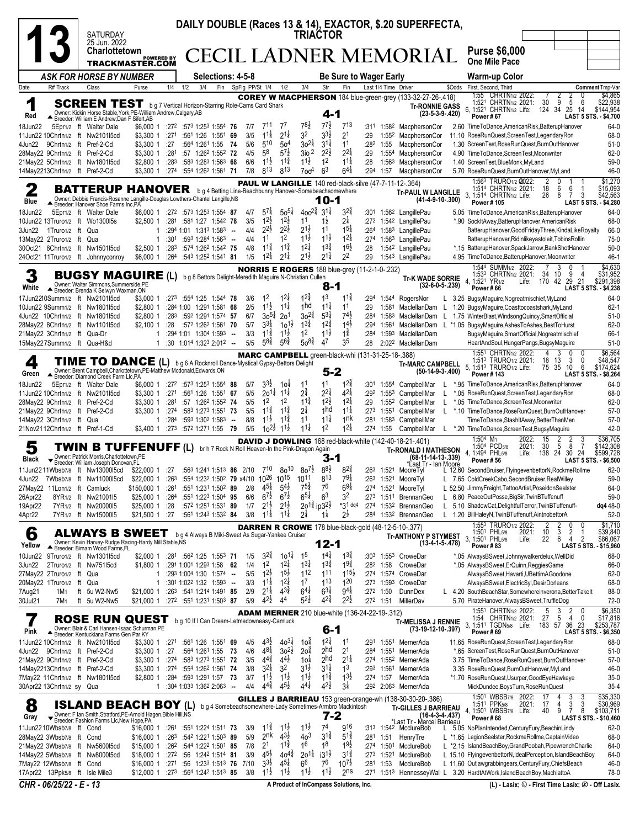|                                                                          |                                                                                                                                                                                                                                                                                                                                                                                                                                                                                                                                                                                                                                                                                                                                                                    | DAILY DOUBLE (Races 13 & 14), EXACTOR, \$.20 SUPERFECTA,<br><b>SATURDAY</b><br><b>TRIACTOR</b>                                                                                                  |                                                                                     |                          |     |                                                                                      |                |                   |                                                                |                                                         |                                                   |                                                          |                                                                             |                     |                           |                                                                                                                                             |                     |                                                                                                                                                                                                                                                                    |
|--------------------------------------------------------------------------|--------------------------------------------------------------------------------------------------------------------------------------------------------------------------------------------------------------------------------------------------------------------------------------------------------------------------------------------------------------------------------------------------------------------------------------------------------------------------------------------------------------------------------------------------------------------------------------------------------------------------------------------------------------------------------------------------------------------------------------------------------------------|-------------------------------------------------------------------------------------------------------------------------------------------------------------------------------------------------|-------------------------------------------------------------------------------------|--------------------------|-----|--------------------------------------------------------------------------------------|----------------|-------------------|----------------------------------------------------------------|---------------------------------------------------------|---------------------------------------------------|----------------------------------------------------------|-----------------------------------------------------------------------------|---------------------|---------------------------|---------------------------------------------------------------------------------------------------------------------------------------------|---------------------|--------------------------------------------------------------------------------------------------------------------------------------------------------------------------------------------------------------------------------------------------------------------|
|                                                                          |                                                                                                                                                                                                                                                                                                                                                                                                                                                                                                                                                                                                                                                                                                                                                                    | 25 Jun. 2022<br>Charlottetown                                                                                                                                                                   | <b>POWERED BY</b>                                                                   |                          |     |                                                                                      |                |                   |                                                                |                                                         |                                                   |                                                          |                                                                             |                     |                           | <b>ECIL LADNER MEMORIAL</b>                                                                                                                 |                     | <b>Purse \$6,000</b>                                                                                                                                                                                                                                               |
|                                                                          |                                                                                                                                                                                                                                                                                                                                                                                                                                                                                                                                                                                                                                                                                                                                                                    | <b>TRACKMASTER.COM</b>                                                                                                                                                                          |                                                                                     |                          |     |                                                                                      |                |                   |                                                                |                                                         |                                                   |                                                          |                                                                             |                     |                           |                                                                                                                                             |                     | <b>One Mile Pace</b>                                                                                                                                                                                                                                               |
| Date<br>R# Track                                                         |                                                                                                                                                                                                                                                                                                                                                                                                                                                                                                                                                                                                                                                                                                                                                                    | <b>ASK FOR HORSE BY NUMBER</b><br>Class                                                                                                                                                         | Purse                                                                               | 1/4                      | 1/2 | <b>Selections: 4-5-8</b><br>3/4<br>Fin                                               |                | SpFig PP/St 1/4   |                                                                | 1/2                                                     | 3/4                                               | Str                                                      | Be Sure to Wager Early<br>Fin                                               |                     | Last 1/4 Time Driver      |                                                                                                                                             | \$Odds              | <b>Warm-up Color</b><br>First, Second, Third<br>Comment Tmp-Var                                                                                                                                                                                                    |
| 1<br>Red                                                                 |                                                                                                                                                                                                                                                                                                                                                                                                                                                                                                                                                                                                                                                                                                                                                                    | <b>SCREEN TEST</b> b g 7 Vertical Horizon-Starring Role-Cams Card Shark<br>Owner: Kickin Horse Stable, York, PE-William Andrew, Calgary, AB<br>▲ Breeder: William E Andrew; Dan F Sifert, AB    |                                                                                     |                          |     |                                                                                      |                |                   |                                                                |                                                         |                                                   | 4-1                                                      |                                                                             |                     |                           | <b>COREY W MACPHERSON</b> 184 blue-green-grey (133-32-27-26-.418)<br><b>Tr-RONNIE GASS</b>                                                  | $(23-5-3-9-.420)$   | 1:55 CHRTN <sub>1/2</sub> 2022:<br>\$4,865<br>2<br>5<br>\$22,938<br>1:521 CHRTN1/2 2021:<br>30<br>6<br>9<br>25<br>6, 1:521 CHRTN1/2 Life:<br>124 34<br>14<br>\$144,954<br>Power #67<br>LAST 5 STS. - \$4,700                                                       |
| 18Jun22<br>11Jun22 10Chrtn1/2 ft Nw2101l5cd<br>4Jun22                    |                                                                                                                                                                                                                                                                                                                                                                                                                                                                                                                                                                                                                                                                                                                                                                    | 5Epr1/2 ft Walter Dale<br>9Chrtn1/2 ft Pref-2-Cd                                                                                                                                                | \$6,000 1<br>\$3,300 1<br>\$3,300 1 :27                                             | :271                     |     | :272 :573 1:253 1:554 76<br>:561 1:26 1:551 69<br>:564 1:261 1:55 74                 |                | 7/7<br>3/5<br>5/6 | 711<br>$11\frac{1}{4}$<br>510                                  | 7 <sup>1</sup><br>$2^{1\frac{1}{4}}$<br>50 <sup>4</sup> | 78½<br>32<br>$30^{21}$                            | 77}<br>$3^{3}\frac{1}{2}$<br>$3^{11}$                    | 713<br>21<br>11                                                             | :311<br>:29<br>:282 | 1:552<br>1:55             | 1:58 <sup>2</sup> MacphersonCor<br>MacphersonCor<br>MacphersonCor                                                                           |                     | 64-0<br>2.60 TimeToDance,AmericanRisk,BatterupHanover<br>68-0<br>11.10 RoseRunQuest, ScreenTest, LegendaryRon<br>1.30 ScreenTest, RoseRunQuest, BurnOutHanover<br>$51-0$                                                                                           |
| 28May22 9Chrtn1/2 ft Pref-2-Cd<br>21May22 5Chrtn1/2 ft Nw1801I5cd        |                                                                                                                                                                                                                                                                                                                                                                                                                                                                                                                                                                                                                                                                                                                                                                    |                                                                                                                                                                                                 | \$3,300 1<br>\$2,800 1                                                              | :281<br>:283             |     | :57 1:26 <sup>2</sup> 1:55 <sup>2</sup> 72<br>:583 1:283 1:563 68                    |                | 4/5<br>6/6        | 5 <sup>8</sup><br>$1^{1\frac{1}{2}}$                           | $5^{7}$<br>$1^{1\frac{3}{4}}$<br>813                    | $3i0$ 2<br>$11\frac{1}{2}$                        | $2^{2\frac{1}{2}}$<br>1 <sup>2</sup><br>6 <sup>3</sup>   | $2^{2}\frac{1}{4}$<br>$11\frac{1}{4}$                                       | :29<br>:28          | 1:554<br>1:563            | MacphersonCor<br>MacphersonCor                                                                                                              |                     | $62 - 0$<br>4.90 TimeToDance,ScreenTest,Moonwriter<br>$59-0$<br>1.40 ScreenTest.BlueMonk.MvLand                                                                                                                                                                    |
| 14May2213Chrtn1/2 ft Pref-2-Cd<br>2                                      |                                                                                                                                                                                                                                                                                                                                                                                                                                                                                                                                                                                                                                                                                                                                                                    | <b>BATTERUP HANOVER</b> bg 4 Betting Line-Beachbunny Hanover-Somebeachsomewhere                                                                                                                 | \$3,300 1                                                                           | :274                     |     | :554 1:262 1:561 71                                                                  |                | 7/8               | 813                                                            |                                                         | 7oo <sup>4</sup>                                  |                                                          | $6^{41}$                                                                    | :294                | 1:57                      | MacphersonCor<br><b>PAUL W LANGILLE</b> 140 red-black-silve (47-7-11-12-.364)                                                               |                     | 5.70 RoseRunQuest, BurnOutHanover, MyLand<br>46-0<br>\$1,270<br>1:563 TRURO1/2 2022:<br>2<br>0<br>1:514 CHRTN1/2 2021:<br>18<br>\$15,093<br>6<br>6                                                                                                                 |
| Blue                                                                     |                                                                                                                                                                                                                                                                                                                                                                                                                                                                                                                                                                                                                                                                                                                                                                    | Owner: Debbie Francis-Rosanne Langille-Douglas Lowthers-Chantel Langille, NS<br>▲ Breeder: Hanover Shoe Farms Inc, PA                                                                           |                                                                                     |                          |     |                                                                                      |                |                   |                                                                |                                                         |                                                   | 10-1                                                     |                                                                             |                     |                           | <b>Tr-PAUL W LANGILLE</b>                                                                                                                   | $(41-4-9-10-.300)$  | 3. 1:514 CHRTN1/2 Life:<br>3<br>\$42,563<br>26<br>8<br>7<br>Power #105<br>LAST 5 STS. - \$4,280                                                                                                                                                                    |
| 18Jun22<br>10Jun22 13Truro1/2 ft Wo1300l5s<br>3Jun22<br>1Truro1/2 ft Qua |                                                                                                                                                                                                                                                                                                                                                                                                                                                                                                                                                                                                                                                                                                                                                                    | 5Epr1/2 ft Walter Dale                                                                                                                                                                          | \$2,500 1<br>1                                                                      | :281                     |     | \$6,000 1 :272 :573 1:253 1:554 87<br>:581 1:27 1:542 78<br>:294 1:01 1:313 1:583 -- |                | 4/7<br>3/5<br>4/4 | $5^{7\frac{1}{4}}$<br>$1^{2\frac{1}{2}}$<br>$2^{2}\frac{1}{2}$ | $50^{51}$<br>$1^{2\frac{1}{2}}$<br>$2^{2}\frac{1}{2}$   | $400^{2}$<br>1 <sup>1</sup><br>$2^{1\frac{1}{2}}$ | $3^{11}$<br>1ż<br>11                                     | $3^{2*}$<br>$2\frac{1}{4}$<br>$15\frac{1}{4}$                               | :272<br>:264        |                           | :301 1:562 LangillePau<br>1:542 LangillePau<br>1:583 LangillePau                                                                            |                     | 5.05 TimeToDance,AmericanRisk,BatterupHanover<br>64-0<br>*.90 SockItAway, BatterupHanover, AmericanRisk<br>68-0<br>66-0<br>BatterupHanover, GoodFridayThree, KindaLikeRoyalty                                                                                      |
| 13Mav22 2Truro1/2 ft Qua<br>30Oct21 8Chrtn1/2 ft Nw1501l5cd              |                                                                                                                                                                                                                                                                                                                                                                                                                                                                                                                                                                                                                                                                                                                                                                    |                                                                                                                                                                                                 | $\mathbf{1}$<br>\$2,500 1                                                           | :301<br>:283             |     | :593 1:284 1:563 $-$<br>:574 1:262 1:542 75                                          |                | 4/4<br>4/8        | 1 <sup>1</sup><br>$1^{1\frac{3}{4}}$                           | 1 <sup>2</sup><br>$1^{1\frac{3}{4}}$                    | $11\frac{1}{2}$<br>$1^{21}$                       | $1^{1}\frac{1}{2}$<br>$1^{3}\frac{3}{4}$                 | $1^{21}$<br>$16\frac{1}{2}$                                                 | :274<br>:28         |                           | 1:563 LangillePau<br>1:542 LangillePau                                                                                                      |                     | $75-0$<br>BatterupHanover, Ridinlikeyastoleit, TobinsRollin<br>*.15 BatterupHanover, SpackJarrow, BankShotHanover<br>$50-0$                                                                                                                                        |
| 24Oct21 11Truro1/2 ft Johnnyconroy                                       |                                                                                                                                                                                                                                                                                                                                                                                                                                                                                                                                                                                                                                                                                                                                                                    |                                                                                                                                                                                                 | \$6,000 1 :264                                                                      |                          |     | :543 1:252 1:541 81                                                                  |                | 1/5               | $12\frac{1}{4}$                                                | $2^{11}$                                                | $2^{1\frac{1}{2}}$                                | $2^{1\frac{1}{4}}$                                       | 2 <sup>2</sup>                                                              | :29                 |                           | 1:543 LangillePau                                                                                                                           |                     | 4.95 TimeToDance, BatterupHanover, Moonwriter<br>$46 - 1$<br>\$4,630<br>1:544 SUMM <sub>1/2</sub> 2022:<br>3<br>0                                                                                                                                                  |
| White                                                                    | <b>NORRIS E ROGERS</b> 188 blue-grey (11-2-1-0-.232)<br>9<br>\$31,952<br>1:53 <sup>3</sup> CHRTN <sub>1/2</sub> 2021:<br>34<br>10<br>4<br><b>BUGSY MAGUIRE (L)</b><br>b g 8 Bettors Delight-Meredith Maguire N-Christian Cullen<br><b>Tr-K WADE SORRIE</b><br>Life: 170<br>29<br>21<br>\$291,398<br>4, 1:521<br>42<br>YR <sub>1/2</sub><br>Owner: Walter Simmons, Summerside, PE<br>$(32-6-0-5-.239)$<br>8-1<br>Power#66<br>LAST 5 STS. - \$4,238<br>Breeder: Brenda K Selwyn Waxman, ON<br>$12\frac{3}{4}$<br>$11\frac{3}{4}$<br>1 <sup>3</sup><br>1 <sup>2</sup><br>$12\frac{1}{4}$<br>17Jun2210Summ1/2 ft Nw2101l5cd<br>$:27^3$ $:55^4$ 1:25 1:544 78<br>:294<br>64-0<br>\$3,000 1<br>3/6<br>1:544<br>RogersNor<br>L 3.25 BugsyMaguire, Nogreatmischief, MyLand |                                                                                                                                                                                                 |                                                                                     |                          |     |                                                                                      |                |                   |                                                                |                                                         |                                                   |                                                          |                                                                             |                     |                           |                                                                                                                                             |                     |                                                                                                                                                                                                                                                                    |
| 10Jun22 9Summ1/2 ft Nw1801l5cd<br>4Jun22 10Chrtn1/2 ft Nw1801l5cd        |                                                                                                                                                                                                                                                                                                                                                                                                                                                                                                                                                                                                                                                                                                                                                                    |                                                                                                                                                                                                 | \$2,800 1<br>\$2,800 1                                                              | :283                     |     | :284 1:00 1:291 1:581 68<br>:592 1:291 1:574 57                                      |                | 2/5<br>6/7        | $1^{1\frac{1}{2}}$<br>$30^{5\frac{1}{4}}$                      | $11\frac{1}{4}$<br>20 <sup>1</sup>                      | 1 <sub>hd</sub><br>$30^{24}$                      | $11\frac{1}{4}$<br>$5^{3\frac{1}{4}}$                    | 11<br>$7^{4}$                                                               | :29<br>:284         | 1:581<br>1:583            |                                                                                                                                             |                     | MaclellanDam L 1.20 BugsyMaguire,Coasttocoastshark,MyLand<br>$62-1$<br>MaclellanDam L 1.75 WinterBlast, WindsongQuincy, SmartOfficial<br>$51-0$                                                                                                                    |
| 28May22 8Chrtn1/2 ft Nw1101l5cd<br>21May22 3Chrtn1/2 ft Qua-Dr           |                                                                                                                                                                                                                                                                                                                                                                                                                                                                                                                                                                                                                                                                                                                                                                    |                                                                                                                                                                                                 | $$2,100$ 1<br>1                                                                     | :28                      |     | :572 1:262 1:561 70<br>:294 1:01 1:304 1:593 --                                      |                | 5/7<br>3/3        | $3^{3}\frac{1}{4}$<br>$1^{1\frac{3}{4}}$                       | $10^{1}$<br>$1^{1\frac{1}{2}}$                          | $13\frac{3}{4}$<br>1 <sup>2</sup>                 | $12\frac{3}{4}$<br>$11\frac{1}{2}$                       | $14\frac{1}{2}$<br>$1\frac{3}{4}$                                           | :294<br>:284        | 1:561<br>1:593            | MaclellanDam                                                                                                                                |                     | $62 - 0$<br>MaclellanDam L *1.05 BugsyMaguire,AshesToAshes,BestToHurst<br>BugsyMaguire,SmartOfficial,Nogreatmischief<br>66-1                                                                                                                                       |
| 15May227Summ1/2 ft Qua-H&d                                               |                                                                                                                                                                                                                                                                                                                                                                                                                                                                                                                                                                                                                                                                                                                                                                    |                                                                                                                                                                                                 | 1                                                                                   |                          |     | :30 1:014 1:323 2:012 --                                                             |                | 5/5               | $5^{8\frac{3}{4}}$                                             | $5^{6}\frac{3}{4}$                                      | $50^{8}$                                          | 47                                                       | 35                                                                          | :28                 |                           | 2:022 MaclellanDam                                                                                                                          |                     | $51-0$<br>HeartAndSoul,HungerPangs,BugsyMaguire<br>\$6,564<br>1:551 CHRTN1/2 2022:<br>4<br>3<br>0                                                                                                                                                                  |
| 4<br>Green                                                               |                                                                                                                                                                                                                                                                                                                                                                                                                                                                                                                                                                                                                                                                                                                                                                    | <b>TIME TO DANCE</b> (L) b g 6 A Rocknroll Dance-Mystical Gypsy-Bettors Delight<br>Owner: Brent Campbell, Charlottetown, PE-Matthew Mcdonald, Edwards, ON<br>Breeder: Diamond Creek Farm Llc,PA |                                                                                     |                          |     |                                                                                      |                |                   |                                                                |                                                         |                                                   | 5-2                                                      | <b>MARC CAMPBELL</b> green-black-whi (131-31-25-18-.388)                    |                     |                           | <b>Tr-MARC CAMPBELL</b>                                                                                                                     | $(50-14-9-3-0.400)$ | 1:513 TRURO1/2 2021:<br>18<br>3<br>$\mathbf{0}$<br>\$48,547<br>13<br>75<br>35<br>6<br>\$174,624<br>5, 1:51 <sup>3</sup> TRURO <sub>1/2</sub> Life:<br>10<br>LAST 5 STS. - \$8,264<br>Power #143                                                                    |
| 18Jun22<br>11Jun22 10Chrtn1/2 ft Nw210115cd                              |                                                                                                                                                                                                                                                                                                                                                                                                                                                                                                                                                                                                                                                                                                                                                                    | 5Epr1/2 ft Walter Dale                                                                                                                                                                          | \$6,000 1<br>\$3,300 1                                                              | :272<br>:271             |     | :573 1:253 1:554 88<br>:561 1:26 1:551                                               | 67             | 5/7<br>5/5        | $3^{3}\frac{1}{2}$<br>$20^{11}$                                | 104<br>$11\frac{1}{4}$                                  | 11<br>$2^{3}$                                     | 11<br>$2^{2\frac{1}{4}}$                                 | $12\frac{3}{4}$<br>$4^{21}$                                                 | :301<br>:292        |                           | 1:554 CampbellMar<br>1:553 CampbellMar                                                                                                      |                     | 64-0<br>*.95 TimeToDance,AmericanRisk,BatterupHanover<br>68-0<br>*.05 RoseRunQuest, ScreenTest, LegendaryRon                                                                                                                                                       |
| 28May22 9Chrtn1/2 ft Pref-2-Cd<br>21May22 9Chrtn1/2 ft Pref-2-Cd         |                                                                                                                                                                                                                                                                                                                                                                                                                                                                                                                                                                                                                                                                                                                                                                    |                                                                                                                                                                                                 | \$3,300 1<br>\$3,300 1                                                              | :281<br>:274             |     | :57 1:26 <sup>2</sup> 1:55 <sup>2</sup> 74<br>:583 1:273 1:551 73                    |                | 5/5<br>5/5        | 1 <sup>2</sup><br>$11\frac{3}{4}$                              | 1 <sup>2</sup><br>$11\frac{3}{4}$                       | $11\frac{3}{4}$<br>$2\frac{1}{4}$                 | $1^{2\frac{1}{2}}$<br>1 <sub>hd</sub><br>$11\frac{1}{4}$ | $12\frac{1}{4}$<br>$11\frac{1}{4}$                                          | :29<br>:273         |                           | 1:552 CampbellMar<br>1:551 CampbellMar                                                                                                      |                     | $62 - 0$<br>*.05 TimeToDance,ScreenTest,Moonwriter<br>*.10 TimeToDance,RoseRunQuest,BurnOutHanover<br>$57-0$                                                                                                                                                       |
| 14May22 3Chrtn1/2 ft Qua<br>21Nov2112Chrtn1/2 ft Pref-1-Cd               |                                                                                                                                                                                                                                                                                                                                                                                                                                                                                                                                                                                                                                                                                                                                                                    |                                                                                                                                                                                                 | 1<br>\$3,400 1                                                                      | :284<br>:273             |     | :593 1:302 1:583<br>:572 1:271 1:55                                                  | $\sim$<br>- 79 | 8/8<br>5/5        | $1^{1\frac{1}{2}}$<br>$10^{21}$                                | 11<br>$11\frac{1}{2}$                                   | 11<br>$11\frac{1}{4}$                             | 1 <sup>2</sup>                                           | 1 <sup>nk</sup><br>$1^{21}$                                                 | :281<br>:274        | 1:58 <sup>3</sup><br>1:55 | CampbellMar<br>CampbellMar                                                                                                                  | L.                  | $57-0$<br>TimeToDance,StashItAway,BetterThanMen<br>$42 - 0$<br>*.20 TimeToDance,ScreenTest,BugsyMaguire                                                                                                                                                            |
| 5<br>Black                                                               |                                                                                                                                                                                                                                                                                                                                                                                                                                                                                                                                                                                                                                                                                                                                                                    | TWIN B TUFFENUFF (L) br h 7 Rock N Roll Heaven-In the Pink-Dragon Again<br>Owner: Patrick Morris, Charlottetown, PE<br>Breeder: William Joseph Donovan.FL                                       |                                                                                     |                          |     |                                                                                      |                |                   |                                                                |                                                         |                                                   | 3-1                                                      |                                                                             |                     |                           | <b>DAVID J DOWLING</b> 168 red-black-white (142-40-18-21-.401)<br><b>Tr-RONALD I MATHESON</b><br>(68-11-14-13-.339)<br>*Last Tr - Ian Moore |                     | \$36,705<br>1:504 M <sub>1</sub><br>2022:<br>15<br>2<br>3<br>8<br>30<br>$\overline{7}$<br>1:504 PCD5/8<br>5<br>\$142,308<br>2021:<br>4, 1:494 PHL5/8<br>Life: 138 24<br>30 24<br>\$599,728<br>LAST 5 STS. - \$6,500<br><b>Power #56</b>                            |
| 11Jun2211Wbsb7/8 ft Nw1300015cd<br>4Jun22 7Wbsb7/8 ft Nw11000l5cd        |                                                                                                                                                                                                                                                                                                                                                                                                                                                                                                                                                                                                                                                                                                                                                                    |                                                                                                                                                                                                 | \$22,000 1 :27<br>\$22,000 1 :263 :554 1:232 1:502 79 x4/10 1026 1015 1011          |                          |     | :563 1:241 1:513 86 2/10                                                             |                |                   | 710                                                            | $80^{10}$                                               | $80^{7}$                                          | 88}<br>813                                               | $8^{2\frac{3}{4}}$<br>$79\frac{1}{4}$                                       | :263                |                           | 1:521 MooreTyl<br>:263 1:521 MooreTyl                                                                                                       |                     | $62 - 0$<br>L 12.60 SecondBruiser, FlyingevenbettorN, RockmeRollme<br>59-0<br>L 7.65 ColdCreekCabo,SecondBruiser,RealWilley                                                                                                                                        |
| 27May22 11Lon1/2 ft Camluck<br>26Apr22                                   |                                                                                                                                                                                                                                                                                                                                                                                                                                                                                                                                                                                                                                                                                                                                                                    | 8YR1/2 ft Nw21001l5                                                                                                                                                                             | \$150,000 1<br>\$25,000 1                                                           | :261<br>:264             |     | :551 1:231 1:502 89<br>:551 1:223 1:504 95                                           |                | 2/8<br>6/6        | 45‡<br>$6^{7\frac{1}{2}}$                                      | $5^{4}$<br>$6^{7\frac{1}{2}}$                           | $7^{5^{3}_{4}}$<br>$6^{5\frac{1}{4}}$             | 76<br>6 <sup>3</sup>                                     | 6 <sup>9</sup> #<br>32                                                      | :274<br>:273        |                           | 1:521 MooreTyl<br>1:51 <sup>1</sup> BrennanGeo                                                                                              | L.                  | L 52.50 JimmyFreight, TattooArtist, PoseidonSeelster<br>64-0<br>$59-0$<br>6.80 PeaceOutPosse,BigSir,TwinBTuffenuff                                                                                                                                                 |
| 19Apr22<br>4Apr22                                                        |                                                                                                                                                                                                                                                                                                                                                                                                                                                                                                                                                                                                                                                                                                                                                                    | 7YR <sub>1/2</sub> ft Nw2000015<br>7YR1/2 ft Nw15000l5                                                                                                                                          | \$25,000 1<br>\$21,500 1 :27                                                        | :28                      |     | :572 1:251 1:531 89<br>:561 1:243 1:532 84                                           |                | 1/7<br>3/8        | $2^{1\frac{1}{2}}$<br>$1^{1\frac{1}{4}}$                       | $2^{1\frac{1}{2}}$<br>$1^{11}$                          | 2014 ip 321<br>$2^{1/2}$                          | 1‡                                                       | *31 dq4<br>$2^{\frac{1}{2}}$                                                | :274<br>:284        |                           | 1:532 BrennanGeo<br>1:532 BrennanGeo                                                                                                        | L.                  | 5.10 ShadowCat, Delightful Terror, TwinBTuffenuff-<br>dq4 48-0<br>L 1.20 BillHaleyN, TwinBTuffenuff, AintnobettorA<br>$52-0$                                                                                                                                       |
| 6                                                                        |                                                                                                                                                                                                                                                                                                                                                                                                                                                                                                                                                                                                                                                                                                                                                                    | <b>ALWAYS B SWEET</b>                                                                                                                                                                           |                                                                                     |                          |     | b g 4 Always B Miki-Sweet As Sugar-Yankee Cruiser                                    |                |                   |                                                                |                                                         |                                                   |                                                          |                                                                             |                     |                           | <b>DARREN R CROWE</b> 178 blue-black-gold (48-12-5-10-.377)<br><b>Tr-ANTHONY P STYMEST</b>                                                  |                     | \$1,710<br>1:553 TRURO1/2 2022:<br>2<br>0<br>0<br>2<br>3<br>1:501 PHL5/8<br>2021:<br>$\frac{10}{22}$<br>2<br>\$39,840<br>3, 1:501 PHL5/8<br>$\overline{2}$<br>6<br>\$86,067<br>Life:<br>4                                                                          |
| Yellow<br>10Jun22                                                        |                                                                                                                                                                                                                                                                                                                                                                                                                                                                                                                                                                                                                                                                                                                                                                    | Owner: Kevin Harvey-Rudge Racing-Hardy Mill Stable, NS<br>▲ Breeder: Birnam Wood Farms, FL<br>9Truro1/2 ft Nw130115cd                                                                           |                                                                                     |                          |     | \$2,000 1 :281 :562 1:25 1:553 71                                                    |                | 1/5               | $3^{2^{3}_{4}}$                                                | $10^{11}$                                               | 1 <sup>5</sup>                                    | 12-1<br>$1^{4\frac{1}{4}}$                               | $1^{3\frac{3}{4}}$                                                          | :303                |                           | 1:553 CroweDar                                                                                                                              | $(13-4-1-5-478)$    | Power #83<br>LAST 5 STS. - \$15,960<br>*.05 AlwaysBSweet,Johnnywalkerdelux,WellDid<br>68-0                                                                                                                                                                         |
| 3Jun22<br>27May22 2Truro1/2 ft Qua                                       |                                                                                                                                                                                                                                                                                                                                                                                                                                                                                                                                                                                                                                                                                                                                                                    | 2Truro1/2 ft Nw751l5cd                                                                                                                                                                          | \$1,800 1<br>1                                                                      |                          |     | :291 1:001 1:293 1:58 62<br>$:29^3$ 1:00 <sup>4</sup> 1:30 1:57 <sup>4</sup> --      |                | 1/4<br>5/5        | 1 <sup>2</sup><br>$1^{2\frac{1}{2}}$                           | $1^{2\frac{1}{4}}$<br>$15\frac{1}{2}$                   | $1^{31}$<br>112                                   | $1^{3\frac{3}{4}}$<br>111                                | $19\frac{3}{4}$<br>$115\frac{1}{2}$                                         | :282                | 1:58                      | CroweDar<br>:274 1:574 CroweDar                                                                                                             |                     | 66-0<br>*.05 AlwaysBSweet, ErQuinn, ReggiesGame<br>AlwaysBSweet, Havarti, UBettimAGoodone<br>62-0                                                                                                                                                                  |
| 20May22 1Truro1/2 ft Qua<br>7Aug21<br>1M1                                |                                                                                                                                                                                                                                                                                                                                                                                                                                                                                                                                                                                                                                                                                                                                                                    | ft 5u W2-Nw5                                                                                                                                                                                    | $\mathbf{1}$<br>\$21,000 1                                                          | :263                     |     | :301 1:022 1:32 1:593 --<br>:541 1:214 1:491 85                                      |                | 3/3<br>2/9        | $1^{11}$<br>$2^{1\frac{1}{4}}$                                 | $1^{2\frac{1}{4}}$<br>$4^{3\frac{3}{4}}$                | 1 <sup>7</sup><br>$6^{4}$                         | $1^{13}$<br>$6^{3\frac{1}{4}}$                           | $1^{20}$<br>$9^{4}$                                                         |                     | :272 1:50                 | :273 1:593 CroweDar<br><b>DunnDex</b>                                                                                                       |                     | AlwaysBSweet,ElectricSyl,DesirDorleans<br>68-0<br>L 4.20 SouthBeachStar,Somewhereinverona,BetterTakelt<br>88-0                                                                                                                                                     |
| 30Jul21<br>7M1                                                           |                                                                                                                                                                                                                                                                                                                                                                                                                                                                                                                                                                                                                                                                                                                                                                    | ft 5u W2-Nw5                                                                                                                                                                                    | \$21,000 1 :27 <sup>2</sup> :55 <sup>1</sup> 1:23 <sup>1</sup> 1:50 <sup>3</sup> 87 |                          |     |                                                                                      |                | 5/9               | $4^{2}\frac{1}{2}$                                             | 44                                                      | $5^{2}\frac{1}{2}$                                | $42\frac{3}{4}$                                          | $2^{2}\frac{1}{2}$<br><b>ADAM MERNER</b> 210 blue-white (136-24-22-19-.312) |                     | :272 1:51                 | MillerDav                                                                                                                                   |                     | $72-0$<br>5.70 PirateHanover, AlwaysBSweet, TruffleDog<br>$$6,350$<br>$$17,816$<br>1:55 <sup>1</sup> CHRTN <sub>1/2</sub> 2022:<br>$\frac{2}{4}$<br>0<br>$\frac{5}{27}$<br>3<br>5<br>1:54 CHRTN1/2 2021:<br>0                                                      |
| 7<br>Pink                                                                |                                                                                                                                                                                                                                                                                                                                                                                                                                                                                                                                                                                                                                                                                                                                                                    | <b>ROSE RUN QUEST</b><br>Owner: Blair & Carl Hansen-Isaac Schurman, PE<br>Breeder: Kentuckiana Farms Gen Par, KY                                                                                |                                                                                     |                          |     | b g 10 If I Can Dream-Letmedowneasy-Camluck                                          |                |                   |                                                                |                                                         |                                                   | $6-1$                                                    |                                                                             |                     |                           | <b>Tr-MELISSA J RENNIE</b><br>(73-19-12-10-.397)                                                                                            |                     | 3, 1:511 TGDN5/8 Life: 183 57 36 23<br>\$253,787<br>Power #69<br>LAST 5 STS. - \$6,350                                                                                                                                                                             |
| 11Jun22 10Chrtn1/2 ft Nw2101l5cd<br>4Jun22                               |                                                                                                                                                                                                                                                                                                                                                                                                                                                                                                                                                                                                                                                                                                                                                                    | 9Chrtn1/2 ft Pref-2-Cd                                                                                                                                                                          | \$3,300 1 :271<br>\$3,300 1                                                         | :27                      |     | :561 1:26 1:551<br>:564 1:261 1:55                                                   | 69<br>- 73     | 4/5<br>4/6        | $4^{3}\frac{1}{2}$<br>$4^{8\frac{1}{4}}$                       | $40^{31}$<br>$30^{21}$                                  | 1oă<br>2o‡                                        | $12\frac{1}{4}$<br>2 <sup>hd</sup>                       | 1 <sup>1</sup><br>2 <sup>1</sup>                                            | :291<br>:284        | 1:551                     | 1:551 MernerAda<br>MernerAda                                                                                                                |                     | 11.65 RoseRunQuest, ScreenTest, LegendaryRon<br>68-0<br>*.65 ScreenTest, RoseRunQuest, BurnOutHanover<br>$51-0$                                                                                                                                                    |
| 21May22 9Chrtn1/2 ft Pref-2-Cd<br>14May2213Chrtn1/2 ft Pref-2-Cd         |                                                                                                                                                                                                                                                                                                                                                                                                                                                                                                                                                                                                                                                                                                                                                                    |                                                                                                                                                                                                 | \$3,300 1<br>\$3,300 1                                                              | :274<br>:274             |     | :583 1:273 1:551 72<br>:554 1:262 1:561 74                                           |                | 3/5<br>3/8        | $4^{4}\frac{3}{4}$<br>$3^{21}$                                 | $4^{4}\frac{1}{2}$<br>3 <sup>2</sup>                    | 10 <sup>1</sup><br>$3^{1\frac{1}{2}}$             | 2hd<br>$3^{11}$                                          | $2^{1\frac{1}{4}}$<br>1 <sup>3</sup>                                        | :274<br>:293        | 1:561                     | 1:552 MernerAda<br>MernerAda                                                                                                                |                     | $57-0$<br>3.75 TimeToDance, RoseRunQuest, BurnOutHanover<br>46-0<br>3.35 RoseRunQuest, BurnOutHanover, MyLand                                                                                                                                                      |
| 7May22 11Chrtn1/2 ft Nw1801l5cd<br>30Apr22 13Chrtn1/2 sy Qua             |                                                                                                                                                                                                                                                                                                                                                                                                                                                                                                                                                                                                                                                                                                                                                                    |                                                                                                                                                                                                 | \$2,800 1<br>1                                                                      | :284                     |     | :593 1:291 1:57 73<br>:304 1:033 1:362 2:063 --                                      |                | 3/7<br>4/4        | $1^{1\frac{1}{2}}$<br>$4^{44}$                                 | $1^{1}\frac{1}{2}$<br>$45\frac{1}{2}$                   | $1^{1\frac{1}{2}}$<br>$4^{4}$                     | $1^{1\frac{3}{4}}$<br>42}                                | $1^{3}\frac{1}{2}$<br>$3\frac{1}{4}$                                        | :274                | 1:57                      | MernerAda<br>:292 2:063 MernerAda                                                                                                           |                     | *1.70 RoseRunQuest, Usurper, GoodEyeHawkeye<br>$35-0$<br>$35 - 4$<br>MickDundee, BoysTurn, RoseRunQuest                                                                                                                                                            |
| 8<br>Gray                                                                |                                                                                                                                                                                                                                                                                                                                                                                                                                                                                                                                                                                                                                                                                                                                                                    | <b>ISLAND BEACH BOY (L)</b><br>Vener: F Ian Smith, Stratford, PE-Arnold Hagen, Bible Hill, NS<br>▼ Breeder: Fashion Farms Llc, New Hope, PA                                                     |                                                                                     |                          |     | b g 4 Somebeachsomewhere-Lady Sometimes-Armbro Mackintosh                            |                |                   |                                                                |                                                         |                                                   | 7-2                                                      |                                                                             |                     |                           | <b>GILLES J BARRIEAU</b> 153 green-orange-wh (138-30-30-20-.386)<br><b>Tr-GILLES J BARRIEAU</b>                                             | $(16-4-3-4-437)$    | \$35,330<br>1:50 <sup>1</sup> WBSB7/8 2022:<br>3<br>17<br>3<br>4<br>1:51 <sup>1</sup> PPK <sub>5/8</sub><br>17<br>3<br>3<br>\$30,969<br>2021:<br>4<br>$\overline{7}$<br>8<br>4, 1:501 WBSB7/8 Life:<br>40<br>9<br>\$103,711<br>Power #68<br>LAST 5 STS. - \$10,460 |
| 11Jun2210Wbsb7/8 ft Cond                                                 |                                                                                                                                                                                                                                                                                                                                                                                                                                                                                                                                                                                                                                                                                                                                                                    |                                                                                                                                                                                                 | \$16,000 1                                                                          | :261                     |     | :551 1:224 1:511 73                                                                  |                | 3/9               | $11\frac{3}{4}$                                                | $11\frac{1}{2}$                                         | $11\frac{1}{2}$                                   | 74                                                       | 916                                                                         |                     |                           | *Last Tr - Marcel Barrieaú<br>:313 1:542 McclureBob                                                                                         | L.                  | 5.05 NoPlanIntended, Century Fury, BeachinLindy<br>$62 - 0$                                                                                                                                                                                                        |
| 28May22 3Wbsb7/8 ft Cond<br>21May22 3Wbsb7/8 ft Nw560015cd               |                                                                                                                                                                                                                                                                                                                                                                                                                                                                                                                                                                                                                                                                                                                                                                    |                                                                                                                                                                                                 | \$16,000 1<br>\$15,000 1                                                            | :26 <sup>3</sup><br>:262 |     | :542 1:221 1:503 89<br>:544 1:222 1:501 85                                           |                | 5/9<br>7/8        | 2 <sup>nk</sup><br>2 <sup>1</sup>                              | $4^{3}\frac{1}{2}$<br>$11\frac{3}{4}$                   | 40 <sup>3</sup><br>16                             | $3^{1\frac{3}{4}}$<br>1 <sup>8</sup>                     | $5^{1\frac{3}{4}}$<br>$19\frac{1}{2}$                                       | :281<br>:274        | 1:51                      | HenryTre<br>1:501 McclureBob                                                                                                                |                     | L *1.65 LegionSeelster, RockmeRollme, CaptainVideo<br>68-0<br>L *2.15 IslandBeachBoy,GrandPoobah,PipewrenchCharlie<br>64-0                                                                                                                                         |
| 14May22 5Wbsb7/8 ft Nw8000l5cd<br>7May22 12Wbsb7/8 ft Cond               |                                                                                                                                                                                                                                                                                                                                                                                                                                                                                                                                                                                                                                                                                                                                                                    |                                                                                                                                                                                                 | \$18,000 1<br>\$16,000 1                                                            | :272<br>:271             |     | :56 1:242 1:514 81<br>:56 1:233 1:513 76                                             |                | 3/9<br>7/10       | $4^{5}\frac{1}{2}$<br>$3^{3}\frac{1}{2}$                       | $40^{4}\frac{3}{4}$<br>$4^{51}$                         | $20^{11}$<br>6 <sup>6</sup>                       | $i3^{11}$<br>7 <sup>6</sup>                              | $3^{1\frac{3}{4}}$<br>$10^{7}$                                              | :273<br>:281        | 1:521<br>1:53             | McclureBob<br>McclureBob                                                                                                                    |                     | L 15.10 FlyingevenbettorN, IdealPerception, IslandBeachBoy<br>64-0<br>L 11.60 Outlawgrabbingears, Century Fury, Chiefs Beach<br>46-0                                                                                                                               |
| 17Apr22 13Ppk5/8 ft Isle Mile3<br>CHR - 06/25/22 - E - 13                |                                                                                                                                                                                                                                                                                                                                                                                                                                                                                                                                                                                                                                                                                                                                                                    |                                                                                                                                                                                                 | \$12,000 1                                                                          | :273                     |     | :564 1:242 1:513 85                                                                  |                | 3/8               | $1^{1\frac{1}{2}}$                                             | $1^{1\frac{1}{2}}$                                      | $1^{1\frac{1}{2}}$                                | $1^{1\frac{1}{2}}$                                       | 2 <sup>ns</sup><br>A Product of InCompass Solutions, Inc.                   | :271                |                           |                                                                                                                                             |                     | 1:513 HennesseyWal L 3.20 HardtAtWork, Island Beach Boy, Machiatto A<br>78-0<br>(L) - Lasix; ① - First Time Lasix; ② - Off Lasix.                                                                                                                                  |